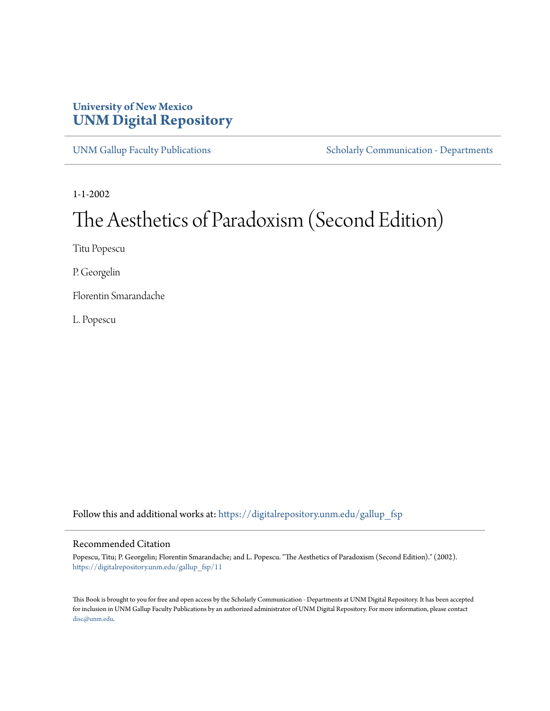# **University of New Mexico [UNM Digital Repository](https://digitalrepository.unm.edu?utm_source=digitalrepository.unm.edu%2Fgallup_fsp%2F11&utm_medium=PDF&utm_campaign=PDFCoverPages)**

[UNM Gallup Faculty Publications](https://digitalrepository.unm.edu/gallup_fsp?utm_source=digitalrepository.unm.edu%2Fgallup_fsp%2F11&utm_medium=PDF&utm_campaign=PDFCoverPages) [Scholarly Communication - Departments](https://digitalrepository.unm.edu/departments?utm_source=digitalrepository.unm.edu%2Fgallup_fsp%2F11&utm_medium=PDF&utm_campaign=PDFCoverPages)

1-1-2002

# The Aesthetics of Paradoxism (Second Edition)

Titu Popescu

P. Georgelin

Florentin Smarandache

L. Popescu

Follow this and additional works at: [https://digitalrepository.unm.edu/gallup\\_fsp](https://digitalrepository.unm.edu/gallup_fsp?utm_source=digitalrepository.unm.edu%2Fgallup_fsp%2F11&utm_medium=PDF&utm_campaign=PDFCoverPages)

#### Recommended Citation

Popescu, Titu; P. Georgelin; Florentin Smarandache; and L. Popescu. "The Aesthetics of Paradoxism (Second Edition)." (2002). [https://digitalrepository.unm.edu/gallup\\_fsp/11](https://digitalrepository.unm.edu/gallup_fsp/11?utm_source=digitalrepository.unm.edu%2Fgallup_fsp%2F11&utm_medium=PDF&utm_campaign=PDFCoverPages)

This Book is brought to you for free and open access by the Scholarly Communication - Departments at UNM Digital Repository. It has been accepted for inclusion in UNM Gallup Faculty Publications by an authorized administrator of UNM Digital Repository. For more information, please contact [disc@unm.edu](mailto:disc@unm.edu).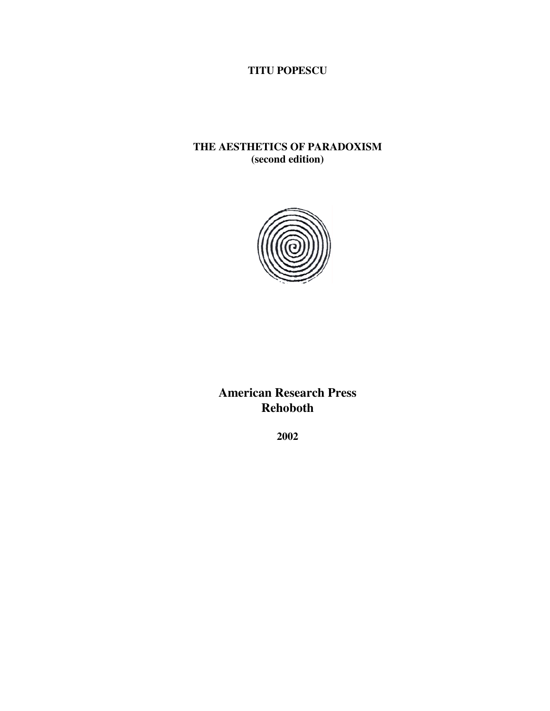**TITU POPESCU** 

## **THE AESTHETICS OF PARADOXISM (second edition)**



**American Research Press Rehoboth**

**2002**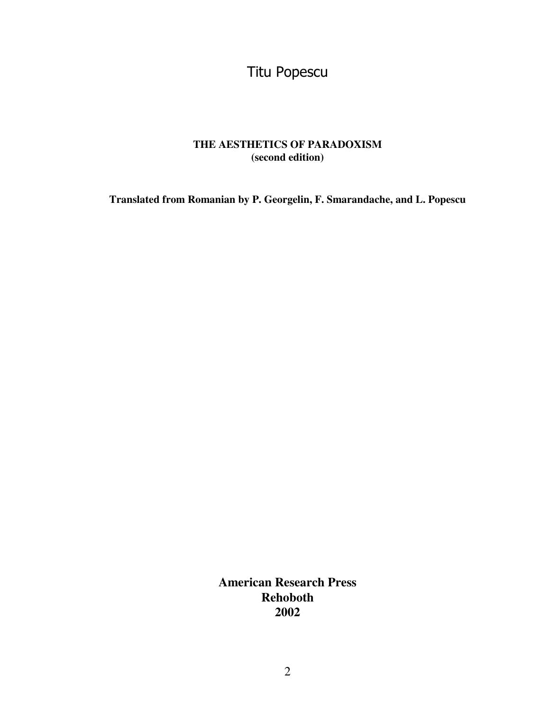Titu Popescu

## **THE AESTHETICS OF PARADOXISM (second edition)**

**Translated from Romanian by P. Georgelin, F. Smarandache, and L. Popescu** 

**American Research Press Rehoboth 2002**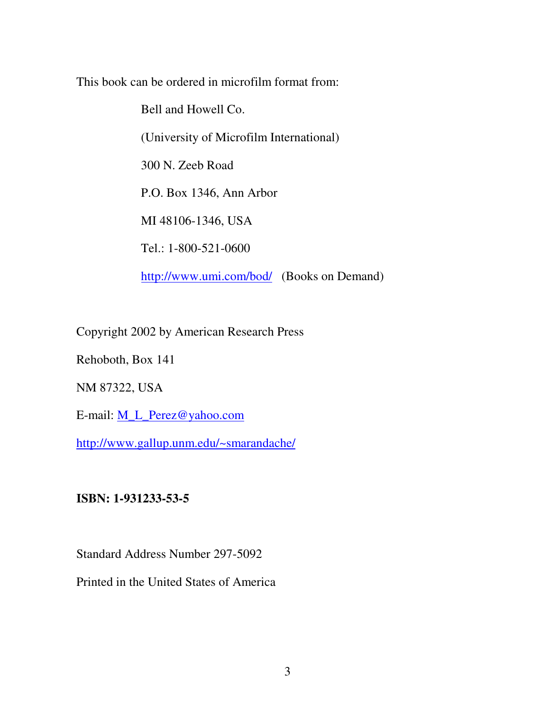This book can be ordered in microfilm format from:

 Bell and Howell Co. (University of Microfilm International) 300 N. Zeeb Road P.O. Box 1346, Ann Arbor MI 48106-1346, USA Tel.: 1-800-521-0600 http://www.umi.com/bod/ (Books on Demand)

Copyright 2002 by American Research Press

Rehoboth, Box 141

NM 87322, USA

E-mail: M\_L\_Perez@yahoo.com

http://www.gallup.unm.edu/~smarandache/

# **ISBN: 1-931233-53-5**

Standard Address Number 297-5092

Printed in the United States of America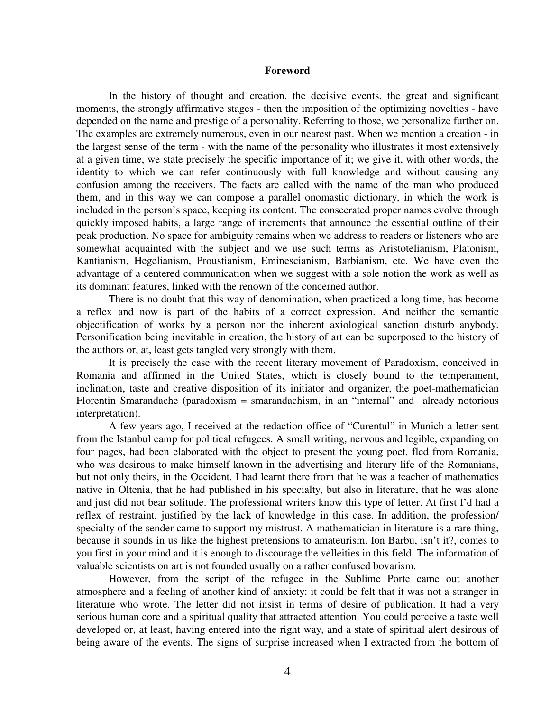#### **Foreword**

 In the history of thought and creation, the decisive events, the great and significant moments, the strongly affirmative stages - then the imposition of the optimizing novelties - have depended on the name and prestige of a personality. Referring to those, we personalize further on. The examples are extremely numerous, even in our nearest past. When we mention a creation - in the largest sense of the term - with the name of the personality who illustrates it most extensively at a given time, we state precisely the specific importance of it; we give it, with other words, the identity to which we can refer continuously with full knowledge and without causing any confusion among the receivers. The facts are called with the name of the man who produced them, and in this way we can compose a parallel onomastic dictionary, in which the work is included in the person's space, keeping its content. The consecrated proper names evolve through quickly imposed habits, a large range of increments that announce the essential outline of their peak production. No space for ambiguity remains when we address to readers or listeners who are somewhat acquainted with the subject and we use such terms as Aristotelianism, Platonism, Kantianism, Hegelianism, Proustianism, Eminescianism, Barbianism, etc. We have even the advantage of a centered communication when we suggest with a sole notion the work as well as its dominant features, linked with the renown of the concerned author.

 There is no doubt that this way of denomination, when practiced a long time, has become a reflex and now is part of the habits of a correct expression. And neither the semantic objectification of works by a person nor the inherent axiological sanction disturb anybody. Personification being inevitable in creation, the history of art can be superposed to the history of the authors or, at, least gets tangled very strongly with them.

 It is precisely the case with the recent literary movement of Paradoxism, conceived in Romania and affirmed in the United States, which is closely bound to the temperament, inclination, taste and creative disposition of its initiator and organizer, the poet-mathematician Florentin Smarandache (paradoxism = smarandachism, in an "internal" and already notorious interpretation).

 A few years ago, I received at the redaction office of "Curentul" in Munich a letter sent from the Istanbul camp for political refugees. A small writing, nervous and legible, expanding on four pages, had been elaborated with the object to present the young poet, fled from Romania, who was desirous to make himself known in the advertising and literary life of the Romanians, but not only theirs, in the Occident. I had learnt there from that he was a teacher of mathematics native in Oltenia, that he had published in his specialty, but also in literature, that he was alone and just did not bear solitude. The professional writers know this type of letter. At first I'd had a reflex of restraint, justified by the lack of knowledge in this case. In addition, the profession/ specialty of the sender came to support my mistrust. A mathematician in literature is a rare thing, because it sounds in us like the highest pretensions to amateurism. Ion Barbu, isn't it?, comes to you first in your mind and it is enough to discourage the velleities in this field. The information of valuable scientists on art is not founded usually on a rather confused bovarism.

 However, from the script of the refugee in the Sublime Porte came out another atmosphere and a feeling of another kind of anxiety: it could be felt that it was not a stranger in literature who wrote. The letter did not insist in terms of desire of publication. It had a very serious human core and a spiritual quality that attracted attention. You could perceive a taste well developed or, at least, having entered into the right way, and a state of spiritual alert desirous of being aware of the events. The signs of surprise increased when I extracted from the bottom of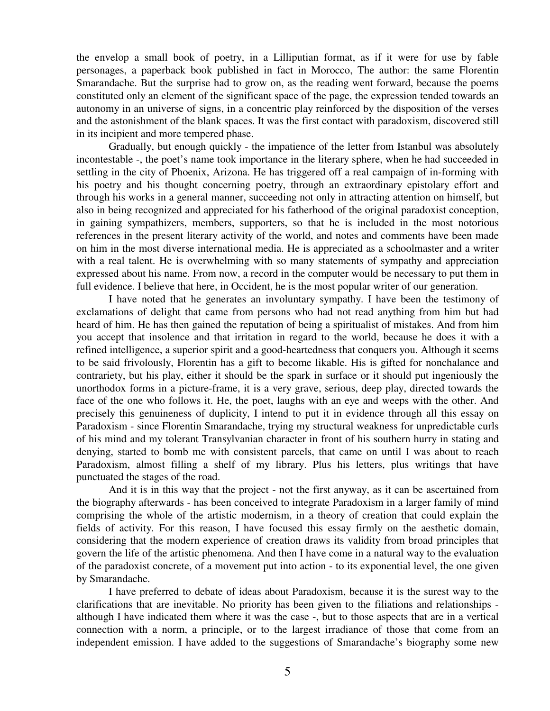the envelop a small book of poetry, in a Lilliputian format, as if it were for use by fable personages, a paperback book published in fact in Morocco, The author: the same Florentin Smarandache. But the surprise had to grow on, as the reading went forward, because the poems constituted only an element of the significant space of the page, the expression tended towards an autonomy in an universe of signs, in a concentric play reinforced by the disposition of the verses and the astonishment of the blank spaces. It was the first contact with paradoxism, discovered still in its incipient and more tempered phase.

 Gradually, but enough quickly - the impatience of the letter from Istanbul was absolutely incontestable -, the poet's name took importance in the literary sphere, when he had succeeded in settling in the city of Phoenix, Arizona. He has triggered off a real campaign of in-forming with his poetry and his thought concerning poetry, through an extraordinary epistolary effort and through his works in a general manner, succeeding not only in attracting attention on himself, but also in being recognized and appreciated for his fatherhood of the original paradoxist conception, in gaining sympathizers, members, supporters, so that he is included in the most notorious references in the present literary activity of the world, and notes and comments have been made on him in the most diverse international media. He is appreciated as a schoolmaster and a writer with a real talent. He is overwhelming with so many statements of sympathy and appreciation expressed about his name. From now, a record in the computer would be necessary to put them in full evidence. I believe that here, in Occident, he is the most popular writer of our generation.

 I have noted that he generates an involuntary sympathy. I have been the testimony of exclamations of delight that came from persons who had not read anything from him but had heard of him. He has then gained the reputation of being a spiritualist of mistakes. And from him you accept that insolence and that irritation in regard to the world, because he does it with a refined intelligence, a superior spirit and a good-heartedness that conquers you. Although it seems to be said frivolously, Florentin has a gift to become likable. His is gifted for nonchalance and contrariety, but his play, either it should be the spark in surface or it should put ingeniously the unorthodox forms in a picture-frame, it is a very grave, serious, deep play, directed towards the face of the one who follows it. He, the poet, laughs with an eye and weeps with the other. And precisely this genuineness of duplicity, I intend to put it in evidence through all this essay on Paradoxism - since Florentin Smarandache, trying my structural weakness for unpredictable curls of his mind and my tolerant Transylvanian character in front of his southern hurry in stating and denying, started to bomb me with consistent parcels, that came on until I was about to reach Paradoxism, almost filling a shelf of my library. Plus his letters, plus writings that have punctuated the stages of the road.

 And it is in this way that the project - not the first anyway, as it can be ascertained from the biography afterwards - has been conceived to integrate Paradoxism in a larger family of mind comprising the whole of the artistic modernism, in a theory of creation that could explain the fields of activity. For this reason, I have focused this essay firmly on the aesthetic domain, considering that the modern experience of creation draws its validity from broad principles that govern the life of the artistic phenomena. And then I have come in a natural way to the evaluation of the paradoxist concrete, of a movement put into action - to its exponential level, the one given by Smarandache.

 I have preferred to debate of ideas about Paradoxism, because it is the surest way to the clarifications that are inevitable. No priority has been given to the filiations and relationships although I have indicated them where it was the case -, but to those aspects that are in a vertical connection with a norm, a principle, or to the largest irradiance of those that come from an independent emission. I have added to the suggestions of Smarandache's biography some new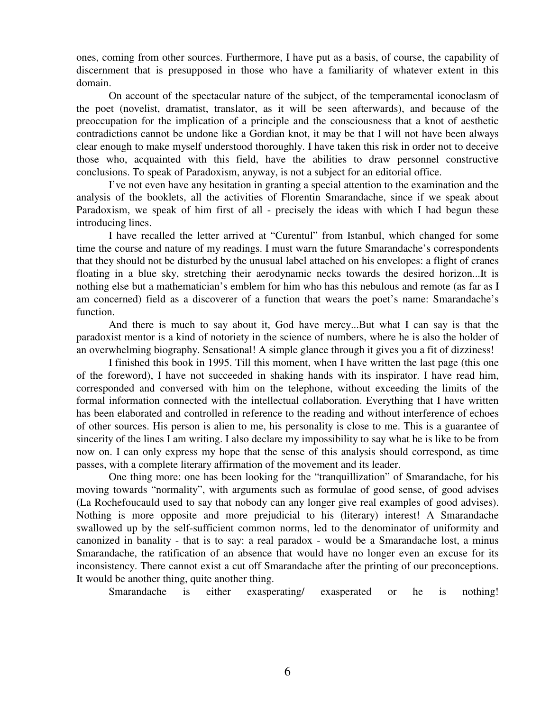ones, coming from other sources. Furthermore, I have put as a basis, of course, the capability of discernment that is presupposed in those who have a familiarity of whatever extent in this domain.

 On account of the spectacular nature of the subject, of the temperamental iconoclasm of the poet (novelist, dramatist, translator, as it will be seen afterwards), and because of the preoccupation for the implication of a principle and the consciousness that a knot of aesthetic contradictions cannot be undone like a Gordian knot, it may be that I will not have been always clear enough to make myself understood thoroughly. I have taken this risk in order not to deceive those who, acquainted with this field, have the abilities to draw personnel constructive conclusions. To speak of Paradoxism, anyway, is not a subject for an editorial office.

 I've not even have any hesitation in granting a special attention to the examination and the analysis of the booklets, all the activities of Florentin Smarandache, since if we speak about Paradoxism, we speak of him first of all - precisely the ideas with which I had begun these introducing lines.

 I have recalled the letter arrived at "Curentul" from Istanbul, which changed for some time the course and nature of my readings. I must warn the future Smarandache's correspondents that they should not be disturbed by the unusual label attached on his envelopes: a flight of cranes floating in a blue sky, stretching their aerodynamic necks towards the desired horizon...It is nothing else but a mathematician's emblem for him who has this nebulous and remote (as far as I am concerned) field as a discoverer of a function that wears the poet's name: Smarandache's function.

 And there is much to say about it, God have mercy...But what I can say is that the paradoxist mentor is a kind of notoriety in the science of numbers, where he is also the holder of an overwhelming biography. Sensational! A simple glance through it gives you a fit of dizziness!

 I finished this book in 1995. Till this moment, when I have written the last page (this one of the foreword), I have not succeeded in shaking hands with its inspirator. I have read him, corresponded and conversed with him on the telephone, without exceeding the limits of the formal information connected with the intellectual collaboration. Everything that I have written has been elaborated and controlled in reference to the reading and without interference of echoes of other sources. His person is alien to me, his personality is close to me. This is a guarantee of sincerity of the lines I am writing. I also declare my impossibility to say what he is like to be from now on. I can only express my hope that the sense of this analysis should correspond, as time passes, with a complete literary affirmation of the movement and its leader.

 One thing more: one has been looking for the "tranquillization" of Smarandache, for his moving towards "normality", with arguments such as formulae of good sense, of good advises (La Rochefoucauld used to say that nobody can any longer give real examples of good advises). Nothing is more opposite and more prejudicial to his (literary) interest! A Smarandache swallowed up by the self-sufficient common norms, led to the denominator of uniformity and canonized in banality - that is to say: a real paradox - would be a Smarandache lost, a minus Smarandache, the ratification of an absence that would have no longer even an excuse for its inconsistency. There cannot exist a cut off Smarandache after the printing of our preconceptions. It would be another thing, quite another thing.

Smarandache is either exasperating/ exasperated or he is nothing!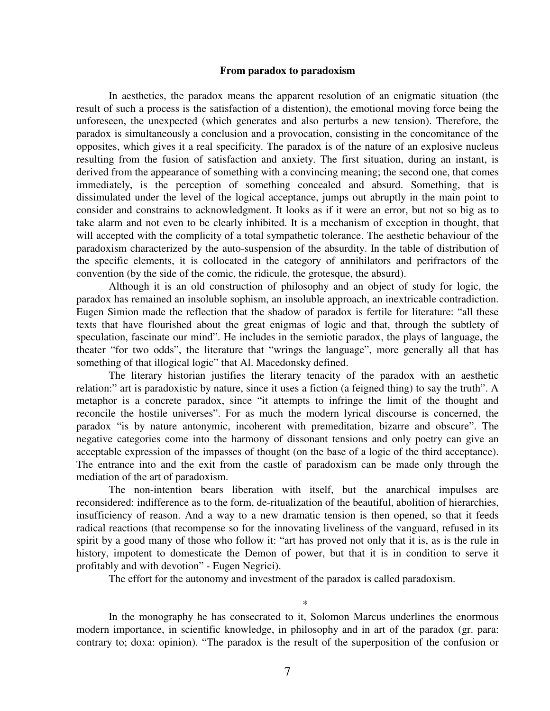#### **From paradox to paradoxism**

 In aesthetics, the paradox means the apparent resolution of an enigmatic situation (the result of such a process is the satisfaction of a distention), the emotional moving force being the unforeseen, the unexpected (which generates and also perturbs a new tension). Therefore, the paradox is simultaneously a conclusion and a provocation, consisting in the concomitance of the opposites, which gives it a real specificity. The paradox is of the nature of an explosive nucleus resulting from the fusion of satisfaction and anxiety. The first situation, during an instant, is derived from the appearance of something with a convincing meaning; the second one, that comes immediately, is the perception of something concealed and absurd. Something, that is dissimulated under the level of the logical acceptance, jumps out abruptly in the main point to consider and constrains to acknowledgment. It looks as if it were an error, but not so big as to take alarm and not even to be clearly inhibited. It is a mechanism of exception in thought, that will accepted with the complicity of a total sympathetic tolerance. The aesthetic behaviour of the paradoxism characterized by the auto-suspension of the absurdity. In the table of distribution of the specific elements, it is collocated in the category of annihilators and perifractors of the convention (by the side of the comic, the ridicule, the grotesque, the absurd).

 Although it is an old construction of philosophy and an object of study for logic, the paradox has remained an insoluble sophism, an insoluble approach, an inextricable contradiction. Eugen Simion made the reflection that the shadow of paradox is fertile for literature: "all these texts that have flourished about the great enigmas of logic and that, through the subtlety of speculation, fascinate our mind". He includes in the semiotic paradox, the plays of language, the theater "for two odds", the literature that "wrings the language", more generally all that has something of that illogical logic" that Al. Macedonsky defined.

 The literary historian justifies the literary tenacity of the paradox with an aesthetic relation:" art is paradoxistic by nature, since it uses a fiction (a feigned thing) to say the truth". A metaphor is a concrete paradox, since "it attempts to infringe the limit of the thought and reconcile the hostile universes". For as much the modern lyrical discourse is concerned, the paradox "is by nature antonymic, incoherent with premeditation, bizarre and obscure". The negative categories come into the harmony of dissonant tensions and only poetry can give an acceptable expression of the impasses of thought (on the base of a logic of the third acceptance). The entrance into and the exit from the castle of paradoxism can be made only through the mediation of the art of paradoxism.

 The non-intention bears liberation with itself, but the anarchical impulses are reconsidered: indifference as to the form, de-ritualization of the beautiful, abolition of hierarchies, insufficiency of reason. And a way to a new dramatic tension is then opened, so that it feeds radical reactions (that recompense so for the innovating liveliness of the vanguard, refused in its spirit by a good many of those who follow it: "art has proved not only that it is, as is the rule in history, impotent to domesticate the Demon of power, but that it is in condition to serve it profitably and with devotion" - Eugen Negrici).

The effort for the autonomy and investment of the paradox is called paradoxism.

 In the monography he has consecrated to it, Solomon Marcus underlines the enormous modern importance, in scientific knowledge, in philosophy and in art of the paradox (gr. para: contrary to; doxa: opinion). "The paradox is the result of the superposition of the confusion or

\*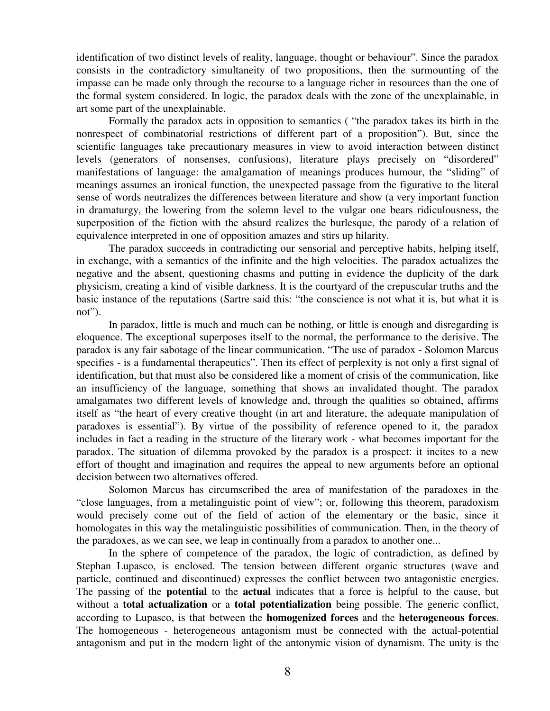identification of two distinct levels of reality, language, thought or behaviour". Since the paradox consists in the contradictory simultaneity of two propositions, then the surmounting of the impasse can be made only through the recourse to a language richer in resources than the one of the formal system considered. In logic, the paradox deals with the zone of the unexplainable, in art some part of the unexplainable.

 Formally the paradox acts in opposition to semantics ( "the paradox takes its birth in the nonrespect of combinatorial restrictions of different part of a proposition"). But, since the scientific languages take precautionary measures in view to avoid interaction between distinct levels (generators of nonsenses, confusions), literature plays precisely on "disordered" manifestations of language: the amalgamation of meanings produces humour, the "sliding" of meanings assumes an ironical function, the unexpected passage from the figurative to the literal sense of words neutralizes the differences between literature and show (a very important function in dramaturgy, the lowering from the solemn level to the vulgar one bears ridiculousness, the superposition of the fiction with the absurd realizes the burlesque, the parody of a relation of equivalence interpreted in one of opposition amazes and stirs up hilarity.

 The paradox succeeds in contradicting our sensorial and perceptive habits, helping itself, in exchange, with a semantics of the infinite and the high velocities. The paradox actualizes the negative and the absent, questioning chasms and putting in evidence the duplicity of the dark physicism, creating a kind of visible darkness. It is the courtyard of the crepuscular truths and the basic instance of the reputations (Sartre said this: "the conscience is not what it is, but what it is not").

 In paradox, little is much and much can be nothing, or little is enough and disregarding is eloquence. The exceptional superposes itself to the normal, the performance to the derisive. The paradox is any fair sabotage of the linear communication. "The use of paradox - Solomon Marcus specifies - is a fundamental therapeutics". Then its effect of perplexity is not only a first signal of identification, but that must also be considered like a moment of crisis of the communication, like an insufficiency of the language, something that shows an invalidated thought. The paradox amalgamates two different levels of knowledge and, through the qualities so obtained, affirms itself as "the heart of every creative thought (in art and literature, the adequate manipulation of paradoxes is essential"). By virtue of the possibility of reference opened to it, the paradox includes in fact a reading in the structure of the literary work - what becomes important for the paradox. The situation of dilemma provoked by the paradox is a prospect: it incites to a new effort of thought and imagination and requires the appeal to new arguments before an optional decision between two alternatives offered.

 Solomon Marcus has circumscribed the area of manifestation of the paradoxes in the "close languages, from a metalinguistic point of view"; or, following this theorem, paradoxism would precisely come out of the field of action of the elementary or the basic, since it homologates in this way the metalinguistic possibilities of communication. Then, in the theory of the paradoxes, as we can see, we leap in continually from a paradox to another one...

 In the sphere of competence of the paradox, the logic of contradiction, as defined by Stephan Lupasco, is enclosed. The tension between different organic structures (wave and particle, continued and discontinued) expresses the conflict between two antagonistic energies. The passing of the **potential** to the **actual** indicates that a force is helpful to the cause, but without a **total actualization** or a **total potentialization** being possible. The generic conflict, according to Lupasco, is that between the **homogenized forces** and the **heterogeneous forces**. The homogeneous - heterogeneous antagonism must be connected with the actual-potential antagonism and put in the modern light of the antonymic vision of dynamism. The unity is the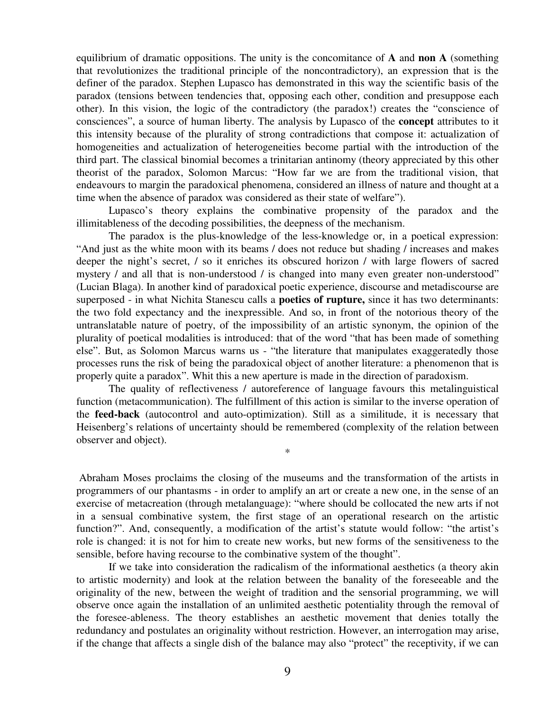equilibrium of dramatic oppositions. The unity is the concomitance of **A** and **non A** (something that revolutionizes the traditional principle of the noncontradictory), an expression that is the definer of the paradox. Stephen Lupasco has demonstrated in this way the scientific basis of the paradox (tensions between tendencies that, opposing each other, condition and presuppose each other). In this vision, the logic of the contradictory (the paradox!) creates the "conscience of consciences", a source of human liberty. The analysis by Lupasco of the **concept** attributes to it this intensity because of the plurality of strong contradictions that compose it: actualization of homogeneities and actualization of heterogeneities become partial with the introduction of the third part. The classical binomial becomes a trinitarian antinomy (theory appreciated by this other theorist of the paradox, Solomon Marcus: "How far we are from the traditional vision, that endeavours to margin the paradoxical phenomena, considered an illness of nature and thought at a time when the absence of paradox was considered as their state of welfare").

 Lupasco's theory explains the combinative propensity of the paradox and the illimitableness of the decoding possibilities, the deepness of the mechanism.

 The paradox is the plus-knowledge of the less-knowledge or, in a poetical expression: "And just as the white moon with its beams / does not reduce but shading / increases and makes deeper the night's secret, / so it enriches its obscured horizon / with large flowers of sacred mystery / and all that is non-understood / is changed into many even greater non-understood" (Lucian Blaga). In another kind of paradoxical poetic experience, discourse and metadiscourse are superposed - in what Nichita Stanescu calls a **poetics of rupture,** since it has two determinants: the two fold expectancy and the inexpressible. And so, in front of the notorious theory of the untranslatable nature of poetry, of the impossibility of an artistic synonym, the opinion of the plurality of poetical modalities is introduced: that of the word "that has been made of something else". But, as Solomon Marcus warns us - "the literature that manipulates exaggeratedly those processes runs the risk of being the paradoxical object of another literature: a phenomenon that is properly quite a paradox". Whit this a new aperture is made in the direction of paradoxism.

 The quality of reflectiveness / autoreference of language favours this metalinguistical function (metacommunication). The fulfillment of this action is similar to the inverse operation of the **feed-back** (autocontrol and auto-optimization). Still as a similitude, it is necessary that Heisenberg's relations of uncertainty should be remembered (complexity of the relation between observer and object).

\*

 Abraham Moses proclaims the closing of the museums and the transformation of the artists in programmers of our phantasms - in order to amplify an art or create a new one, in the sense of an exercise of metacreation (through metalanguage): "where should be collocated the new arts if not in a sensual combinative system, the first stage of an operational research on the artistic function?". And, consequently, a modification of the artist's statute would follow: "the artist's role is changed: it is not for him to create new works, but new forms of the sensitiveness to the sensible, before having recourse to the combinative system of the thought".

 If we take into consideration the radicalism of the informational aesthetics (a theory akin to artistic modernity) and look at the relation between the banality of the foreseeable and the originality of the new, between the weight of tradition and the sensorial programming, we will observe once again the installation of an unlimited aesthetic potentiality through the removal of the foresee-ableness. The theory establishes an aesthetic movement that denies totally the redundancy and postulates an originality without restriction. However, an interrogation may arise, if the change that affects a single dish of the balance may also "protect" the receptivity, if we can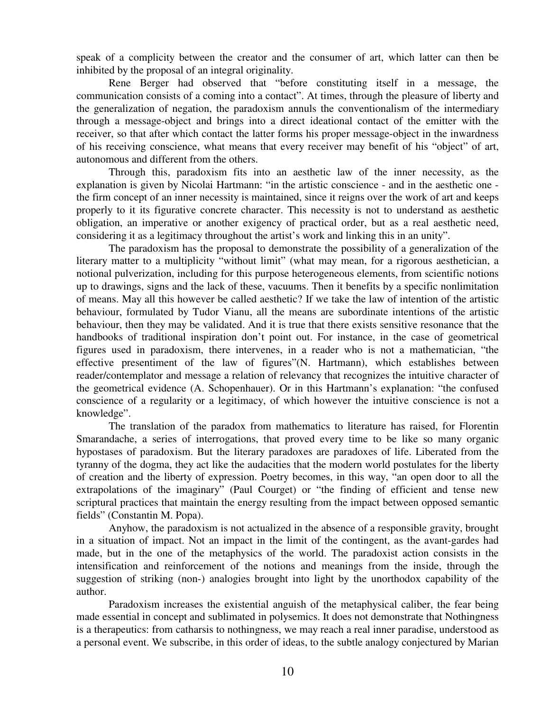speak of a complicity between the creator and the consumer of art, which latter can then be inhibited by the proposal of an integral originality.

 Rene Berger had observed that "before constituting itself in a message, the communication consists of a coming into a contact". At times, through the pleasure of liberty and the generalization of negation, the paradoxism annuls the conventionalism of the intermediary through a message-object and brings into a direct ideational contact of the emitter with the receiver, so that after which contact the latter forms his proper message-object in the inwardness of his receiving conscience, what means that every receiver may benefit of his "object" of art, autonomous and different from the others.

 Through this, paradoxism fits into an aesthetic law of the inner necessity, as the explanation is given by Nicolai Hartmann: "in the artistic conscience - and in the aesthetic one the firm concept of an inner necessity is maintained, since it reigns over the work of art and keeps properly to it its figurative concrete character. This necessity is not to understand as aesthetic obligation, an imperative or another exigency of practical order, but as a real aesthetic need, considering it as a legitimacy throughout the artist's work and linking this in an unity".

 The paradoxism has the proposal to demonstrate the possibility of a generalization of the literary matter to a multiplicity "without limit" (what may mean, for a rigorous aesthetician, a notional pulverization, including for this purpose heterogeneous elements, from scientific notions up to drawings, signs and the lack of these, vacuums. Then it benefits by a specific nonlimitation of means. May all this however be called aesthetic? If we take the law of intention of the artistic behaviour, formulated by Tudor Vianu, all the means are subordinate intentions of the artistic behaviour, then they may be validated. And it is true that there exists sensitive resonance that the handbooks of traditional inspiration don't point out. For instance, in the case of geometrical figures used in paradoxism, there intervenes, in a reader who is not a mathematician, "the effective presentiment of the law of figures"(N. Hartmann), which establishes between reader/contemplator and message a relation of relevancy that recognizes the intuitive character of the geometrical evidence (A. Schopenhauer). Or in this Hartmann's explanation: "the confused conscience of a regularity or a legitimacy, of which however the intuitive conscience is not a knowledge".

 The translation of the paradox from mathematics to literature has raised, for Florentin Smarandache, a series of interrogations, that proved every time to be like so many organic hypostases of paradoxism. But the literary paradoxes are paradoxes of life. Liberated from the tyranny of the dogma, they act like the audacities that the modern world postulates for the liberty of creation and the liberty of expression. Poetry becomes, in this way, "an open door to all the extrapolations of the imaginary" (Paul Courget) or "the finding of efficient and tense new scriptural practices that maintain the energy resulting from the impact between opposed semantic fields" (Constantin M. Popa).

 Anyhow, the paradoxism is not actualized in the absence of a responsible gravity, brought in a situation of impact. Not an impact in the limit of the contingent, as the avant-gardes had made, but in the one of the metaphysics of the world. The paradoxist action consists in the intensification and reinforcement of the notions and meanings from the inside, through the suggestion of striking (non-) analogies brought into light by the unorthodox capability of the author.

 Paradoxism increases the existential anguish of the metaphysical caliber, the fear being made essential in concept and sublimated in polysemics. It does not demonstrate that Nothingness is a therapeutics: from catharsis to nothingness, we may reach a real inner paradise, understood as a personal event. We subscribe, in this order of ideas, to the subtle analogy conjectured by Marian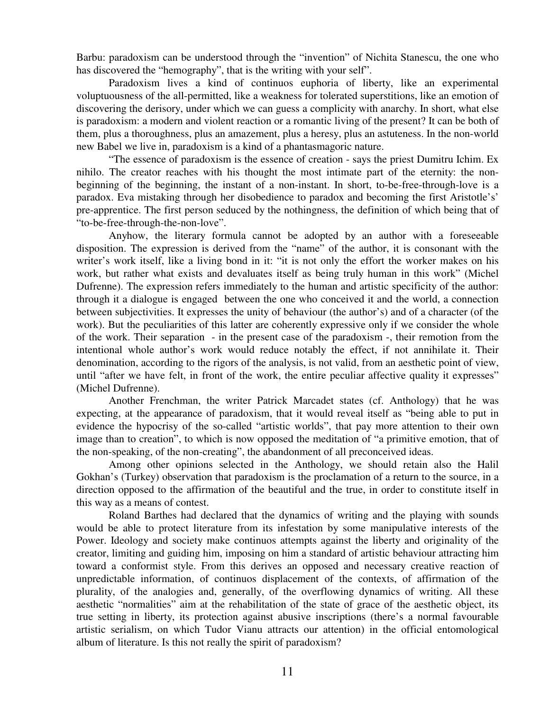Barbu: paradoxism can be understood through the "invention" of Nichita Stanescu, the one who has discovered the "hemography", that is the writing with your self".

 Paradoxism lives a kind of continuos euphoria of liberty, like an experimental voluptuousness of the all-permitted, like a weakness for tolerated superstitions, like an emotion of discovering the derisory, under which we can guess a complicity with anarchy. In short, what else is paradoxism: a modern and violent reaction or a romantic living of the present? It can be both of them, plus a thoroughness, plus an amazement, plus a heresy, plus an astuteness. In the non-world new Babel we live in, paradoxism is a kind of a phantasmagoric nature.

 "The essence of paradoxism is the essence of creation - says the priest Dumitru Ichim. Ex nihilo. The creator reaches with his thought the most intimate part of the eternity: the nonbeginning of the beginning, the instant of a non-instant. In short, to-be-free-through-love is a paradox. Eva mistaking through her disobedience to paradox and becoming the first Aristotle's' pre-apprentice. The first person seduced by the nothingness, the definition of which being that of "to-be-free-through-the-non-love".

 Anyhow, the literary formula cannot be adopted by an author with a foreseeable disposition. The expression is derived from the "name" of the author, it is consonant with the writer's work itself, like a living bond in it: "it is not only the effort the worker makes on his work, but rather what exists and devaluates itself as being truly human in this work" (Michel Dufrenne). The expression refers immediately to the human and artistic specificity of the author: through it a dialogue is engaged between the one who conceived it and the world, a connection between subjectivities. It expresses the unity of behaviour (the author's) and of a character (of the work). But the peculiarities of this latter are coherently expressive only if we consider the whole of the work. Their separation - in the present case of the paradoxism -, their remotion from the intentional whole author's work would reduce notably the effect, if not annihilate it. Their denomination, according to the rigors of the analysis, is not valid, from an aesthetic point of view, until "after we have felt, in front of the work, the entire peculiar affective quality it expresses" (Michel Dufrenne).

 Another Frenchman, the writer Patrick Marcadet states (cf. Anthology) that he was expecting, at the appearance of paradoxism, that it would reveal itself as "being able to put in evidence the hypocrisy of the so-called "artistic worlds", that pay more attention to their own image than to creation", to which is now opposed the meditation of "a primitive emotion, that of the non-speaking, of the non-creating", the abandonment of all preconceived ideas.

 Among other opinions selected in the Anthology, we should retain also the Halil Gokhan's (Turkey) observation that paradoxism is the proclamation of a return to the source, in a direction opposed to the affirmation of the beautiful and the true, in order to constitute itself in this way as a means of contest.

 Roland Barthes had declared that the dynamics of writing and the playing with sounds would be able to protect literature from its infestation by some manipulative interests of the Power. Ideology and society make continuos attempts against the liberty and originality of the creator, limiting and guiding him, imposing on him a standard of artistic behaviour attracting him toward a conformist style. From this derives an opposed and necessary creative reaction of unpredictable information, of continuos displacement of the contexts, of affirmation of the plurality, of the analogies and, generally, of the overflowing dynamics of writing. All these aesthetic "normalities" aim at the rehabilitation of the state of grace of the aesthetic object, its true setting in liberty, its protection against abusive inscriptions (there's a normal favourable artistic serialism, on which Tudor Vianu attracts our attention) in the official entomological album of literature. Is this not really the spirit of paradoxism?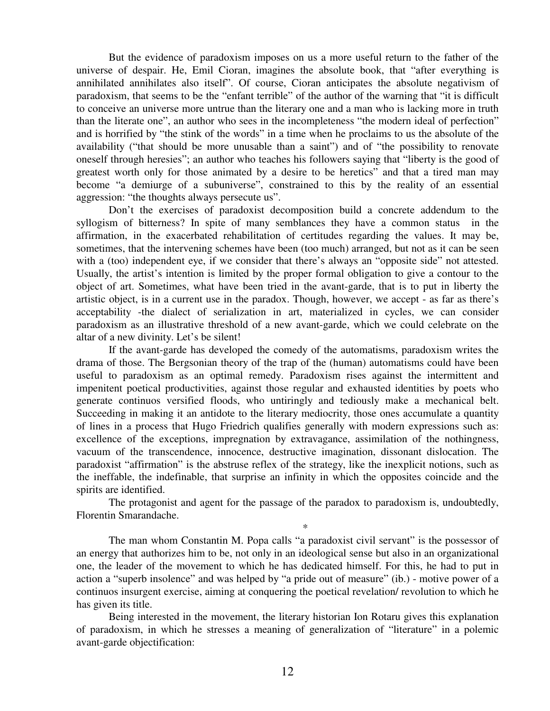But the evidence of paradoxism imposes on us a more useful return to the father of the universe of despair. He, Emil Cioran, imagines the absolute book, that "after everything is annihilated annihilates also itself". Of course, Cioran anticipates the absolute negativism of paradoxism, that seems to be the "enfant terrible" of the author of the warning that "it is difficult to conceive an universe more untrue than the literary one and a man who is lacking more in truth than the literate one", an author who sees in the incompleteness "the modern ideal of perfection" and is horrified by "the stink of the words" in a time when he proclaims to us the absolute of the availability ("that should be more unusable than a saint") and of "the possibility to renovate oneself through heresies"; an author who teaches his followers saying that "liberty is the good of greatest worth only for those animated by a desire to be heretics" and that a tired man may become "a demiurge of a subuniverse", constrained to this by the reality of an essential aggression: "the thoughts always persecute us".

 Don't the exercises of paradoxist decomposition build a concrete addendum to the syllogism of bitterness? In spite of many semblances they have a common status in the affirmation, in the exacerbated rehabilitation of certitudes regarding the values. It may be, sometimes, that the intervening schemes have been (too much) arranged, but not as it can be seen with a (too) independent eye, if we consider that there's always an "opposite side" not attested. Usually, the artist's intention is limited by the proper formal obligation to give a contour to the object of art. Sometimes, what have been tried in the avant-garde, that is to put in liberty the artistic object, is in a current use in the paradox. Though, however, we accept - as far as there's acceptability -the dialect of serialization in art, materialized in cycles, we can consider paradoxism as an illustrative threshold of a new avant-garde, which we could celebrate on the altar of a new divinity. Let's be silent!

 If the avant-garde has developed the comedy of the automatisms, paradoxism writes the drama of those. The Bergsonian theory of the trap of the (human) automatisms could have been useful to paradoxism as an optimal remedy. Paradoxism rises against the intermittent and impenitent poetical productivities, against those regular and exhausted identities by poets who generate continuos versified floods, who untiringly and tediously make a mechanical belt. Succeeding in making it an antidote to the literary mediocrity, those ones accumulate a quantity of lines in a process that Hugo Friedrich qualifies generally with modern expressions such as: excellence of the exceptions, impregnation by extravagance, assimilation of the nothingness, vacuum of the transcendence, innocence, destructive imagination, dissonant dislocation. The paradoxist "affirmation" is the abstruse reflex of the strategy, like the inexplicit notions, such as the ineffable, the indefinable, that surprise an infinity in which the opposites coincide and the spirits are identified.

 The protagonist and agent for the passage of the paradox to paradoxism is, undoubtedly, Florentin Smarandache.

\*

 The man whom Constantin M. Popa calls "a paradoxist civil servant" is the possessor of an energy that authorizes him to be, not only in an ideological sense but also in an organizational one, the leader of the movement to which he has dedicated himself. For this, he had to put in action a "superb insolence" and was helped by "a pride out of measure" (ib.) - motive power of a continuos insurgent exercise, aiming at conquering the poetical revelation/ revolution to which he has given its title.

 Being interested in the movement, the literary historian Ion Rotaru gives this explanation of paradoxism, in which he stresses a meaning of generalization of "literature" in a polemic avant-garde objectification: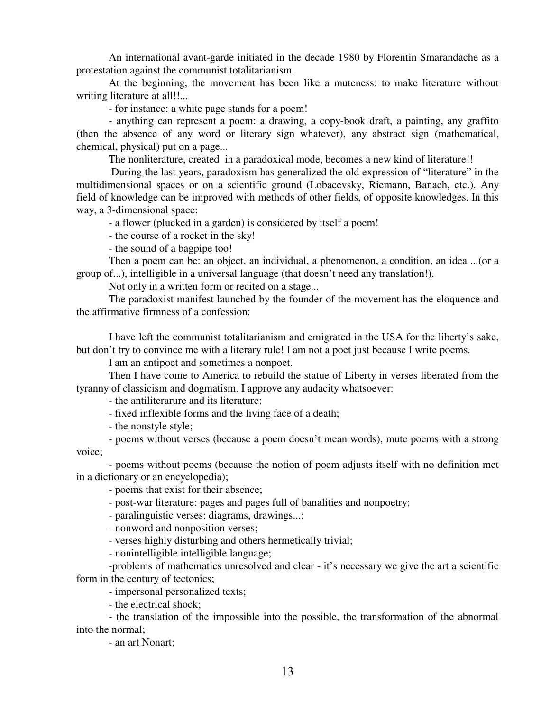An international avant-garde initiated in the decade 1980 by Florentin Smarandache as a protestation against the communist totalitarianism.

 At the beginning, the movement has been like a muteness: to make literature without writing literature at all!!...

- for instance: a white page stands for a poem!

 - anything can represent a poem: a drawing, a copy-book draft, a painting, any graffito (then the absence of any word or literary sign whatever), any abstract sign (mathematical, chemical, physical) put on a page...

The nonliterature, created in a paradoxical mode, becomes a new kind of literature!!

 During the last years, paradoxism has generalized the old expression of "literature" in the multidimensional spaces or on a scientific ground (Lobacevsky, Riemann, Banach, etc.). Any field of knowledge can be improved with methods of other fields, of opposite knowledges. In this way, a 3-dimensional space:

- a flower (plucked in a garden) is considered by itself a poem!

- the course of a rocket in the sky!

- the sound of a bagpipe too!

 Then a poem can be: an object, an individual, a phenomenon, a condition, an idea ...(or a group of...), intelligible in a universal language (that doesn't need any translation!).

Not only in a written form or recited on a stage...

 The paradoxist manifest launched by the founder of the movement has the eloquence and the affirmative firmness of a confession:

 I have left the communist totalitarianism and emigrated in the USA for the liberty's sake, but don't try to convince me with a literary rule! I am not a poet just because I write poems.

I am an antipoet and sometimes a nonpoet.

 Then I have come to America to rebuild the statue of Liberty in verses liberated from the tyranny of classicism and dogmatism. I approve any audacity whatsoever:

- the antiliterarure and its literature;

- fixed inflexible forms and the living face of a death;

- the nonstyle style;

 - poems without verses (because a poem doesn't mean words), mute poems with a strong voice;

 - poems without poems (because the notion of poem adjusts itself with no definition met in a dictionary or an encyclopedia);

- poems that exist for their absence;

- post-war literature: pages and pages full of banalities and nonpoetry;

- paralinguistic verses: diagrams, drawings...;

- nonword and nonposition verses;

- verses highly disturbing and others hermetically trivial;

- nonintelligible intelligible language;

 -problems of mathematics unresolved and clear - it's necessary we give the art a scientific form in the century of tectonics;

- impersonal personalized texts;

- the electrical shock;

 - the translation of the impossible into the possible, the transformation of the abnormal into the normal;

- an art Nonart;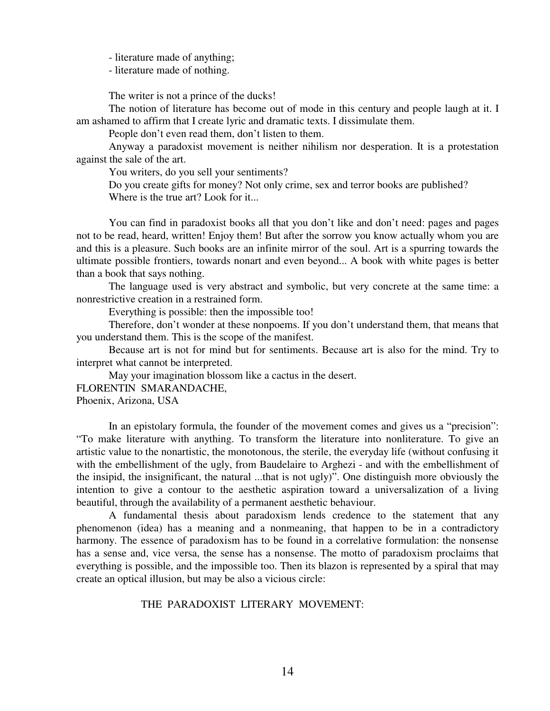- literature made of anything;

- literature made of nothing.

The writer is not a prince of the ducks!

 The notion of literature has become out of mode in this century and people laugh at it. I am ashamed to affirm that I create lyric and dramatic texts. I dissimulate them.

People don't even read them, don't listen to them.

 Anyway a paradoxist movement is neither nihilism nor desperation. It is a protestation against the sale of the art.

You writers, do you sell your sentiments?

 Do you create gifts for money? Not only crime, sex and terror books are published? Where is the true art? Look for it...

 You can find in paradoxist books all that you don't like and don't need: pages and pages not to be read, heard, written! Enjoy them! But after the sorrow you know actually whom you are and this is a pleasure. Such books are an infinite mirror of the soul. Art is a spurring towards the ultimate possible frontiers, towards nonart and even beyond... A book with white pages is better than a book that says nothing.

 The language used is very abstract and symbolic, but very concrete at the same time: a nonrestrictive creation in a restrained form.

Everything is possible: then the impossible too!

 Therefore, don't wonder at these nonpoems. If you don't understand them, that means that you understand them. This is the scope of the manifest.

 Because art is not for mind but for sentiments. Because art is also for the mind. Try to interpret what cannot be interpreted.

May your imagination blossom like a cactus in the desert.

FLORENTIN SMARANDACHE,

Phoenix, Arizona, USA

In an epistolary formula, the founder of the movement comes and gives us a "precision": "To make literature with anything. To transform the literature into nonliterature. To give an artistic value to the nonartistic, the monotonous, the sterile, the everyday life (without confusing it with the embellishment of the ugly, from Baudelaire to Arghezi - and with the embellishment of the insipid, the insignificant, the natural ...that is not ugly)". One distinguish more obviously the intention to give a contour to the aesthetic aspiration toward a universalization of a living beautiful, through the availability of a permanent aesthetic behaviour.

 A fundamental thesis about paradoxism lends credence to the statement that any phenomenon (idea) has a meaning and a nonmeaning, that happen to be in a contradictory harmony. The essence of paradoxism has to be found in a correlative formulation: the nonsense has a sense and, vice versa, the sense has a nonsense. The motto of paradoxism proclaims that everything is possible, and the impossible too. Then its blazon is represented by a spiral that may create an optical illusion, but may be also a vicious circle:

### THE PARADOXIST LITERARY MOVEMENT: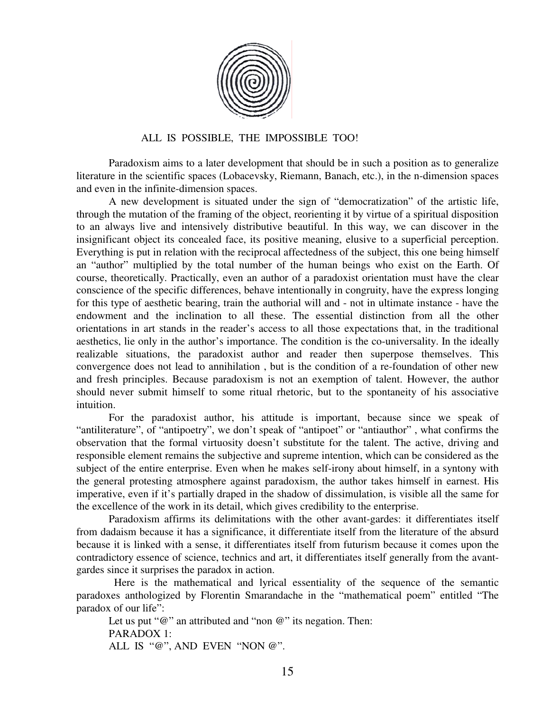

## ALL IS POSSIBLE, THE IMPOSSIBLE TOO!

 Paradoxism aims to a later development that should be in such a position as to generalize literature in the scientific spaces (Lobacevsky, Riemann, Banach, etc.), in the n-dimension spaces and even in the infinite-dimension spaces.

 A new development is situated under the sign of "democratization" of the artistic life, through the mutation of the framing of the object, reorienting it by virtue of a spiritual disposition to an always live and intensively distributive beautiful. In this way, we can discover in the insignificant object its concealed face, its positive meaning, elusive to a superficial perception. Everything is put in relation with the reciprocal affectedness of the subject, this one being himself an "author" multiplied by the total number of the human beings who exist on the Earth. Of course, theoretically. Practically, even an author of a paradoxist orientation must have the clear conscience of the specific differences, behave intentionally in congruity, have the express longing for this type of aesthetic bearing, train the authorial will and - not in ultimate instance - have the endowment and the inclination to all these. The essential distinction from all the other orientations in art stands in the reader's access to all those expectations that, in the traditional aesthetics, lie only in the author's importance. The condition is the co-universality. In the ideally realizable situations, the paradoxist author and reader then superpose themselves. This convergence does not lead to annihilation , but is the condition of a re-foundation of other new and fresh principles. Because paradoxism is not an exemption of talent. However, the author should never submit himself to some ritual rhetoric, but to the spontaneity of his associative intuition.

 For the paradoxist author, his attitude is important, because since we speak of "antiliterature", of "antipoetry", we don't speak of "antipoet" or "antiauthor" , what confirms the observation that the formal virtuosity doesn't substitute for the talent. The active, driving and responsible element remains the subjective and supreme intention, which can be considered as the subject of the entire enterprise. Even when he makes self-irony about himself, in a syntony with the general protesting atmosphere against paradoxism, the author takes himself in earnest. His imperative, even if it's partially draped in the shadow of dissimulation, is visible all the same for the excellence of the work in its detail, which gives credibility to the enterprise.

 Paradoxism affirms its delimitations with the other avant-gardes: it differentiates itself from dadaism because it has a significance, it differentiate itself from the literature of the absurd because it is linked with a sense, it differentiates itself from futurism because it comes upon the contradictory essence of science, technics and art, it differentiates itself generally from the avantgardes since it surprises the paradox in action.

 Here is the mathematical and lyrical essentiality of the sequence of the semantic paradoxes anthologized by Florentin Smarandache in the "mathematical poem" entitled "The paradox of our life":

Let us put " $@$ " an attributed and "non  $@$ " its negation. Then: PARADOX 1: ALL IS "@", AND EVEN "NON @".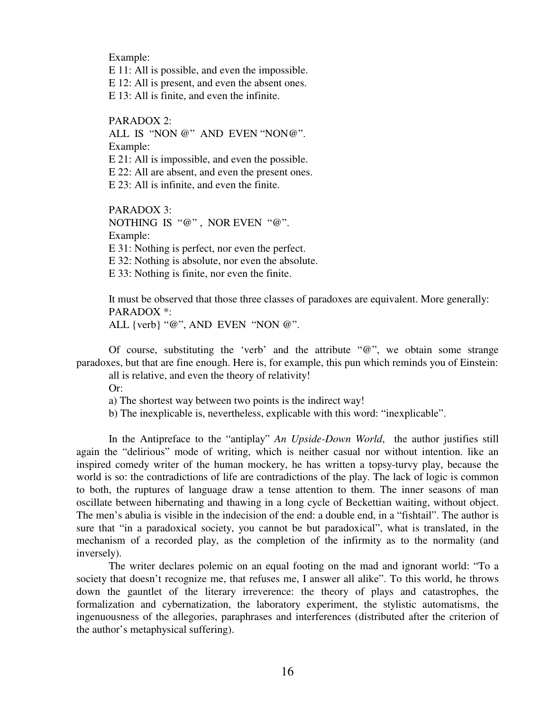Example:

 E 11: All is possible, and even the impossible. E 12: All is present, and even the absent ones.

E 13: All is finite, and even the infinite.

#### PARADOX 2:

 ALL IS "NON @" AND EVEN "NON@". Example:

E 21: All is impossible, and even the possible.

E 22: All are absent, and even the present ones.

E 23: All is infinite, and even the finite.

PARADOX 3:

 NOTHING IS "@" , NOR EVEN "@". Example:

E 31: Nothing is perfect, nor even the perfect.

E 32: Nothing is absolute, nor even the absolute.

E 33: Nothing is finite, nor even the finite.

 It must be observed that those three classes of paradoxes are equivalent. More generally: PARADOX \*:

ALL {verb} "@", AND EVEN "NON @".

Of course, substituting the 'verb' and the attribute " $@$ ", we obtain some strange paradoxes, but that are fine enough. Here is, for example, this pun which reminds you of Einstein:

all is relative, and even the theory of relativity!

Or:

a) The shortest way between two points is the indirect way!

b) The inexplicable is, nevertheless, explicable with this word: "inexplicable".

 In the Antipreface to the "antiplay" *An Upside-Down World*, the author justifies still again the "delirious" mode of writing, which is neither casual nor without intention. like an inspired comedy writer of the human mockery, he has written a topsy-turvy play, because the world is so: the contradictions of life are contradictions of the play. The lack of logic is common to both, the ruptures of language draw a tense attention to them. The inner seasons of man oscillate between hibernating and thawing in a long cycle of Beckettian waiting, without object. The men's abulia is visible in the indecision of the end: a double end, in a "fishtail". The author is sure that "in a paradoxical society, you cannot be but paradoxical", what is translated, in the mechanism of a recorded play, as the completion of the infirmity as to the normality (and inversely).

 The writer declares polemic on an equal footing on the mad and ignorant world: "To a society that doesn't recognize me, that refuses me, I answer all alike". To this world, he throws down the gauntlet of the literary irreverence: the theory of plays and catastrophes, the formalization and cybernatization, the laboratory experiment, the stylistic automatisms, the ingenuousness of the allegories, paraphrases and interferences (distributed after the criterion of the author's metaphysical suffering).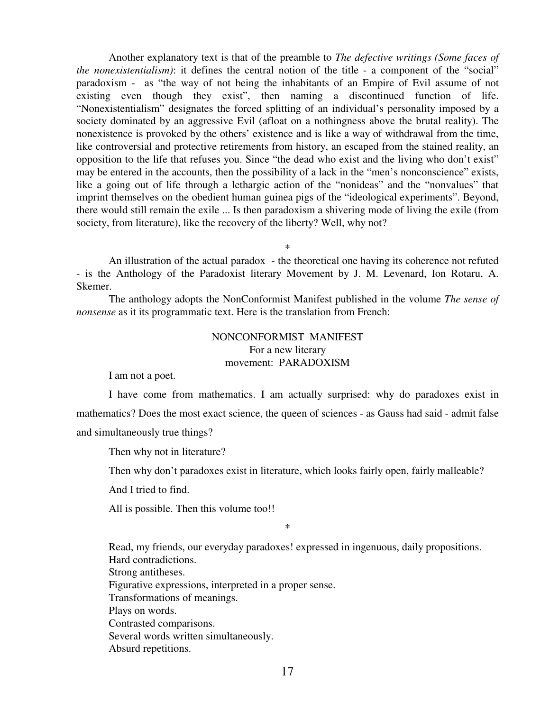Another explanatory text is that of the preamble to *The defective writings (Some faces of the nonexistentialism)*: it defines the central notion of the title - a component of the "social" paradoxism - as "the way of not being the inhabitants of an Empire of Evil assume of not existing even though they exist", then naming a discontinued function of life. "Nonexistentialism" designates the forced splitting of an individual's personality imposed by a society dominated by an aggressive Evil (afloat on a nothingness above the brutal reality). The nonexistence is provoked by the others' existence and is like a way of withdrawal from the time, like controversial and protective retirements from history, an escaped from the stained reality, an opposition to the life that refuses you. Since "the dead who exist and the living who don't exist" may be entered in the accounts, then the possibility of a lack in the "men's nonconscience" exists, like a going out of life through a lethargic action of the "nonideas" and the "nonvalues" that imprint themselves on the obedient human guinea pigs of the "ideological experiments". Beyond, there would still remain the exile ... Is then paradoxism a shivering mode of living the exile (from society, from literature), like the recovery of the liberty? Well, why not?

\*

 An illustration of the actual paradox - the theoretical one having its coherence not refuted - is the Anthology of the Paradoxist literary Movement by J. M. Levenard, Ion Rotaru, A. Skemer.

 The anthology adopts the NonConformist Manifest published in the volume *The sense of nonsense* as it its programmatic text. Here is the translation from French:

## NONCONFORMIST MANIFEST For a new literary movement: PARADOXISM

I am not a poet.

 I have come from mathematics. I am actually surprised: why do paradoxes exist in mathematics? Does the most exact science, the queen of sciences - as Gauss had said - admit false and simultaneously true things?

Then why not in literature?

Then why don't paradoxes exist in literature, which looks fairly open, fairly malleable?

And I tried to find.

All is possible. Then this volume too!!

\*

 Read, my friends, our everyday paradoxes! expressed in ingenuous, daily propositions. Hard contradictions.

Strong antitheses.

Figurative expressions, interpreted in a proper sense.

Transformations of meanings.

Plays on words.

Contrasted comparisons.

Several words written simultaneously.

Absurd repetitions.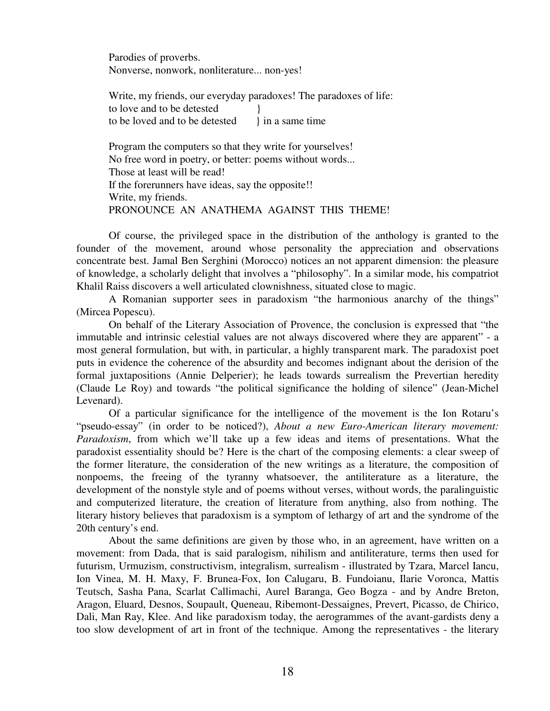Parodies of proverbs. Nonverse, nonwork, nonliterature... non-yes!

 Write, my friends, our everyday paradoxes! The paradoxes of life: to love and to be detested to be loved and to be detested  $\frac{1}{2}$  in a same time

 Program the computers so that they write for yourselves! No free word in poetry, or better: poems without words... Those at least will be read! If the forerunners have ideas, say the opposite!! Write, my friends. PRONOUNCE AN ANATHEMA AGAINST THIS THEME!

 Of course, the privileged space in the distribution of the anthology is granted to the founder of the movement, around whose personality the appreciation and observations concentrate best. Jamal Ben Serghini (Morocco) notices an not apparent dimension: the pleasure of knowledge, a scholarly delight that involves a "philosophy". In a similar mode, his compatriot Khalil Raiss discovers a well articulated clownishness, situated close to magic.

 A Romanian supporter sees in paradoxism "the harmonious anarchy of the things" (Mircea Popescu).

 On behalf of the Literary Association of Provence, the conclusion is expressed that "the immutable and intrinsic celestial values are not always discovered where they are apparent" - a most general formulation, but with, in particular, a highly transparent mark. The paradoxist poet puts in evidence the coherence of the absurdity and becomes indignant about the derision of the formal juxtapositions (Annie Delperier); he leads towards surrealism the Prevertian heredity (Claude Le Roy) and towards "the political significance the holding of silence" (Jean-Michel Levenard).

 Of a particular significance for the intelligence of the movement is the Ion Rotaru's "pseudo-essay" (in order to be noticed?), *About a new Euro-American literary movement: Paradoxism*, from which we'll take up a few ideas and items of presentations. What the paradoxist essentiality should be? Here is the chart of the composing elements: a clear sweep of the former literature, the consideration of the new writings as a literature, the composition of nonpoems, the freeing of the tyranny whatsoever, the antiliterature as a literature, the development of the nonstyle style and of poems without verses, without words, the paralinguistic and computerized literature, the creation of literature from anything, also from nothing. The literary history believes that paradoxism is a symptom of lethargy of art and the syndrome of the 20th century's end.

 About the same definitions are given by those who, in an agreement, have written on a movement: from Dada, that is said paralogism, nihilism and antiliterature, terms then used for futurism, Urmuzism, constructivism, integralism, surrealism - illustrated by Tzara, Marcel Iancu, Ion Vinea, M. H. Maxy, F. Brunea-Fox, Ion Calugaru, B. Fundoianu, Ilarie Voronca, Mattis Teutsch, Sasha Pana, Scarlat Callimachi, Aurel Baranga, Geo Bogza - and by Andre Breton, Aragon, Eluard, Desnos, Soupault, Queneau, Ribemont-Dessaignes, Prevert, Picasso, de Chirico, Dali, Man Ray, Klee. And like paradoxism today, the aerogrammes of the avant-gardists deny a too slow development of art in front of the technique. Among the representatives - the literary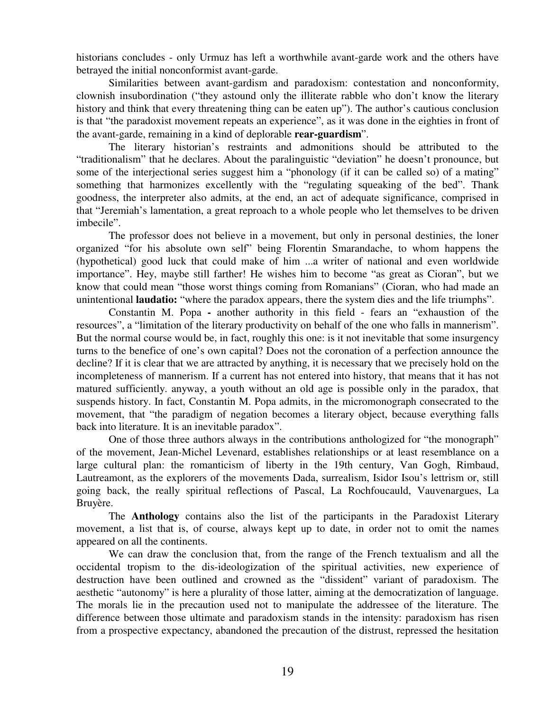historians concludes - only Urmuz has left a worthwhile avant-garde work and the others have betrayed the initial nonconformist avant-garde.

 Similarities between avant-gardism and paradoxism: contestation and nonconformity, clownish insubordination ("they astound only the illiterate rabble who don't know the literary history and think that every threatening thing can be eaten up"). The author's cautious conclusion is that "the paradoxist movement repeats an experience", as it was done in the eighties in front of the avant-garde, remaining in a kind of deplorable **rear-guardism**".

 The literary historian's restraints and admonitions should be attributed to the "traditionalism" that he declares. About the paralinguistic "deviation" he doesn't pronounce, but some of the interjectional series suggest him a "phonology (if it can be called so) of a mating" something that harmonizes excellently with the "regulating squeaking of the bed". Thank goodness, the interpreter also admits, at the end, an act of adequate significance, comprised in that "Jeremiah's lamentation, a great reproach to a whole people who let themselves to be driven imbecile".

 The professor does not believe in a movement, but only in personal destinies, the loner organized "for his absolute own self" being Florentin Smarandache, to whom happens the (hypothetical) good luck that could make of him ...a writer of national and even worldwide importance". Hey, maybe still farther! He wishes him to become "as great as Cioran", but we know that could mean "those worst things coming from Romanians" (Cioran, who had made an unintentional **laudatio:** "where the paradox appears, there the system dies and the life triumphs".

 Constantin M. Popa **-** another authority in this field - fears an "exhaustion of the resources", a "limitation of the literary productivity on behalf of the one who falls in mannerism". But the normal course would be, in fact, roughly this one: is it not inevitable that some insurgency turns to the benefice of one's own capital? Does not the coronation of a perfection announce the decline? If it is clear that we are attracted by anything, it is necessary that we precisely hold on the incompleteness of mannerism. If a current has not entered into history, that means that it has not matured sufficiently. anyway, a youth without an old age is possible only in the paradox, that suspends history. In fact, Constantin M. Popa admits, in the micromonograph consecrated to the movement, that "the paradigm of negation becomes a literary object, because everything falls back into literature. It is an inevitable paradox".

 One of those three authors always in the contributions anthologized for "the monograph" of the movement, Jean-Michel Levenard, establishes relationships or at least resemblance on a large cultural plan: the romanticism of liberty in the 19th century, Van Gogh, Rimbaud, Lautreamont, as the explorers of the movements Dada, surrealism, Isidor Isou's lettrism or, still going back, the really spiritual reflections of Pascal, La Rochfoucauld, Vauvenargues, La Bruyère.

 The **Anthology** contains also the list of the participants in the Paradoxist Literary movement, a list that is, of course, always kept up to date, in order not to omit the names appeared on all the continents.

 We can draw the conclusion that, from the range of the French textualism and all the occidental tropism to the dis-ideologization of the spiritual activities, new experience of destruction have been outlined and crowned as the "dissident" variant of paradoxism. The aesthetic "autonomy" is here a plurality of those latter, aiming at the democratization of language. The morals lie in the precaution used not to manipulate the addressee of the literature. The difference between those ultimate and paradoxism stands in the intensity: paradoxism has risen from a prospective expectancy, abandoned the precaution of the distrust, repressed the hesitation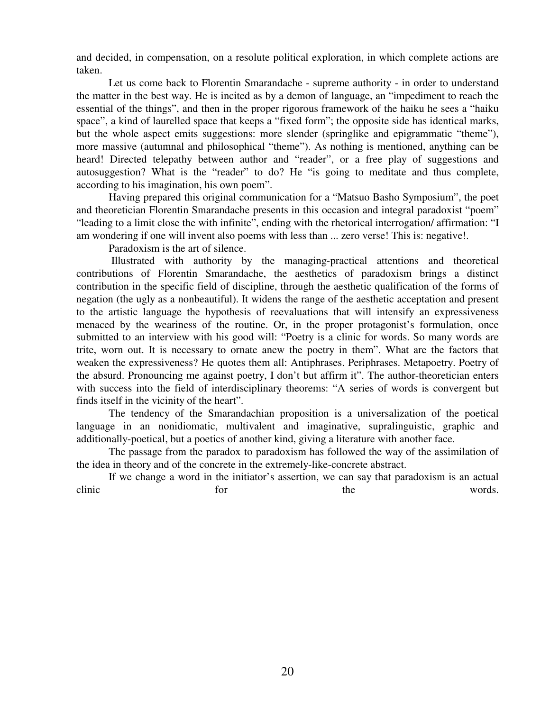and decided, in compensation, on a resolute political exploration, in which complete actions are taken.

 Let us come back to Florentin Smarandache - supreme authority - in order to understand the matter in the best way. He is incited as by a demon of language, an "impediment to reach the essential of the things", and then in the proper rigorous framework of the haiku he sees a "haiku space", a kind of laurelled space that keeps a "fixed form"; the opposite side has identical marks, but the whole aspect emits suggestions: more slender (springlike and epigrammatic "theme"), more massive (autumnal and philosophical "theme"). As nothing is mentioned, anything can be heard! Directed telepathy between author and "reader", or a free play of suggestions and autosuggestion? What is the "reader" to do? He "is going to meditate and thus complete, according to his imagination, his own poem".

 Having prepared this original communication for a "Matsuo Basho Symposium", the poet and theoretician Florentin Smarandache presents in this occasion and integral paradoxist "poem" "leading to a limit close the with infinite", ending with the rhetorical interrogation/ affirmation: "I am wondering if one will invent also poems with less than ... zero verse! This is: negative!.

Paradoxism is the art of silence.

 Illustrated with authority by the managing-practical attentions and theoretical contributions of Florentin Smarandache, the aesthetics of paradoxism brings a distinct contribution in the specific field of discipline, through the aesthetic qualification of the forms of negation (the ugly as a nonbeautiful). It widens the range of the aesthetic acceptation and present to the artistic language the hypothesis of reevaluations that will intensify an expressiveness menaced by the weariness of the routine. Or, in the proper protagonist's formulation, once submitted to an interview with his good will: "Poetry is a clinic for words. So many words are trite, worn out. It is necessary to ornate anew the poetry in them". What are the factors that weaken the expressiveness? He quotes them all: Antiphrases. Periphrases. Metapoetry. Poetry of the absurd. Pronouncing me against poetry, I don't but affirm it". The author-theoretician enters with success into the field of interdisciplinary theorems: "A series of words is convergent but finds itself in the vicinity of the heart".

 The tendency of the Smarandachian proposition is a universalization of the poetical language in an nonidiomatic, multivalent and imaginative, supralinguistic, graphic and additionally-poetical, but a poetics of another kind, giving a literature with another face.

 The passage from the paradox to paradoxism has followed the way of the assimilation of the idea in theory and of the concrete in the extremely-like-concrete abstract.

 If we change a word in the initiator's assertion, we can say that paradoxism is an actual clinic the words.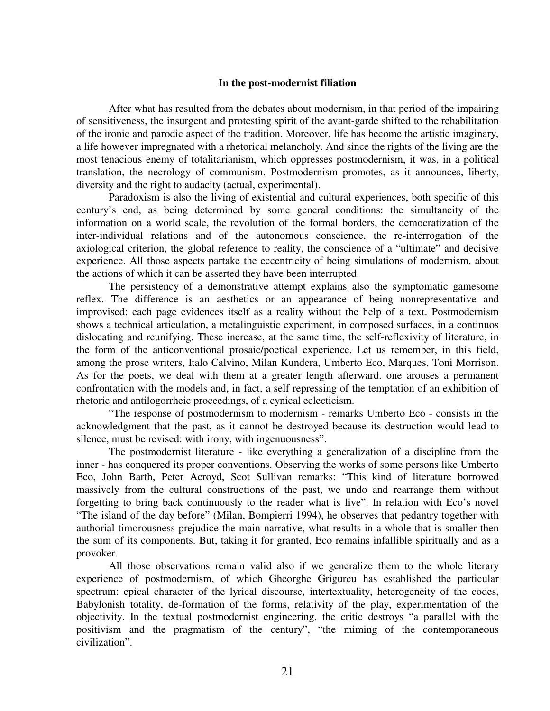#### **In the post-modernist filiation**

 After what has resulted from the debates about modernism, in that period of the impairing of sensitiveness, the insurgent and protesting spirit of the avant-garde shifted to the rehabilitation of the ironic and parodic aspect of the tradition. Moreover, life has become the artistic imaginary, a life however impregnated with a rhetorical melancholy. And since the rights of the living are the most tenacious enemy of totalitarianism, which oppresses postmodernism, it was, in a political translation, the necrology of communism. Postmodernism promotes, as it announces, liberty, diversity and the right to audacity (actual, experimental).

 Paradoxism is also the living of existential and cultural experiences, both specific of this century's end, as being determined by some general conditions: the simultaneity of the information on a world scale, the revolution of the formal borders, the democratization of the inter-individual relations and of the autonomous conscience, the re-interrogation of the axiological criterion, the global reference to reality, the conscience of a "ultimate" and decisive experience. All those aspects partake the eccentricity of being simulations of modernism, about the actions of which it can be asserted they have been interrupted.

 The persistency of a demonstrative attempt explains also the symptomatic gamesome reflex. The difference is an aesthetics or an appearance of being nonrepresentative and improvised: each page evidences itself as a reality without the help of a text. Postmodernism shows a technical articulation, a metalinguistic experiment, in composed surfaces, in a continuos dislocating and reunifying. These increase, at the same time, the self-reflexivity of literature, in the form of the anticonventional prosaic/poetical experience. Let us remember, in this field, among the prose writers, Italo Calvino, Milan Kundera, Umberto Eco, Marques, Toni Morrison. As for the poets, we deal with them at a greater length afterward. one arouses a permanent confrontation with the models and, in fact, a self repressing of the temptation of an exhibition of rhetoric and antilogorrheic proceedings, of a cynical eclecticism.

 "The response of postmodernism to modernism - remarks Umberto Eco - consists in the acknowledgment that the past, as it cannot be destroyed because its destruction would lead to silence, must be revised: with irony, with ingenuousness".

 The postmodernist literature - like everything a generalization of a discipline from the inner - has conquered its proper conventions. Observing the works of some persons like Umberto Eco, John Barth, Peter Acroyd, Scot Sullivan remarks: "This kind of literature borrowed massively from the cultural constructions of the past, we undo and rearrange them without forgetting to bring back continuously to the reader what is live". In relation with Eco's novel "The island of the day before" (Milan, Bompierri 1994), he observes that pedantry together with authorial timorousness prejudice the main narrative, what results in a whole that is smaller then the sum of its components. But, taking it for granted, Eco remains infallible spiritually and as a provoker.

 All those observations remain valid also if we generalize them to the whole literary experience of postmodernism, of which Gheorghe Grigurcu has established the particular spectrum: epical character of the lyrical discourse, intertextuality, heterogeneity of the codes, Babylonish totality, de-formation of the forms, relativity of the play, experimentation of the objectivity. In the textual postmodernist engineering, the critic destroys "a parallel with the positivism and the pragmatism of the century", "the miming of the contemporaneous civilization".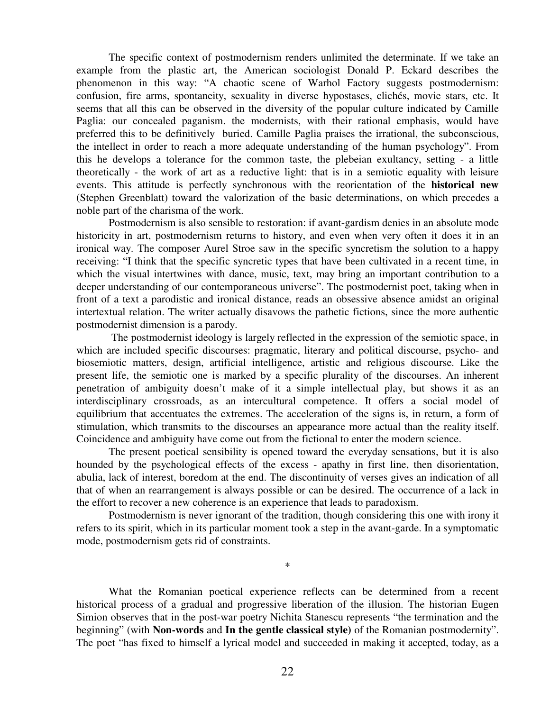The specific context of postmodernism renders unlimited the determinate. If we take an example from the plastic art, the American sociologist Donald P. Eckard describes the phenomenon in this way: "A chaotic scene of Warhol Factory suggests postmodernism: confusion, fire arms, spontaneity, sexuality in diverse hypostases, clichés, movie stars, etc. It seems that all this can be observed in the diversity of the popular culture indicated by Camille Paglia: our concealed paganism. the modernists, with their rational emphasis, would have preferred this to be definitively buried. Camille Paglia praises the irrational, the subconscious, the intellect in order to reach a more adequate understanding of the human psychology". From this he develops a tolerance for the common taste, the plebeian exultancy, setting - a little theoretically - the work of art as a reductive light: that is in a semiotic equality with leisure events. This attitude is perfectly synchronous with the reorientation of the **historical new**  (Stephen Greenblatt) toward the valorization of the basic determinations, on which precedes a noble part of the charisma of the work.

 Postmodernism is also sensible to restoration: if avant-gardism denies in an absolute mode historicity in art, postmodernism returns to history, and even when very often it does it in an ironical way. The composer Aurel Stroe saw in the specific syncretism the solution to a happy receiving: "I think that the specific syncretic types that have been cultivated in a recent time, in which the visual intertwines with dance, music, text, may bring an important contribution to a deeper understanding of our contemporaneous universe". The postmodernist poet, taking when in front of a text a parodistic and ironical distance, reads an obsessive absence amidst an original intertextual relation. The writer actually disavows the pathetic fictions, since the more authentic postmodernist dimension is a parody.

 The postmodernist ideology is largely reflected in the expression of the semiotic space, in which are included specific discourses: pragmatic, literary and political discourse, psycho- and biosemiotic matters, design, artificial intelligence, artistic and religious discourse. Like the present life, the semiotic one is marked by a specific plurality of the discourses. An inherent penetration of ambiguity doesn't make of it a simple intellectual play, but shows it as an interdisciplinary crossroads, as an intercultural competence. It offers a social model of equilibrium that accentuates the extremes. The acceleration of the signs is, in return, a form of stimulation, which transmits to the discourses an appearance more actual than the reality itself. Coincidence and ambiguity have come out from the fictional to enter the modern science.

 The present poetical sensibility is opened toward the everyday sensations, but it is also hounded by the psychological effects of the excess - apathy in first line, then disorientation, abulia, lack of interest, boredom at the end. The discontinuity of verses gives an indication of all that of when an rearrangement is always possible or can be desired. The occurrence of a lack in the effort to recover a new coherence is an experience that leads to paradoxism.

 Postmodernism is never ignorant of the tradition, though considering this one with irony it refers to its spirit, which in its particular moment took a step in the avant-garde. In a symptomatic mode, postmodernism gets rid of constraints.

\*

 What the Romanian poetical experience reflects can be determined from a recent historical process of a gradual and progressive liberation of the illusion. The historian Eugen Simion observes that in the post-war poetry Nichita Stanescu represents "the termination and the beginning" (with **Non-words** and **In the gentle classical style)** of the Romanian postmodernity". The poet "has fixed to himself a lyrical model and succeeded in making it accepted, today, as a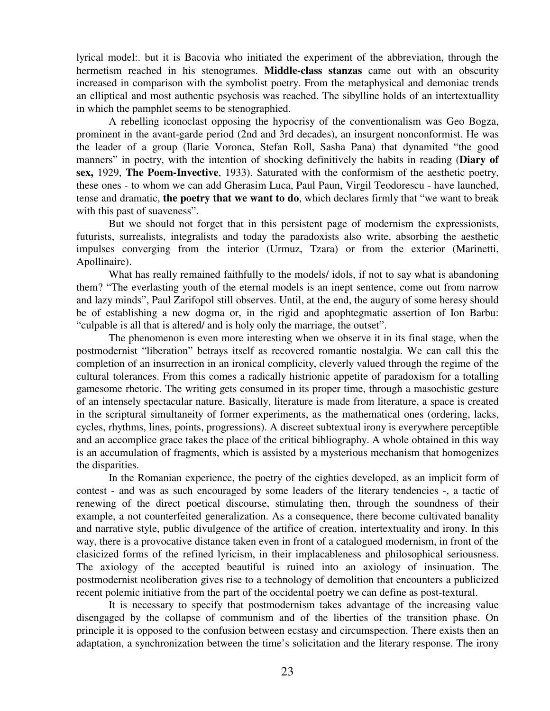lyrical model:. but it is Bacovia who initiated the experiment of the abbreviation, through the hermetism reached in his stenogrames. **Middle-class stanzas** came out with an obscurity increased in comparison with the symbolist poetry. From the metaphysical and demoniac trends an elliptical and most authentic psychosis was reached. The sibylline holds of an intertextuallity in which the pamphlet seems to be stenographied.

 A rebelling iconoclast opposing the hypocrisy of the conventionalism was Geo Bogza, prominent in the avant-garde period (2nd and 3rd decades), an insurgent nonconformist. He was the leader of a group (Ilarie Voronca, Stefan Roll, Sasha Pana) that dynamited "the good manners" in poetry, with the intention of shocking definitively the habits in reading (**Diary of sex,** 1929, **The Poem-Invective**, 1933). Saturated with the conformism of the aesthetic poetry, these ones - to whom we can add Gherasim Luca, Paul Paun, Virgil Teodorescu - have launched, tense and dramatic, **the poetry that we want to do**, which declares firmly that "we want to break with this past of suaveness".

 But we should not forget that in this persistent page of modernism the expressionists, futurists, surrealists, integralists and today the paradoxists also write, absorbing the aesthetic impulses converging from the interior (Urmuz, Tzara) or from the exterior (Marinetti, Apollinaire).

 What has really remained faithfully to the models/ idols, if not to say what is abandoning them? "The everlasting youth of the eternal models is an inept sentence, come out from narrow and lazy minds", Paul Zarifopol still observes. Until, at the end, the augury of some heresy should be of establishing a new dogma or, in the rigid and apophtegmatic assertion of Ion Barbu: "culpable is all that is altered/ and is holy only the marriage, the outset".

 The phenomenon is even more interesting when we observe it in its final stage, when the postmodernist "liberation" betrays itself as recovered romantic nostalgia. We can call this the completion of an insurrection in an ironical complicity, cleverly valued through the regime of the cultural tolerances. From this comes a radically histrionic appetite of paradoxism for a totalling gamesome rhetoric. The writing gets consumed in its proper time, through a masochistic gesture of an intensely spectacular nature. Basically, literature is made from literature, a space is created in the scriptural simultaneity of former experiments, as the mathematical ones (ordering, lacks, cycles, rhythms, lines, points, progressions). A discreet subtextual irony is everywhere perceptible and an accomplice grace takes the place of the critical bibliography. A whole obtained in this way is an accumulation of fragments, which is assisted by a mysterious mechanism that homogenizes the disparities.

 In the Romanian experience, the poetry of the eighties developed, as an implicit form of contest - and was as such encouraged by some leaders of the literary tendencies -, a tactic of renewing of the direct poetical discourse, stimulating then, through the soundness of their example, a not counterfeited generalization. As a consequence, there become cultivated banality and narrative style, public divulgence of the artifice of creation, intertextuality and irony. In this way, there is a provocative distance taken even in front of a catalogued modernism, in front of the clasicized forms of the refined lyricism, in their implacableness and philosophical seriousness. The axiology of the accepted beautiful is ruined into an axiology of insinuation. The postmodernist neoliberation gives rise to a technology of demolition that encounters a publicized recent polemic initiative from the part of the occidental poetry we can define as post-textural.

 It is necessary to specify that postmodernism takes advantage of the increasing value disengaged by the collapse of communism and of the liberties of the transition phase. On principle it is opposed to the confusion between ecstasy and circumspection. There exists then an adaptation, a synchronization between the time's solicitation and the literary response. The irony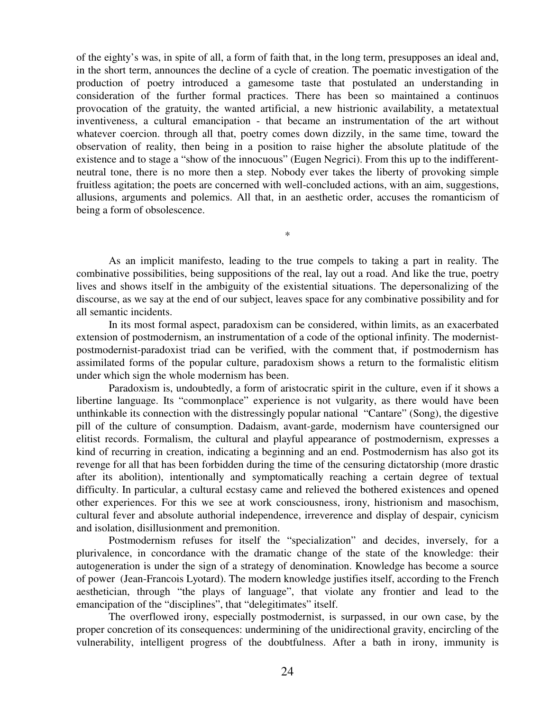of the eighty's was, in spite of all, a form of faith that, in the long term, presupposes an ideal and, in the short term, announces the decline of a cycle of creation. The poematic investigation of the production of poetry introduced a gamesome taste that postulated an understanding in consideration of the further formal practices. There has been so maintained a continuos provocation of the gratuity, the wanted artificial, a new histrionic availability, a metatextual inventiveness, a cultural emancipation - that became an instrumentation of the art without whatever coercion. through all that, poetry comes down dizzily, in the same time, toward the observation of reality, then being in a position to raise higher the absolute platitude of the existence and to stage a "show of the innocuous" (Eugen Negrici). From this up to the indifferentneutral tone, there is no more then a step. Nobody ever takes the liberty of provoking simple fruitless agitation; the poets are concerned with well-concluded actions, with an aim, suggestions, allusions, arguments and polemics. All that, in an aesthetic order, accuses the romanticism of being a form of obsolescence.

 As an implicit manifesto, leading to the true compels to taking a part in reality. The combinative possibilities, being suppositions of the real, lay out a road. And like the true, poetry lives and shows itself in the ambiguity of the existential situations. The depersonalizing of the discourse, as we say at the end of our subject, leaves space for any combinative possibility and for all semantic incidents.

\*

 In its most formal aspect, paradoxism can be considered, within limits, as an exacerbated extension of postmodernism, an instrumentation of a code of the optional infinity. The modernistpostmodernist-paradoxist triad can be verified, with the comment that, if postmodernism has assimilated forms of the popular culture, paradoxism shows a return to the formalistic elitism under which sign the whole modernism has been.

 Paradoxism is, undoubtedly, a form of aristocratic spirit in the culture, even if it shows a libertine language. Its "commonplace" experience is not vulgarity, as there would have been unthinkable its connection with the distressingly popular national "Cantare" (Song), the digestive pill of the culture of consumption. Dadaism, avant-garde, modernism have countersigned our elitist records. Formalism, the cultural and playful appearance of postmodernism, expresses a kind of recurring in creation, indicating a beginning and an end. Postmodernism has also got its revenge for all that has been forbidden during the time of the censuring dictatorship (more drastic after its abolition), intentionally and symptomatically reaching a certain degree of textual difficulty. In particular, a cultural ecstasy came and relieved the bothered existences and opened other experiences. For this we see at work consciousness, irony, histrionism and masochism, cultural fever and absolute authorial independence, irreverence and display of despair, cynicism and isolation, disillusionment and premonition.

 Postmodernism refuses for itself the "specialization" and decides, inversely, for a plurivalence, in concordance with the dramatic change of the state of the knowledge: their autogeneration is under the sign of a strategy of denomination. Knowledge has become a source of power (Jean-Francois Lyotard). The modern knowledge justifies itself, according to the French aesthetician, through "the plays of language", that violate any frontier and lead to the emancipation of the "disciplines", that "delegitimates" itself.

 The overflowed irony, especially postmodernist, is surpassed, in our own case, by the proper concretion of its consequences: undermining of the unidirectional gravity, encircling of the vulnerability, intelligent progress of the doubtfulness. After a bath in irony, immunity is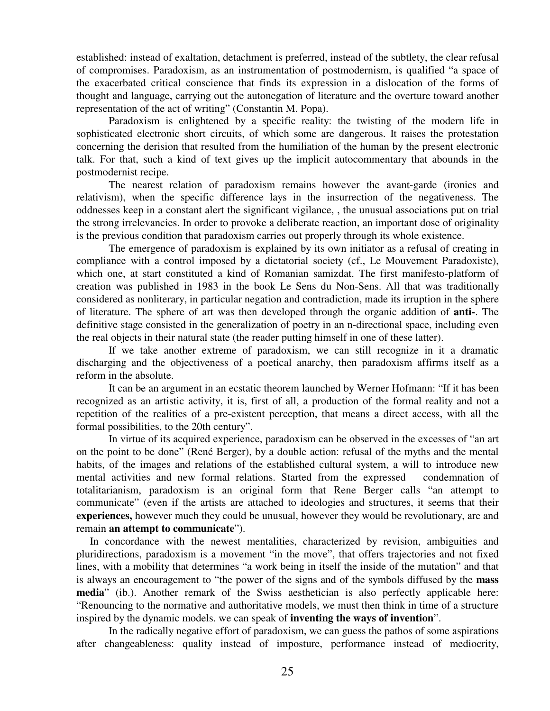established: instead of exaltation, detachment is preferred, instead of the subtlety, the clear refusal of compromises. Paradoxism, as an instrumentation of postmodernism, is qualified "a space of the exacerbated critical conscience that finds its expression in a dislocation of the forms of thought and language, carrying out the autonegation of literature and the overture toward another representation of the act of writing" (Constantin M. Popa).

 Paradoxism is enlightened by a specific reality: the twisting of the modern life in sophisticated electronic short circuits, of which some are dangerous. It raises the protestation concerning the derision that resulted from the humiliation of the human by the present electronic talk. For that, such a kind of text gives up the implicit autocommentary that abounds in the postmodernist recipe.

 The nearest relation of paradoxism remains however the avant-garde (ironies and relativism), when the specific difference lays in the insurrection of the negativeness. The oddnesses keep in a constant alert the significant vigilance, , the unusual associations put on trial the strong irrelevancies. In order to provoke a deliberate reaction, an important dose of originality is the previous condition that paradoxism carries out properly through its whole existence.

 The emergence of paradoxism is explained by its own initiator as a refusal of creating in compliance with a control imposed by a dictatorial society (cf., Le Mouvement Paradoxiste), which one, at start constituted a kind of Romanian samizdat. The first manifesto-platform of creation was published in 1983 in the book Le Sens du Non-Sens. All that was traditionally considered as nonliterary, in particular negation and contradiction, made its irruption in the sphere of literature. The sphere of art was then developed through the organic addition of **anti-**. The definitive stage consisted in the generalization of poetry in an n-directional space, including even the real objects in their natural state (the reader putting himself in one of these latter).

 If we take another extreme of paradoxism, we can still recognize in it a dramatic discharging and the objectiveness of a poetical anarchy, then paradoxism affirms itself as a reform in the absolute.

 It can be an argument in an ecstatic theorem launched by Werner Hofmann: "If it has been recognized as an artistic activity, it is, first of all, a production of the formal reality and not a repetition of the realities of a pre-existent perception, that means a direct access, with all the formal possibilities, to the 20th century".

 In virtue of its acquired experience, paradoxism can be observed in the excesses of "an art on the point to be done" (René Berger), by a double action: refusal of the myths and the mental habits, of the images and relations of the established cultural system, a will to introduce new mental activities and new formal relations. Started from the expressed condemnation of totalitarianism, paradoxism is an original form that Rene Berger calls "an attempt to communicate" (even if the artists are attached to ideologies and structures, it seems that their **experiences,** however much they could be unusual, however they would be revolutionary, are and remain **an attempt to communicate**").

 In concordance with the newest mentalities, characterized by revision, ambiguities and pluridirections, paradoxism is a movement "in the move", that offers trajectories and not fixed lines, with a mobility that determines "a work being in itself the inside of the mutation" and that is always an encouragement to "the power of the signs and of the symbols diffused by the **mass media**" (ib.). Another remark of the Swiss aesthetician is also perfectly applicable here: "Renouncing to the normative and authoritative models, we must then think in time of a structure inspired by the dynamic models. we can speak of **inventing the ways of invention**".

 In the radically negative effort of paradoxism, we can guess the pathos of some aspirations after changeableness: quality instead of imposture, performance instead of mediocrity,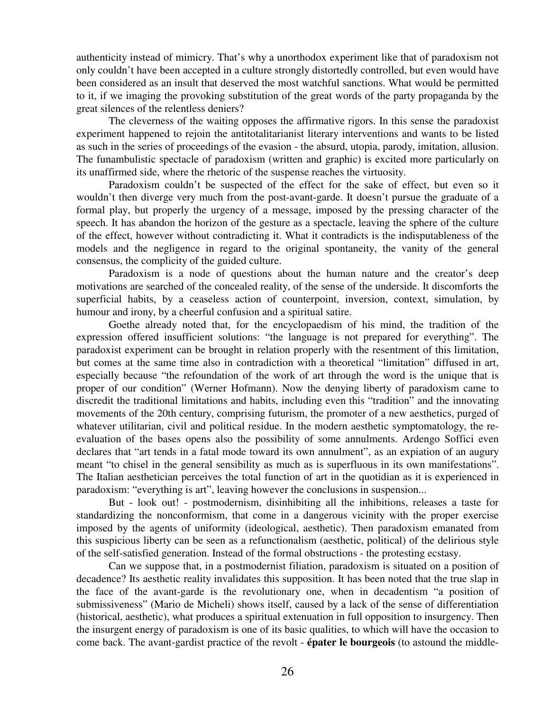authenticity instead of mimicry. That's why a unorthodox experiment like that of paradoxism not only couldn't have been accepted in a culture strongly distortedly controlled, but even would have been considered as an insult that deserved the most watchful sanctions. What would be permitted to it, if we imaging the provoking substitution of the great words of the party propaganda by the great silences of the relentless deniers?

 The cleverness of the waiting opposes the affirmative rigors. In this sense the paradoxist experiment happened to rejoin the antitotalitarianist literary interventions and wants to be listed as such in the series of proceedings of the evasion - the absurd, utopia, parody, imitation, allusion. The funambulistic spectacle of paradoxism (written and graphic) is excited more particularly on its unaffirmed side, where the rhetoric of the suspense reaches the virtuosity.

 Paradoxism couldn't be suspected of the effect for the sake of effect, but even so it wouldn't then diverge very much from the post-avant-garde. It doesn't pursue the graduate of a formal play, but properly the urgency of a message, imposed by the pressing character of the speech. It has abandon the horizon of the gesture as a spectacle, leaving the sphere of the culture of the effect, however without contradicting it. What it contradicts is the indisputableness of the models and the negligence in regard to the original spontaneity, the vanity of the general consensus, the complicity of the guided culture.

 Paradoxism is a node of questions about the human nature and the creator's deep motivations are searched of the concealed reality, of the sense of the underside. It discomforts the superficial habits, by a ceaseless action of counterpoint, inversion, context, simulation, by humour and irony, by a cheerful confusion and a spiritual satire.

 Goethe already noted that, for the encyclopaedism of his mind, the tradition of the expression offered insufficient solutions: "the language is not prepared for everything". The paradoxist experiment can be brought in relation properly with the resentment of this limitation, but comes at the same time also in contradiction with a theoretical "limitation" diffused in art, especially because "the refoundation of the work of art through the word is the unique that is proper of our condition" (Werner Hofmann). Now the denying liberty of paradoxism came to discredit the traditional limitations and habits, including even this "tradition" and the innovating movements of the 20th century, comprising futurism, the promoter of a new aesthetics, purged of whatever utilitarian, civil and political residue. In the modern aesthetic symptomatology, the reevaluation of the bases opens also the possibility of some annulments. Ardengo Soffici even declares that "art tends in a fatal mode toward its own annulment", as an expiation of an augury meant "to chisel in the general sensibility as much as is superfluous in its own manifestations". The Italian aesthetician perceives the total function of art in the quotidian as it is experienced in paradoxism: "everything is art", leaving however the conclusions in suspension...

 But - look out! - postmodernism, disinhibiting all the inhibitions, releases a taste for standardizing the nonconformism, that come in a dangerous vicinity with the proper exercise imposed by the agents of uniformity (ideological, aesthetic). Then paradoxism emanated from this suspicious liberty can be seen as a refunctionalism (aesthetic, political) of the delirious style of the self-satisfied generation. Instead of the formal obstructions - the protesting ecstasy.

 Can we suppose that, in a postmodernist filiation, paradoxism is situated on a position of decadence? Its aesthetic reality invalidates this supposition. It has been noted that the true slap in the face of the avant-garde is the revolutionary one, when in decadentism "a position of submissiveness" (Mario de Micheli) shows itself, caused by a lack of the sense of differentiation (historical, aesthetic), what produces a spiritual extenuation in full opposition to insurgency. Then the insurgent energy of paradoxism is one of its basic qualities, to which will have the occasion to come back. The avant-gardist practice of the revolt - **épater le bourgeois** (to astound the middle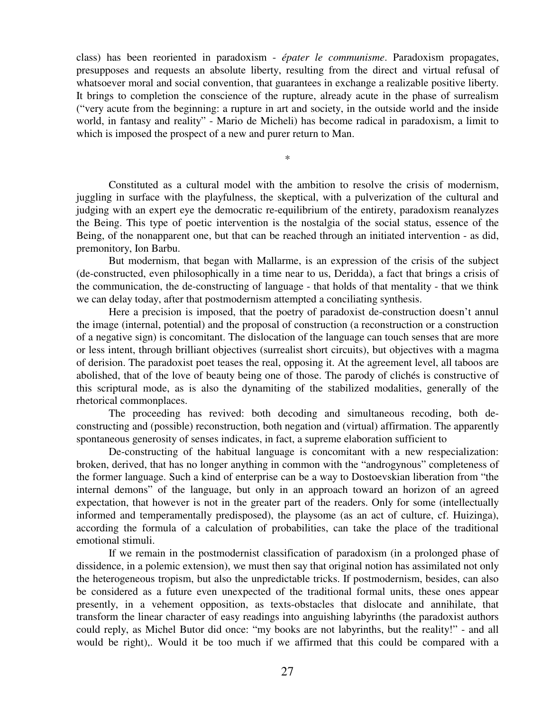class) has been reoriented in paradoxism - *épater le communisme*. Paradoxism propagates, presupposes and requests an absolute liberty, resulting from the direct and virtual refusal of whatsoever moral and social convention, that guarantees in exchange a realizable positive liberty. It brings to completion the conscience of the rupture, already acute in the phase of surrealism ("very acute from the beginning: a rupture in art and society, in the outside world and the inside world, in fantasy and reality" - Mario de Micheli) has become radical in paradoxism, a limit to which is imposed the prospect of a new and purer return to Man.

\*

 Constituted as a cultural model with the ambition to resolve the crisis of modernism, juggling in surface with the playfulness, the skeptical, with a pulverization of the cultural and judging with an expert eye the democratic re-equilibrium of the entirety, paradoxism reanalyzes the Being. This type of poetic intervention is the nostalgia of the social status, essence of the Being, of the nonapparent one, but that can be reached through an initiated intervention - as did, premonitory, Ion Barbu.

 But modernism, that began with Mallarme, is an expression of the crisis of the subject (de-constructed, even philosophically in a time near to us, Deridda), a fact that brings a crisis of the communication, the de-constructing of language - that holds of that mentality - that we think we can delay today, after that postmodernism attempted a conciliating synthesis.

 Here a precision is imposed, that the poetry of paradoxist de-construction doesn't annul the image (internal, potential) and the proposal of construction (a reconstruction or a construction of a negative sign) is concomitant. The dislocation of the language can touch senses that are more or less intent, through brilliant objectives (surrealist short circuits), but objectives with a magma of derision. The paradoxist poet teases the real, opposing it. At the agreement level, all taboos are abolished, that of the love of beauty being one of those. The parody of clichés is constructive of this scriptural mode, as is also the dynamiting of the stabilized modalities, generally of the rhetorical commonplaces.

 The proceeding has revived: both decoding and simultaneous recoding, both deconstructing and (possible) reconstruction, both negation and (virtual) affirmation. The apparently spontaneous generosity of senses indicates, in fact, a supreme elaboration sufficient to

 De-constructing of the habitual language is concomitant with a new respecialization: broken, derived, that has no longer anything in common with the "androgynous" completeness of the former language. Such a kind of enterprise can be a way to Dostoevskian liberation from "the internal demons" of the language, but only in an approach toward an horizon of an agreed expectation, that however is not in the greater part of the readers. Only for some (intellectually informed and temperamentally predisposed), the playsome (as an act of culture, cf. Huizinga), according the formula of a calculation of probabilities, can take the place of the traditional emotional stimuli.

 If we remain in the postmodernist classification of paradoxism (in a prolonged phase of dissidence, in a polemic extension), we must then say that original notion has assimilated not only the heterogeneous tropism, but also the unpredictable tricks. If postmodernism, besides, can also be considered as a future even unexpected of the traditional formal units, these ones appear presently, in a vehement opposition, as texts-obstacles that dislocate and annihilate, that transform the linear character of easy readings into anguishing labyrinths (the paradoxist authors could reply, as Michel Butor did once: "my books are not labyrinths, but the reality!" - and all would be right),. Would it be too much if we affirmed that this could be compared with a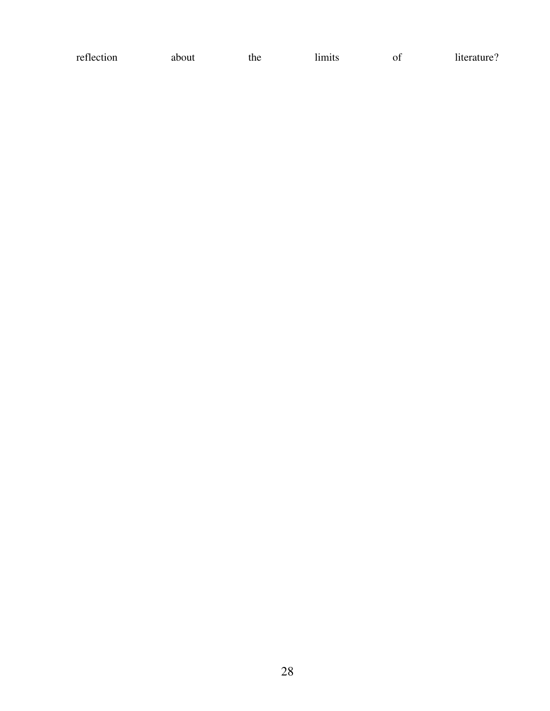| reflection<br>literature?<br>about<br>limits<br>the<br>01 |  |  |  |  |  |  |
|-----------------------------------------------------------|--|--|--|--|--|--|
|-----------------------------------------------------------|--|--|--|--|--|--|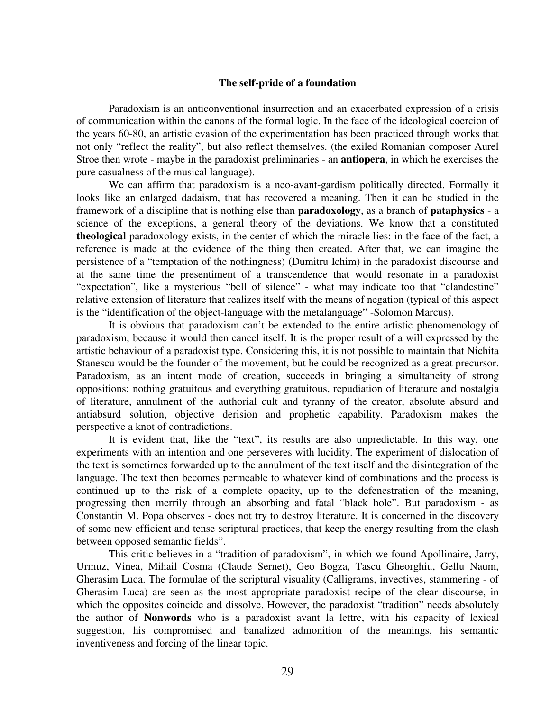#### **The self-pride of a foundation**

 Paradoxism is an anticonventional insurrection and an exacerbated expression of a crisis of communication within the canons of the formal logic. In the face of the ideological coercion of the years 60-80, an artistic evasion of the experimentation has been practiced through works that not only "reflect the reality", but also reflect themselves. (the exiled Romanian composer Aurel Stroe then wrote - maybe in the paradoxist preliminaries - an **antiopera**, in which he exercises the pure casualness of the musical language).

 We can affirm that paradoxism is a neo-avant-gardism politically directed. Formally it looks like an enlarged dadaism, that has recovered a meaning. Then it can be studied in the framework of a discipline that is nothing else than **paradoxology**, as a branch of **pataphysics** - a science of the exceptions, a general theory of the deviations. We know that a constituted **theological** paradoxology exists, in the center of which the miracle lies: in the face of the fact, a reference is made at the evidence of the thing then created. After that, we can imagine the persistence of a "temptation of the nothingness) (Dumitru Ichim) in the paradoxist discourse and at the same time the presentiment of a transcendence that would resonate in a paradoxist "expectation", like a mysterious "bell of silence" - what may indicate too that "clandestine" relative extension of literature that realizes itself with the means of negation (typical of this aspect is the "identification of the object-language with the metalanguage" -Solomon Marcus).

 It is obvious that paradoxism can't be extended to the entire artistic phenomenology of paradoxism, because it would then cancel itself. It is the proper result of a will expressed by the artistic behaviour of a paradoxist type. Considering this, it is not possible to maintain that Nichita Stanescu would be the founder of the movement, but he could be recognized as a great precursor. Paradoxism, as an intent mode of creation, succeeds in bringing a simultaneity of strong oppositions: nothing gratuitous and everything gratuitous, repudiation of literature and nostalgia of literature, annulment of the authorial cult and tyranny of the creator, absolute absurd and antiabsurd solution, objective derision and prophetic capability. Paradoxism makes the perspective a knot of contradictions.

 It is evident that, like the "text", its results are also unpredictable. In this way, one experiments with an intention and one perseveres with lucidity. The experiment of dislocation of the text is sometimes forwarded up to the annulment of the text itself and the disintegration of the language. The text then becomes permeable to whatever kind of combinations and the process is continued up to the risk of a complete opacity, up to the defenestration of the meaning, progressing then merrily through an absorbing and fatal "black hole". But paradoxism - as Constantin M. Popa observes - does not try to destroy literature. It is concerned in the discovery of some new efficient and tense scriptural practices, that keep the energy resulting from the clash between opposed semantic fields".

 This critic believes in a "tradition of paradoxism", in which we found Apollinaire, Jarry, Urmuz, Vinea, Mihail Cosma (Claude Sernet), Geo Bogza, Tascu Gheorghiu, Gellu Naum, Gherasim Luca. The formulae of the scriptural visuality (Calligrams, invectives, stammering - of Gherasim Luca) are seen as the most appropriate paradoxist recipe of the clear discourse, in which the opposites coincide and dissolve. However, the paradoxist "tradition" needs absolutely the author of **Nonwords** who is a paradoxist avant la lettre, with his capacity of lexical suggestion, his compromised and banalized admonition of the meanings, his semantic inventiveness and forcing of the linear topic.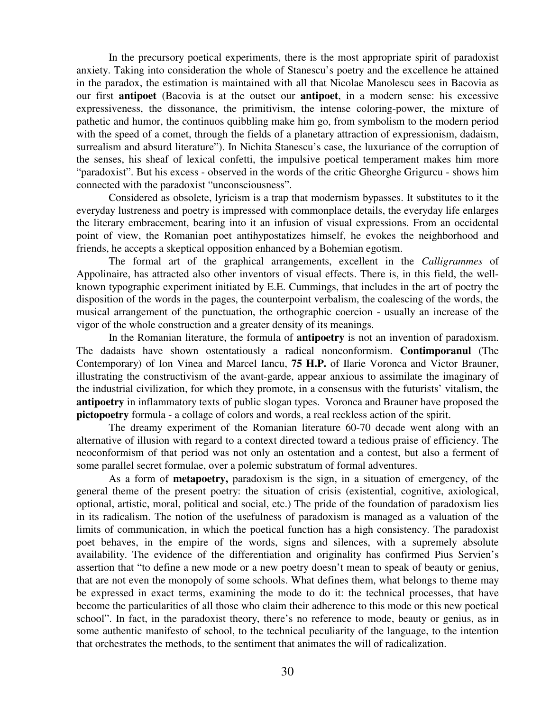In the precursory poetical experiments, there is the most appropriate spirit of paradoxist anxiety. Taking into consideration the whole of Stanescu's poetry and the excellence he attained in the paradox, the estimation is maintained with all that Nicolae Manolescu sees in Bacovia as our first **antipoet** (Bacovia is at the outset our **antipoet**, in a modern sense: his excessive expressiveness, the dissonance, the primitivism, the intense coloring-power, the mixture of pathetic and humor, the continuos quibbling make him go, from symbolism to the modern period with the speed of a comet, through the fields of a planetary attraction of expressionism, dadaism, surrealism and absurd literature"). In Nichita Stanescu's case, the luxuriance of the corruption of the senses, his sheaf of lexical confetti, the impulsive poetical temperament makes him more "paradoxist". But his excess - observed in the words of the critic Gheorghe Grigurcu - shows him connected with the paradoxist "unconsciousness".

 Considered as obsolete, lyricism is a trap that modernism bypasses. It substitutes to it the everyday lustreness and poetry is impressed with commonplace details, the everyday life enlarges the literary embracement, bearing into it an infusion of visual expressions. From an occidental point of view, the Romanian poet antihypostatizes himself, he evokes the neighborhood and friends, he accepts a skeptical opposition enhanced by a Bohemian egotism.

 The formal art of the graphical arrangements, excellent in the *Calligrammes* of Appolinaire, has attracted also other inventors of visual effects. There is, in this field, the wellknown typographic experiment initiated by E.E. Cummings, that includes in the art of poetry the disposition of the words in the pages, the counterpoint verbalism, the coalescing of the words, the musical arrangement of the punctuation, the orthographic coercion - usually an increase of the vigor of the whole construction and a greater density of its meanings.

 In the Romanian literature, the formula of **antipoetry** is not an invention of paradoxism. The dadaists have shown ostentatiously a radical nonconformism. **Contimporanul** (The Contemporary) of Ion Vinea and Marcel Iancu, **75 H.P.** of Ilarie Voronca and Victor Brauner, illustrating the constructivism of the avant-garde, appear anxious to assimilate the imaginary of the industrial civilization, for which they promote, in a consensus with the futurists' vitalism, the **antipoetry** in inflammatory texts of public slogan types. Voronca and Brauner have proposed the **pictopoetry** formula - a collage of colors and words, a real reckless action of the spirit.

 The dreamy experiment of the Romanian literature 60-70 decade went along with an alternative of illusion with regard to a context directed toward a tedious praise of efficiency. The neoconformism of that period was not only an ostentation and a contest, but also a ferment of some parallel secret formulae, over a polemic substratum of formal adventures.

 As a form of **metapoetry,** paradoxism is the sign, in a situation of emergency, of the general theme of the present poetry: the situation of crisis (existential, cognitive, axiological, optional, artistic, moral, political and social, etc.) The pride of the foundation of paradoxism lies in its radicalism. The notion of the usefulness of paradoxism is managed as a valuation of the limits of communication, in which the poetical function has a high consistency. The paradoxist poet behaves, in the empire of the words, signs and silences, with a supremely absolute availability. The evidence of the differentiation and originality has confirmed Pius Servien's assertion that "to define a new mode or a new poetry doesn't mean to speak of beauty or genius, that are not even the monopoly of some schools. What defines them, what belongs to theme may be expressed in exact terms, examining the mode to do it: the technical processes, that have become the particularities of all those who claim their adherence to this mode or this new poetical school". In fact, in the paradoxist theory, there's no reference to mode, beauty or genius, as in some authentic manifesto of school, to the technical peculiarity of the language, to the intention that orchestrates the methods, to the sentiment that animates the will of radicalization.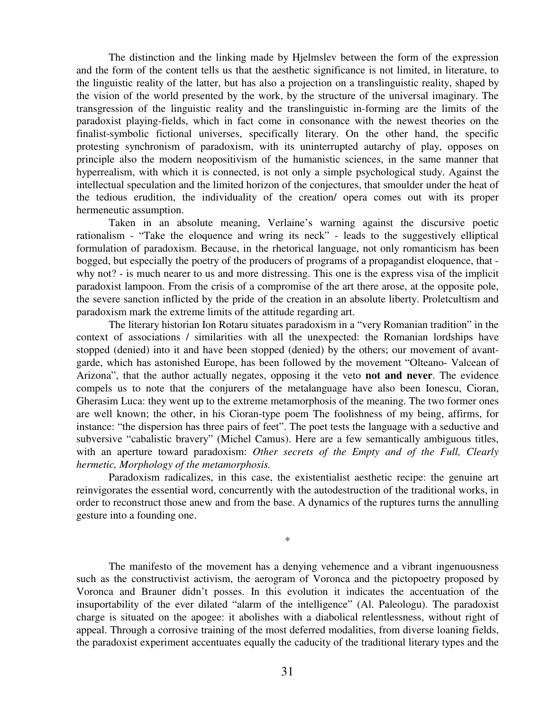The distinction and the linking made by Hjelmslev between the form of the expression and the form of the content tells us that the aesthetic significance is not limited, in literature, to the linguistic reality of the latter, but has also a projection on a translinguistic reality, shaped by the vision of the world presented by the work, by the structure of the universal imaginary. The transgression of the linguistic reality and the translinguistic in-forming are the limits of the paradoxist playing-fields, which in fact come in consonance with the newest theories on the finalist-symbolic fictional universes, specifically literary. On the other hand, the specific protesting synchronism of paradoxism, with its uninterrupted autarchy of play, opposes on principle also the modern neopositivism of the humanistic sciences, in the same manner that hyperrealism, with which it is connected, is not only a simple psychological study. Against the intellectual speculation and the limited horizon of the conjectures, that smoulder under the heat of the tedious erudition, the individuality of the creation/ opera comes out with its proper hermeneutic assumption.

 Taken in an absolute meaning, Verlaine's warning against the discursive poetic rationalism - "Take the eloquence and wring its neck" - leads to the suggestively elliptical formulation of paradoxism. Because, in the rhetorical language, not only romanticism has been bogged, but especially the poetry of the producers of programs of a propagandist eloquence, that why not? - is much nearer to us and more distressing. This one is the express visa of the implicit paradoxist lampoon. From the crisis of a compromise of the art there arose, at the opposite pole, the severe sanction inflicted by the pride of the creation in an absolute liberty. Proletcultism and paradoxism mark the extreme limits of the attitude regarding art.

 The literary historian Ion Rotaru situates paradoxism in a "very Romanian tradition" in the context of associations / similarities with all the unexpected: the Romanian lordships have stopped (denied) into it and have been stopped (denied) by the others; our movement of avantgarde, which has astonished Europe, has been followed by the movement "Olteano- Valcean of Arizona", that the author actually negates, opposing it the veto **not and never**. The evidence compels us to note that the conjurers of the metalanguage have also been Ionescu, Cioran, Gherasim Luca: they went up to the extreme metamorphosis of the meaning. The two former ones are well known; the other, in his Cioran-type poem The foolishness of my being, affirms, for instance: "the dispersion has three pairs of feet". The poet tests the language with a seductive and subversive "cabalistic bravery" (Michel Camus). Here are a few semantically ambiguous titles, with an aperture toward paradoxism: *Other secrets of the Empty and of the Full, Clearly hermetic, Morphology of the metamorphosis.* 

 Paradoxism radicalizes, in this case, the existentialist aesthetic recipe: the genuine art reinvigorates the essential word, concurrently with the autodestruction of the traditional works, in order to reconstruct those anew and from the base. A dynamics of the ruptures turns the annulling gesture into a founding one.

\*

 The manifesto of the movement has a denying vehemence and a vibrant ingenuousness such as the constructivist activism, the aerogram of Voronca and the pictopoetry proposed by Voronca and Brauner didn't posses. In this evolution it indicates the accentuation of the insuportability of the ever dilated "alarm of the intelligence" (Al. Paleologu). The paradoxist charge is situated on the apogee: it abolishes with a diabolical relentlessness, without right of appeal. Through a corrosive training of the most deferred modalities, from diverse loaning fields, the paradoxist experiment accentuates equally the caducity of the traditional literary types and the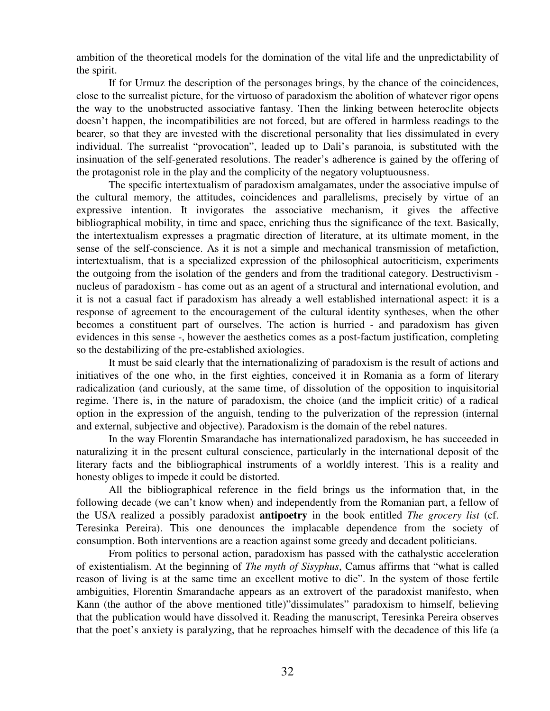ambition of the theoretical models for the domination of the vital life and the unpredictability of the spirit.

 If for Urmuz the description of the personages brings, by the chance of the coincidences, close to the surrealist picture, for the virtuoso of paradoxism the abolition of whatever rigor opens the way to the unobstructed associative fantasy. Then the linking between heteroclite objects doesn't happen, the incompatibilities are not forced, but are offered in harmless readings to the bearer, so that they are invested with the discretional personality that lies dissimulated in every individual. The surrealist "provocation", leaded up to Dali's paranoia, is substituted with the insinuation of the self-generated resolutions. The reader's adherence is gained by the offering of the protagonist role in the play and the complicity of the negatory voluptuousness.

 The specific intertextualism of paradoxism amalgamates, under the associative impulse of the cultural memory, the attitudes, coincidences and parallelisms, precisely by virtue of an expressive intention. It invigorates the associative mechanism, it gives the affective bibliographical mobility, in time and space, enriching thus the significance of the text. Basically, the intertextualism expresses a pragmatic direction of literature, at its ultimate moment, in the sense of the self-conscience. As it is not a simple and mechanical transmission of metafiction, intertextualism, that is a specialized expression of the philosophical autocriticism, experiments the outgoing from the isolation of the genders and from the traditional category. Destructivism nucleus of paradoxism - has come out as an agent of a structural and international evolution, and it is not a casual fact if paradoxism has already a well established international aspect: it is a response of agreement to the encouragement of the cultural identity syntheses, when the other becomes a constituent part of ourselves. The action is hurried - and paradoxism has given evidences in this sense -, however the aesthetics comes as a post-factum justification, completing so the destabilizing of the pre-established axiologies.

 It must be said clearly that the internationalizing of paradoxism is the result of actions and initiatives of the one who, in the first eighties, conceived it in Romania as a form of literary radicalization (and curiously, at the same time, of dissolution of the opposition to inquisitorial regime. There is, in the nature of paradoxism, the choice (and the implicit critic) of a radical option in the expression of the anguish, tending to the pulverization of the repression (internal and external, subjective and objective). Paradoxism is the domain of the rebel natures.

 In the way Florentin Smarandache has internationalized paradoxism, he has succeeded in naturalizing it in the present cultural conscience, particularly in the international deposit of the literary facts and the bibliographical instruments of a worldly interest. This is a reality and honesty obliges to impede it could be distorted.

 All the bibliographical reference in the field brings us the information that, in the following decade (we can't know when) and independently from the Romanian part, a fellow of the USA realized a possibly paradoxist **antipoetry** in the book entitled *The grocery list* (cf. Teresinka Pereira). This one denounces the implacable dependence from the society of consumption. Both interventions are a reaction against some greedy and decadent politicians.

 From politics to personal action, paradoxism has passed with the cathalystic acceleration of existentialism. At the beginning of *The myth of Sisyphus*, Camus affirms that "what is called reason of living is at the same time an excellent motive to die". In the system of those fertile ambiguities, Florentin Smarandache appears as an extrovert of the paradoxist manifesto, when Kann (the author of the above mentioned title)"dissimulates" paradoxism to himself, believing that the publication would have dissolved it. Reading the manuscript, Teresinka Pereira observes that the poet's anxiety is paralyzing, that he reproaches himself with the decadence of this life (a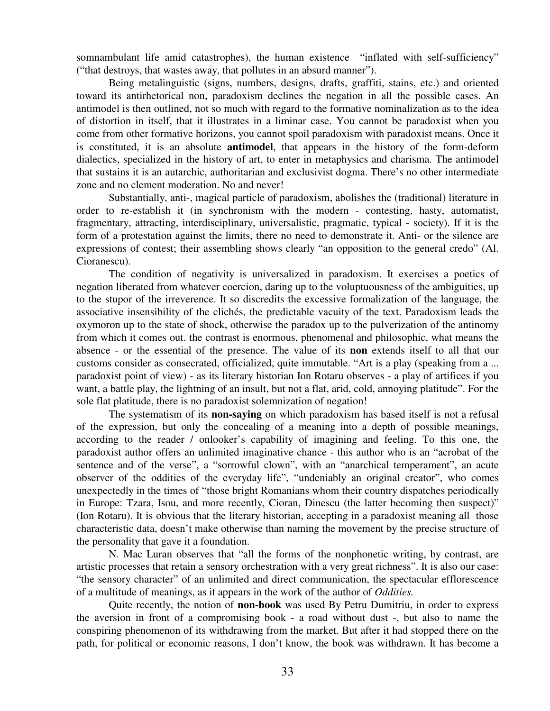somnambulant life amid catastrophes), the human existence "inflated with self-sufficiency" ("that destroys, that wastes away, that pollutes in an absurd manner").

 Being metalinguistic (signs, numbers, designs, drafts, graffiti, stains, etc.) and oriented toward its antirhetorical non, paradoxism declines the negation in all the possible cases. An antimodel is then outlined, not so much with regard to the formative nominalization as to the idea of distortion in itself, that it illustrates in a liminar case. You cannot be paradoxist when you come from other formative horizons, you cannot spoil paradoxism with paradoxist means. Once it is constituted, it is an absolute **antimodel**, that appears in the history of the form-deform dialectics, specialized in the history of art, to enter in metaphysics and charisma. The antimodel that sustains it is an autarchic, authoritarian and exclusivist dogma. There's no other intermediate zone and no clement moderation. No and never!

 Substantially, anti-, magical particle of paradoxism, abolishes the (traditional) literature in order to re-establish it (in synchronism with the modern - contesting, hasty, automatist, fragmentary, attracting, interdisciplinary, universalistic, pragmatic, typical - society). If it is the form of a protestation against the limits, there no need to demonstrate it. Anti- or the silence are expressions of contest; their assembling shows clearly "an opposition to the general credo" (Al. Cioranescu).

 The condition of negativity is universalized in paradoxism. It exercises a poetics of negation liberated from whatever coercion, daring up to the voluptuousness of the ambiguities, up to the stupor of the irreverence. It so discredits the excessive formalization of the language, the associative insensibility of the clichés, the predictable vacuity of the text. Paradoxism leads the oxymoron up to the state of shock, otherwise the paradox up to the pulverization of the antinomy from which it comes out. the contrast is enormous, phenomenal and philosophic, what means the absence - or the essential of the presence. The value of its **non** extends itself to all that our customs consider as consecrated, officialized, quite immutable. "Art is a play (speaking from a ... paradoxist point of view) - as its literary historian Ion Rotaru observes - a play of artifices if you want, a battle play, the lightning of an insult, but not a flat, arid, cold, annoying platitude". For the sole flat platitude, there is no paradoxist solemnization of negation!

 The systematism of its **non-saying** on which paradoxism has based itself is not a refusal of the expression, but only the concealing of a meaning into a depth of possible meanings, according to the reader / onlooker's capability of imagining and feeling. To this one, the paradoxist author offers an unlimited imaginative chance - this author who is an "acrobat of the sentence and of the verse", a "sorrowful clown", with an "anarchical temperament", an acute observer of the oddities of the everyday life", "undeniably an original creator", who comes unexpectedly in the times of "those bright Romanians whom their country dispatches periodically in Europe: Tzara, Isou, and more recently, Cioran, Dinescu (the latter becoming then suspect)" (Ion Rotaru). It is obvious that the literary historian, accepting in a paradoxist meaning all those characteristic data, doesn't make otherwise than naming the movement by the precise structure of the personality that gave it a foundation.

 N. Mac Luran observes that "all the forms of the nonphonetic writing, by contrast, are artistic processes that retain a sensory orchestration with a very great richness". It is also our case: "the sensory character" of an unlimited and direct communication, the spectacular efflorescence of a multitude of meanings, as it appears in the work of the author of *Oddities.* 

 Quite recently, the notion of **non-book** was used By Petru Dumitriu, in order to express the aversion in front of a compromising book - a road without dust -, but also to name the conspiring phenomenon of its withdrawing from the market. But after it had stopped there on the path, for political or economic reasons, I don't know, the book was withdrawn. It has become a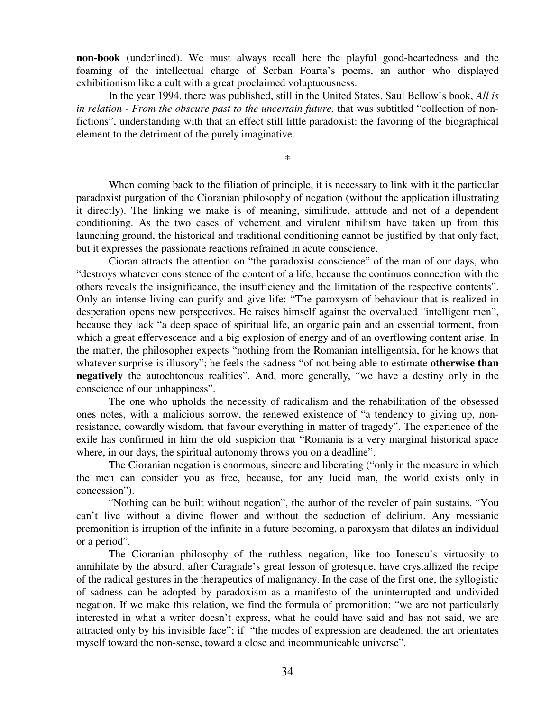**non-book** (underlined). We must always recall here the playful good-heartedness and the foaming of the intellectual charge of Serban Foarta's poems, an author who displayed exhibitionism like a cult with a great proclaimed voluptuousness.

 In the year 1994, there was published, still in the United States, Saul Bellow's book, *All is in relation - From the obscure past to the uncertain future,* that was subtitled "collection of nonfictions", understanding with that an effect still little paradoxist: the favoring of the biographical element to the detriment of the purely imaginative.

\*

When coming back to the filiation of principle, it is necessary to link with it the particular paradoxist purgation of the Cioranian philosophy of negation (without the application illustrating it directly). The linking we make is of meaning, similitude, attitude and not of a dependent conditioning. As the two cases of vehement and virulent nihilism have taken up from this launching ground, the historical and traditional conditioning cannot be justified by that only fact, but it expresses the passionate reactions refrained in acute conscience.

 Cioran attracts the attention on "the paradoxist conscience" of the man of our days, who "destroys whatever consistence of the content of a life, because the continuos connection with the others reveals the insignificance, the insufficiency and the limitation of the respective contents". Only an intense living can purify and give life: "The paroxysm of behaviour that is realized in desperation opens new perspectives. He raises himself against the overvalued "intelligent men", because they lack "a deep space of spiritual life, an organic pain and an essential torment, from which a great effervescence and a big explosion of energy and of an overflowing content arise. In the matter, the philosopher expects "nothing from the Romanian intelligentsia, for he knows that whatever surprise is illusory"; he feels the sadness "of not being able to estimate **otherwise than negatively** the autochtonous realities". And, more generally, "we have a destiny only in the conscience of our unhappiness".

 The one who upholds the necessity of radicalism and the rehabilitation of the obsessed ones notes, with a malicious sorrow, the renewed existence of "a tendency to giving up, nonresistance, cowardly wisdom, that favour everything in matter of tragedy". The experience of the exile has confirmed in him the old suspicion that "Romania is a very marginal historical space where, in our days, the spiritual autonomy throws you on a deadline".

 The Cioranian negation is enormous, sincere and liberating ("only in the measure in which the men can consider you as free, because, for any lucid man, the world exists only in concession").

 "Nothing can be built without negation", the author of the reveler of pain sustains. "You can't live without a divine flower and without the seduction of delirium. Any messianic premonition is irruption of the infinite in a future becoming, a paroxysm that dilates an individual or a period".

 The Cioranian philosophy of the ruthless negation, like too Ionescu's virtuosity to annihilate by the absurd, after Caragiale's great lesson of grotesque, have crystallized the recipe of the radical gestures in the therapeutics of malignancy. In the case of the first one, the syllogistic of sadness can be adopted by paradoxism as a manifesto of the uninterrupted and undivided negation. If we make this relation, we find the formula of premonition: "we are not particularly interested in what a writer doesn't express, what he could have said and has not said, we are attracted only by his invisible face"; if "the modes of expression are deadened, the art orientates myself toward the non-sense, toward a close and incommunicable universe".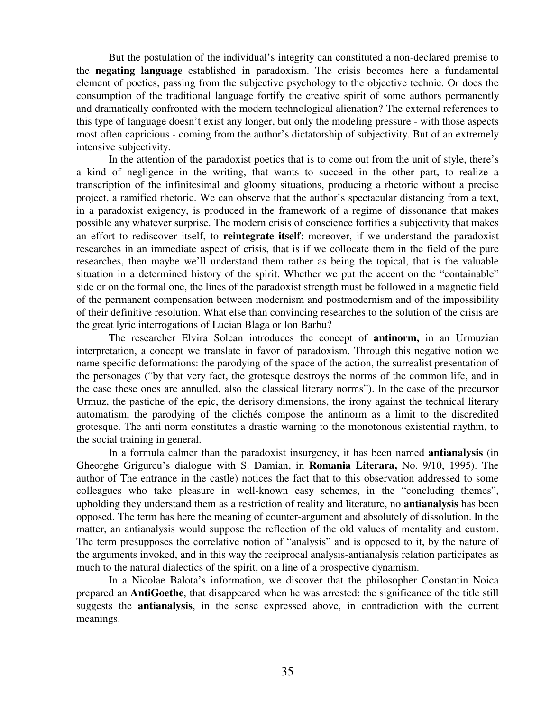But the postulation of the individual's integrity can constituted a non-declared premise to the **negating language** established in paradoxism. The crisis becomes here a fundamental element of poetics, passing from the subjective psychology to the objective technic. Or does the consumption of the traditional language fortify the creative spirit of some authors permanently and dramatically confronted with the modern technological alienation? The external references to this type of language doesn't exist any longer, but only the modeling pressure - with those aspects most often capricious - coming from the author's dictatorship of subjectivity. But of an extremely intensive subjectivity.

 In the attention of the paradoxist poetics that is to come out from the unit of style, there's a kind of negligence in the writing, that wants to succeed in the other part, to realize a transcription of the infinitesimal and gloomy situations, producing a rhetoric without a precise project, a ramified rhetoric. We can observe that the author's spectacular distancing from a text, in a paradoxist exigency, is produced in the framework of a regime of dissonance that makes possible any whatever surprise. The modern crisis of conscience fortifies a subjectivity that makes an effort to rediscover itself, to **reintegrate itself**: moreover, if we understand the paradoxist researches in an immediate aspect of crisis, that is if we collocate them in the field of the pure researches, then maybe we'll understand them rather as being the topical, that is the valuable situation in a determined history of the spirit. Whether we put the accent on the "containable" side or on the formal one, the lines of the paradoxist strength must be followed in a magnetic field of the permanent compensation between modernism and postmodernism and of the impossibility of their definitive resolution. What else than convincing researches to the solution of the crisis are the great lyric interrogations of Lucian Blaga or Ion Barbu?

 The researcher Elvira Solcan introduces the concept of **antinorm,** in an Urmuzian interpretation, a concept we translate in favor of paradoxism. Through this negative notion we name specific deformations: the parodying of the space of the action, the surrealist presentation of the personages ("by that very fact, the grotesque destroys the norms of the common life, and in the case these ones are annulled, also the classical literary norms"). In the case of the precursor Urmuz, the pastiche of the epic, the derisory dimensions, the irony against the technical literary automatism, the parodying of the clichés compose the antinorm as a limit to the discredited grotesque. The anti norm constitutes a drastic warning to the monotonous existential rhythm, to the social training in general.

 In a formula calmer than the paradoxist insurgency, it has been named **antianalysis** (in Gheorghe Grigurcu's dialogue with S. Damian, in **Romania Literara,** No. 9/10, 1995). The author of The entrance in the castle) notices the fact that to this observation addressed to some colleagues who take pleasure in well-known easy schemes, in the "concluding themes", upholding they understand them as a restriction of reality and literature, no **antianalysis** has been opposed. The term has here the meaning of counter-argument and absolutely of dissolution. In the matter, an antianalysis would suppose the reflection of the old values of mentality and custom. The term presupposes the correlative notion of "analysis" and is opposed to it, by the nature of the arguments invoked, and in this way the reciprocal analysis-antianalysis relation participates as much to the natural dialectics of the spirit, on a line of a prospective dynamism.

 In a Nicolae Balota's information, we discover that the philosopher Constantin Noica prepared an **AntiGoethe**, that disappeared when he was arrested: the significance of the title still suggests the **antianalysis**, in the sense expressed above, in contradiction with the current meanings.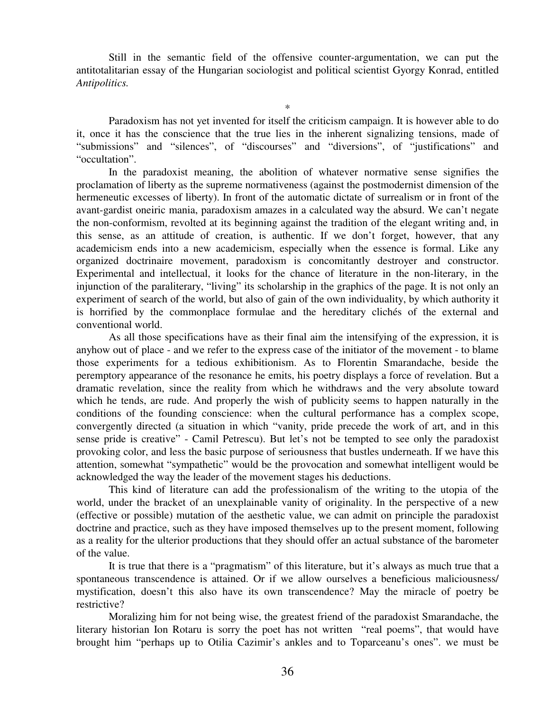Still in the semantic field of the offensive counter-argumentation, we can put the antitotalitarian essay of the Hungarian sociologist and political scientist Gyorgy Konrad, entitled *Antipolitics.* 

\*

 Paradoxism has not yet invented for itself the criticism campaign. It is however able to do it, once it has the conscience that the true lies in the inherent signalizing tensions, made of "submissions" and "silences", of "discourses" and "diversions", of "justifications" and "occultation".

 In the paradoxist meaning, the abolition of whatever normative sense signifies the proclamation of liberty as the supreme normativeness (against the postmodernist dimension of the hermeneutic excesses of liberty). In front of the automatic dictate of surrealism or in front of the avant-gardist oneiric mania, paradoxism amazes in a calculated way the absurd. We can't negate the non-conformism, revolted at its beginning against the tradition of the elegant writing and, in this sense, as an attitude of creation, is authentic. If we don't forget, however, that any academicism ends into a new academicism, especially when the essence is formal. Like any organized doctrinaire movement, paradoxism is concomitantly destroyer and constructor. Experimental and intellectual, it looks for the chance of literature in the non-literary, in the injunction of the paraliterary, "living" its scholarship in the graphics of the page. It is not only an experiment of search of the world, but also of gain of the own individuality, by which authority it is horrified by the commonplace formulae and the hereditary clichés of the external and conventional world.

 As all those specifications have as their final aim the intensifying of the expression, it is anyhow out of place - and we refer to the express case of the initiator of the movement - to blame those experiments for a tedious exhibitionism. As to Florentin Smarandache, beside the peremptory appearance of the resonance he emits, his poetry displays a force of revelation. But a dramatic revelation, since the reality from which he withdraws and the very absolute toward which he tends, are rude. And properly the wish of publicity seems to happen naturally in the conditions of the founding conscience: when the cultural performance has a complex scope, convergently directed (a situation in which "vanity, pride precede the work of art, and in this sense pride is creative" - Camil Petrescu). But let's not be tempted to see only the paradoxist provoking color, and less the basic purpose of seriousness that bustles underneath. If we have this attention, somewhat "sympathetic" would be the provocation and somewhat intelligent would be acknowledged the way the leader of the movement stages his deductions.

 This kind of literature can add the professionalism of the writing to the utopia of the world, under the bracket of an unexplainable vanity of originality. In the perspective of a new (effective or possible) mutation of the aesthetic value, we can admit on principle the paradoxist doctrine and practice, such as they have imposed themselves up to the present moment, following as a reality for the ulterior productions that they should offer an actual substance of the barometer of the value.

 It is true that there is a "pragmatism" of this literature, but it's always as much true that a spontaneous transcendence is attained. Or if we allow ourselves a beneficious maliciousness/ mystification, doesn't this also have its own transcendence? May the miracle of poetry be restrictive?

 Moralizing him for not being wise, the greatest friend of the paradoxist Smarandache, the literary historian Ion Rotaru is sorry the poet has not written "real poems", that would have brought him "perhaps up to Otilia Cazimir's ankles and to Toparceanu's ones". we must be

36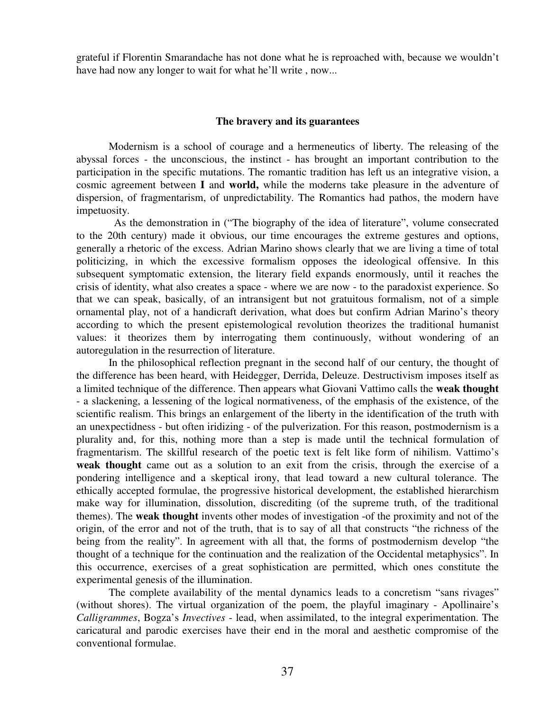grateful if Florentin Smarandache has not done what he is reproached with, because we wouldn't have had now any longer to wait for what he'll write, now...

## **The bravery and its guarantees**

 Modernism is a school of courage and a hermeneutics of liberty. The releasing of the abyssal forces - the unconscious, the instinct - has brought an important contribution to the participation in the specific mutations. The romantic tradition has left us an integrative vision, a cosmic agreement between **I** and **world,** while the moderns take pleasure in the adventure of dispersion, of fragmentarism, of unpredictability. The Romantics had pathos, the modern have impetuosity.

 As the demonstration in ("The biography of the idea of literature", volume consecrated to the 20th century) made it obvious, our time encourages the extreme gestures and options, generally a rhetoric of the excess. Adrian Marino shows clearly that we are living a time of total politicizing, in which the excessive formalism opposes the ideological offensive. In this subsequent symptomatic extension, the literary field expands enormously, until it reaches the crisis of identity, what also creates a space - where we are now - to the paradoxist experience. So that we can speak, basically, of an intransigent but not gratuitous formalism, not of a simple ornamental play, not of a handicraft derivation, what does but confirm Adrian Marino's theory according to which the present epistemological revolution theorizes the traditional humanist values: it theorizes them by interrogating them continuously, without wondering of an autoregulation in the resurrection of literature.

 In the philosophical reflection pregnant in the second half of our century, the thought of the difference has been heard, with Heidegger, Derrida, Deleuze. Destructivism imposes itself as a limited technique of the difference. Then appears what Giovani Vattimo calls the **weak thought** - a slackening, a lessening of the logical normativeness, of the emphasis of the existence, of the scientific realism. This brings an enlargement of the liberty in the identification of the truth with an unexpectidness - but often iridizing - of the pulverization. For this reason, postmodernism is a plurality and, for this, nothing more than a step is made until the technical formulation of fragmentarism. The skillful research of the poetic text is felt like form of nihilism. Vattimo's **weak thought** came out as a solution to an exit from the crisis, through the exercise of a pondering intelligence and a skeptical irony, that lead toward a new cultural tolerance. The ethically accepted formulae, the progressive historical development, the established hierarchism make way for illumination, dissolution, discrediting (of the supreme truth, of the traditional themes). The **weak thought** invents other modes of investigation -of the proximity and not of the origin, of the error and not of the truth, that is to say of all that constructs "the richness of the being from the reality". In agreement with all that, the forms of postmodernism develop "the thought of a technique for the continuation and the realization of the Occidental metaphysics". In this occurrence, exercises of a great sophistication are permitted, which ones constitute the experimental genesis of the illumination.

 The complete availability of the mental dynamics leads to a concretism "sans rivages" (without shores). The virtual organization of the poem, the playful imaginary - Apollinaire's *Calligrammes*, Bogza's *Invectives* - lead, when assimilated, to the integral experimentation. The caricatural and parodic exercises have their end in the moral and aesthetic compromise of the conventional formulae.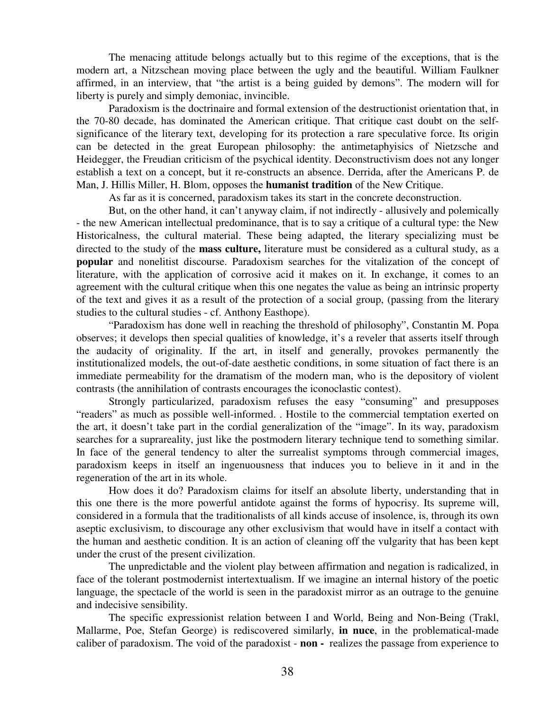The menacing attitude belongs actually but to this regime of the exceptions, that is the modern art, a Nitzschean moving place between the ugly and the beautiful. William Faulkner affirmed, in an interview, that "the artist is a being guided by demons". The modern will for liberty is purely and simply demoniac, invincible.

 Paradoxism is the doctrinaire and formal extension of the destructionist orientation that, in the 70-80 decade, has dominated the American critique. That critique cast doubt on the selfsignificance of the literary text, developing for its protection a rare speculative force. Its origin can be detected in the great European philosophy: the antimetaphyisics of Nietzsche and Heidegger, the Freudian criticism of the psychical identity. Deconstructivism does not any longer establish a text on a concept, but it re-constructs an absence. Derrida, after the Americans P. de Man, J. Hillis Miller, H. Blom, opposes the **humanist tradition** of the New Critique.

As far as it is concerned, paradoxism takes its start in the concrete deconstruction.

 But, on the other hand, it can't anyway claim, if not indirectly - allusively and polemically - the new American intellectual predominance, that is to say a critique of a cultural type: the New Historicalness, the cultural material. These being adapted, the literary specializing must be directed to the study of the **mass culture,** literature must be considered as a cultural study, as a **popular** and nonelitist discourse. Paradoxism searches for the vitalization of the concept of literature, with the application of corrosive acid it makes on it. In exchange, it comes to an agreement with the cultural critique when this one negates the value as being an intrinsic property of the text and gives it as a result of the protection of a social group, (passing from the literary studies to the cultural studies - cf. Anthony Easthope).

 "Paradoxism has done well in reaching the threshold of philosophy", Constantin M. Popa observes; it develops then special qualities of knowledge, it's a reveler that asserts itself through the audacity of originality. If the art, in itself and generally, provokes permanently the institutionalized models, the out-of-date aesthetic conditions, in some situation of fact there is an immediate permeability for the dramatism of the modern man, who is the depository of violent contrasts (the annihilation of contrasts encourages the iconoclastic contest).

 Strongly particularized, paradoxism refuses the easy "consuming" and presupposes "readers" as much as possible well-informed. . Hostile to the commercial temptation exerted on the art, it doesn't take part in the cordial generalization of the "image". In its way, paradoxism searches for a suprareality, just like the postmodern literary technique tend to something similar. In face of the general tendency to alter the surrealist symptoms through commercial images, paradoxism keeps in itself an ingenuousness that induces you to believe in it and in the regeneration of the art in its whole.

 How does it do? Paradoxism claims for itself an absolute liberty, understanding that in this one there is the more powerful antidote against the forms of hypocrisy. Its supreme will, considered in a formula that the traditionalists of all kinds accuse of insolence, is, through its own aseptic exclusivism, to discourage any other exclusivism that would have in itself a contact with the human and aesthetic condition. It is an action of cleaning off the vulgarity that has been kept under the crust of the present civilization.

 The unpredictable and the violent play between affirmation and negation is radicalized, in face of the tolerant postmodernist intertextualism. If we imagine an internal history of the poetic language, the spectacle of the world is seen in the paradoxist mirror as an outrage to the genuine and indecisive sensibility.

 The specific expressionist relation between I and World, Being and Non-Being (Trakl, Mallarme, Poe, Stefan George) is rediscovered similarly, **in nuce**, in the problematical-made caliber of paradoxism. The void of the paradoxist - **non -** realizes the passage from experience to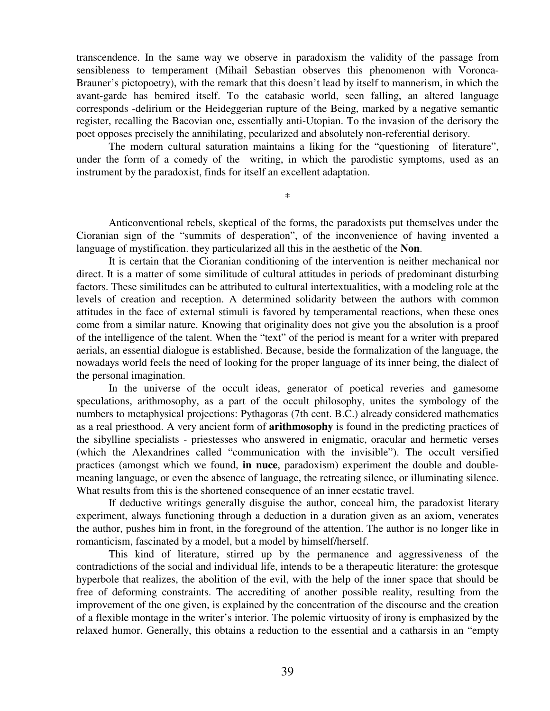transcendence. In the same way we observe in paradoxism the validity of the passage from sensibleness to temperament (Mihail Sebastian observes this phenomenon with Voronca-Brauner's pictopoetry), with the remark that this doesn't lead by itself to mannerism, in which the avant-garde has bemired itself. To the catabasic world, seen falling, an altered language corresponds -delirium or the Heideggerian rupture of the Being, marked by a negative semantic register, recalling the Bacovian one, essentially anti-Utopian. To the invasion of the derisory the poet opposes precisely the annihilating, pecularized and absolutely non-referential derisory.

 The modern cultural saturation maintains a liking for the "questioning of literature", under the form of a comedy of the writing, in which the parodistic symptoms, used as an instrument by the paradoxist, finds for itself an excellent adaptation.

\*

 Anticonventional rebels, skeptical of the forms, the paradoxists put themselves under the Cioranian sign of the "summits of desperation", of the inconvenience of having invented a language of mystification. they particularized all this in the aesthetic of the **Non**.

 It is certain that the Cioranian conditioning of the intervention is neither mechanical nor direct. It is a matter of some similitude of cultural attitudes in periods of predominant disturbing factors. These similitudes can be attributed to cultural intertextualities, with a modeling role at the levels of creation and reception. A determined solidarity between the authors with common attitudes in the face of external stimuli is favored by temperamental reactions, when these ones come from a similar nature. Knowing that originality does not give you the absolution is a proof of the intelligence of the talent. When the "text" of the period is meant for a writer with prepared aerials, an essential dialogue is established. Because, beside the formalization of the language, the nowadays world feels the need of looking for the proper language of its inner being, the dialect of the personal imagination.

 In the universe of the occult ideas, generator of poetical reveries and gamesome speculations, arithmosophy, as a part of the occult philosophy, unites the symbology of the numbers to metaphysical projections: Pythagoras (7th cent. B.C.) already considered mathematics as a real priesthood. A very ancient form of **arithmosophy** is found in the predicting practices of the sibylline specialists - priestesses who answered in enigmatic, oracular and hermetic verses (which the Alexandrines called "communication with the invisible"). The occult versified practices (amongst which we found, **in nuce**, paradoxism) experiment the double and doublemeaning language, or even the absence of language, the retreating silence, or illuminating silence. What results from this is the shortened consequence of an inner ecstatic travel.

 If deductive writings generally disguise the author, conceal him, the paradoxist literary experiment, always functioning through a deduction in a duration given as an axiom, venerates the author, pushes him in front, in the foreground of the attention. The author is no longer like in romanticism, fascinated by a model, but a model by himself/herself.

 This kind of literature, stirred up by the permanence and aggressiveness of the contradictions of the social and individual life, intends to be a therapeutic literature: the grotesque hyperbole that realizes, the abolition of the evil, with the help of the inner space that should be free of deforming constraints. The accrediting of another possible reality, resulting from the improvement of the one given, is explained by the concentration of the discourse and the creation of a flexible montage in the writer's interior. The polemic virtuosity of irony is emphasized by the relaxed humor. Generally, this obtains a reduction to the essential and a catharsis in an "empty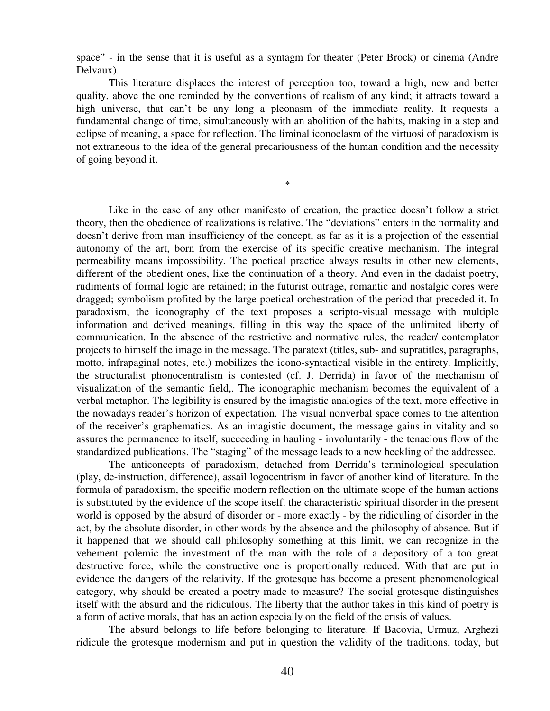space" - in the sense that it is useful as a syntagm for theater (Peter Brock) or cinema (Andre Delvaux).

 This literature displaces the interest of perception too, toward a high, new and better quality, above the one reminded by the conventions of realism of any kind; it attracts toward a high universe, that can't be any long a pleonasm of the immediate reality. It requests a fundamental change of time, simultaneously with an abolition of the habits, making in a step and eclipse of meaning, a space for reflection. The liminal iconoclasm of the virtuosi of paradoxism is not extraneous to the idea of the general precariousness of the human condition and the necessity of going beyond it.

\*

 Like in the case of any other manifesto of creation, the practice doesn't follow a strict theory, then the obedience of realizations is relative. The "deviations" enters in the normality and doesn't derive from man insufficiency of the concept, as far as it is a projection of the essential autonomy of the art, born from the exercise of its specific creative mechanism. The integral permeability means impossibility. The poetical practice always results in other new elements, different of the obedient ones, like the continuation of a theory. And even in the dadaist poetry, rudiments of formal logic are retained; in the futurist outrage, romantic and nostalgic cores were dragged; symbolism profited by the large poetical orchestration of the period that preceded it. In paradoxism, the iconography of the text proposes a scripto-visual message with multiple information and derived meanings, filling in this way the space of the unlimited liberty of communication. In the absence of the restrictive and normative rules, the reader/ contemplator projects to himself the image in the message. The paratext (titles, sub- and supratitles, paragraphs, motto, infrapaginal notes, etc.) mobilizes the icono-syntactical visible in the entirety. Implicitly, the structuralist phonocentralism is contested (cf. J. Derrida) in favor of the mechanism of visualization of the semantic field,. The iconographic mechanism becomes the equivalent of a verbal metaphor. The legibility is ensured by the imagistic analogies of the text, more effective in the nowadays reader's horizon of expectation. The visual nonverbal space comes to the attention of the receiver's graphematics. As an imagistic document, the message gains in vitality and so assures the permanence to itself, succeeding in hauling - involuntarily - the tenacious flow of the standardized publications. The "staging" of the message leads to a new heckling of the addressee.

 The anticoncepts of paradoxism, detached from Derrida's terminological speculation (play, de-instruction, difference), assail logocentrism in favor of another kind of literature. In the formula of paradoxism, the specific modern reflection on the ultimate scope of the human actions is substituted by the evidence of the scope itself. the characteristic spiritual disorder in the present world is opposed by the absurd of disorder or - more exactly - by the ridiculing of disorder in the act, by the absolute disorder, in other words by the absence and the philosophy of absence. But if it happened that we should call philosophy something at this limit, we can recognize in the vehement polemic the investment of the man with the role of a depository of a too great destructive force, while the constructive one is proportionally reduced. With that are put in evidence the dangers of the relativity. If the grotesque has become a present phenomenological category, why should be created a poetry made to measure? The social grotesque distinguishes itself with the absurd and the ridiculous. The liberty that the author takes in this kind of poetry is a form of active morals, that has an action especially on the field of the crisis of values.

 The absurd belongs to life before belonging to literature. If Bacovia, Urmuz, Arghezi ridicule the grotesque modernism and put in question the validity of the traditions, today, but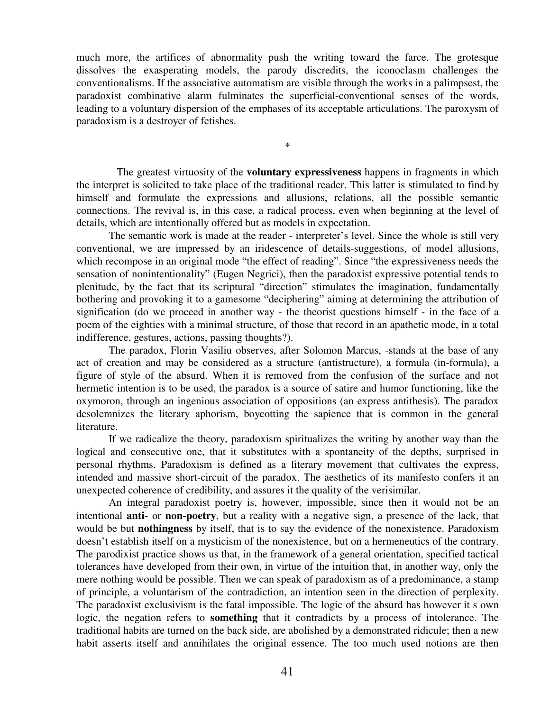much more, the artifices of abnormality push the writing toward the farce. The grotesque dissolves the exasperating models, the parody discredits, the iconoclasm challenges the conventionalisms. If the associative automatism are visible through the works in a palimpsest, the paradoxist combinative alarm fulminates the superficial-conventional senses of the words, leading to a voluntary dispersion of the emphases of its acceptable articulations. The paroxysm of paradoxism is a destroyer of fetishes.

\*

 The greatest virtuosity of the **voluntary expressiveness** happens in fragments in which the interpret is solicited to take place of the traditional reader. This latter is stimulated to find by himself and formulate the expressions and allusions, relations, all the possible semantic connections. The revival is, in this case, a radical process, even when beginning at the level of details, which are intentionally offered but as models in expectation.

 The semantic work is made at the reader - interpreter's level. Since the whole is still very conventional, we are impressed by an iridescence of details-suggestions, of model allusions, which recompose in an original mode "the effect of reading". Since "the expressiveness needs the sensation of nonintentionality" (Eugen Negrici), then the paradoxist expressive potential tends to plenitude, by the fact that its scriptural "direction" stimulates the imagination, fundamentally bothering and provoking it to a gamesome "deciphering" aiming at determining the attribution of signification (do we proceed in another way - the theorist questions himself - in the face of a poem of the eighties with a minimal structure, of those that record in an apathetic mode, in a total indifference, gestures, actions, passing thoughts?).

 The paradox, Florin Vasiliu observes, after Solomon Marcus, -stands at the base of any act of creation and may be considered as a structure (antistructure), a formula (in-formula), a figure of style of the absurd. When it is removed from the confusion of the surface and not hermetic intention is to be used, the paradox is a source of satire and humor functioning, like the oxymoron, through an ingenious association of oppositions (an express antithesis). The paradox desolemnizes the literary aphorism, boycotting the sapience that is common in the general literature.

 If we radicalize the theory, paradoxism spiritualizes the writing by another way than the logical and consecutive one, that it substitutes with a spontaneity of the depths, surprised in personal rhythms. Paradoxism is defined as a literary movement that cultivates the express, intended and massive short-circuit of the paradox. The aesthetics of its manifesto confers it an unexpected coherence of credibility, and assures it the quality of the verisimilar.

 An integral paradoxist poetry is, however, impossible, since then it would not be an intentional **anti-** or **non-poetry**, but a reality with a negative sign, a presence of the lack, that would be but **nothingness** by itself, that is to say the evidence of the nonexistence. Paradoxism doesn't establish itself on a mysticism of the nonexistence, but on a hermeneutics of the contrary. The parodixist practice shows us that, in the framework of a general orientation, specified tactical tolerances have developed from their own, in virtue of the intuition that, in another way, only the mere nothing would be possible. Then we can speak of paradoxism as of a predominance, a stamp of principle, a voluntarism of the contradiction, an intention seen in the direction of perplexity. The paradoxist exclusivism is the fatal impossible. The logic of the absurd has however it s own logic, the negation refers to **something** that it contradicts by a process of intolerance. The traditional habits are turned on the back side, are abolished by a demonstrated ridicule; then a new habit asserts itself and annihilates the original essence. The too much used notions are then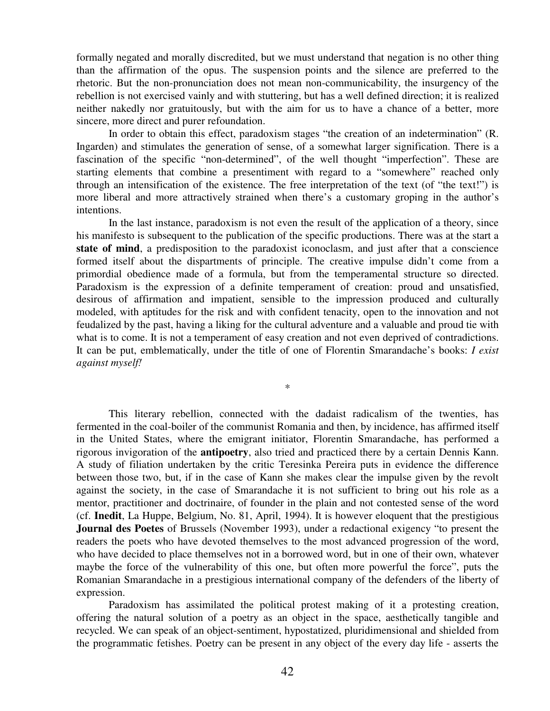formally negated and morally discredited, but we must understand that negation is no other thing than the affirmation of the opus. The suspension points and the silence are preferred to the rhetoric. But the non-pronunciation does not mean non-communicability, the insurgency of the rebellion is not exercised vainly and with stuttering, but has a well defined direction; it is realized neither nakedly nor gratuitously, but with the aim for us to have a chance of a better, more sincere, more direct and purer refoundation.

 In order to obtain this effect, paradoxism stages "the creation of an indetermination" (R. Ingarden) and stimulates the generation of sense, of a somewhat larger signification. There is a fascination of the specific "non-determined", of the well thought "imperfection". These are starting elements that combine a presentiment with regard to a "somewhere" reached only through an intensification of the existence. The free interpretation of the text (of "the text!") is more liberal and more attractively strained when there's a customary groping in the author's intentions.

 In the last instance, paradoxism is not even the result of the application of a theory, since his manifesto is subsequent to the publication of the specific productions. There was at the start a **state of mind**, a predisposition to the paradoxist iconoclasm, and just after that a conscience formed itself about the dispartments of principle. The creative impulse didn't come from a primordial obedience made of a formula, but from the temperamental structure so directed. Paradoxism is the expression of a definite temperament of creation: proud and unsatisfied, desirous of affirmation and impatient, sensible to the impression produced and culturally modeled, with aptitudes for the risk and with confident tenacity, open to the innovation and not feudalized by the past, having a liking for the cultural adventure and a valuable and proud tie with what is to come. It is not a temperament of easy creation and not even deprived of contradictions. It can be put, emblematically, under the title of one of Florentin Smarandache's books: *I exist against myself!*

\*

 This literary rebellion, connected with the dadaist radicalism of the twenties, has fermented in the coal-boiler of the communist Romania and then, by incidence, has affirmed itself in the United States, where the emigrant initiator, Florentin Smarandache, has performed a rigorous invigoration of the **antipoetry**, also tried and practiced there by a certain Dennis Kann. A study of filiation undertaken by the critic Teresinka Pereira puts in evidence the difference between those two, but, if in the case of Kann she makes clear the impulse given by the revolt against the society, in the case of Smarandache it is not sufficient to bring out his role as a mentor, practitioner and doctrinaire, of founder in the plain and not contested sense of the word (cf. **Inedit**, La Huppe, Belgium, No. 81, April, 1994). It is however eloquent that the prestigious **Journal des Poetes** of Brussels (November 1993), under a redactional exigency "to present the readers the poets who have devoted themselves to the most advanced progression of the word, who have decided to place themselves not in a borrowed word, but in one of their own, whatever maybe the force of the vulnerability of this one, but often more powerful the force", puts the Romanian Smarandache in a prestigious international company of the defenders of the liberty of expression.

 Paradoxism has assimilated the political protest making of it a protesting creation, offering the natural solution of a poetry as an object in the space, aesthetically tangible and recycled. We can speak of an object-sentiment, hypostatized, pluridimensional and shielded from the programmatic fetishes. Poetry can be present in any object of the every day life - asserts the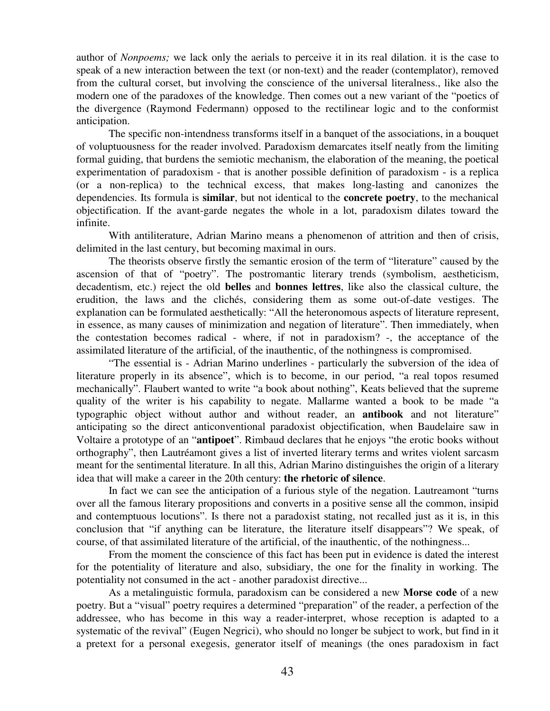author of *Nonpoems;* we lack only the aerials to perceive it in its real dilation. it is the case to speak of a new interaction between the text (or non-text) and the reader (contemplator), removed from the cultural corset, but involving the conscience of the universal literalness., like also the modern one of the paradoxes of the knowledge. Then comes out a new variant of the "poetics of the divergence (Raymond Federmann) opposed to the rectilinear logic and to the conformist anticipation.

 The specific non-intendness transforms itself in a banquet of the associations, in a bouquet of voluptuousness for the reader involved. Paradoxism demarcates itself neatly from the limiting formal guiding, that burdens the semiotic mechanism, the elaboration of the meaning, the poetical experimentation of paradoxism - that is another possible definition of paradoxism - is a replica (or a non-replica) to the technical excess, that makes long-lasting and canonizes the dependencies. Its formula is **similar**, but not identical to the **concrete poetry**, to the mechanical objectification. If the avant-garde negates the whole in a lot, paradoxism dilates toward the infinite.

 With antiliterature, Adrian Marino means a phenomenon of attrition and then of crisis, delimited in the last century, but becoming maximal in ours.

 The theorists observe firstly the semantic erosion of the term of "literature" caused by the ascension of that of "poetry". The postromantic literary trends (symbolism, aestheticism, decadentism, etc.) reject the old **belles** and **bonnes lettres**, like also the classical culture, the erudition, the laws and the clichés, considering them as some out-of-date vestiges. The explanation can be formulated aesthetically: "All the heteronomous aspects of literature represent, in essence, as many causes of minimization and negation of literature". Then immediately, when the contestation becomes radical - where, if not in paradoxism? -, the acceptance of the assimilated literature of the artificial, of the inauthentic, of the nothingness is compromised.

 "The essential is - Adrian Marino underlines - particularly the subversion of the idea of literature properly in its absence", which is to become, in our period, "a real topos resumed mechanically". Flaubert wanted to write "a book about nothing", Keats believed that the supreme quality of the writer is his capability to negate. Mallarme wanted a book to be made "a typographic object without author and without reader, an **antibook** and not literature" anticipating so the direct anticonventional paradoxist objectification, when Baudelaire saw in Voltaire a prototype of an "**antipoet**". Rimbaud declares that he enjoys "the erotic books without orthography", then Lautréamont gives a list of inverted literary terms and writes violent sarcasm meant for the sentimental literature. In all this, Adrian Marino distinguishes the origin of a literary idea that will make a career in the 20th century: **the rhetoric of silence**.

 In fact we can see the anticipation of a furious style of the negation. Lautreamont "turns over all the famous literary propositions and converts in a positive sense all the common, insipid and contemptuous locutions". Is there not a paradoxist stating, not recalled just as it is, in this conclusion that "if anything can be literature, the literature itself disappears"? We speak, of course, of that assimilated literature of the artificial, of the inauthentic, of the nothingness...

 From the moment the conscience of this fact has been put in evidence is dated the interest for the potentiality of literature and also, subsidiary, the one for the finality in working. The potentiality not consumed in the act - another paradoxist directive...

 As a metalinguistic formula, paradoxism can be considered a new **Morse code** of a new poetry. But a "visual" poetry requires a determined "preparation" of the reader, a perfection of the addressee, who has become in this way a reader-interpret, whose reception is adapted to a systematic of the revival" (Eugen Negrici), who should no longer be subject to work, but find in it a pretext for a personal exegesis, generator itself of meanings (the ones paradoxism in fact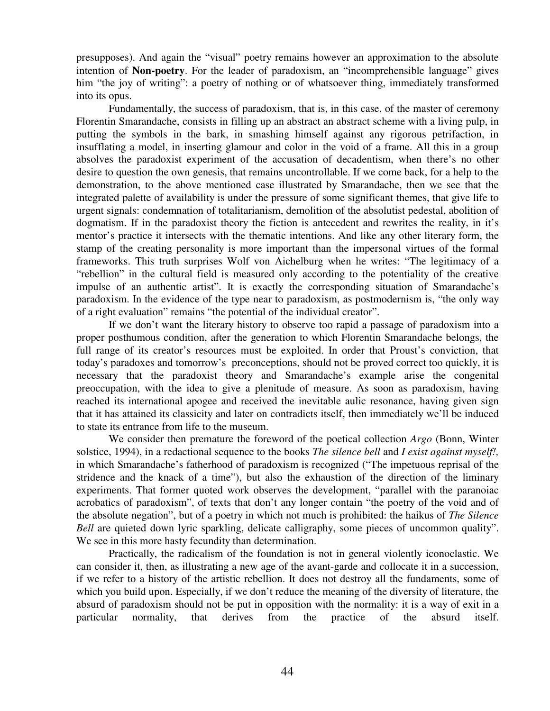presupposes). And again the "visual" poetry remains however an approximation to the absolute intention of **Non-poetry**. For the leader of paradoxism, an "incomprehensible language" gives him "the joy of writing": a poetry of nothing or of whatsoever thing, immediately transformed into its opus.

 Fundamentally, the success of paradoxism, that is, in this case, of the master of ceremony Florentin Smarandache, consists in filling up an abstract an abstract scheme with a living pulp, in putting the symbols in the bark, in smashing himself against any rigorous petrifaction, in insufflating a model, in inserting glamour and color in the void of a frame. All this in a group absolves the paradoxist experiment of the accusation of decadentism, when there's no other desire to question the own genesis, that remains uncontrollable. If we come back, for a help to the demonstration, to the above mentioned case illustrated by Smarandache, then we see that the integrated palette of availability is under the pressure of some significant themes, that give life to urgent signals: condemnation of totalitarianism, demolition of the absolutist pedestal, abolition of dogmatism. If in the paradoxist theory the fiction is antecedent and rewrites the reality, in it's mentor's practice it intersects with the thematic intentions. And like any other literary form, the stamp of the creating personality is more important than the impersonal virtues of the formal frameworks. This truth surprises Wolf von Aichelburg when he writes: "The legitimacy of a "rebellion" in the cultural field is measured only according to the potentiality of the creative impulse of an authentic artist". It is exactly the corresponding situation of Smarandache's paradoxism. In the evidence of the type near to paradoxism, as postmodernism is, "the only way of a right evaluation" remains "the potential of the individual creator".

 If we don't want the literary history to observe too rapid a passage of paradoxism into a proper posthumous condition, after the generation to which Florentin Smarandache belongs, the full range of its creator's resources must be exploited. In order that Proust's conviction, that today's paradoxes and tomorrow's preconceptions, should not be proved correct too quickly, it is necessary that the paradoxist theory and Smarandache's example arise the congenital preoccupation, with the idea to give a plenitude of measure. As soon as paradoxism, having reached its international apogee and received the inevitable aulic resonance, having given sign that it has attained its classicity and later on contradicts itself, then immediately we'll be induced to state its entrance from life to the museum.

 We consider then premature the foreword of the poetical collection *Argo* (Bonn, Winter solstice, 1994), in a redactional sequence to the books *The silence bell* and *I exist against myself!,*  in which Smarandache's fatherhood of paradoxism is recognized ("The impetuous reprisal of the stridence and the knack of a time"), but also the exhaustion of the direction of the liminary experiments. That former quoted work observes the development, "parallel with the paranoiac acrobatics of paradoxism", of texts that don't any longer contain "the poetry of the void and of the absolute negation", but of a poetry in which not much is prohibited: the haikus of *The Silence Bell* are quieted down lyric sparkling, delicate calligraphy, some pieces of uncommon quality". We see in this more hasty fecundity than determination.

 Practically, the radicalism of the foundation is not in general violently iconoclastic. We can consider it, then, as illustrating a new age of the avant-garde and collocate it in a succession, if we refer to a history of the artistic rebellion. It does not destroy all the fundaments, some of which you build upon. Especially, if we don't reduce the meaning of the diversity of literature, the absurd of paradoxism should not be put in opposition with the normality: it is a way of exit in a particular normality, that derives from the practice of the absurd itself.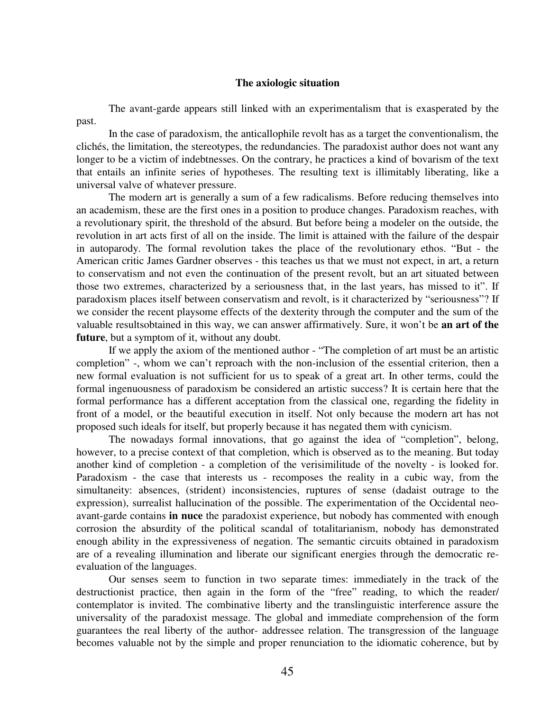### **The axiologic situation**

The avant-garde appears still linked with an experimentalism that is exasperated by the past.

 In the case of paradoxism, the anticallophile revolt has as a target the conventionalism, the clichés, the limitation, the stereotypes, the redundancies. The paradoxist author does not want any longer to be a victim of indebtnesses. On the contrary, he practices a kind of bovarism of the text that entails an infinite series of hypotheses. The resulting text is illimitably liberating, like a universal valve of whatever pressure.

 The modern art is generally a sum of a few radicalisms. Before reducing themselves into an academism, these are the first ones in a position to produce changes. Paradoxism reaches, with a revolutionary spirit, the threshold of the absurd. But before being a modeler on the outside, the revolution in art acts first of all on the inside. The limit is attained with the failure of the despair in autoparody. The formal revolution takes the place of the revolutionary ethos. "But - the American critic James Gardner observes - this teaches us that we must not expect, in art, a return to conservatism and not even the continuation of the present revolt, but an art situated between those two extremes, characterized by a seriousness that, in the last years, has missed to it". If paradoxism places itself between conservatism and revolt, is it characterized by "seriousness"? If we consider the recent playsome effects of the dexterity through the computer and the sum of the valuable resultsobtained in this way, we can answer affirmatively. Sure, it won't be **an art of the future**, but a symptom of it, without any doubt.

 If we apply the axiom of the mentioned author - "The completion of art must be an artistic completion" -, whom we can't reproach with the non-inclusion of the essential criterion, then a new formal evaluation is not sufficient for us to speak of a great art. In other terms, could the formal ingenuousness of paradoxism be considered an artistic success? It is certain here that the formal performance has a different acceptation from the classical one, regarding the fidelity in front of a model, or the beautiful execution in itself. Not only because the modern art has not proposed such ideals for itself, but properly because it has negated them with cynicism.

 The nowadays formal innovations, that go against the idea of "completion", belong, however, to a precise context of that completion, which is observed as to the meaning. But today another kind of completion - a completion of the verisimilitude of the novelty - is looked for. Paradoxism - the case that interests us - recomposes the reality in a cubic way, from the simultaneity: absences, (strident) inconsistencies, ruptures of sense (dadaist outrage to the expression), surrealist hallucination of the possible. The experimentation of the Occidental neoavant-garde contains **in nuce** the paradoxist experience, but nobody has commented with enough corrosion the absurdity of the political scandal of totalitarianism, nobody has demonstrated enough ability in the expressiveness of negation. The semantic circuits obtained in paradoxism are of a revealing illumination and liberate our significant energies through the democratic reevaluation of the languages.

 Our senses seem to function in two separate times: immediately in the track of the destructionist practice, then again in the form of the "free" reading, to which the reader/ contemplator is invited. The combinative liberty and the translinguistic interference assure the universality of the paradoxist message. The global and immediate comprehension of the form guarantees the real liberty of the author- addressee relation. The transgression of the language becomes valuable not by the simple and proper renunciation to the idiomatic coherence, but by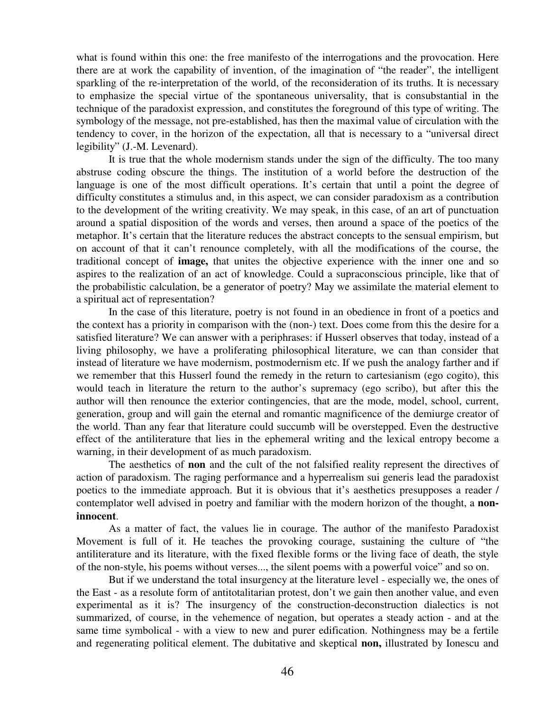what is found within this one: the free manifesto of the interrogations and the provocation. Here there are at work the capability of invention, of the imagination of "the reader", the intelligent sparkling of the re-interpretation of the world, of the reconsideration of its truths. It is necessary to emphasize the special virtue of the spontaneous universality, that is consubstantial in the technique of the paradoxist expression, and constitutes the foreground of this type of writing. The symbology of the message, not pre-established, has then the maximal value of circulation with the tendency to cover, in the horizon of the expectation, all that is necessary to a "universal direct legibility" (J.-M. Levenard).

 It is true that the whole modernism stands under the sign of the difficulty. The too many abstruse coding obscure the things. The institution of a world before the destruction of the language is one of the most difficult operations. It's certain that until a point the degree of difficulty constitutes a stimulus and, in this aspect, we can consider paradoxism as a contribution to the development of the writing creativity. We may speak, in this case, of an art of punctuation around a spatial disposition of the words and verses, then around a space of the poetics of the metaphor. It's certain that the literature reduces the abstract concepts to the sensual empirism, but on account of that it can't renounce completely, with all the modifications of the course, the traditional concept of **image,** that unites the objective experience with the inner one and so aspires to the realization of an act of knowledge. Could a supraconscious principle, like that of the probabilistic calculation, be a generator of poetry? May we assimilate the material element to a spiritual act of representation?

 In the case of this literature, poetry is not found in an obedience in front of a poetics and the context has a priority in comparison with the (non-) text. Does come from this the desire for a satisfied literature? We can answer with a periphrases: if Husserl observes that today, instead of a living philosophy, we have a proliferating philosophical literature, we can than consider that instead of literature we have modernism, postmodernism etc. If we push the analogy farther and if we remember that this Husserl found the remedy in the return to cartesianism (ego cogito), this would teach in literature the return to the author's supremacy (ego scribo), but after this the author will then renounce the exterior contingencies, that are the mode, model, school, current, generation, group and will gain the eternal and romantic magnificence of the demiurge creator of the world. Than any fear that literature could succumb will be overstepped. Even the destructive effect of the antiliterature that lies in the ephemeral writing and the lexical entropy become a warning, in their development of as much paradoxism.

 The aesthetics of **non** and the cult of the not falsified reality represent the directives of action of paradoxism. The raging performance and a hyperrealism sui generis lead the paradoxist poetics to the immediate approach. But it is obvious that it's aesthetics presupposes a reader / contemplator well advised in poetry and familiar with the modern horizon of the thought, a **noninnocent**.

 As a matter of fact, the values lie in courage. The author of the manifesto Paradoxist Movement is full of it. He teaches the provoking courage, sustaining the culture of "the antiliterature and its literature, with the fixed flexible forms or the living face of death, the style of the non-style, his poems without verses..., the silent poems with a powerful voice" and so on.

 But if we understand the total insurgency at the literature level - especially we, the ones of the East - as a resolute form of antitotalitarian protest, don't we gain then another value, and even experimental as it is? The insurgency of the construction-deconstruction dialectics is not summarized, of course, in the vehemence of negation, but operates a steady action - and at the same time symbolical - with a view to new and purer edification. Nothingness may be a fertile and regenerating political element. The dubitative and skeptical **non,** illustrated by Ionescu and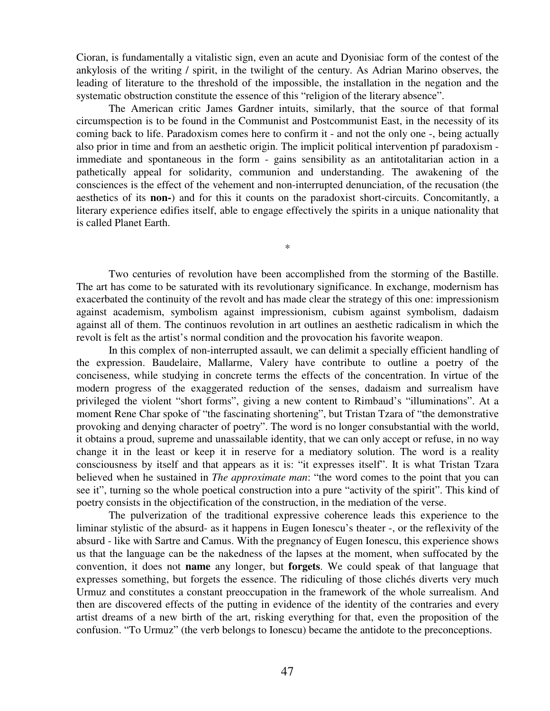Cioran, is fundamentally a vitalistic sign, even an acute and Dyonisiac form of the contest of the ankylosis of the writing / spirit, in the twilight of the century. As Adrian Marino observes, the leading of literature to the threshold of the impossible, the installation in the negation and the systematic obstruction constitute the essence of this "religion of the literary absence".

 The American critic James Gardner intuits, similarly, that the source of that formal circumspection is to be found in the Communist and Postcommunist East, in the necessity of its coming back to life. Paradoxism comes here to confirm it - and not the only one -, being actually also prior in time and from an aesthetic origin. The implicit political intervention pf paradoxism immediate and spontaneous in the form - gains sensibility as an antitotalitarian action in a pathetically appeal for solidarity, communion and understanding. The awakening of the consciences is the effect of the vehement and non-interrupted denunciation, of the recusation (the aesthetics of its **non-**) and for this it counts on the paradoxist short-circuits. Concomitantly, a literary experience edifies itself, able to engage effectively the spirits in a unique nationality that is called Planet Earth.

\*

 Two centuries of revolution have been accomplished from the storming of the Bastille. The art has come to be saturated with its revolutionary significance. In exchange, modernism has exacerbated the continuity of the revolt and has made clear the strategy of this one: impressionism against academism, symbolism against impressionism, cubism against symbolism, dadaism against all of them. The continuos revolution in art outlines an aesthetic radicalism in which the revolt is felt as the artist's normal condition and the provocation his favorite weapon.

 In this complex of non-interrupted assault, we can delimit a specially efficient handling of the expression. Baudelaire, Mallarme, Valery have contribute to outline a poetry of the conciseness, while studying in concrete terms the effects of the concentration. In virtue of the modern progress of the exaggerated reduction of the senses, dadaism and surrealism have privileged the violent "short forms", giving a new content to Rimbaud's "illuminations". At a moment Rene Char spoke of "the fascinating shortening", but Tristan Tzara of "the demonstrative provoking and denying character of poetry". The word is no longer consubstantial with the world, it obtains a proud, supreme and unassailable identity, that we can only accept or refuse, in no way change it in the least or keep it in reserve for a mediatory solution. The word is a reality consciousness by itself and that appears as it is: "it expresses itself". It is what Tristan Tzara believed when he sustained in *The approximate man*: "the word comes to the point that you can see it", turning so the whole poetical construction into a pure "activity of the spirit". This kind of poetry consists in the objectification of the construction, in the mediation of the verse.

 The pulverization of the traditional expressive coherence leads this experience to the liminar stylistic of the absurd- as it happens in Eugen Ionescu's theater -, or the reflexivity of the absurd - like with Sartre and Camus. With the pregnancy of Eugen Ionescu, this experience shows us that the language can be the nakedness of the lapses at the moment, when suffocated by the convention, it does not **name** any longer, but **forgets**. We could speak of that language that expresses something, but forgets the essence. The ridiculing of those clichés diverts very much Urmuz and constitutes a constant preoccupation in the framework of the whole surrealism. And then are discovered effects of the putting in evidence of the identity of the contraries and every artist dreams of a new birth of the art, risking everything for that, even the proposition of the confusion. "To Urmuz" (the verb belongs to Ionescu) became the antidote to the preconceptions.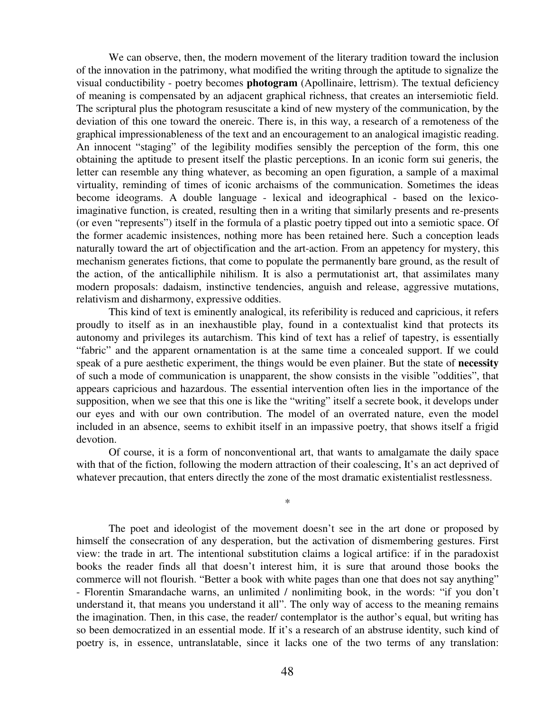We can observe, then, the modern movement of the literary tradition toward the inclusion of the innovation in the patrimony, what modified the writing through the aptitude to signalize the visual conductibility - poetry becomes **photogram** (Apollinaire, lettrism). The textual deficiency of meaning is compensated by an adjacent graphical richness, that creates an intersemiotic field. The scriptural plus the photogram resuscitate a kind of new mystery of the communication, by the deviation of this one toward the onereic. There is, in this way, a research of a remoteness of the graphical impressionableness of the text and an encouragement to an analogical imagistic reading. An innocent "staging" of the legibility modifies sensibly the perception of the form, this one obtaining the aptitude to present itself the plastic perceptions. In an iconic form sui generis, the letter can resemble any thing whatever, as becoming an open figuration, a sample of a maximal virtuality, reminding of times of iconic archaisms of the communication. Sometimes the ideas become ideograms. A double language - lexical and ideographical - based on the lexicoimaginative function, is created, resulting then in a writing that similarly presents and re-presents (or even "represents") itself in the formula of a plastic poetry tipped out into a semiotic space. Of the former academic insistences, nothing more has been retained here. Such a conception leads naturally toward the art of objectification and the art-action. From an appetency for mystery, this mechanism generates fictions, that come to populate the permanently bare ground, as the result of the action, of the anticalliphile nihilism. It is also a permutationist art, that assimilates many modern proposals: dadaism, instinctive tendencies, anguish and release, aggressive mutations, relativism and disharmony, expressive oddities.

 This kind of text is eminently analogical, its referibility is reduced and capricious, it refers proudly to itself as in an inexhaustible play, found in a contextualist kind that protects its autonomy and privileges its autarchism. This kind of text has a relief of tapestry, is essentially "fabric" and the apparent ornamentation is at the same time a concealed support. If we could speak of a pure aesthetic experiment, the things would be even plainer. But the state of **necessity** of such a mode of communication is unapparent, the show consists in the visible "oddities", that appears capricious and hazardous. The essential intervention often lies in the importance of the supposition, when we see that this one is like the "writing" itself a secrete book, it develops under our eyes and with our own contribution. The model of an overrated nature, even the model included in an absence, seems to exhibit itself in an impassive poetry, that shows itself a frigid devotion.

 Of course, it is a form of nonconventional art, that wants to amalgamate the daily space with that of the fiction, following the modern attraction of their coalescing, It's an act deprived of whatever precaution, that enters directly the zone of the most dramatic existentialist restlessness.

\*

 The poet and ideologist of the movement doesn't see in the art done or proposed by himself the consecration of any desperation, but the activation of dismembering gestures. First view: the trade in art. The intentional substitution claims a logical artifice: if in the paradoxist books the reader finds all that doesn't interest him, it is sure that around those books the commerce will not flourish. "Better a book with white pages than one that does not say anything" - Florentin Smarandache warns, an unlimited / nonlimiting book, in the words: "if you don't understand it, that means you understand it all". The only way of access to the meaning remains the imagination. Then, in this case, the reader/ contemplator is the author's equal, but writing has so been democratized in an essential mode. If it's a research of an abstruse identity, such kind of poetry is, in essence, untranslatable, since it lacks one of the two terms of any translation: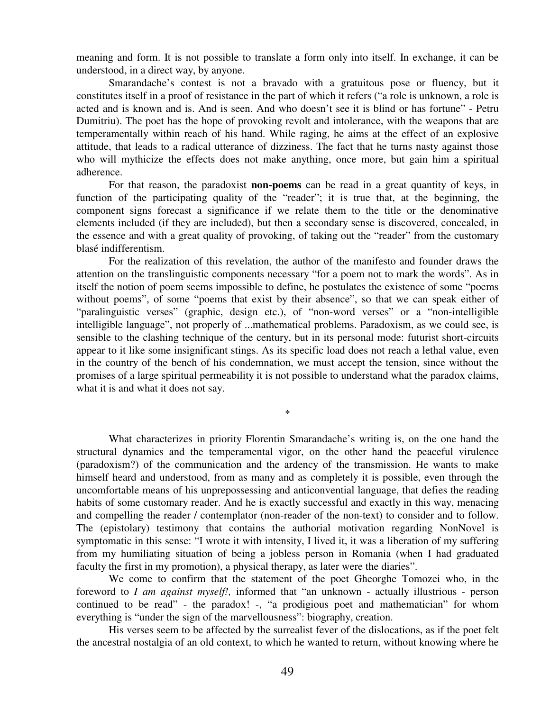meaning and form. It is not possible to translate a form only into itself. In exchange, it can be understood, in a direct way, by anyone.

 Smarandache's contest is not a bravado with a gratuitous pose or fluency, but it constitutes itself in a proof of resistance in the part of which it refers ("a role is unknown, a role is acted and is known and is. And is seen. And who doesn't see it is blind or has fortune" - Petru Dumitriu). The poet has the hope of provoking revolt and intolerance, with the weapons that are temperamentally within reach of his hand. While raging, he aims at the effect of an explosive attitude, that leads to a radical utterance of dizziness. The fact that he turns nasty against those who will mythicize the effects does not make anything, once more, but gain him a spiritual adherence.

 For that reason, the paradoxist **non-poems** can be read in a great quantity of keys, in function of the participating quality of the "reader"; it is true that, at the beginning, the component signs forecast a significance if we relate them to the title or the denominative elements included (if they are included), but then a secondary sense is discovered, concealed, in the essence and with a great quality of provoking, of taking out the "reader" from the customary blasé indifferentism.

 For the realization of this revelation, the author of the manifesto and founder draws the attention on the translinguistic components necessary "for a poem not to mark the words". As in itself the notion of poem seems impossible to define, he postulates the existence of some "poems without poems", of some "poems that exist by their absence", so that we can speak either of "paralinguistic verses" (graphic, design etc.), of "non-word verses" or a "non-intelligible intelligible language", not properly of ...mathematical problems. Paradoxism, as we could see, is sensible to the clashing technique of the century, but in its personal mode: futurist short-circuits appear to it like some insignificant stings. As its specific load does not reach a lethal value, even in the country of the bench of his condemnation, we must accept the tension, since without the promises of a large spiritual permeability it is not possible to understand what the paradox claims, what it is and what it does not say.

\*

 What characterizes in priority Florentin Smarandache's writing is, on the one hand the structural dynamics and the temperamental vigor, on the other hand the peaceful virulence (paradoxism?) of the communication and the ardency of the transmission. He wants to make himself heard and understood, from as many and as completely it is possible, even through the uncomfortable means of his unprepossessing and anticonvential language, that defies the reading habits of some customary reader. And he is exactly successful and exactly in this way, menacing and compelling the reader / contemplator (non-reader of the non-text) to consider and to follow. The (epistolary) testimony that contains the authorial motivation regarding NonNovel is symptomatic in this sense: "I wrote it with intensity, I lived it, it was a liberation of my suffering from my humiliating situation of being a jobless person in Romania (when I had graduated faculty the first in my promotion), a physical therapy, as later were the diaries".

 We come to confirm that the statement of the poet Gheorghe Tomozei who, in the foreword to *I am against myself!,* informed that "an unknown - actually illustrious - person continued to be read" - the paradox! -, "a prodigious poet and mathematician" for whom everything is "under the sign of the marvellousness": biography, creation.

 His verses seem to be affected by the surrealist fever of the dislocations, as if the poet felt the ancestral nostalgia of an old context, to which he wanted to return, without knowing where he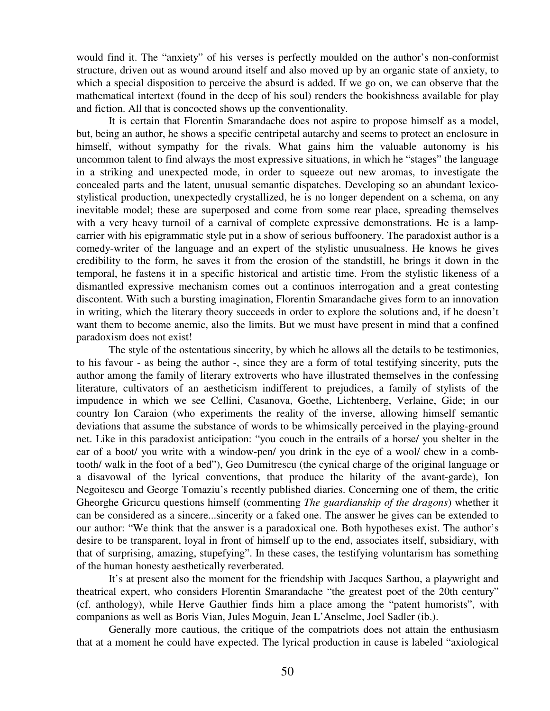would find it. The "anxiety" of his verses is perfectly moulded on the author's non-conformist structure, driven out as wound around itself and also moved up by an organic state of anxiety, to which a special disposition to perceive the absurd is added. If we go on, we can observe that the mathematical intertext (found in the deep of his soul) renders the bookishness available for play and fiction. All that is concocted shows up the conventionality.

 It is certain that Florentin Smarandache does not aspire to propose himself as a model, but, being an author, he shows a specific centripetal autarchy and seems to protect an enclosure in himself, without sympathy for the rivals. What gains him the valuable autonomy is his uncommon talent to find always the most expressive situations, in which he "stages" the language in a striking and unexpected mode, in order to squeeze out new aromas, to investigate the concealed parts and the latent, unusual semantic dispatches. Developing so an abundant lexicostylistical production, unexpectedly crystallized, he is no longer dependent on a schema, on any inevitable model; these are superposed and come from some rear place, spreading themselves with a very heavy turnoil of a carnival of complete expressive demonstrations. He is a lampcarrier with his epigrammatic style put in a show of serious buffoonery. The paradoxist author is a comedy-writer of the language and an expert of the stylistic unusualness. He knows he gives credibility to the form, he saves it from the erosion of the standstill, he brings it down in the temporal, he fastens it in a specific historical and artistic time. From the stylistic likeness of a dismantled expressive mechanism comes out a continuos interrogation and a great contesting discontent. With such a bursting imagination, Florentin Smarandache gives form to an innovation in writing, which the literary theory succeeds in order to explore the solutions and, if he doesn't want them to become anemic, also the limits. But we must have present in mind that a confined paradoxism does not exist!

 The style of the ostentatious sincerity, by which he allows all the details to be testimonies, to his favour - as being the author -, since they are a form of total testifying sincerity, puts the author among the family of literary extroverts who have illustrated themselves in the confessing literature, cultivators of an aestheticism indifferent to prejudices, a family of stylists of the impudence in which we see Cellini, Casanova, Goethe, Lichtenberg, Verlaine, Gide; in our country Ion Caraion (who experiments the reality of the inverse, allowing himself semantic deviations that assume the substance of words to be whimsically perceived in the playing-ground net. Like in this paradoxist anticipation: "you couch in the entrails of a horse/ you shelter in the ear of a boot/ you write with a window-pen/ you drink in the eye of a wool/ chew in a combtooth/ walk in the foot of a bed"), Geo Dumitrescu (the cynical charge of the original language or a disavowal of the lyrical conventions, that produce the hilarity of the avant-garde), Ion Negoitescu and George Tomaziu's recently published diaries. Concerning one of them, the critic Gheorghe Gricurcu questions himself (commenting *The guardianship of the dragons*) whether it can be considered as a sincere...sincerity or a faked one. The answer he gives can be extended to our author: "We think that the answer is a paradoxical one. Both hypotheses exist. The author's desire to be transparent, loyal in front of himself up to the end, associates itself, subsidiary, with that of surprising, amazing, stupefying". In these cases, the testifying voluntarism has something of the human honesty aesthetically reverberated.

 It's at present also the moment for the friendship with Jacques Sarthou, a playwright and theatrical expert, who considers Florentin Smarandache "the greatest poet of the 20th century" (cf. anthology), while Herve Gauthier finds him a place among the "patent humorists", with companions as well as Boris Vian, Jules Moguin, Jean L'Anselme, Joel Sadler (ib.).

 Generally more cautious, the critique of the compatriots does not attain the enthusiasm that at a moment he could have expected. The lyrical production in cause is labeled "axiological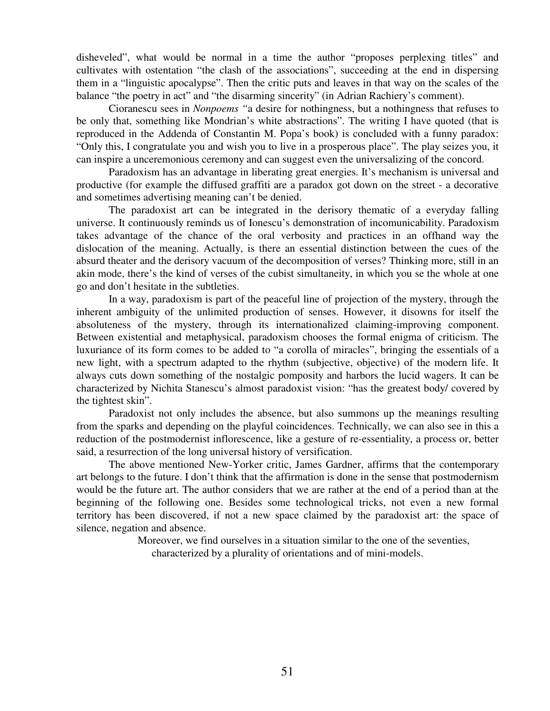disheveled", what would be normal in a time the author "proposes perplexing titles" and cultivates with ostentation "the clash of the associations", succeeding at the end in dispersing them in a "linguistic apocalypse". Then the critic puts and leaves in that way on the scales of the balance "the poetry in act" and "the disarming sincerity" (in Adrian Rachiery's comment).

 Cioranescu sees in *Nonpoems "*a desire for nothingness, but a nothingness that refuses to be only that, something like Mondrian's white abstractions". The writing I have quoted (that is reproduced in the Addenda of Constantin M. Popa's book) is concluded with a funny paradox: "Only this, I congratulate you and wish you to live in a prosperous place". The play seizes you, it can inspire a unceremonious ceremony and can suggest even the universalizing of the concord.

 Paradoxism has an advantage in liberating great energies. It's mechanism is universal and productive (for example the diffused graffiti are a paradox got down on the street - a decorative and sometimes advertising meaning can't be denied.

 The paradoxist art can be integrated in the derisory thematic of a everyday falling universe. It continuously reminds us of Ionescu's demonstration of incomunicability. Paradoxism takes advantage of the chance of the oral verbosity and practices in an offhand way the dislocation of the meaning. Actually, is there an essential distinction between the cues of the absurd theater and the derisory vacuum of the decomposition of verses? Thinking more, still in an akin mode, there's the kind of verses of the cubist simultaneity, in which you se the whole at one go and don't hesitate in the subtleties.

 In a way, paradoxism is part of the peaceful line of projection of the mystery, through the inherent ambiguity of the unlimited production of senses. However, it disowns for itself the absoluteness of the mystery, through its internationalized claiming-improving component. Between existential and metaphysical, paradoxism chooses the formal enigma of criticism. The luxuriance of its form comes to be added to "a corolla of miracles", bringing the essentials of a new light, with a spectrum adapted to the rhythm (subjective, objective) of the modern life. It always cuts down something of the nostalgic pomposity and harbors the lucid wagers. It can be characterized by Nichita Stanescu's almost paradoxist vision: "has the greatest body/ covered by the tightest skin".

 Paradoxist not only includes the absence, but also summons up the meanings resulting from the sparks and depending on the playful coincidences. Technically, we can also see in this a reduction of the postmodernist inflorescence, like a gesture of re-essentiality, a process or, better said, a resurrection of the long universal history of versification.

 The above mentioned New-Yorker critic, James Gardner, affirms that the contemporary art belongs to the future. I don't think that the affirmation is done in the sense that postmodernism would be the future art. The author considers that we are rather at the end of a period than at the beginning of the following one. Besides some technological tricks, not even a new formal territory has been discovered, if not a new space claimed by the paradoxist art: the space of silence, negation and absence.

> Moreover, we find ourselves in a situation similar to the one of the seventies, characterized by a plurality of orientations and of mini-models.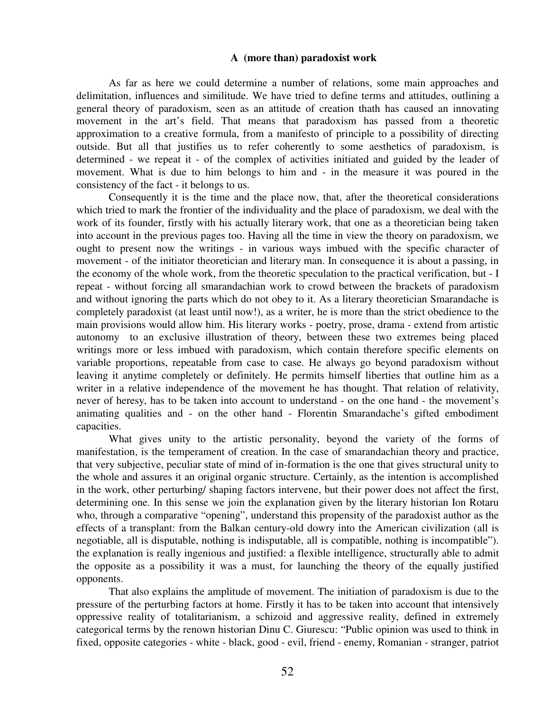#### **A (more than) paradoxist work**

 As far as here we could determine a number of relations, some main approaches and delimitation, influences and similitude. We have tried to define terms and attitudes, outlining a general theory of paradoxism, seen as an attitude of creation thath has caused an innovating movement in the art's field. That means that paradoxism has passed from a theoretic approximation to a creative formula, from a manifesto of principle to a possibility of directing outside. But all that justifies us to refer coherently to some aesthetics of paradoxism, is determined - we repeat it - of the complex of activities initiated and guided by the leader of movement. What is due to him belongs to him and - in the measure it was poured in the consistency of the fact - it belongs to us.

 Consequently it is the time and the place now, that, after the theoretical considerations which tried to mark the frontier of the individuality and the place of paradoxism, we deal with the work of its founder, firstly with his actually literary work, that one as a theoretician being taken into account in the previous pages too. Having all the time in view the theory on paradoxism, we ought to present now the writings - in various ways imbued with the specific character of movement - of the initiator theoretician and literary man. In consequence it is about a passing, in the economy of the whole work, from the theoretic speculation to the practical verification, but - I repeat - without forcing all smarandachian work to crowd between the brackets of paradoxism and without ignoring the parts which do not obey to it. As a literary theoretician Smarandache is completely paradoxist (at least until now!), as a writer, he is more than the strict obedience to the main provisions would allow him. His literary works - poetry, prose, drama - extend from artistic autonomy to an exclusive illustration of theory, between these two extremes being placed writings more or less imbued with paradoxism, which contain therefore specific elements on variable proportions, repeatable from case to case. He always go beyond paradoxism without leaving it anytime completely or definitely. He permits himself liberties that outline him as a writer in a relative independence of the movement he has thought. That relation of relativity, never of heresy, has to be taken into account to understand - on the one hand - the movement's animating qualities and - on the other hand - Florentin Smarandache's gifted embodiment capacities.

 What gives unity to the artistic personality, beyond the variety of the forms of manifestation, is the temperament of creation. In the case of smarandachian theory and practice, that very subjective, peculiar state of mind of in-formation is the one that gives structural unity to the whole and assures it an original organic structure. Certainly, as the intention is accomplished in the work, other perturbing/ shaping factors intervene, but their power does not affect the first, determining one. In this sense we join the explanation given by the literary historian Ion Rotaru who, through a comparative "opening", understand this propensity of the paradoxist author as the effects of a transplant: from the Balkan century-old dowry into the American civilization (all is negotiable, all is disputable, nothing is indisputable, all is compatible, nothing is incompatible"). the explanation is really ingenious and justified: a flexible intelligence, structurally able to admit the opposite as a possibility it was a must, for launching the theory of the equally justified opponents.

 That also explains the amplitude of movement. The initiation of paradoxism is due to the pressure of the perturbing factors at home. Firstly it has to be taken into account that intensively oppressive reality of totalitarianism, a schizoid and aggressive reality, defined in extremely categorical terms by the renown historian Dinu C. Giurescu: "Public opinion was used to think in fixed, opposite categories - white - black, good - evil, friend - enemy, Romanian - stranger, patriot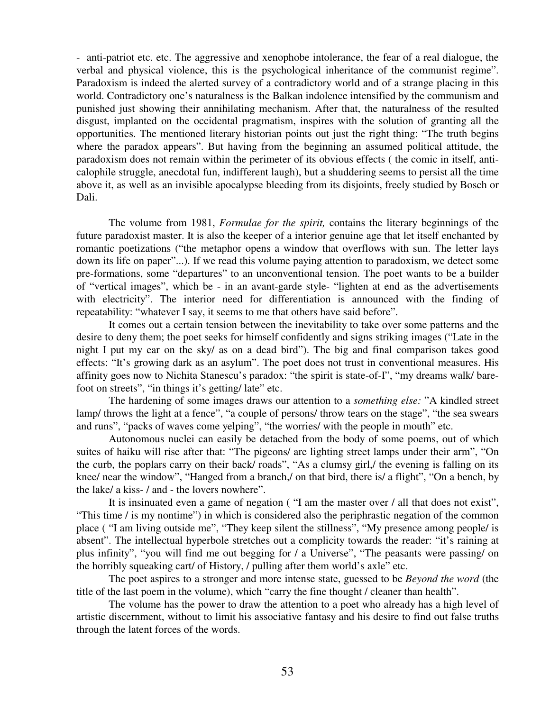- anti-patriot etc. etc. The aggressive and xenophobe intolerance, the fear of a real dialogue, the verbal and physical violence, this is the psychological inheritance of the communist regime". Paradoxism is indeed the alerted survey of a contradictory world and of a strange placing in this world. Contradictory one's naturalness is the Balkan indolence intensified by the communism and punished just showing their annihilating mechanism. After that, the naturalness of the resulted disgust, implanted on the occidental pragmatism, inspires with the solution of granting all the opportunities. The mentioned literary historian points out just the right thing: "The truth begins where the paradox appears". But having from the beginning an assumed political attitude, the paradoxism does not remain within the perimeter of its obvious effects ( the comic in itself, anticalophile struggle, anecdotal fun, indifferent laugh), but a shuddering seems to persist all the time above it, as well as an invisible apocalypse bleeding from its disjoints, freely studied by Bosch or Dali.

 The volume from 1981, *Formulae for the spirit,* contains the literary beginnings of the future paradoxist master. It is also the keeper of a interior genuine age that let itself enchanted by romantic poetizations ("the metaphor opens a window that overflows with sun. The letter lays down its life on paper"...). If we read this volume paying attention to paradoxism, we detect some pre-formations, some "departures" to an unconventional tension. The poet wants to be a builder of "vertical images", which be - in an avant-garde style- "lighten at end as the advertisements with electricity". The interior need for differentiation is announced with the finding of repeatability: "whatever I say, it seems to me that others have said before".

 It comes out a certain tension between the inevitability to take over some patterns and the desire to deny them; the poet seeks for himself confidently and signs striking images ("Late in the night I put my ear on the sky/ as on a dead bird"). The big and final comparison takes good effects: "It's growing dark as an asylum". The poet does not trust in conventional measures. His affinity goes now to Nichita Stanescu's paradox: "the spirit is state-of-I", "my dreams walk/ barefoot on streets", "in things it's getting/ late" etc.

 The hardening of some images draws our attention to a *something else:* "A kindled street lamp/ throws the light at a fence", "a couple of persons/ throw tears on the stage", "the sea swears and runs", "packs of waves come yelping", "the worries/ with the people in mouth" etc.

 Autonomous nuclei can easily be detached from the body of some poems, out of which suites of haiku will rise after that: "The pigeons/ are lighting street lamps under their arm", "On the curb, the poplars carry on their back/ roads", "As a clumsy girl,/ the evening is falling on its knee/ near the window", "Hanged from a branch,/ on that bird, there is/ a flight", "On a bench, by the lake/ a kiss- / and - the lovers nowhere".

 It is insinuated even a game of negation ( "I am the master over / all that does not exist", "This time / is my nontime") in which is considered also the periphrastic negation of the common place ( "I am living outside me", "They keep silent the stillness", "My presence among people/ is absent". The intellectual hyperbole stretches out a complicity towards the reader: "it's raining at plus infinity", "you will find me out begging for / a Universe", "The peasants were passing/ on the horribly squeaking cart/ of History, / pulling after them world's axle" etc.

 The poet aspires to a stronger and more intense state, guessed to be *Beyond the word* (the title of the last poem in the volume), which "carry the fine thought / cleaner than health".

 The volume has the power to draw the attention to a poet who already has a high level of artistic discernment, without to limit his associative fantasy and his desire to find out false truths through the latent forces of the words.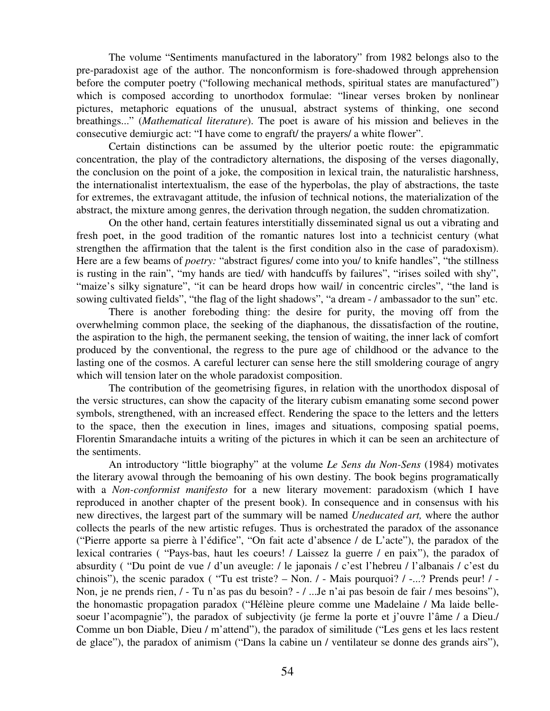The volume "Sentiments manufactured in the laboratory" from 1982 belongs also to the pre-paradoxist age of the author. The nonconformism is fore-shadowed through apprehension before the computer poetry ("following mechanical methods, spiritual states are manufactured") which is composed according to unorthodox formulae: "linear verses broken by nonlinear pictures, metaphoric equations of the unusual, abstract systems of thinking, one second breathings..." (*Mathematical literature*). The poet is aware of his mission and believes in the consecutive demiurgic act: "I have come to engraft/ the prayers/ a white flower".

 Certain distinctions can be assumed by the ulterior poetic route: the epigrammatic concentration, the play of the contradictory alternations, the disposing of the verses diagonally, the conclusion on the point of a joke, the composition in lexical train, the naturalistic harshness, the internationalist intertextualism, the ease of the hyperbolas, the play of abstractions, the taste for extremes, the extravagant attitude, the infusion of technical notions, the materialization of the abstract, the mixture among genres, the derivation through negation, the sudden chromatization.

 On the other hand, certain features interstitially disseminated signal us out a vibrating and fresh poet, in the good tradition of the romantic natures lost into a technicist century (what strengthen the affirmation that the talent is the first condition also in the case of paradoxism). Here are a few beams of *poetry*: "abstract figures/ come into you/ to knife handles", "the stillness is rusting in the rain", "my hands are tied/ with handcuffs by failures", "irises soiled with shy", "maize's silky signature", "it can be heard drops how wail/ in concentric circles", "the land is sowing cultivated fields", "the flag of the light shadows", "a dream - / ambassador to the sun" etc.

 There is another foreboding thing: the desire for purity, the moving off from the overwhelming common place, the seeking of the diaphanous, the dissatisfaction of the routine, the aspiration to the high, the permanent seeking, the tension of waiting, the inner lack of comfort produced by the conventional, the regress to the pure age of childhood or the advance to the lasting one of the cosmos. A careful lecturer can sense here the still smoldering courage of angry which will tension later on the whole paradoxist composition.

 The contribution of the geometrising figures, in relation with the unorthodox disposal of the versic structures, can show the capacity of the literary cubism emanating some second power symbols, strengthened, with an increased effect. Rendering the space to the letters and the letters to the space, then the execution in lines, images and situations, composing spatial poems, Florentin Smarandache intuits a writing of the pictures in which it can be seen an architecture of the sentiments.

 An introductory "little biography" at the volume *Le Sens du Non-Sens* (1984) motivates the literary avowal through the bemoaning of his own destiny. The book begins programatically with a *Non-conformist manifesto* for a new literary movement: paradoxism (which I have reproduced in another chapter of the present book). In consequence and in consensus with his new directives, the largest part of the summary will be named *Uneducated art,* where the author collects the pearls of the new artistic refuges. Thus is orchestrated the paradox of the assonance ("Pierre apporte sa pierre à l'édifice", "On fait acte d'absence / de L'acte"), the paradox of the lexical contraries ( "Pays-bas, haut les coeurs! / Laissez la guerre / en paix"), the paradox of absurdity ( "Du point de vue / d'un aveugle: / le japonais / c'est l'hebreu / l'albanais / c'est du chinois"), the scenic paradox ( "Tu est triste? – Non. / - Mais pourquoi? / -...? Prends peur! / - Non, je ne prends rien, / - Tu n'as pas du besoin? - / ...Je n'ai pas besoin de fair / mes besoins"), the honomastic propagation paradox ("Hélèine pleure comme une Madelaine / Ma laide bellesoeur l'acompagnie"), the paradox of subjectivity (je ferme la porte et j'ouvre l'âme / a Dieu./ Comme un bon Diable, Dieu / m'attend"), the paradox of similitude ("Les gens et les lacs restent de glace"), the paradox of animism ("Dans la cabine un / ventilateur se donne des grands airs"),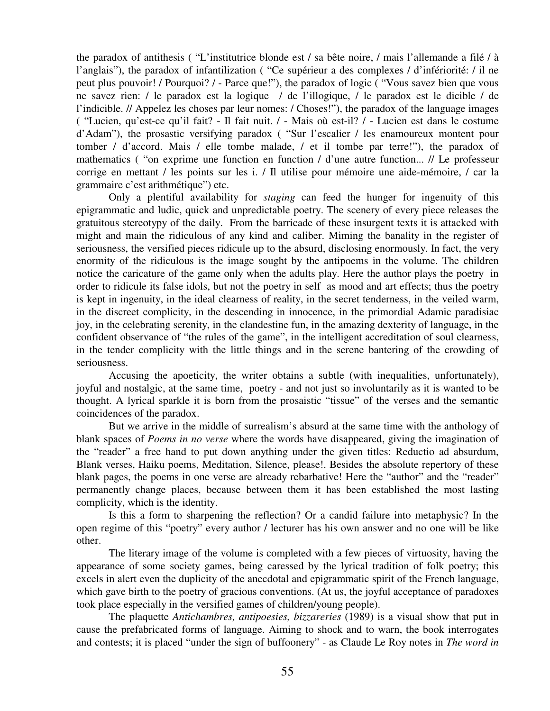the paradox of antithesis ( "L'institutrice blonde est / sa bête noire, / mais l'allemande a filé / à l'anglais"), the paradox of infantilization ( "Ce supérieur a des complexes / d'infériorité: / il ne peut plus pouvoir! / Pourquoi? / - Parce que!"), the paradox of logic ( "Vous savez bien que vous ne savez rien: / le paradox est la logique / de l'illogique, / le paradox est le dicible / de l'indicible. // Appelez les choses par leur nomes: / Choses!"), the paradox of the language images ( "Lucien, qu'est-ce qu'il fait? - Il fait nuit. / - Mais où est-il? / - Lucien est dans le costume d'Adam"), the prosastic versifying paradox ( "Sur l'escalier / les enamoureux montent pour tomber / d'accord. Mais / elle tombe malade, / et il tombe par terre!"), the paradox of mathematics ( "on exprime une function en function / d'une autre function... // Le professeur corrige en mettant / les points sur les i. / Il utilise pour mémoire une aide-mémoire, / car la grammaire c'est arithmétique") etc.

 Only a plentiful availability for *staging* can feed the hunger for ingenuity of this epigrammatic and ludic, quick and unpredictable poetry. The scenery of every piece releases the gratuitous stereotypy of the daily. From the barricade of these insurgent texts it is attacked with might and main the ridiculous of any kind and caliber. Miming the banality in the register of seriousness, the versified pieces ridicule up to the absurd, disclosing enormously. In fact, the very enormity of the ridiculous is the image sought by the antipoems in the volume. The children notice the caricature of the game only when the adults play. Here the author plays the poetry in order to ridicule its false idols, but not the poetry in self as mood and art effects; thus the poetry is kept in ingenuity, in the ideal clearness of reality, in the secret tenderness, in the veiled warm, in the discreet complicity, in the descending in innocence, in the primordial Adamic paradisiac joy, in the celebrating serenity, in the clandestine fun, in the amazing dexterity of language, in the confident observance of "the rules of the game", in the intelligent accreditation of soul clearness, in the tender complicity with the little things and in the serene bantering of the crowding of seriousness.

 Accusing the apoeticity, the writer obtains a subtle (with inequalities, unfortunately), joyful and nostalgic, at the same time, poetry - and not just so involuntarily as it is wanted to be thought. A lyrical sparkle it is born from the prosaistic "tissue" of the verses and the semantic coincidences of the paradox.

 But we arrive in the middle of surrealism's absurd at the same time with the anthology of blank spaces of *Poems in no verse* where the words have disappeared, giving the imagination of the "reader" a free hand to put down anything under the given titles: Reductio ad absurdum, Blank verses, Haiku poems, Meditation, Silence, please!. Besides the absolute repertory of these blank pages, the poems in one verse are already rebarbative! Here the "author" and the "reader" permanently change places, because between them it has been established the most lasting complicity, which is the identity.

 Is this a form to sharpening the reflection? Or a candid failure into metaphysic? In the open regime of this "poetry" every author / lecturer has his own answer and no one will be like other.

 The literary image of the volume is completed with a few pieces of virtuosity, having the appearance of some society games, being caressed by the lyrical tradition of folk poetry; this excels in alert even the duplicity of the anecdotal and epigrammatic spirit of the French language, which gave birth to the poetry of gracious conventions. (At us, the joyful acceptance of paradoxes took place especially in the versified games of children/young people).

 The plaquette *Antichambres, antipoesies, bizzareries* (1989) is a visual show that put in cause the prefabricated forms of language. Aiming to shock and to warn, the book interrogates and contests; it is placed "under the sign of buffoonery" - as Claude Le Roy notes in *The word in*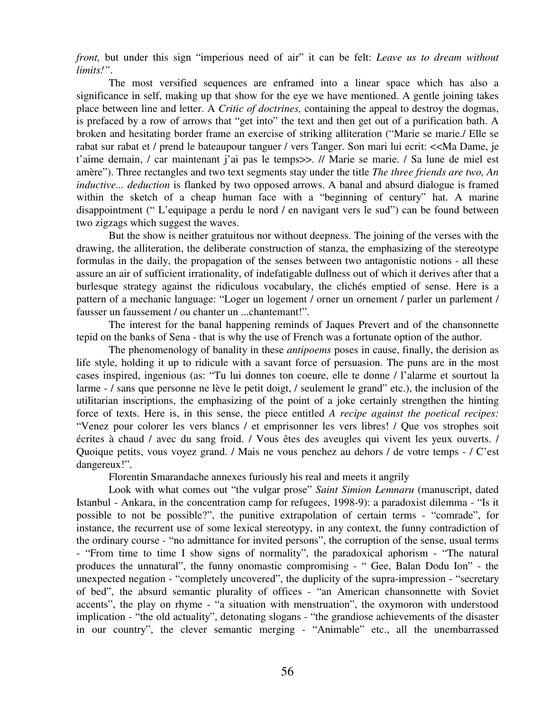*front,* but under this sign "imperious need of air" it can be felt: *Leave us to dream without limits!"*.

 The most versified sequences are enframed into a linear space which has also a significance in self, making up that show for the eye we have mentioned. A gentle joining takes place between line and letter. A *Critic of doctrines,* containing the appeal to destroy the dogmas, is prefaced by a row of arrows that "get into" the text and then get out of a purification bath. A broken and hesitating border frame an exercise of striking alliteration ("Marie se marie./ Elle se rabat sur rabat et / prend le bateaupour tanguer / vers Tanger. Son mari lui ecrit: <<Ma Dame, je t'aime demain, / car maintenant j'ai pas le temps>>. // Marie se marie. / Sa lune de miel est amère"). Three rectangles and two text segments stay under the title *The three friends are two, An inductive... deduction* is flanked by two opposed arrows. A banal and absurd dialogue is framed within the sketch of a cheap human face with a "beginning of century" hat. A marine disappointment (" L'equipage a perdu le nord / en navigant vers le sud") can be found between two zigzags which suggest the waves.

 But the show is neither gratuitous nor without deepness. The joining of the verses with the drawing, the alliteration, the deliberate construction of stanza, the emphasizing of the stereotype formulas in the daily, the propagation of the senses between two antagonistic notions - all these assure an air of sufficient irrationality, of indefatigable dullness out of which it derives after that a burlesque strategy against the ridiculous vocabulary, the clichés emptied of sense. Here is a pattern of a mechanic language: "Loger un logement / orner un ornement / parler un parlement / fausser un faussement / ou chanter un ...chantemant!".

 The interest for the banal happening reminds of Jaques Prevert and of the chansonnette tepid on the banks of Sena - that is why the use of French was a fortunate option of the author.

 The phenomenology of banality in these *antipoems* poses in cause, finally, the derision as life style, holding it up to ridicule with a savant force of persuasion. The puns are in the most cases inspired, ingenious (as: "Tu lui donnes ton coeure, elle te donne / l'alarme et sourtout la larme - / sans que personne ne lève le petit doigt, / seulement le grand" etc.), the inclusion of the utilitarian inscriptions, the emphasizing of the point of a joke certainly strengthen the hinting force of texts. Here is, in this sense, the piece entitled *A recipe against the poetical recipes:* "Venez pour colorer les vers blancs / et emprisonner les vers libres! / Que vos strophes soit écrites à chaud / avec du sang froid. / Vous êtes des aveugles qui vivent les yeux ouverts. / Quoique petits, vous voyez grand. / Mais ne vous penchez au dehors / de votre temps - / C'est dangereux!".

Florentin Smarandache annexes furiously his real and meets it angrily

 Look with what comes out "the vulgar prose" *Saint Simion Lemnaru* (manuscript, dated Istanbul - Ankara, in the concentration camp for refugees, 1998-9): a paradoxist dilemma - "Is it possible to not be possible?", the punitive extrapolation of certain terms - "comrade", for instance, the recurrent use of some lexical stereotypy, in any context, the funny contradiction of the ordinary course - "no admittance for invited persons", the corruption of the sense, usual terms - "From time to time I show signs of normality", the paradoxical aphorism - "The natural produces the unnatural", the funny onomastic compromising - " Gee, Balan Dodu Ion" - the unexpected negation - "completely uncovered", the duplicity of the supra-impression - "secretary of bed", the absurd semantic plurality of offices - "an American chansonnette with Soviet accents", the play on rhyme - "a situation with menstruation", the oxymoron with understood implication - "the old actuality", detonating slogans - "the grandiose achievements of the disaster in our country", the clever semantic merging - "Animable" etc., all the unembarrassed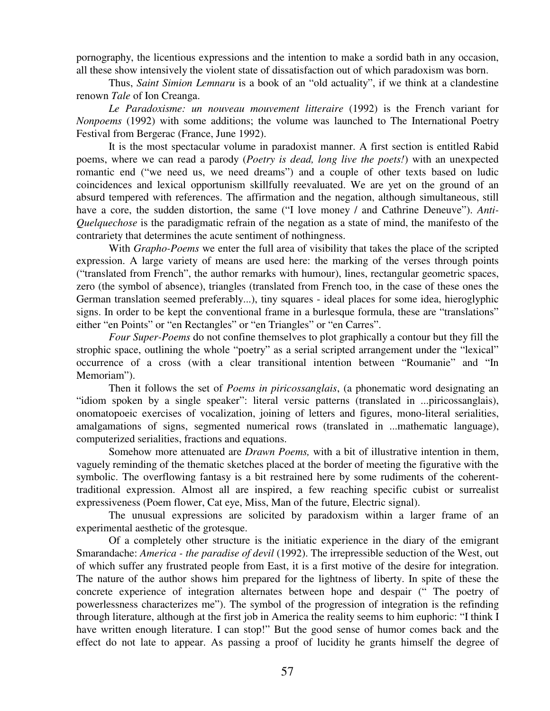pornography, the licentious expressions and the intention to make a sordid bath in any occasion, all these show intensively the violent state of dissatisfaction out of which paradoxism was born.

 Thus, *Saint Simion Lemnaru* is a book of an "old actuality", if we think at a clandestine renown *Tale* of Ion Creanga.

*Le Paradoxisme: un nouveau mouvement litteraire* (1992) is the French variant for *Nonpoems* (1992) with some additions; the volume was launched to The International Poetry Festival from Bergerac (France, June 1992).

 It is the most spectacular volume in paradoxist manner. A first section is entitled Rabid poems, where we can read a parody (*Poetry is dead, long live the poets!*) with an unexpected romantic end ("we need us, we need dreams") and a couple of other texts based on ludic coincidences and lexical opportunism skillfully reevaluated. We are yet on the ground of an absurd tempered with references. The affirmation and the negation, although simultaneous, still have a core, the sudden distortion, the same ("I love money / and Cathrine Deneuve"). *Anti-Quelquechose* is the paradigmatic refrain of the negation as a state of mind, the manifesto of the contrariety that determines the acute sentiment of nothingness.

 With *Grapho-Poems* we enter the full area of visibility that takes the place of the scripted expression. A large variety of means are used here: the marking of the verses through points ("translated from French", the author remarks with humour), lines, rectangular geometric spaces, zero (the symbol of absence), triangles (translated from French too, in the case of these ones the German translation seemed preferably...), tiny squares - ideal places for some idea, hieroglyphic signs. In order to be kept the conventional frame in a burlesque formula, these are "translations" either "en Points" or "en Rectangles" or "en Triangles" or "en Carres".

*Four Super-Poems* do not confine themselves to plot graphically a contour but they fill the strophic space, outlining the whole "poetry" as a serial scripted arrangement under the "lexical" occurrence of a cross (with a clear transitional intention between "Roumanie" and "In Memoriam").

 Then it follows the set of *Poems in piricossanglais*, (a phonematic word designating an "idiom spoken by a single speaker": literal versic patterns (translated in ...piricossanglais), onomatopoeic exercises of vocalization, joining of letters and figures, mono-literal serialities, amalgamations of signs, segmented numerical rows (translated in ...mathematic language), computerized serialities, fractions and equations.

 Somehow more attenuated are *Drawn Poems,* with a bit of illustrative intention in them, vaguely reminding of the thematic sketches placed at the border of meeting the figurative with the symbolic. The overflowing fantasy is a bit restrained here by some rudiments of the coherenttraditional expression. Almost all are inspired, a few reaching specific cubist or surrealist expressiveness (Poem flower, Cat eye, Miss, Man of the future, Electric signal).

 The unusual expressions are solicited by paradoxism within a larger frame of an experimental aesthetic of the grotesque.

 Of a completely other structure is the initiatic experience in the diary of the emigrant Smarandache: *America - the paradise of devil* (1992). The irrepressible seduction of the West, out of which suffer any frustrated people from East, it is a first motive of the desire for integration. The nature of the author shows him prepared for the lightness of liberty. In spite of these the concrete experience of integration alternates between hope and despair (" The poetry of powerlessness characterizes me"). The symbol of the progression of integration is the refinding through literature, although at the first job in America the reality seems to him euphoric: "I think I have written enough literature. I can stop!" But the good sense of humor comes back and the effect do not late to appear. As passing a proof of lucidity he grants himself the degree of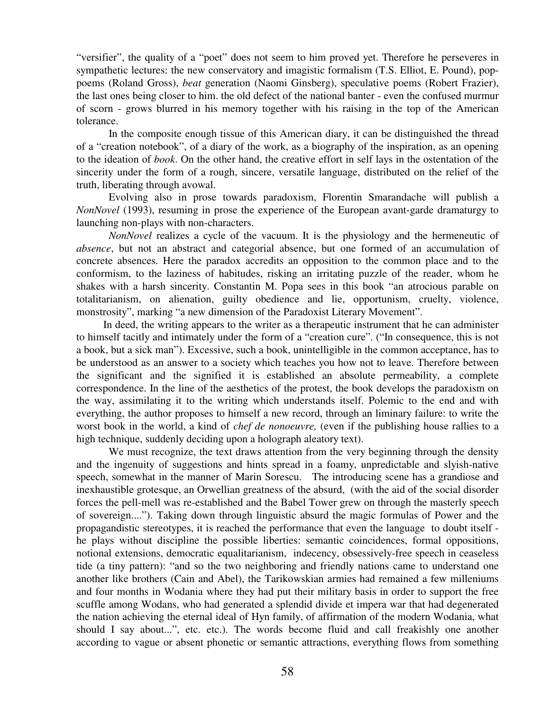"versifier", the quality of a "poet" does not seem to him proved yet. Therefore he perseveres in sympathetic lectures: the new conservatory and imagistic formalism (T.S. Elliot, E. Pound), poppoems (Roland Gross), *beat* generation (Naomi Ginsberg), speculative poems (Robert Frazier), the last ones being closer to him. the old defect of the national banter - even the confused murmur of scorn - grows blurred in his memory together with his raising in the top of the American tolerance.

 In the composite enough tissue of this American diary, it can be distinguished the thread of a "creation notebook", of a diary of the work, as a biography of the inspiration, as an opening to the ideation of *book*. On the other hand, the creative effort in self lays in the ostentation of the sincerity under the form of a rough, sincere, versatile language, distributed on the relief of the truth, liberating through avowal.

 Evolving also in prose towards paradoxism, Florentin Smarandache will publish a *NonNovel* (1993), resuming in prose the experience of the European avant-garde dramaturgy to launching non-plays with non-characters.

*NonNovel* realizes a cycle of the vacuum. It is the physiology and the hermeneutic of *absence*, but not an abstract and categorial absence, but one formed of an accumulation of concrete absences. Here the paradox accredits an opposition to the common place and to the conformism, to the laziness of habitudes, risking an irritating puzzle of the reader, whom he shakes with a harsh sincerity. Constantin M. Popa sees in this book "an atrocious parable on totalitarianism, on alienation, guilty obedience and lie, opportunism, cruelty, violence, monstrosity", marking "a new dimension of the Paradoxist Literary Movement".

 In deed, the writing appears to the writer as a therapeutic instrument that he can administer to himself tacitly and intimately under the form of a "creation cure". ("In consequence, this is not a book, but a sick man"). Excessive, such a book, unintelligible in the common acceptance, has to be understood as an answer to a society which teaches you how not to leave. Therefore between the significant and the signified it is established an absolute permeability, a complete correspondence. In the line of the aesthetics of the protest, the book develops the paradoxism on the way, assimilating it to the writing which understands itself. Polemic to the end and with everything, the author proposes to himself a new record, through an liminary failure: to write the worst book in the world, a kind of *chef de nonoeuvre,* (even if the publishing house rallies to a high technique, suddenly deciding upon a holograph aleatory text).

We must recognize, the text draws attention from the very beginning through the density and the ingenuity of suggestions and hints spread in a foamy, unpredictable and slyish-native speech, somewhat in the manner of Marin Sorescu. The introducing scene has a grandiose and inexhaustible grotesque, an Orwellian greatness of the absurd, (with the aid of the social disorder forces the pell-mell was re-established and the Babel Tower grew on through the masterly speech of sovereign...."). Taking down through linguistic absurd the magic formulas of Power and the propagandistic stereotypes, it is reached the performance that even the language to doubt itself he plays without discipline the possible liberties: semantic coincidences, formal oppositions, notional extensions, democratic equalitarianism, indecency, obsessively-free speech in ceaseless tide (a tiny pattern): "and so the two neighboring and friendly nations came to understand one another like brothers (Cain and Abel), the Tarikowskian armies had remained a few milleniums and four months in Wodania where they had put their military basis in order to support the free scuffle among Wodans, who had generated a splendid divide et impera war that had degenerated the nation achieving the eternal ideal of Hyn family, of affirmation of the modern Wodania, what should I say about...", etc. etc.). The words become fluid and call freakishly one another according to vague or absent phonetic or semantic attractions, everything flows from something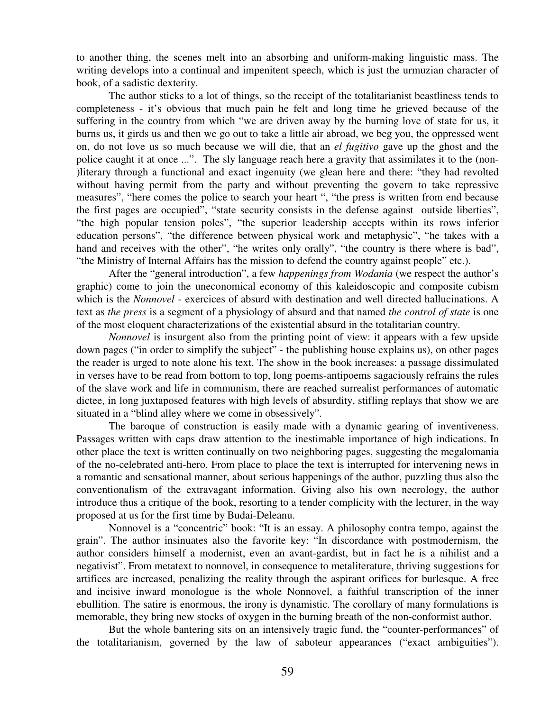to another thing, the scenes melt into an absorbing and uniform-making linguistic mass. The writing develops into a continual and impenitent speech, which is just the urmuzian character of book, of a sadistic dexterity.

 The author sticks to a lot of things, so the receipt of the totalitarianist beastliness tends to completeness - it's obvious that much pain he felt and long time he grieved because of the suffering in the country from which "we are driven away by the burning love of state for us, it burns us, it girds us and then we go out to take a little air abroad, we beg you, the oppressed went on, do not love us so much because we will die, that an *el fugitivo* gave up the ghost and the police caught it at once ...". The sly language reach here a gravity that assimilates it to the (non- )literary through a functional and exact ingenuity (we glean here and there: "they had revolted without having permit from the party and without preventing the govern to take repressive measures", "here comes the police to search your heart ", "the press is written from end because the first pages are occupied", "state security consists in the defense against outside liberties", "the high popular tension poles", "the superior leadership accepts within its rows inferior education persons", "the difference between physical work and metaphysic", "he takes with a hand and receives with the other", "he writes only orally", "the country is there where is bad", "the Ministry of Internal Affairs has the mission to defend the country against people" etc.).

 After the "general introduction", a few *happenings from Wodania* (we respect the author's graphic) come to join the uneconomical economy of this kaleidoscopic and composite cubism which is the *Nonnovel* - exercices of absurd with destination and well directed hallucinations. A text as *the press* is a segment of a physiology of absurd and that named *the control of state* is one of the most eloquent characterizations of the existential absurd in the totalitarian country.

*Nonnovel* is insurgent also from the printing point of view: it appears with a few upside down pages ("in order to simplify the subject" - the publishing house explains us), on other pages the reader is urged to note alone his text. The show in the book increases: a passage dissimulated in verses have to be read from bottom to top, long poems-antipoems sagaciously refrains the rules of the slave work and life in communism, there are reached surrealist performances of automatic dictee, in long juxtaposed features with high levels of absurdity, stifling replays that show we are situated in a "blind alley where we come in obsessively".

 The baroque of construction is easily made with a dynamic gearing of inventiveness. Passages written with caps draw attention to the inestimable importance of high indications. In other place the text is written continually on two neighboring pages, suggesting the megalomania of the no-celebrated anti-hero. From place to place the text is interrupted for intervening news in a romantic and sensational manner, about serious happenings of the author, puzzling thus also the conventionalism of the extravagant information. Giving also his own necrology, the author introduce thus a critique of the book, resorting to a tender complicity with the lecturer, in the way proposed at us for the first time by Budai-Deleanu.

 Nonnovel is a "concentric" book: "It is an essay. A philosophy contra tempo, against the grain". The author insinuates also the favorite key: "In discordance with postmodernism, the author considers himself a modernist, even an avant-gardist, but in fact he is a nihilist and a negativist". From metatext to nonnovel, in consequence to metaliterature, thriving suggestions for artifices are increased, penalizing the reality through the aspirant orifices for burlesque. A free and incisive inward monologue is the whole Nonnovel, a faithful transcription of the inner ebullition. The satire is enormous, the irony is dynamistic. The corollary of many formulations is memorable, they bring new stocks of oxygen in the burning breath of the non-conformist author.

 But the whole bantering sits on an intensively tragic fund, the "counter-performances" of the totalitarianism, governed by the law of saboteur appearances ("exact ambiguities").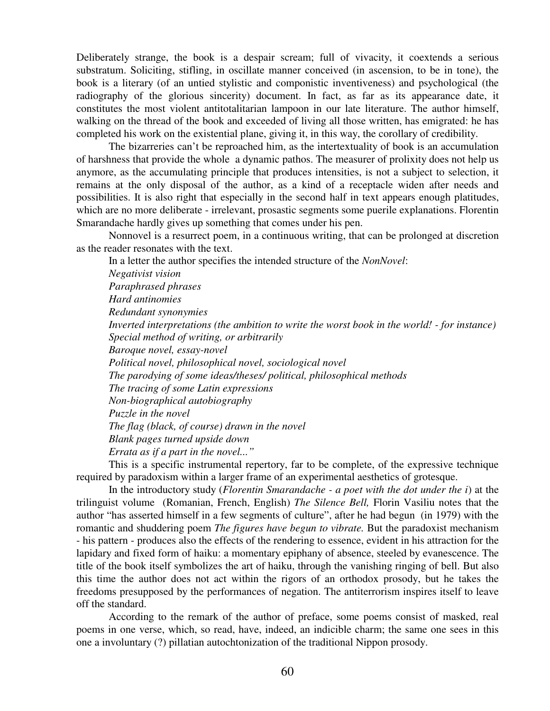Deliberately strange, the book is a despair scream; full of vivacity, it coextends a serious substratum. Soliciting, stifling, in oscillate manner conceived (in ascension, to be in tone), the book is a literary (of an untied stylistic and componistic inventiveness) and psychological (the radiography of the glorious sincerity) document. In fact, as far as its appearance date, it constitutes the most violent antitotalitarian lampoon in our late literature. The author himself, walking on the thread of the book and exceeded of living all those written, has emigrated: he has completed his work on the existential plane, giving it, in this way, the corollary of credibility.

 The bizarreries can't be reproached him, as the intertextuality of book is an accumulation of harshness that provide the whole a dynamic pathos. The measurer of prolixity does not help us anymore, as the accumulating principle that produces intensities, is not a subject to selection, it remains at the only disposal of the author, as a kind of a receptacle widen after needs and possibilities. It is also right that especially in the second half in text appears enough platitudes, which are no more deliberate - irrelevant, prosastic segments some puerile explanations. Florentin Smarandache hardly gives up something that comes under his pen.

 Nonnovel is a resurrect poem, in a continuous writing, that can be prolonged at discretion as the reader resonates with the text.

 In a letter the author specifies the intended structure of the *NonNovel*:  *Negativist vision Paraphrased phrases Hard antinomies Redundant synonymies Inverted interpretations (the ambition to write the worst book in the world! - for instance) Special method of writing, or arbitrarily Baroque novel, essay-novel Political novel, philosophical novel, sociological novel The parodying of some ideas/theses/ political, philosophical methods The tracing of some Latin expressions Non-biographical autobiography Puzzle in the novel The flag (black, of course) drawn in the novel Blank pages turned upside down Errata as if a part in the novel..."*

 This is a specific instrumental repertory, far to be complete, of the expressive technique required by paradoxism within a larger frame of an experimental aesthetics of grotesque.

 In the introductory study (*Florentin Smarandache - a poet with the dot under the i*) at the trilinguist volume (Romanian, French, English) *The Silence Bell,* Florin Vasiliu notes that the author "has asserted himself in a few segments of culture", after he had begun (in 1979) with the romantic and shuddering poem *The figures have begun to vibrate.* But the paradoxist mechanism - his pattern - produces also the effects of the rendering to essence, evident in his attraction for the lapidary and fixed form of haiku: a momentary epiphany of absence, steeled by evanescence. The title of the book itself symbolizes the art of haiku, through the vanishing ringing of bell. But also this time the author does not act within the rigors of an orthodox prosody, but he takes the freedoms presupposed by the performances of negation. The antiterrorism inspires itself to leave off the standard.

 According to the remark of the author of preface, some poems consist of masked, real poems in one verse, which, so read, have, indeed, an indicible charm; the same one sees in this one a involuntary (?) pillatian autochtonization of the traditional Nippon prosody.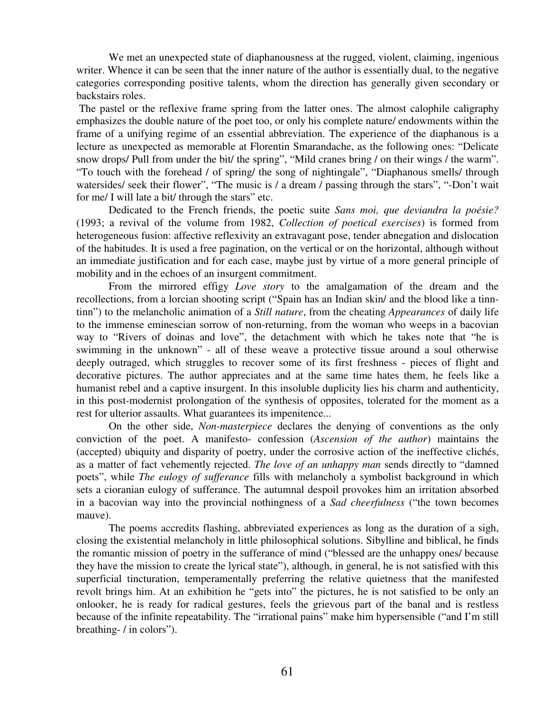We met an unexpected state of diaphanousness at the rugged, violent, claiming, ingenious writer. Whence it can be seen that the inner nature of the author is essentially dual, to the negative categories corresponding positive talents, whom the direction has generally given secondary or backstairs roles.

 The pastel or the reflexive frame spring from the latter ones. The almost calophile caligraphy emphasizes the double nature of the poet too, or only his complete nature/ endowments within the frame of a unifying regime of an essential abbreviation. The experience of the diaphanous is a lecture as unexpected as memorable at Florentin Smarandache, as the following ones: "Delicate snow drops/ Pull from under the bit/ the spring", "Mild cranes bring / on their wings / the warm". "To touch with the forehead / of spring/ the song of nightingale", "Diaphanous smells/ through watersides/ seek their flower", "The music is / a dream / passing through the stars", "-Don't wait for me/ I will late a bit/ through the stars" etc.

 Dedicated to the French friends, the poetic suite *Sans moi, que deviandra la poésie?* (1993; a revival of the volume from 1982, *Collection of poetical exercises*) is formed from heterogeneous fusion: affective reflexivity an extravagant pose, tender abnegation and dislocation of the habitudes. It is used a free pagination, on the vertical or on the horizontal, although without an immediate justification and for each case, maybe just by virtue of a more general principle of mobility and in the echoes of an insurgent commitment.

 From the mirrored effigy *Love story* to the amalgamation of the dream and the recollections, from a lorcian shooting script ("Spain has an Indian skin/ and the blood like a tinntinn") to the melancholic animation of a *Still nature*, from the cheating *Appearances* of daily life to the immense eminescian sorrow of non-returning, from the woman who weeps in a bacovian way to "Rivers of doinas and love", the detachment with which he takes note that "he is swimming in the unknown" - all of these weave a protective tissue around a soul otherwise deeply outraged, which struggles to recover some of its first freshness - pieces of flight and decorative pictures. The author appreciates and at the same time hates them, he feels like a humanist rebel and a captive insurgent. In this insoluble duplicity lies his charm and authenticity, in this post-modernist prolongation of the synthesis of opposites, tolerated for the moment as a rest for ulterior assaults. What guarantees its impenitence...

 On the other side, *Non-masterpiece* declares the denying of conventions as the only conviction of the poet. A manifesto- confession (*Ascension of the author*) maintains the (accepted) ubiquity and disparity of poetry, under the corrosive action of the ineffective clichés, as a matter of fact vehemently rejected. *The love of an unhappy man* sends directly to "damned poets", while *The eulogy of sufferance* fills with melancholy a symbolist background in which sets a cioranian eulogy of sufferance. The autumnal despoil provokes him an irritation absorbed in a bacovian way into the provincial nothingness of a *Sad cheerfulness* ("the town becomes mauve).

 The poems accredits flashing, abbreviated experiences as long as the duration of a sigh, closing the existential melancholy in little philosophical solutions. Sibylline and biblical, he finds the romantic mission of poetry in the sufferance of mind ("blessed are the unhappy ones/ because they have the mission to create the lyrical state"), although, in general, he is not satisfied with this superficial tincturation, temperamentally preferring the relative quietness that the manifested revolt brings him. At an exhibition he "gets into" the pictures, he is not satisfied to be only an onlooker, he is ready for radical gestures, feels the grievous part of the banal and is restless because of the infinite repeatability. The "irrational pains" make him hypersensible ("and I'm still breathing- / in colors").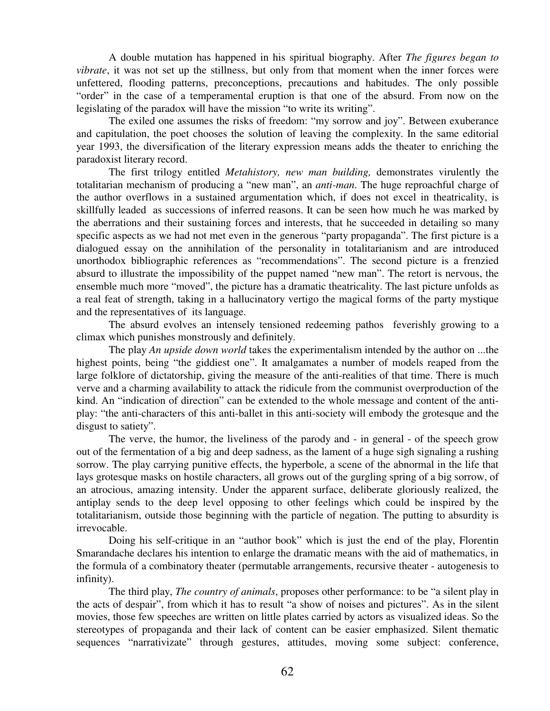A double mutation has happened in his spiritual biography. After *The figures began to vibrate*, it was not set up the stillness, but only from that moment when the inner forces were unfettered, flooding patterns, preconceptions, precautions and habitudes. The only possible "order" in the case of a temperamental eruption is that one of the absurd. From now on the legislating of the paradox will have the mission "to write its writing".

 The exiled one assumes the risks of freedom: "my sorrow and joy". Between exuberance and capitulation, the poet chooses the solution of leaving the complexity. In the same editorial year 1993, the diversification of the literary expression means adds the theater to enriching the paradoxist literary record.

 The first trilogy entitled *Metahistory, new man building,* demonstrates virulently the totalitarian mechanism of producing a "new man", an *anti-man*. The huge reproachful charge of the author overflows in a sustained argumentation which, if does not excel in theatricality, is skillfully leaded as successions of inferred reasons. It can be seen how much he was marked by the aberrations and their sustaining forces and interests, that he succeeded in detailing so many specific aspects as we had not met even in the generous "party propaganda". The first picture is a dialogued essay on the annihilation of the personality in totalitarianism and are introduced unorthodox bibliographic references as "recommendations". The second picture is a frenzied absurd to illustrate the impossibility of the puppet named "new man". The retort is nervous, the ensemble much more "moved", the picture has a dramatic theatricality. The last picture unfolds as a real feat of strength, taking in a hallucinatory vertigo the magical forms of the party mystique and the representatives of its language.

 The absurd evolves an intensely tensioned redeeming pathos feverishly growing to a climax which punishes monstrously and definitely.

 The play *An upside down world* takes the experimentalism intended by the author on ...the highest points, being "the giddiest one". It amalgamates a number of models reaped from the large folklore of dictatorship, giving the measure of the anti-realities of that time. There is much verve and a charming availability to attack the ridicule from the communist overproduction of the kind. An "indication of direction" can be extended to the whole message and content of the antiplay: "the anti-characters of this anti-ballet in this anti-society will embody the grotesque and the disgust to satiety".

 The verve, the humor, the liveliness of the parody and - in general - of the speech grow out of the fermentation of a big and deep sadness, as the lament of a huge sigh signaling a rushing sorrow. The play carrying punitive effects, the hyperbole, a scene of the abnormal in the life that lays grotesque masks on hostile characters, all grows out of the gurgling spring of a big sorrow, of an atrocious, amazing intensity. Under the apparent surface, deliberate gloriously realized, the antiplay sends to the deep level opposing to other feelings which could be inspired by the totalitarianism, outside those beginning with the particle of negation. The putting to absurdity is irrevocable.

 Doing his self-critique in an "author book" which is just the end of the play, Florentin Smarandache declares his intention to enlarge the dramatic means with the aid of mathematics, in the formula of a combinatory theater (permutable arrangements, recursive theater - autogenesis to infinity).

 The third play, *The country of animals*, proposes other performance: to be "a silent play in the acts of despair", from which it has to result "a show of noises and pictures". As in the silent movies, those few speeches are written on little plates carried by actors as visualized ideas. So the stereotypes of propaganda and their lack of content can be easier emphasized. Silent thematic sequences "narrativizate" through gestures, attitudes, moving some subject: conference,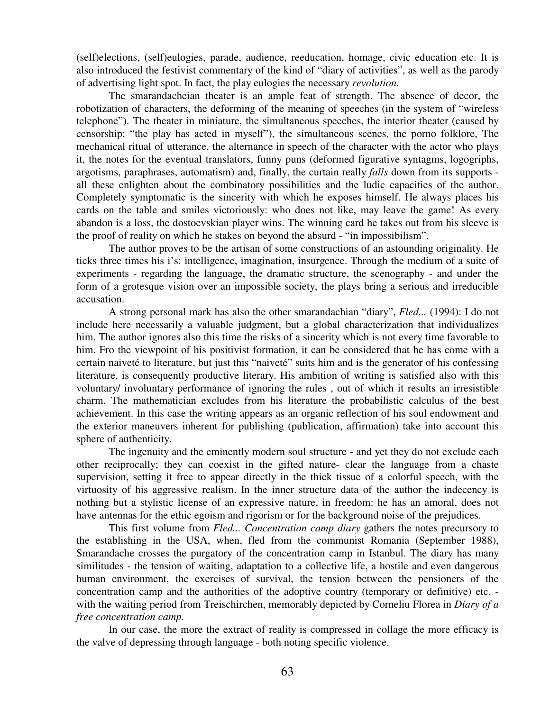(self)elections, (self)eulogies, parade, audience, reeducation, homage, civic education etc. It is also introduced the festivist commentary of the kind of "diary of activities", as well as the parody of advertising light spot. In fact, the play eulogies the necessary *revolution.*

 The smarandacheian theater is an ample feat of strength. The absence of decor, the robotization of characters, the deforming of the meaning of speeches (in the system of "wireless telephone"). The theater in miniature, the simultaneous speeches, the interior theater (caused by censorship: "the play has acted in myself"), the simultaneous scenes, the porno folklore, The mechanical ritual of utterance, the alternance in speech of the character with the actor who plays it, the notes for the eventual translators, funny puns (deformed figurative syntagms, logogriphs, argotisms, paraphrases, automatism) and, finally, the curtain really *falls* down from its supports all these enlighten about the combinatory possibilities and the ludic capacities of the author. Completely symptomatic is the sincerity with which he exposes himself. He always places his cards on the table and smiles victoriously: who does not like, may leave the game! As every abandon is a loss, the dostoevskian player wins. The winning card he takes out from his sleeve is the proof of reality on which he stakes on beyond the absurd - "in impossibilism".

 The author proves to be the artisan of some constructions of an astounding originality. He ticks three times his i's: intelligence, imagination, insurgence. Through the medium of a suite of experiments - regarding the language, the dramatic structure, the scenography - and under the form of a grotesque vision over an impossible society, the plays bring a serious and irreducible accusation.

 A strong personal mark has also the other smarandachian "diary", *Fled...* (1994): I do not include here necessarily a valuable judgment, but a global characterization that individualizes him. The author ignores also this time the risks of a sincerity which is not every time favorable to him. Fro the viewpoint of his positivist formation, it can be considered that he has come with a certain naiveté to literature, but just this "naiveté" suits him and is the generator of his confessing literature, is consequently productive literary. His ambition of writing is satisfied also with this voluntary/ involuntary performance of ignoring the rules , out of which it results an irresistible charm. The mathematician excludes from his literature the probabilistic calculus of the best achievement. In this case the writing appears as an organic reflection of his soul endowment and the exterior maneuvers inherent for publishing (publication, affirmation) take into account this sphere of authenticity.

 The ingenuity and the eminently modern soul structure - and yet they do not exclude each other reciprocally; they can coexist in the gifted nature- clear the language from a chaste supervision, setting it free to appear directly in the thick tissue of a colorful speech, with the virtuosity of his aggressive realism. In the inner structure data of the author the indecency is nothing but a stylistic license of an expressive nature, in freedom: he has an amoral, does not have antennas for the ethic egoism and rigorism or for the background noise of the prejudices.

 This first volume from *Fled... Concentration camp diary* gathers the notes precursory to the establishing in the USA, when, fled from the communist Romania (September 1988), Smarandache crosses the purgatory of the concentration camp in Istanbul. The diary has many similitudes - the tension of waiting, adaptation to a collective life, a hostile and even dangerous human environment, the exercises of survival, the tension between the pensioners of the concentration camp and the authorities of the adoptive country (temporary or definitive) etc. with the waiting period from Treischirchen, memorably depicted by Corneliu Florea in *Diary of a free concentration camp.*

 In our case, the more the extract of reality is compressed in collage the more efficacy is the valve of depressing through language - both noting specific violence.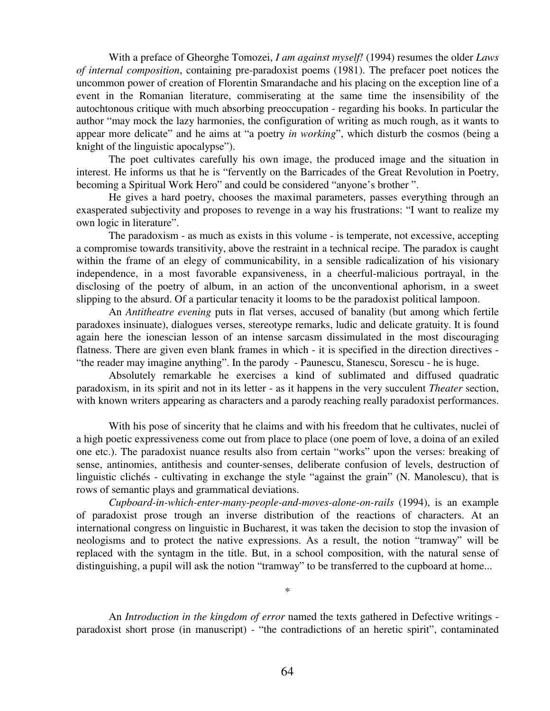With a preface of Gheorghe Tomozei, *I am against myself!* (1994) resumes the older *Laws of internal composition*, containing pre-paradoxist poems (1981). The prefacer poet notices the uncommon power of creation of Florentin Smarandache and his placing on the exception line of a event in the Romanian literature, commiserating at the same time the insensibility of the autochtonous critique with much absorbing preoccupation - regarding his books. In particular the author "may mock the lazy harmonies, the configuration of writing as much rough, as it wants to appear more delicate" and he aims at "a poetry *in working*", which disturb the cosmos (being a knight of the linguistic apocalypse").

 The poet cultivates carefully his own image, the produced image and the situation in interest. He informs us that he is "fervently on the Barricades of the Great Revolution in Poetry, becoming a Spiritual Work Hero" and could be considered "anyone's brother ".

 He gives a hard poetry, chooses the maximal parameters, passes everything through an exasperated subjectivity and proposes to revenge in a way his frustrations: "I want to realize my own logic in literature".

 The paradoxism - as much as exists in this volume - is temperate, not excessive, accepting a compromise towards transitivity, above the restraint in a technical recipe. The paradox is caught within the frame of an elegy of communicability, in a sensible radicalization of his visionary independence, in a most favorable expansiveness, in a cheerful-malicious portrayal, in the disclosing of the poetry of album, in an action of the unconventional aphorism, in a sweet slipping to the absurd. Of a particular tenacity it looms to be the paradoxist political lampoon.

 An *Antitheatre evening* puts in flat verses, accused of banality (but among which fertile paradoxes insinuate), dialogues verses, stereotype remarks, ludic and delicate gratuity. It is found again here the ionescian lesson of an intense sarcasm dissimulated in the most discouraging flatness. There are given even blank frames in which - it is specified in the direction directives - "the reader may imagine anything". In the parody - Paunescu, Stanescu, Sorescu - he is huge.

 Absolutely remarkable he exercises a kind of sublimated and diffused quadratic paradoxism, in its spirit and not in its letter - as it happens in the very succulent *Theater* section, with known writers appearing as characters and a parody reaching really paradoxist performances.

 With his pose of sincerity that he claims and with his freedom that he cultivates, nuclei of a high poetic expressiveness come out from place to place (one poem of love, a doina of an exiled one etc.). The paradoxist nuance results also from certain "works" upon the verses: breaking of sense, antinomies, antithesis and counter-senses, deliberate confusion of levels, destruction of linguistic clichés - cultivating in exchange the style "against the grain" (N. Manolescu), that is rows of semantic plays and grammatical deviations.

*Cupboard-in-which-enter-many-people-and-moves-alone-on-rails* (1994), is an example of paradoxist prose trough an inverse distribution of the reactions of characters. At an international congress on linguistic in Bucharest, it was taken the decision to stop the invasion of neologisms and to protect the native expressions. As a result, the notion "tramway" will be replaced with the syntagm in the title. But, in a school composition, with the natural sense of distinguishing, a pupil will ask the notion "tramway" to be transferred to the cupboard at home...

 An *Introduction in the kingdom of error* named the texts gathered in Defective writings paradoxist short prose (in manuscript) - "the contradictions of an heretic spirit", contaminated

\*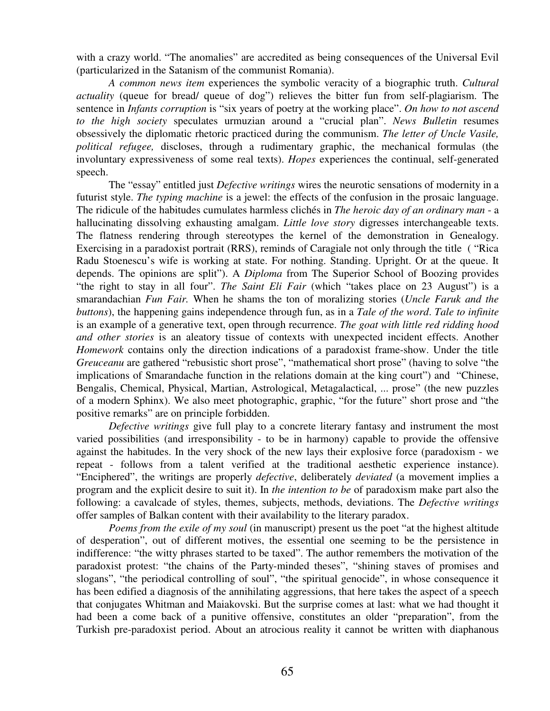with a crazy world. "The anomalies" are accredited as being consequences of the Universal Evil (particularized in the Satanism of the communist Romania).

*A common news item* experiences the symbolic veracity of a biographic truth. *Cultural actuality* (queue for bread/ queue of dog") relieves the bitter fun from self-plagiarism. The sentence in *Infants corruption* is "six years of poetry at the working place". *On how to not ascend to the high society* speculates urmuzian around a "crucial plan". *News Bulletin* resumes obsessively the diplomatic rhetoric practiced during the communism. *The letter of Uncle Vasile, political refugee,* discloses, through a rudimentary graphic, the mechanical formulas (the involuntary expressiveness of some real texts). *Hopes* experiences the continual, self-generated speech.

 The "essay" entitled just *Defective writings* wires the neurotic sensations of modernity in a futurist style. *The typing machine* is a jewel: the effects of the confusion in the prosaic language. The ridicule of the habitudes cumulates harmless clichés in *The heroic day of an ordinary man* - a hallucinating dissolving exhausting amalgam. *Little love story* digresses interchangeable texts. The flatness rendering through stereotypes the kernel of the demonstration in Genealogy. Exercising in a paradoxist portrait (RRS), reminds of Caragiale not only through the title ( "Rica Radu Stoenescu's wife is working at state. For nothing. Standing. Upright. Or at the queue. It depends. The opinions are split"). A *Diploma* from The Superior School of Boozing provides "the right to stay in all four". *The Saint Eli Fair* (which "takes place on 23 August") is a smarandachian *Fun Fair.* When he shams the ton of moralizing stories (*Uncle Faruk and the buttons*), the happening gains independence through fun, as in a *Tale of the word*. *Tale to infinite* is an example of a generative text, open through recurrence. *The goat with little red ridding hood and other stories* is an aleatory tissue of contexts with unexpected incident effects. Another *Homework* contains only the direction indications of a paradoxist frame-show. Under the title *Greuceanu* are gathered "rebusistic short prose", "mathematical short prose" (having to solve "the implications of Smarandache function in the relations domain at the king court") and "Chinese, Bengalis, Chemical, Physical, Martian, Astrological, Metagalactical, ... prose" (the new puzzles of a modern Sphinx). We also meet photographic, graphic, "for the future" short prose and "the positive remarks" are on principle forbidden.

*Defective writings* give full play to a concrete literary fantasy and instrument the most varied possibilities (and irresponsibility - to be in harmony) capable to provide the offensive against the habitudes. In the very shock of the new lays their explosive force (paradoxism - we repeat - follows from a talent verified at the traditional aesthetic experience instance). "Enciphered", the writings are properly *defective*, deliberately *deviated* (a movement implies a program and the explicit desire to suit it). In *the intention to be* of paradoxism make part also the following: a cavalcade of styles, themes, subjects, methods, deviations. The *Defective writings* offer samples of Balkan content with their availability to the literary paradox.

*Poems from the exile of my soul* (in manuscript) present us the poet "at the highest altitude of desperation", out of different motives, the essential one seeming to be the persistence in indifference: "the witty phrases started to be taxed". The author remembers the motivation of the paradoxist protest: "the chains of the Party-minded theses", "shining staves of promises and slogans", "the periodical controlling of soul", "the spiritual genocide", in whose consequence it has been edified a diagnosis of the annihilating aggressions, that here takes the aspect of a speech that conjugates Whitman and Maiakovski. But the surprise comes at last: what we had thought it had been a come back of a punitive offensive, constitutes an older "preparation", from the Turkish pre-paradoxist period. About an atrocious reality it cannot be written with diaphanous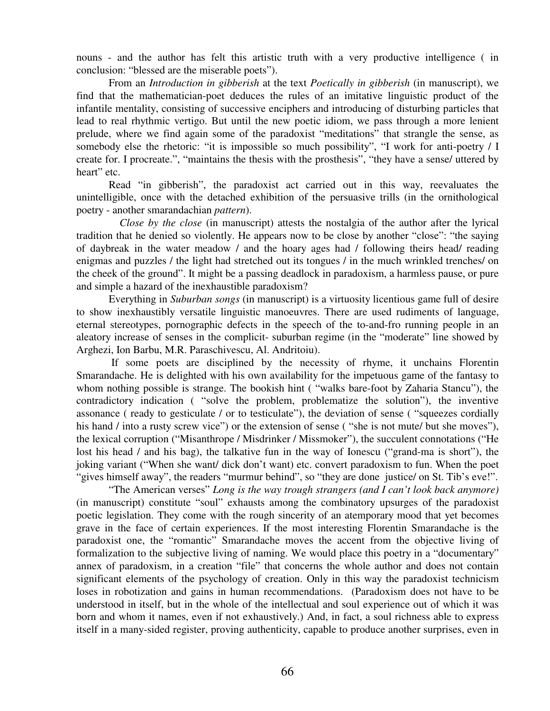nouns - and the author has felt this artistic truth with a very productive intelligence ( in conclusion: "blessed are the miserable poets").

 From an *Introduction in gibberish* at the text *Poetically in gibberish* (in manuscript), we find that the mathematician-poet deduces the rules of an imitative linguistic product of the infantile mentality, consisting of successive enciphers and introducing of disturbing particles that lead to real rhythmic vertigo. But until the new poetic idiom, we pass through a more lenient prelude, where we find again some of the paradoxist "meditations" that strangle the sense, as somebody else the rhetoric: "it is impossible so much possibility", "I work for anti-poetry / I create for. I procreate.", "maintains the thesis with the prosthesis", "they have a sense/ uttered by heart" etc.

 Read "in gibberish", the paradoxist act carried out in this way, reevaluates the unintelligible, once with the detached exhibition of the persuasive trills (in the ornithological poetry - another smarandachian *pattern*).

 *Close by the close* (in manuscript) attests the nostalgia of the author after the lyrical tradition that he denied so violently. He appears now to be close by another "close": "the saying of daybreak in the water meadow / and the hoary ages had / following theirs head/ reading enigmas and puzzles / the light had stretched out its tongues / in the much wrinkled trenches/ on the cheek of the ground". It might be a passing deadlock in paradoxism, a harmless pause, or pure and simple a hazard of the inexhaustible paradoxism?

 Everything in *Suburban songs* (in manuscript) is a virtuosity licentious game full of desire to show inexhaustibly versatile linguistic manoeuvres. There are used rudiments of language, eternal stereotypes, pornographic defects in the speech of the to-and-fro running people in an aleatory increase of senses in the complicit- suburban regime (in the "moderate" line showed by Arghezi, Ion Barbu, M.R. Paraschivescu, Al. Andritoiu).

 If some poets are disciplined by the necessity of rhyme, it unchains Florentin Smarandache. He is delighted with his own availability for the impetuous game of the fantasy to whom nothing possible is strange. The bookish hint ( "walks bare-foot by Zaharia Stancu"), the contradictory indication ( "solve the problem, problematize the solution"), the inventive assonance ( ready to gesticulate / or to testiculate"), the deviation of sense ( "squeezes cordially his hand / into a rusty screw vice") or the extension of sense ("she is not mute/ but she moves"), the lexical corruption ("Misanthrope / Misdrinker / Missmoker"), the succulent connotations ("He lost his head / and his bag), the talkative fun in the way of Ionescu ("grand-ma is short"), the joking variant ("When she want/ dick don't want) etc. convert paradoxism to fun. When the poet "gives himself away", the readers "murmur behind", so "they are done justice/ on St. Tib's eve!".

 "The American verses" *Long is the way trough strangers (and I can't look back anymore)* (in manuscript) constitute "soul" exhausts among the combinatory upsurges of the paradoxist poetic legislation. They come with the rough sincerity of an atemporary mood that yet becomes grave in the face of certain experiences. If the most interesting Florentin Smarandache is the paradoxist one, the "romantic" Smarandache moves the accent from the objective living of formalization to the subjective living of naming. We would place this poetry in a "documentary" annex of paradoxism, in a creation "file" that concerns the whole author and does not contain significant elements of the psychology of creation. Only in this way the paradoxist technicism loses in robotization and gains in human recommendations. (Paradoxism does not have to be understood in itself, but in the whole of the intellectual and soul experience out of which it was born and whom it names, even if not exhaustively.) And, in fact, a soul richness able to express itself in a many-sided register, proving authenticity, capable to produce another surprises, even in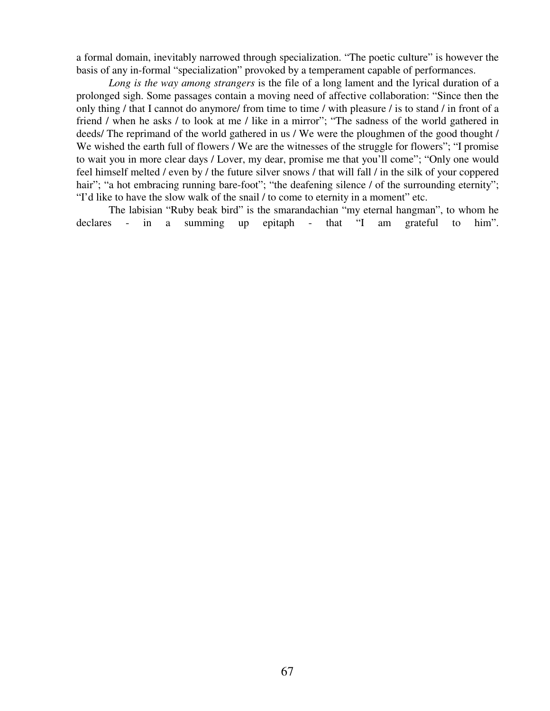a formal domain, inevitably narrowed through specialization. "The poetic culture" is however the basis of any in-formal "specialization" provoked by a temperament capable of performances.

*Long is the way among strangers* is the file of a long lament and the lyrical duration of a prolonged sigh. Some passages contain a moving need of affective collaboration: "Since then the only thing / that I cannot do anymore/ from time to time / with pleasure / is to stand / in front of a friend / when he asks / to look at me / like in a mirror"; "The sadness of the world gathered in deeds/ The reprimand of the world gathered in us / We were the ploughmen of the good thought / We wished the earth full of flowers / We are the witnesses of the struggle for flowers"; "I promise to wait you in more clear days / Lover, my dear, promise me that you'll come"; "Only one would feel himself melted / even by / the future silver snows / that will fall / in the silk of your coppered hair"; "a hot embracing running bare-foot"; "the deafening silence / of the surrounding eternity"; "I'd like to have the slow walk of the snail / to come to eternity in a moment" etc.

 The labisian "Ruby beak bird" is the smarandachian "my eternal hangman", to whom he declares - in a summing up epitaph - that "I am grateful to him".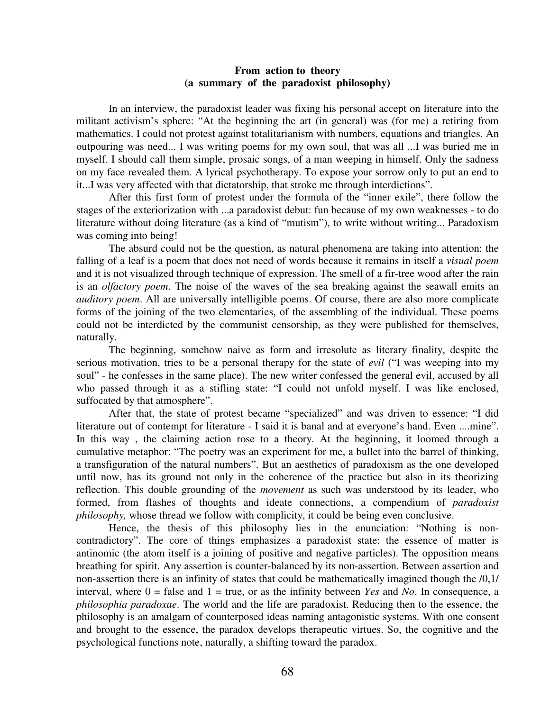## **From action to theory (a summary of the paradoxist philosophy)**

 In an interview, the paradoxist leader was fixing his personal accept on literature into the militant activism's sphere: "At the beginning the art (in general) was (for me) a retiring from mathematics. I could not protest against totalitarianism with numbers, equations and triangles. An outpouring was need... I was writing poems for my own soul, that was all ...I was buried me in myself. I should call them simple, prosaic songs, of a man weeping in himself. Only the sadness on my face revealed them. A lyrical psychotherapy. To expose your sorrow only to put an end to it...I was very affected with that dictatorship, that stroke me through interdictions".

 After this first form of protest under the formula of the "inner exile", there follow the stages of the exteriorization with ...a paradoxist debut: fun because of my own weaknesses - to do literature without doing literature (as a kind of "mutism"), to write without writing... Paradoxism was coming into being!

 The absurd could not be the question, as natural phenomena are taking into attention: the falling of a leaf is a poem that does not need of words because it remains in itself a *visual poem* and it is not visualized through technique of expression. The smell of a fir-tree wood after the rain is an *olfactory poem*. The noise of the waves of the sea breaking against the seawall emits an *auditory poem*. All are universally intelligible poems. Of course, there are also more complicate forms of the joining of the two elementaries, of the assembling of the individual. These poems could not be interdicted by the communist censorship, as they were published for themselves, naturally.

 The beginning, somehow naive as form and irresolute as literary finality, despite the serious motivation, tries to be a personal therapy for the state of *evil* ("I was weeping into my soul" - he confesses in the same place). The new writer confessed the general evil, accused by all who passed through it as a stifling state: "I could not unfold myself. I was like enclosed, suffocated by that atmosphere".

 After that, the state of protest became "specialized" and was driven to essence: "I did literature out of contempt for literature - I said it is banal and at everyone's hand. Even ....mine". In this way , the claiming action rose to a theory. At the beginning, it loomed through a cumulative metaphor: "The poetry was an experiment for me, a bullet into the barrel of thinking, a transfiguration of the natural numbers". But an aesthetics of paradoxism as the one developed until now, has its ground not only in the coherence of the practice but also in its theorizing reflection. This double grounding of the *movement* as such was understood by its leader, who formed, from flashes of thoughts and ideate connections, a compendium of *paradoxist philosophy,* whose thread we follow with complicity, it could be being even conclusive.

 Hence, the thesis of this philosophy lies in the enunciation: "Nothing is noncontradictory". The core of things emphasizes a paradoxist state: the essence of matter is antinomic (the atom itself is a joining of positive and negative particles). The opposition means breathing for spirit. Any assertion is counter-balanced by its non-assertion. Between assertion and non-assertion there is an infinity of states that could be mathematically imagined though the /0,1/ interval, where 0 = false and 1 = true, or as the infinity between *Yes* and *No*. In consequence, a *philosophia paradoxae*. The world and the life are paradoxist. Reducing then to the essence, the philosophy is an amalgam of counterposed ideas naming antagonistic systems. With one consent and brought to the essence, the paradox develops therapeutic virtues. So, the cognitive and the psychological functions note, naturally, a shifting toward the paradox.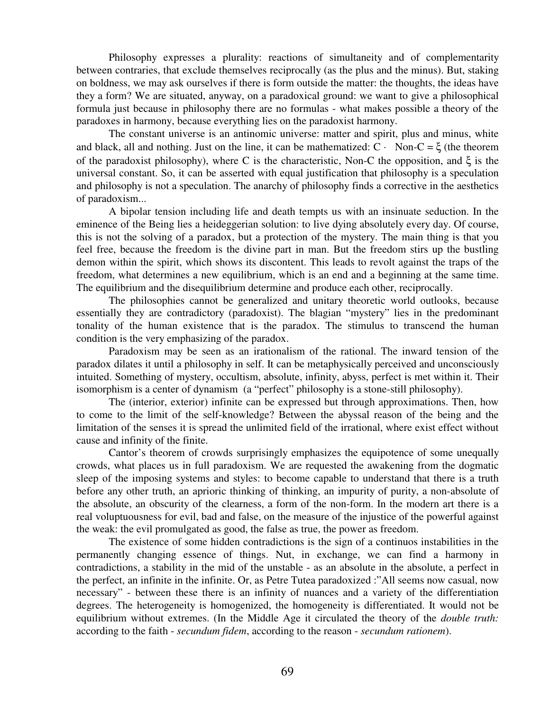Philosophy expresses a plurality: reactions of simultaneity and of complementarity between contraries, that exclude themselves reciprocally (as the plus and the minus). But, staking on boldness, we may ask ourselves if there is form outside the matter: the thoughts, the ideas have they a form? We are situated, anyway, on a paradoxical ground: we want to give a philosophical formula just because in philosophy there are no formulas - what makes possible a theory of the paradoxes in harmony, because everything lies on the paradoxist harmony.

 The constant universe is an antinomic universe: matter and spirit, plus and minus, white and black, all and nothing. Just on the line, it can be mathematized:  $C \cdot \text{Non-}C = \xi$  (the theorem of the paradoxist philosophy), where C is the characteristic, Non-C the opposition, and ξ is the universal constant. So, it can be asserted with equal justification that philosophy is a speculation and philosophy is not a speculation. The anarchy of philosophy finds a corrective in the aesthetics of paradoxism...

 A bipolar tension including life and death tempts us with an insinuate seduction. In the eminence of the Being lies a heideggerian solution: to live dying absolutely every day. Of course, this is not the solving of a paradox, but a protection of the mystery. The main thing is that you feel free, because the freedom is the divine part in man. But the freedom stirs up the bustling demon within the spirit, which shows its discontent. This leads to revolt against the traps of the freedom, what determines a new equilibrium, which is an end and a beginning at the same time. The equilibrium and the disequilibrium determine and produce each other, reciprocally.

 The philosophies cannot be generalized and unitary theoretic world outlooks, because essentially they are contradictory (paradoxist). The blagian "mystery" lies in the predominant tonality of the human existence that is the paradox. The stimulus to transcend the human condition is the very emphasizing of the paradox.

 Paradoxism may be seen as an irationalism of the rational. The inward tension of the paradox dilates it until a philosophy in self. It can be metaphysically perceived and unconsciously intuited. Something of mystery, occultism, absolute, infinity, abyss, perfect is met within it. Their isomorphism is a center of dynamism (a "perfect" philosophy is a stone-still philosophy).

 The (interior, exterior) infinite can be expressed but through approximations. Then, how to come to the limit of the self-knowledge? Between the abyssal reason of the being and the limitation of the senses it is spread the unlimited field of the irrational, where exist effect without cause and infinity of the finite.

 Cantor's theorem of crowds surprisingly emphasizes the equipotence of some unequally crowds, what places us in full paradoxism. We are requested the awakening from the dogmatic sleep of the imposing systems and styles: to become capable to understand that there is a truth before any other truth, an aprioric thinking of thinking, an impurity of purity, a non-absolute of the absolute, an obscurity of the clearness, a form of the non-form. In the modern art there is a real voluptuousness for evil, bad and false, on the measure of the injustice of the powerful against the weak: the evil promulgated as good, the false as true, the power as freedom.

 The existence of some hidden contradictions is the sign of a continuos instabilities in the permanently changing essence of things. Nut, in exchange, we can find a harmony in contradictions, a stability in the mid of the unstable - as an absolute in the absolute, a perfect in the perfect, an infinite in the infinite. Or, as Petre Tutea paradoxized :"All seems now casual, now necessary" - between these there is an infinity of nuances and a variety of the differentiation degrees. The heterogeneity is homogenized, the homogeneity is differentiated. It would not be equilibrium without extremes. (In the Middle Age it circulated the theory of the *double truth:* according to the faith - *secundum fidem*, according to the reason - *secundum rationem*).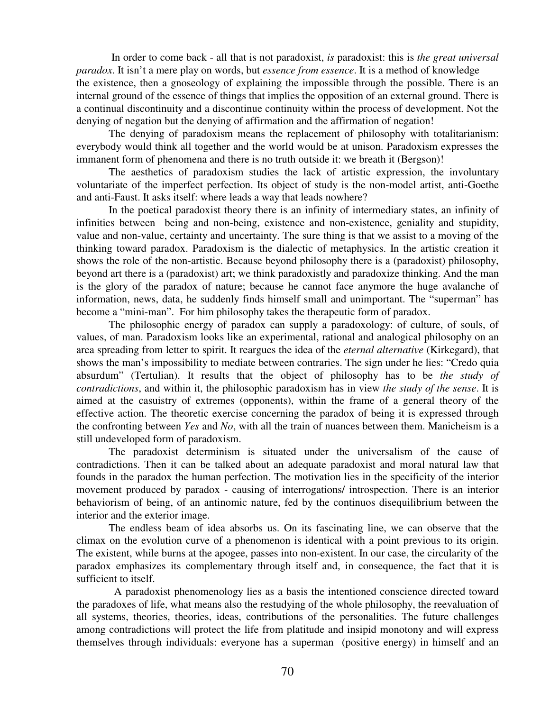In order to come back - all that is not paradoxist, *is* paradoxist: this is *the great universal paradox*. It isn't a mere play on words, but *essence from essence*. It is a method of knowledge the existence, then a gnoseology of explaining the impossible through the possible. There is an internal ground of the essence of things that implies the opposition of an external ground. There is a continual discontinuity and a discontinue continuity within the process of development. Not the denying of negation but the denying of affirmation and the affirmation of negation!

 The denying of paradoxism means the replacement of philosophy with totalitarianism: everybody would think all together and the world would be at unison. Paradoxism expresses the immanent form of phenomena and there is no truth outside it: we breath it (Bergson)!

 The aesthetics of paradoxism studies the lack of artistic expression, the involuntary voluntariate of the imperfect perfection. Its object of study is the non-model artist, anti-Goethe and anti-Faust. It asks itself: where leads a way that leads nowhere?

 In the poetical paradoxist theory there is an infinity of intermediary states, an infinity of infinities between being and non-being, existence and non-existence, geniality and stupidity, value and non-value, certainty and uncertainty. The sure thing is that we assist to a moving of the thinking toward paradox. Paradoxism is the dialectic of metaphysics. In the artistic creation it shows the role of the non-artistic. Because beyond philosophy there is a (paradoxist) philosophy, beyond art there is a (paradoxist) art; we think paradoxistly and paradoxize thinking. And the man is the glory of the paradox of nature; because he cannot face anymore the huge avalanche of information, news, data, he suddenly finds himself small and unimportant. The "superman" has become a "mini-man". For him philosophy takes the therapeutic form of paradox.

 The philosophic energy of paradox can supply a paradoxology: of culture, of souls, of values, of man. Paradoxism looks like an experimental, rational and analogical philosophy on an area spreading from letter to spirit. It reargues the idea of the *eternal alternative* (Kirkegard), that shows the man's impossibility to mediate between contraries. The sign under he lies: "Credo quia absurdum" (Tertulian). It results that the object of philosophy has to be *the study of contradictions*, and within it, the philosophic paradoxism has in view *the study of the sense*. It is aimed at the casuistry of extremes (opponents), within the frame of a general theory of the effective action. The theoretic exercise concerning the paradox of being it is expressed through the confronting between *Yes* and *No*, with all the train of nuances between them. Manicheism is a still undeveloped form of paradoxism.

 The paradoxist determinism is situated under the universalism of the cause of contradictions. Then it can be talked about an adequate paradoxist and moral natural law that founds in the paradox the human perfection. The motivation lies in the specificity of the interior movement produced by paradox - causing of interrogations/ introspection. There is an interior behaviorism of being, of an antinomic nature, fed by the continuos disequilibrium between the interior and the exterior image.

 The endless beam of idea absorbs us. On its fascinating line, we can observe that the climax on the evolution curve of a phenomenon is identical with a point previous to its origin. The existent, while burns at the apogee, passes into non-existent. In our case, the circularity of the paradox emphasizes its complementary through itself and, in consequence, the fact that it is sufficient to itself.

 A paradoxist phenomenology lies as a basis the intentioned conscience directed toward the paradoxes of life, what means also the restudying of the whole philosophy, the reevaluation of all systems, theories, theories, ideas, contributions of the personalities. The future challenges among contradictions will protect the life from platitude and insipid monotony and will express themselves through individuals: everyone has a superman (positive energy) in himself and an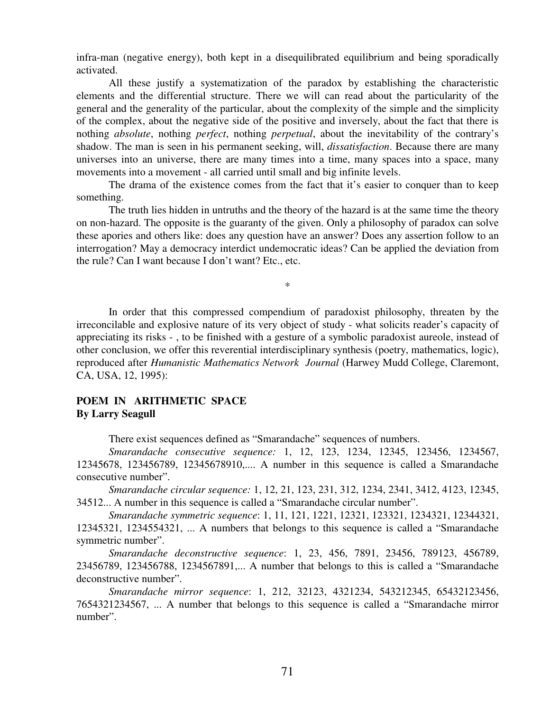infra-man (negative energy), both kept in a disequilibrated equilibrium and being sporadically activated.

 All these justify a systematization of the paradox by establishing the characteristic elements and the differential structure. There we will can read about the particularity of the general and the generality of the particular, about the complexity of the simple and the simplicity of the complex, about the negative side of the positive and inversely, about the fact that there is nothing *absolute*, nothing *perfect*, nothing *perpetual*, about the inevitability of the contrary's shadow. The man is seen in his permanent seeking, will, *dissatisfaction*. Because there are many universes into an universe, there are many times into a time, many spaces into a space, many movements into a movement - all carried until small and big infinite levels.

 The drama of the existence comes from the fact that it's easier to conquer than to keep something.

 The truth lies hidden in untruths and the theory of the hazard is at the same time the theory on non-hazard. The opposite is the guaranty of the given. Only a philosophy of paradox can solve these apories and others like: does any question have an answer? Does any assertion follow to an interrogation? May a democracy interdict undemocratic ideas? Can be applied the deviation from the rule? Can I want because I don't want? Etc., etc.

\*

 In order that this compressed compendium of paradoxist philosophy, threaten by the irreconcilable and explosive nature of its very object of study - what solicits reader's capacity of appreciating its risks - , to be finished with a gesture of a symbolic paradoxist aureole, instead of other conclusion, we offer this reverential interdisciplinary synthesis (poetry, mathematics, logic), reproduced after *Humanistic Mathematics Network Journal* (Harwey Mudd College, Claremont, CA, USA, 12, 1995):

# **POEM IN ARITHMETIC SPACE By Larry Seagull**

There exist sequences defined as "Smarandache" sequences of numbers.

*Smarandache consecutive sequence:* 1, 12, 123, 1234, 12345, 123456, 1234567, 12345678, 123456789, 12345678910,.... A number in this sequence is called a Smarandache consecutive number".

*Smarandache circular sequence:* 1, 12, 21, 123, 231, 312, 1234, 2341, 3412, 4123, 12345, 34512... A number in this sequence is called a "Smarandache circular number".

*Smarandache symmetric sequence*: 1, 11, 121, 1221, 12321, 123321, 1234321, 12344321, 12345321, 1234554321, ... A numbers that belongs to this sequence is called a "Smarandache symmetric number".

*Smarandache deconstructive sequence*: 1, 23, 456, 7891, 23456, 789123, 456789, 23456789, 123456788, 1234567891,... A number that belongs to this is called a "Smarandache deconstructive number".

*Smarandache mirror sequence*: 1, 212, 32123, 4321234, 543212345, 65432123456, 7654321234567, ... A number that belongs to this sequence is called a "Smarandache mirror number".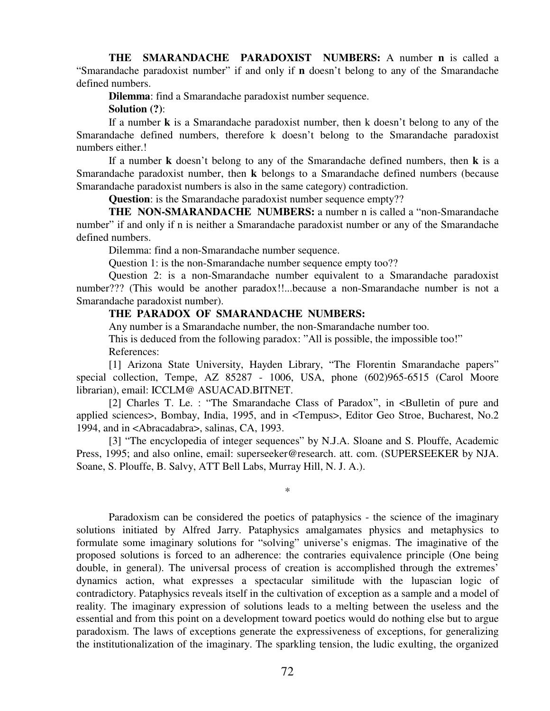**THE SMARANDACHE PARADOXIST NUMBERS:** A number **n** is called a "Smarandache paradoxist number" if and only if **n** doesn't belong to any of the Smarandache defined numbers.

**Dilemma**: find a Smarandache paradoxist number sequence.

**Solution (?)**:

 If a number **k** is a Smarandache paradoxist number, then k doesn't belong to any of the Smarandache defined numbers, therefore k doesn't belong to the Smarandache paradoxist numbers either.!

 If a number **k** doesn't belong to any of the Smarandache defined numbers, then **k** is a Smarandache paradoxist number, then **k** belongs to a Smarandache defined numbers (because Smarandache paradoxist numbers is also in the same category) contradiction.

**Question**: is the Smarandache paradoxist number sequence empty??

**THE NON-SMARANDACHE NUMBERS:** a number n is called a "non-Smarandache number" if and only if n is neither a Smarandache paradoxist number or any of the Smarandache defined numbers.

Dilemma: find a non-Smarandache number sequence.

Question 1: is the non-Smarandache number sequence empty too??

 Question 2: is a non-Smarandache number equivalent to a Smarandache paradoxist number??? (This would be another paradox!!...because a non-Smarandache number is not a Smarandache paradoxist number).

## **THE PARADOX OF SMARANDACHE NUMBERS:**

Any number is a Smarandache number, the non-Smarandache number too.

 This is deduced from the following paradox: "All is possible, the impossible too!" References:

 [1] Arizona State University, Hayden Library, "The Florentin Smarandache papers" special collection, Tempe, AZ 85287 - 1006, USA, phone (602)965-6515 (Carol Moore librarian), email: ICCLM@ ASUACAD.BITNET.

[2] Charles T. Le. : "The Smarandache Class of Paradox", in <Bulletin of pure and applied sciences>, Bombay, India, 1995, and in <Tempus>, Editor Geo Stroe, Bucharest, No.2 1994, and in <Abracadabra>, salinas, CA, 1993.

 [3] "The encyclopedia of integer sequences" by N.J.A. Sloane and S. Plouffe, Academic Press, 1995; and also online, email: superseeker@research. att. com. (SUPERSEEKER by NJA. Soane, S. Plouffe, B. Salvy, ATT Bell Labs, Murray Hill, N. J. A.).

\*

 Paradoxism can be considered the poetics of pataphysics - the science of the imaginary solutions initiated by Alfred Jarry. Pataphysics amalgamates physics and metaphysics to formulate some imaginary solutions for "solving" universe's enigmas. The imaginative of the proposed solutions is forced to an adherence: the contraries equivalence principle (One being double, in general). The universal process of creation is accomplished through the extremes' dynamics action, what expresses a spectacular similitude with the lupascian logic of contradictory. Pataphysics reveals itself in the cultivation of exception as a sample and a model of reality. The imaginary expression of solutions leads to a melting between the useless and the essential and from this point on a development toward poetics would do nothing else but to argue paradoxism. The laws of exceptions generate the expressiveness of exceptions, for generalizing the institutionalization of the imaginary. The sparkling tension, the ludic exulting, the organized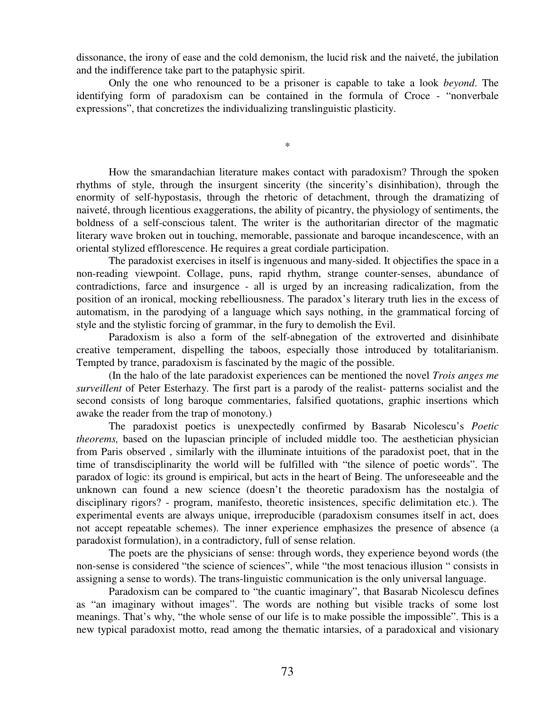dissonance, the irony of ease and the cold demonism, the lucid risk and the naiveté, the jubilation and the indifference take part to the pataphysic spirit.

 Only the one who renounced to be a prisoner is capable to take a look *beyond*. The identifying form of paradoxism can be contained in the formula of Croce - "nonverbale expressions", that concretizes the individualizing translinguistic plasticity.

\*

 How the smarandachian literature makes contact with paradoxism? Through the spoken rhythms of style, through the insurgent sincerity (the sincerity's disinhibation), through the enormity of self-hypostasis, through the rhetoric of detachment, through the dramatizing of naiveté, through licentious exaggerations, the ability of picantry, the physiology of sentiments, the boldness of a self-conscious talent. The writer is the authoritarian director of the magmatic literary wave broken out in touching, memorable, passionate and baroque incandescence, with an oriental stylized efflorescence. He requires a great cordiale participation.

 The paradoxist exercises in itself is ingenuous and many-sided. It objectifies the space in a non-reading viewpoint. Collage, puns, rapid rhythm, strange counter-senses, abundance of contradictions, farce and insurgence - all is urged by an increasing radicalization, from the position of an ironical, mocking rebelliousness. The paradox's literary truth lies in the excess of automatism, in the parodying of a language which says nothing, in the grammatical forcing of style and the stylistic forcing of grammar, in the fury to demolish the Evil.

 Paradoxism is also a form of the self-abnegation of the extroverted and disinhibate creative temperament, dispelling the taboos, especially those introduced by totalitarianism. Tempted by trance, paradoxism is fascinated by the magic of the possible.

 (In the halo of the late paradoxist experiences can be mentioned the novel *Trois anges me surveillent* of Peter Esterhazy. The first part is a parody of the realist- patterns socialist and the second consists of long baroque commentaries, falsified quotations, graphic insertions which awake the reader from the trap of monotony.)

 The paradoxist poetics is unexpectedly confirmed by Basarab Nicolescu's *Poetic theorems,* based on the lupascian principle of included middle too. The aesthetician physician from Paris observed , similarly with the illuminate intuitions of the paradoxist poet, that in the time of transdisciplinarity the world will be fulfilled with "the silence of poetic words". The paradox of logic: its ground is empirical, but acts in the heart of Being. The unforeseeable and the unknown can found a new science (doesn't the theoretic paradoxism has the nostalgia of disciplinary rigors? - program, manifesto, theoretic insistences, specific delimitation etc.). The experimental events are always unique, irreproducible (paradoxism consumes itself in act, does not accept repeatable schemes). The inner experience emphasizes the presence of absence (a paradoxist formulation), in a contradictory, full of sense relation.

 The poets are the physicians of sense: through words, they experience beyond words (the non-sense is considered "the science of sciences", while "the most tenacious illusion " consists in assigning a sense to words). The trans-linguistic communication is the only universal language.

 Paradoxism can be compared to "the cuantic imaginary", that Basarab Nicolescu defines as "an imaginary without images". The words are nothing but visible tracks of some lost meanings. That's why, "the whole sense of our life is to make possible the impossible". This is a new typical paradoxist motto, read among the thematic intarsies, of a paradoxical and visionary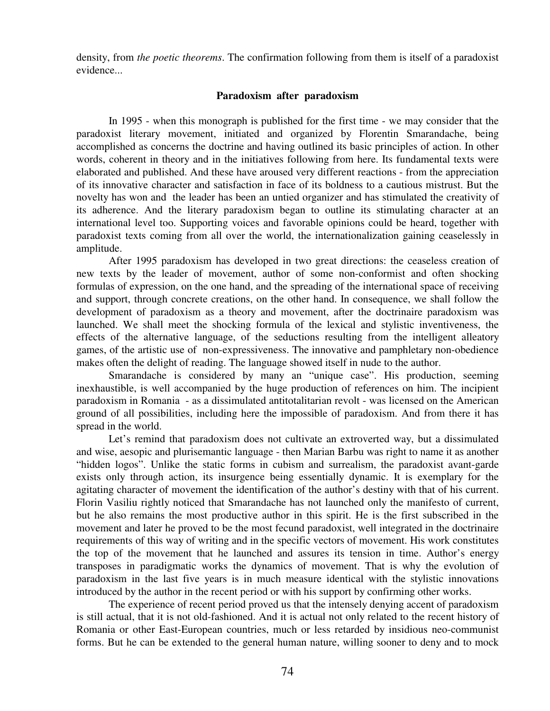density, from *the poetic theorems*. The confirmation following from them is itself of a paradoxist evidence...

## **Paradoxism after paradoxism**

 In 1995 - when this monograph is published for the first time - we may consider that the paradoxist literary movement, initiated and organized by Florentin Smarandache, being accomplished as concerns the doctrine and having outlined its basic principles of action. In other words, coherent in theory and in the initiatives following from here. Its fundamental texts were elaborated and published. And these have aroused very different reactions - from the appreciation of its innovative character and satisfaction in face of its boldness to a cautious mistrust. But the novelty has won and the leader has been an untied organizer and has stimulated the creativity of its adherence. And the literary paradoxism began to outline its stimulating character at an international level too. Supporting voices and favorable opinions could be heard, together with paradoxist texts coming from all over the world, the internationalization gaining ceaselessly in amplitude.

 After 1995 paradoxism has developed in two great directions: the ceaseless creation of new texts by the leader of movement, author of some non-conformist and often shocking formulas of expression, on the one hand, and the spreading of the international space of receiving and support, through concrete creations, on the other hand. In consequence, we shall follow the development of paradoxism as a theory and movement, after the doctrinaire paradoxism was launched. We shall meet the shocking formula of the lexical and stylistic inventiveness, the effects of the alternative language, of the seductions resulting from the intelligent alleatory games, of the artistic use of non-expressiveness. The innovative and pamphletary non-obedience makes often the delight of reading. The language showed itself in nude to the author.

 Smarandache is considered by many an "unique case". His production, seeming inexhaustible, is well accompanied by the huge production of references on him. The incipient paradoxism in Romania - as a dissimulated antitotalitarian revolt - was licensed on the American ground of all possibilities, including here the impossible of paradoxism. And from there it has spread in the world.

 Let's remind that paradoxism does not cultivate an extroverted way, but a dissimulated and wise, aesopic and plurisemantic language - then Marian Barbu was right to name it as another "hidden logos". Unlike the static forms in cubism and surrealism, the paradoxist avant-garde exists only through action, its insurgence being essentially dynamic. It is exemplary for the agitating character of movement the identification of the author's destiny with that of his current. Florin Vasiliu rightly noticed that Smarandache has not launched only the manifesto of current, but he also remains the most productive author in this spirit. He is the first subscribed in the movement and later he proved to be the most fecund paradoxist, well integrated in the doctrinaire requirements of this way of writing and in the specific vectors of movement. His work constitutes the top of the movement that he launched and assures its tension in time. Author's energy transposes in paradigmatic works the dynamics of movement. That is why the evolution of paradoxism in the last five years is in much measure identical with the stylistic innovations introduced by the author in the recent period or with his support by confirming other works.

 The experience of recent period proved us that the intensely denying accent of paradoxism is still actual, that it is not old-fashioned. And it is actual not only related to the recent history of Romania or other East-European countries, much or less retarded by insidious neo-communist forms. But he can be extended to the general human nature, willing sooner to deny and to mock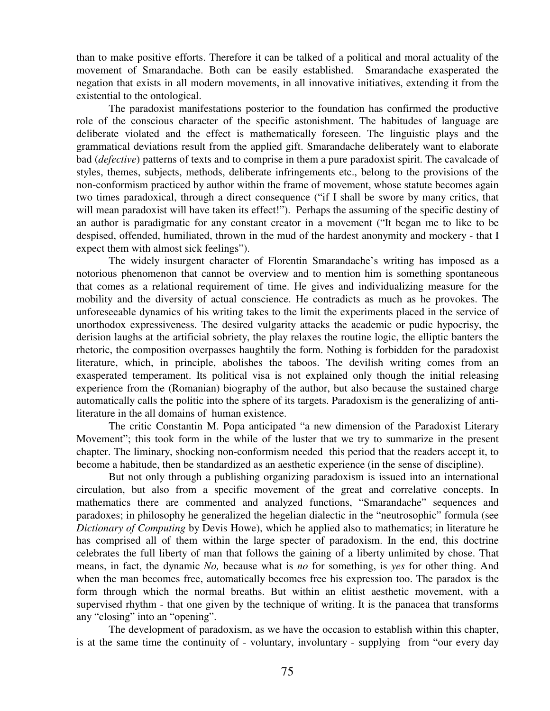than to make positive efforts. Therefore it can be talked of a political and moral actuality of the movement of Smarandache. Both can be easily established. Smarandache exasperated the negation that exists in all modern movements, in all innovative initiatives, extending it from the existential to the ontological.

 The paradoxist manifestations posterior to the foundation has confirmed the productive role of the conscious character of the specific astonishment. The habitudes of language are deliberate violated and the effect is mathematically foreseen. The linguistic plays and the grammatical deviations result from the applied gift. Smarandache deliberately want to elaborate bad (*defective*) patterns of texts and to comprise in them a pure paradoxist spirit. The cavalcade of styles, themes, subjects, methods, deliberate infringements etc., belong to the provisions of the non-conformism practiced by author within the frame of movement, whose statute becomes again two times paradoxical, through a direct consequence ("if I shall be swore by many critics, that will mean paradoxist will have taken its effect!"). Perhaps the assuming of the specific destiny of an author is paradigmatic for any constant creator in a movement ("It began me to like to be despised, offended, humiliated, thrown in the mud of the hardest anonymity and mockery - that I expect them with almost sick feelings").

 The widely insurgent character of Florentin Smarandache's writing has imposed as a notorious phenomenon that cannot be overview and to mention him is something spontaneous that comes as a relational requirement of time. He gives and individualizing measure for the mobility and the diversity of actual conscience. He contradicts as much as he provokes. The unforeseeable dynamics of his writing takes to the limit the experiments placed in the service of unorthodox expressiveness. The desired vulgarity attacks the academic or pudic hypocrisy, the derision laughs at the artificial sobriety, the play relaxes the routine logic, the elliptic banters the rhetoric, the composition overpasses haughtily the form. Nothing is forbidden for the paradoxist literature, which, in principle, abolishes the taboos. The devilish writing comes from an exasperated temperament. Its political visa is not explained only though the initial releasing experience from the (Romanian) biography of the author, but also because the sustained charge automatically calls the politic into the sphere of its targets. Paradoxism is the generalizing of antiliterature in the all domains of human existence.

 The critic Constantin M. Popa anticipated "a new dimension of the Paradoxist Literary Movement"; this took form in the while of the luster that we try to summarize in the present chapter. The liminary, shocking non-conformism needed this period that the readers accept it, to become a habitude, then be standardized as an aesthetic experience (in the sense of discipline).

 But not only through a publishing organizing paradoxism is issued into an international circulation, but also from a specific movement of the great and correlative concepts. In mathematics there are commented and analyzed functions, "Smarandache" sequences and paradoxes; in philosophy he generalized the hegelian dialectic in the "neutrosophic" formula (see *Dictionary of Computing* by Devis Howe), which he applied also to mathematics; in literature he has comprised all of them within the large specter of paradoxism. In the end, this doctrine celebrates the full liberty of man that follows the gaining of a liberty unlimited by chose. That means, in fact, the dynamic *No,* because what is *no* for something, is *yes* for other thing. And when the man becomes free, automatically becomes free his expression too. The paradox is the form through which the normal breaths. But within an elitist aesthetic movement, with a supervised rhythm - that one given by the technique of writing. It is the panacea that transforms any "closing" into an "opening".

 The development of paradoxism, as we have the occasion to establish within this chapter, is at the same time the continuity of - voluntary, involuntary - supplying from "our every day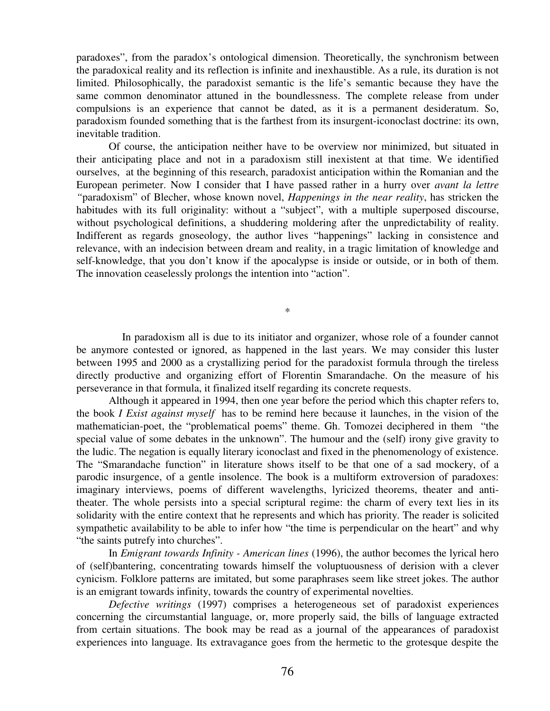paradoxes", from the paradox's ontological dimension. Theoretically, the synchronism between the paradoxical reality and its reflection is infinite and inexhaustible. As a rule, its duration is not limited. Philosophically, the paradoxist semantic is the life's semantic because they have the same common denominator attuned in the boundlessness. The complete release from under compulsions is an experience that cannot be dated, as it is a permanent desideratum. So, paradoxism founded something that is the farthest from its insurgent-iconoclast doctrine: its own, inevitable tradition.

 Of course, the anticipation neither have to be overview nor minimized, but situated in their anticipating place and not in a paradoxism still inexistent at that time. We identified ourselves, at the beginning of this research, paradoxist anticipation within the Romanian and the European perimeter. Now I consider that I have passed rather in a hurry over *avant la lettre "*paradoxism" of Blecher, whose known novel, *Happenings in the near reality*, has stricken the habitudes with its full originality: without a "subject", with a multiple superposed discourse, without psychological definitions, a shuddering moldering after the unpredictability of reality. Indifferent as regards gnoseology, the author lives "happenings" lacking in consistence and relevance, with an indecision between dream and reality, in a tragic limitation of knowledge and self-knowledge, that you don't know if the apocalypse is inside or outside, or in both of them. The innovation ceaselessly prolongs the intention into "action".

 In paradoxism all is due to its initiator and organizer, whose role of a founder cannot be anymore contested or ignored, as happened in the last years. We may consider this luster between 1995 and 2000 as a crystallizing period for the paradoxist formula through the tireless directly productive and organizing effort of Florentin Smarandache. On the measure of his perseverance in that formula, it finalized itself regarding its concrete requests.

\*

 Although it appeared in 1994, then one year before the period which this chapter refers to, the book *I Exist against myself* has to be remind here because it launches, in the vision of the mathematician-poet, the "problematical poems" theme. Gh. Tomozei deciphered in them "the special value of some debates in the unknown". The humour and the (self) irony give gravity to the ludic. The negation is equally literary iconoclast and fixed in the phenomenology of existence. The "Smarandache function" in literature shows itself to be that one of a sad mockery, of a parodic insurgence, of a gentle insolence. The book is a multiform extroversion of paradoxes: imaginary interviews, poems of different wavelengths, lyricized theorems, theater and antitheater. The whole persists into a special scriptural regime: the charm of every text lies in its solidarity with the entire context that he represents and which has priority. The reader is solicited sympathetic availability to be able to infer how "the time is perpendicular on the heart" and why "the saints putrefy into churches".

 In *Emigrant towards Infinity - American lines* (1996), the author becomes the lyrical hero of (self)bantering, concentrating towards himself the voluptuousness of derision with a clever cynicism. Folklore patterns are imitated, but some paraphrases seem like street jokes. The author is an emigrant towards infinity, towards the country of experimental novelties.

*Defective writings* (1997) comprises a heterogeneous set of paradoxist experiences concerning the circumstantial language, or, more properly said, the bills of language extracted from certain situations. The book may be read as a journal of the appearances of paradoxist experiences into language. Its extravagance goes from the hermetic to the grotesque despite the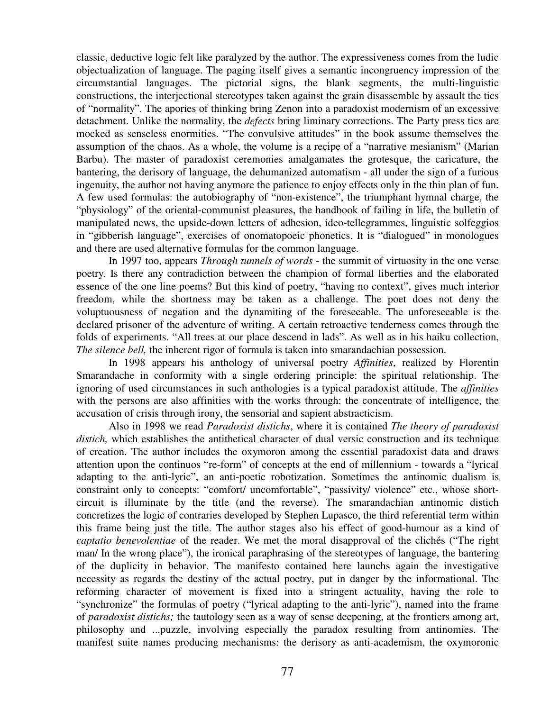classic, deductive logic felt like paralyzed by the author. The expressiveness comes from the ludic objectualization of language. The paging itself gives a semantic incongruency impression of the circumstantial languages. The pictorial signs, the blank segments, the multi-linguistic constructions, the interjectional stereotypes taken against the grain disassemble by assault the tics of "normality". The apories of thinking bring Zenon into a paradoxist modernism of an excessive detachment. Unlike the normality, the *defects* bring liminary corrections. The Party press tics are mocked as senseless enormities. "The convulsive attitudes" in the book assume themselves the assumption of the chaos. As a whole, the volume is a recipe of a "narrative mesianism" (Marian Barbu). The master of paradoxist ceremonies amalgamates the grotesque, the caricature, the bantering, the derisory of language, the dehumanized automatism - all under the sign of a furious ingenuity, the author not having anymore the patience to enjoy effects only in the thin plan of fun. A few used formulas: the autobiography of "non-existence", the triumphant hymnal charge, the "physiology" of the oriental-communist pleasures, the handbook of failing in life, the bulletin of manipulated news, the upside-down letters of adhesion, ideo-tellegrammes, linguistic solfeggios in "gibberish language", exercises of onomatopoeic phonetics. It is "dialogued" in monologues and there are used alternative formulas for the common language.

 In 1997 too, appears *Through tunnels of words* - the summit of virtuosity in the one verse poetry. Is there any contradiction between the champion of formal liberties and the elaborated essence of the one line poems? But this kind of poetry, "having no context", gives much interior freedom, while the shortness may be taken as a challenge. The poet does not deny the voluptuousness of negation and the dynamiting of the foreseeable. The unforeseeable is the declared prisoner of the adventure of writing. A certain retroactive tenderness comes through the folds of experiments. "All trees at our place descend in lads". As well as in his haiku collection, *The silence bell,* the inherent rigor of formula is taken into smarandachian possession.

 In 1998 appears his anthology of universal poetry *Affinities*, realized by Florentin Smarandache in conformity with a single ordering principle: the spiritual relationship. The ignoring of used circumstances in such anthologies is a typical paradoxist attitude. The *affinities* with the persons are also affinities with the works through: the concentrate of intelligence, the accusation of crisis through irony, the sensorial and sapient abstracticism.

 Also in 1998 we read *Paradoxist distichs*, where it is contained *The theory of paradoxist distich,* which establishes the antithetical character of dual versic construction and its technique of creation. The author includes the oxymoron among the essential paradoxist data and draws attention upon the continuos "re-form" of concepts at the end of millennium - towards a "lyrical adapting to the anti-lyric", an anti-poetic robotization. Sometimes the antinomic dualism is constraint only to concepts: "comfort/ uncomfortable", "passivity/ violence" etc., whose shortcircuit is illuminate by the title (and the reverse). The smarandachian antinomic distich concretizes the logic of contraries developed by Stephen Lupasco, the third referential term within this frame being just the title. The author stages also his effect of good-humour as a kind of *captatio benevolentiae* of the reader. We met the moral disapproval of the clichés ("The right man/ In the wrong place"), the ironical paraphrasing of the stereotypes of language, the bantering of the duplicity in behavior. The manifesto contained here launchs again the investigative necessity as regards the destiny of the actual poetry, put in danger by the informational. The reforming character of movement is fixed into a stringent actuality, having the role to "synchronize" the formulas of poetry ("lyrical adapting to the anti-lyric"), named into the frame of *paradoxist distichs;* the tautology seen as a way of sense deepening, at the frontiers among art, philosophy and ...puzzle, involving especially the paradox resulting from antinomies. The manifest suite names producing mechanisms: the derisory as anti-academism, the oxymoronic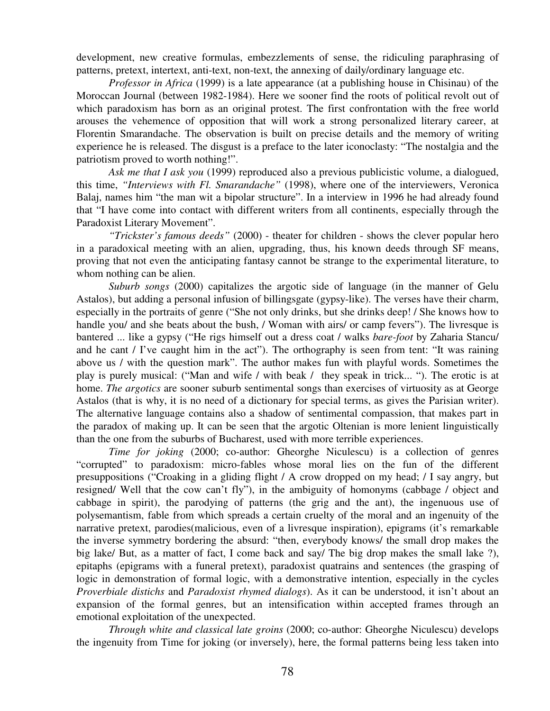development, new creative formulas, embezzlements of sense, the ridiculing paraphrasing of patterns, pretext, intertext, anti-text, non-text, the annexing of daily/ordinary language etc.

*Professor in Africa* (1999) is a late appearance (at a publishing house in Chisinau) of the Moroccan Journal (between 1982-1984). Here we sooner find the roots of political revolt out of which paradoxism has born as an original protest. The first confrontation with the free world arouses the vehemence of opposition that will work a strong personalized literary career, at Florentin Smarandache. The observation is built on precise details and the memory of writing experience he is released. The disgust is a preface to the later iconoclasty: "The nostalgia and the patriotism proved to worth nothing!".

*Ask me that I ask you* (1999) reproduced also a previous publicistic volume, a dialogued, this time, *"Interviews with Fl. Smarandache"* (1998), where one of the interviewers, Veronica Balaj, names him "the man wit a bipolar structure". In a interview in 1996 he had already found that "I have come into contact with different writers from all continents, especially through the Paradoxist Literary Movement".

*"Trickster's famous deeds"* (2000) - theater for children - shows the clever popular hero in a paradoxical meeting with an alien, upgrading, thus, his known deeds through SF means, proving that not even the anticipating fantasy cannot be strange to the experimental literature, to whom nothing can be alien.

*Suburb songs* (2000) capitalizes the argotic side of language (in the manner of Gelu Astalos), but adding a personal infusion of billingsgate (gypsy-like). The verses have their charm, especially in the portraits of genre ("She not only drinks, but she drinks deep! / She knows how to handle you/ and she beats about the bush, / Woman with airs/ or camp fevers"). The livresque is bantered ... like a gypsy ("He rigs himself out a dress coat / walks *bare-foot* by Zaharia Stancu/ and he cant / I've caught him in the act"). The orthography is seen from tent: "It was raining above us / with the question mark". The author makes fun with playful words. Sometimes the play is purely musical: ("Man and wife / with beak / they speak in trick... "). The erotic is at home. *The argotics* are sooner suburb sentimental songs than exercises of virtuosity as at George Astalos (that is why, it is no need of a dictionary for special terms, as gives the Parisian writer). The alternative language contains also a shadow of sentimental compassion, that makes part in the paradox of making up. It can be seen that the argotic Oltenian is more lenient linguistically than the one from the suburbs of Bucharest, used with more terrible experiences.

*Time for joking* (2000; co-author: Gheorghe Niculescu) is a collection of genres "corrupted" to paradoxism: micro-fables whose moral lies on the fun of the different presuppositions ("Croaking in a gliding flight / A crow dropped on my head; / I say angry, but resigned/ Well that the cow can't fly"), in the ambiguity of homonyms (cabbage / object and cabbage in spirit), the parodying of patterns (the grig and the ant), the ingenuous use of polysemantism, fable from which spreads a certain cruelty of the moral and an ingenuity of the narrative pretext, parodies(malicious, even of a livresque inspiration), epigrams (it's remarkable the inverse symmetry bordering the absurd: "then, everybody knows/ the small drop makes the big lake/ But, as a matter of fact, I come back and say/ The big drop makes the small lake ?), epitaphs (epigrams with a funeral pretext), paradoxist quatrains and sentences (the grasping of logic in demonstration of formal logic, with a demonstrative intention, especially in the cycles *Proverbiale distichs* and *Paradoxist rhymed dialogs*). As it can be understood, it isn't about an expansion of the formal genres, but an intensification within accepted frames through an emotional exploitation of the unexpected.

*Through white and classical late groins* (2000; co-author: Gheorghe Niculescu) develops the ingenuity from Time for joking (or inversely), here, the formal patterns being less taken into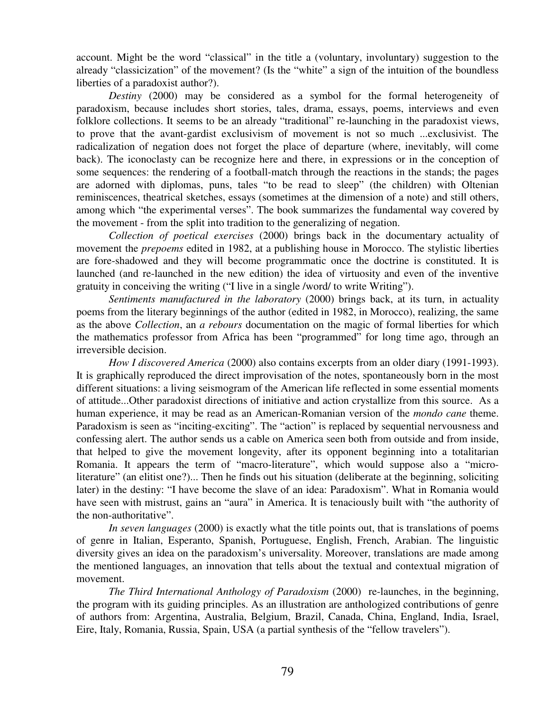account. Might be the word "classical" in the title a (voluntary, involuntary) suggestion to the already "classicization" of the movement? (Is the "white" a sign of the intuition of the boundless liberties of a paradoxist author?).

*Destiny* (2000) may be considered as a symbol for the formal heterogeneity of paradoxism, because includes short stories, tales, drama, essays, poems, interviews and even folklore collections. It seems to be an already "traditional" re-launching in the paradoxist views, to prove that the avant-gardist exclusivism of movement is not so much ...exclusivist. The radicalization of negation does not forget the place of departure (where, inevitably, will come back). The iconoclasty can be recognize here and there, in expressions or in the conception of some sequences: the rendering of a football-match through the reactions in the stands; the pages are adorned with diplomas, puns, tales "to be read to sleep" (the children) with Oltenian reminiscences, theatrical sketches, essays (sometimes at the dimension of a note) and still others, among which "the experimental verses". The book summarizes the fundamental way covered by the movement - from the split into tradition to the generalizing of negation.

*Collection of poetical exercises* (2000) brings back in the documentary actuality of movement the *prepoems* edited in 1982, at a publishing house in Morocco. The stylistic liberties are fore-shadowed and they will become programmatic once the doctrine is constituted. It is launched (and re-launched in the new edition) the idea of virtuosity and even of the inventive gratuity in conceiving the writing ("I live in a single /word/ to write Writing").

*Sentiments manufactured in the laboratory* (2000) brings back, at its turn, in actuality poems from the literary beginnings of the author (edited in 1982, in Morocco), realizing, the same as the above *Collection*, an *a rebours* documentation on the magic of formal liberties for which the mathematics professor from Africa has been "programmed" for long time ago, through an irreversible decision.

*How I discovered America* (2000) also contains excerpts from an older diary (1991-1993). It is graphically reproduced the direct improvisation of the notes, spontaneously born in the most different situations: a living seismogram of the American life reflected in some essential moments of attitude...Other paradoxist directions of initiative and action crystallize from this source. As a human experience, it may be read as an American-Romanian version of the *mondo cane* theme. Paradoxism is seen as "inciting-exciting". The "action" is replaced by sequential nervousness and confessing alert. The author sends us a cable on America seen both from outside and from inside, that helped to give the movement longevity, after its opponent beginning into a totalitarian Romania. It appears the term of "macro-literature", which would suppose also a "microliterature" (an elitist one?)... Then he finds out his situation (deliberate at the beginning, soliciting later) in the destiny: "I have become the slave of an idea: Paradoxism". What in Romania would have seen with mistrust, gains an "aura" in America. It is tenaciously built with "the authority of the non-authoritative".

*In seven languages* (2000) is exactly what the title points out, that is translations of poems of genre in Italian, Esperanto, Spanish, Portuguese, English, French, Arabian. The linguistic diversity gives an idea on the paradoxism's universality. Moreover, translations are made among the mentioned languages, an innovation that tells about the textual and contextual migration of movement.

*The Third International Anthology of Paradoxism* (2000) re-launches, in the beginning, the program with its guiding principles. As an illustration are anthologized contributions of genre of authors from: Argentina, Australia, Belgium, Brazil, Canada, China, England, India, Israel, Eire, Italy, Romania, Russia, Spain, USA (a partial synthesis of the "fellow travelers").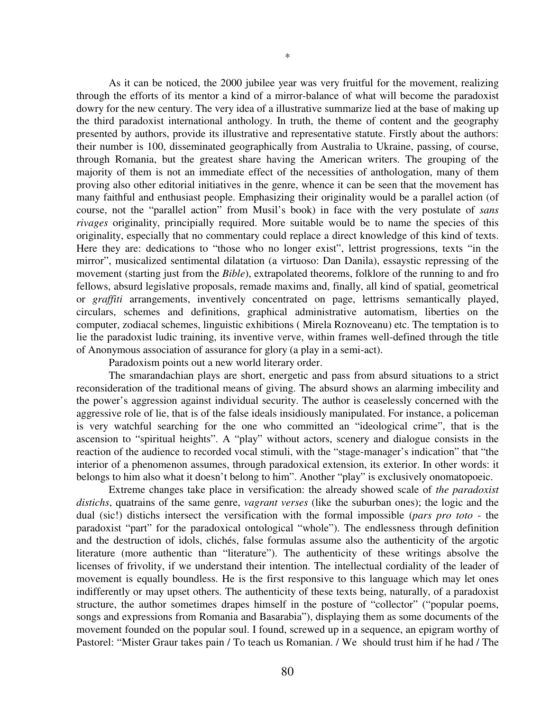As it can be noticed, the 2000 jubilee year was very fruitful for the movement, realizing through the efforts of its mentor a kind of a mirror-balance of what will become the paradoxist dowry for the new century. The very idea of a illustrative summarize lied at the base of making up the third paradoxist international anthology. In truth, the theme of content and the geography presented by authors, provide its illustrative and representative statute. Firstly about the authors: their number is 100, disseminated geographically from Australia to Ukraine, passing, of course, through Romania, but the greatest share having the American writers. The grouping of the majority of them is not an immediate effect of the necessities of anthologation, many of them proving also other editorial initiatives in the genre, whence it can be seen that the movement has many faithful and enthusiast people. Emphasizing their originality would be a parallel action (of course, not the "parallel action" from Musil's book) in face with the very postulate of *sans rivages* originality, principially required. More suitable would be to name the species of this originality, especially that no commentary could replace a direct knowledge of this kind of texts. Here they are: dedications to "those who no longer exist", lettrist progressions, texts "in the mirror", musicalized sentimental dilatation (a virtuoso: Dan Danila), essaystic repressing of the movement (starting just from the *Bible*), extrapolated theorems, folklore of the running to and fro fellows, absurd legislative proposals, remade maxims and, finally, all kind of spatial, geometrical or *graffiti* arrangements, inventively concentrated on page, lettrisms semantically played, circulars, schemes and definitions, graphical administrative automatism, liberties on the computer, zodiacal schemes, linguistic exhibitions ( Mirela Roznoveanu) etc. The temptation is to lie the paradoxist ludic training, its inventive verve, within frames well-defined through the title of Anonymous association of assurance for glory (a play in a semi-act).

Paradoxism points out a new world literary order.

 The smarandachian plays are short, energetic and pass from absurd situations to a strict reconsideration of the traditional means of giving. The absurd shows an alarming imbecility and the power's aggression against individual security. The author is ceaselessly concerned with the aggressive role of lie, that is of the false ideals insidiously manipulated. For instance, a policeman is very watchful searching for the one who committed an "ideological crime", that is the ascension to "spiritual heights". A "play" without actors, scenery and dialogue consists in the reaction of the audience to recorded vocal stimuli, with the "stage-manager's indication" that "the interior of a phenomenon assumes, through paradoxical extension, its exterior. In other words: it belongs to him also what it doesn't belong to him". Another "play" is exclusively onomatopoeic.

 Extreme changes take place in versification: the already showed scale of *the paradoxist distichs*, quatrains of the same genre, *vagrant verses* (like the suburban ones); the logic and the dual (sic!) distichs intersect the versification with the formal impossible (*pars pro toto* - the paradoxist "part" for the paradoxical ontological "whole"). The endlessness through definition and the destruction of idols, clichés, false formulas assume also the authenticity of the argotic literature (more authentic than "literature"). The authenticity of these writings absolve the licenses of frivolity, if we understand their intention. The intellectual cordiality of the leader of movement is equally boundless. He is the first responsive to this language which may let ones indifferently or may upset others. The authenticity of these texts being, naturally, of a paradoxist structure, the author sometimes drapes himself in the posture of "collector" ("popular poems, songs and expressions from Romania and Basarabia"), displaying them as some documents of the movement founded on the popular soul. I found, screwed up in a sequence, an epigram worthy of Pastorel: "Mister Graur takes pain / To teach us Romanian. / We should trust him if he had / The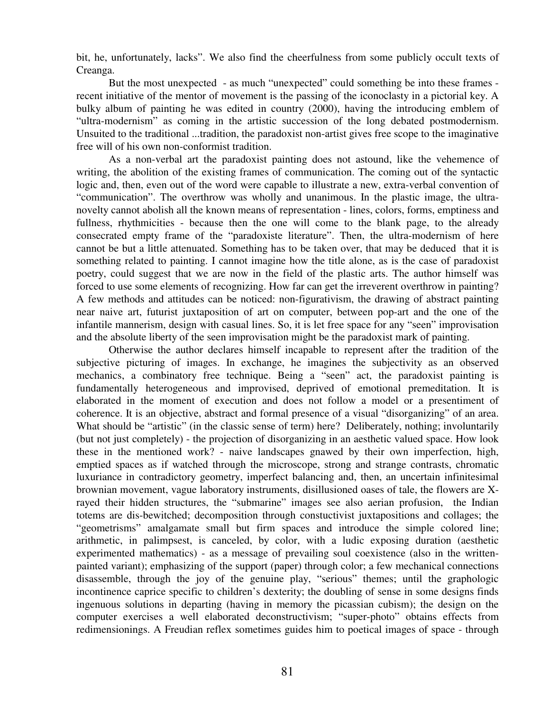bit, he, unfortunately, lacks". We also find the cheerfulness from some publicly occult texts of Creanga.

 But the most unexpected - as much "unexpected" could something be into these frames recent initiative of the mentor of movement is the passing of the iconoclasty in a pictorial key. A bulky album of painting he was edited in country (2000), having the introducing emblem of "ultra-modernism" as coming in the artistic succession of the long debated postmodernism. Unsuited to the traditional ...tradition, the paradoxist non-artist gives free scope to the imaginative free will of his own non-conformist tradition.

 As a non-verbal art the paradoxist painting does not astound, like the vehemence of writing, the abolition of the existing frames of communication. The coming out of the syntactic logic and, then, even out of the word were capable to illustrate a new, extra-verbal convention of "communication". The overthrow was wholly and unanimous. In the plastic image, the ultranovelty cannot abolish all the known means of representation - lines, colors, forms, emptiness and fullness, rhythmicities - because then the one will come to the blank page, to the already consecrated empty frame of the "paradoxiste literature". Then, the ultra-modernism of here cannot be but a little attenuated. Something has to be taken over, that may be deduced that it is something related to painting. I cannot imagine how the title alone, as is the case of paradoxist poetry, could suggest that we are now in the field of the plastic arts. The author himself was forced to use some elements of recognizing. How far can get the irreverent overthrow in painting? A few methods and attitudes can be noticed: non-figurativism, the drawing of abstract painting near naive art, futurist juxtaposition of art on computer, between pop-art and the one of the infantile mannerism, design with casual lines. So, it is let free space for any "seen" improvisation and the absolute liberty of the seen improvisation might be the paradoxist mark of painting.

 Otherwise the author declares himself incapable to represent after the tradition of the subjective picturing of images. In exchange, he imagines the subjectivity as an observed mechanics, a combinatory free technique. Being a "seen" act, the paradoxist painting is fundamentally heterogeneous and improvised, deprived of emotional premeditation. It is elaborated in the moment of execution and does not follow a model or a presentiment of coherence. It is an objective, abstract and formal presence of a visual "disorganizing" of an area. What should be "artistic" (in the classic sense of term) here? Deliberately, nothing; involuntarily (but not just completely) - the projection of disorganizing in an aesthetic valued space. How look these in the mentioned work? - naive landscapes gnawed by their own imperfection, high, emptied spaces as if watched through the microscope, strong and strange contrasts, chromatic luxuriance in contradictory geometry, imperfect balancing and, then, an uncertain infinitesimal brownian movement, vague laboratory instruments, disillusioned oases of tale, the flowers are Xrayed their hidden structures, the "submarine" images see also aerian profusion, the Indian totems are dis-bewitched; decomposition through constuctivist juxtapositions and collages; the "geometrisms" amalgamate small but firm spaces and introduce the simple colored line; arithmetic, in palimpsest, is canceled, by color, with a ludic exposing duration (aesthetic experimented mathematics) - as a message of prevailing soul coexistence (also in the writtenpainted variant); emphasizing of the support (paper) through color; a few mechanical connections disassemble, through the joy of the genuine play, "serious" themes; until the graphologic incontinence caprice specific to children's dexterity; the doubling of sense in some designs finds ingenuous solutions in departing (having in memory the picassian cubism); the design on the computer exercises a well elaborated deconstructivism; "super-photo" obtains effects from redimensionings. A Freudian reflex sometimes guides him to poetical images of space - through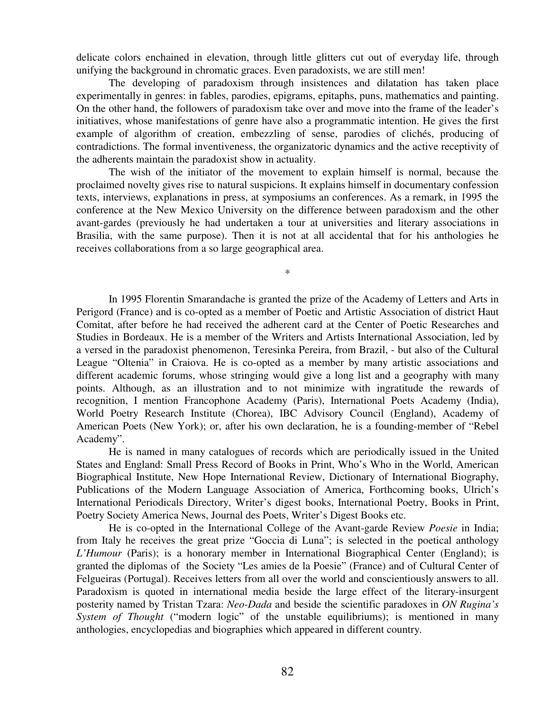delicate colors enchained in elevation, through little glitters cut out of everyday life, through unifying the background in chromatic graces. Even paradoxists, we are still men!

 The developing of paradoxism through insistences and dilatation has taken place experimentally in genres: in fables, parodies, epigrams, epitaphs, puns, mathematics and painting. On the other hand, the followers of paradoxism take over and move into the frame of the leader's initiatives, whose manifestations of genre have also a programmatic intention. He gives the first example of algorithm of creation, embezzling of sense, parodies of clichés, producing of contradictions. The formal inventiveness, the organizatoric dynamics and the active receptivity of the adherents maintain the paradoxist show in actuality.

 The wish of the initiator of the movement to explain himself is normal, because the proclaimed novelty gives rise to natural suspicions. It explains himself in documentary confession texts, interviews, explanations in press, at symposiums an conferences. As a remark, in 1995 the conference at the New Mexico University on the difference between paradoxism and the other avant-gardes (previously he had undertaken a tour at universities and literary associations in Brasilia, with the same purpose). Then it is not at all accidental that for his anthologies he receives collaborations from a so large geographical area.

\*

 In 1995 Florentin Smarandache is granted the prize of the Academy of Letters and Arts in Perigord (France) and is co-opted as a member of Poetic and Artistic Association of district Haut Comitat, after before he had received the adherent card at the Center of Poetic Researches and Studies in Bordeaux. He is a member of the Writers and Artists International Association, led by a versed in the paradoxist phenomenon, Teresinka Pereira, from Brazil, - but also of the Cultural League "Oltenia" in Craiova. He is co-opted as a member by many artistic associations and different academic forums, whose stringing would give a long list and a geography with many points. Although, as an illustration and to not minimize with ingratitude the rewards of recognition, I mention Francophone Academy (Paris), International Poets Academy (India), World Poetry Research Institute (Chorea), IBC Advisory Council (England), Academy of American Poets (New York); or, after his own declaration, he is a founding-member of "Rebel Academy".

 He is named in many catalogues of records which are periodically issued in the United States and England: Small Press Record of Books in Print, Who's Who in the World, American Biographical Institute, New Hope International Review, Dictionary of International Biography, Publications of the Modern Language Association of America, Forthcoming books, Ulrich's International Periodicals Directory, Writer's digest books, International Poetry, Books in Print, Poetry Society America News, Journal des Poets, Writer's Digest Books etc.

 He is co-opted in the International College of the Avant-garde Review *Poesie* in India; from Italy he receives the great prize "Goccia di Luna"; is selected in the poetical anthology *L'Humour* (Paris); is a honorary member in International Biographical Center (England); is granted the diplomas of the Society "Les amies de la Poesie" (France) and of Cultural Center of Felgueiras (Portugal). Receives letters from all over the world and conscientiously answers to all. Paradoxism is quoted in international media beside the large effect of the literary-insurgent posterity named by Tristan Tzara: *Neo-Dada* and beside the scientific paradoxes in *ON Rugina's System of Thought* ("modern logic" of the unstable equilibriums); is mentioned in many anthologies, encyclopedias and biographies which appeared in different country.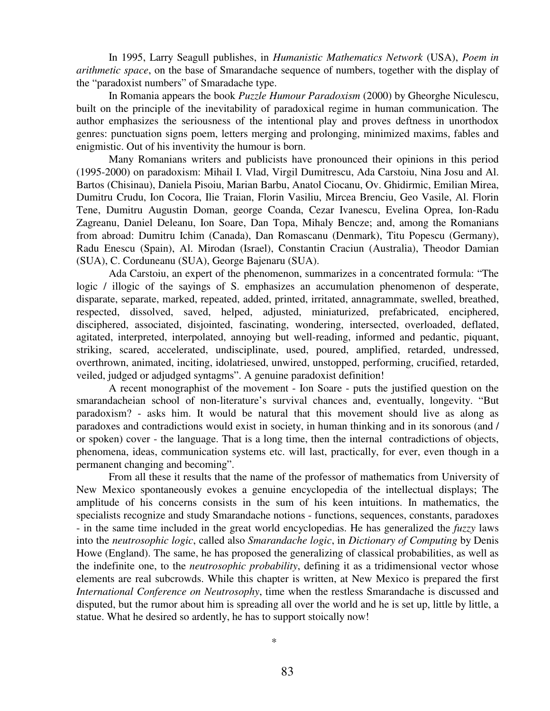In 1995, Larry Seagull publishes, in *Humanistic Mathematics Network* (USA), *Poem in arithmetic space*, on the base of Smarandache sequence of numbers, together with the display of the "paradoxist numbers" of Smaradache type.

 In Romania appears the book *Puzzle Humour Paradoxism* (2000) by Gheorghe Niculescu, built on the principle of the inevitability of paradoxical regime in human communication. The author emphasizes the seriousness of the intentional play and proves deftness in unorthodox genres: punctuation signs poem, letters merging and prolonging, minimized maxims, fables and enigmistic. Out of his inventivity the humour is born.

 Many Romanians writers and publicists have pronounced their opinions in this period (1995-2000) on paradoxism: Mihail I. Vlad, Virgil Dumitrescu, Ada Carstoiu, Nina Josu and Al. Bartos (Chisinau), Daniela Pisoiu, Marian Barbu, Anatol Ciocanu, Ov. Ghidirmic, Emilian Mirea, Dumitru Crudu, Ion Cocora, Ilie Traian, Florin Vasiliu, Mircea Brenciu, Geo Vasile, Al. Florin Tene, Dumitru Augustin Doman, george Coanda, Cezar Ivanescu, Evelina Oprea, Ion-Radu Zagreanu, Daniel Deleanu, Ion Soare, Dan Topa, Mihaly Bencze; and, among the Romanians from abroad: Dumitru Ichim (Canada), Dan Romascanu (Denmark), Titu Popescu (Germany), Radu Enescu (Spain), Al. Mirodan (Israel), Constantin Craciun (Australia), Theodor Damian (SUA), C. Corduneanu (SUA), George Bajenaru (SUA).

 Ada Carstoiu, an expert of the phenomenon, summarizes in a concentrated formula: "The logic / illogic of the sayings of S. emphasizes an accumulation phenomenon of desperate, disparate, separate, marked, repeated, added, printed, irritated, annagrammate, swelled, breathed, respected, dissolved, saved, helped, adjusted, miniaturized, prefabricated, enciphered, disciphered, associated, disjointed, fascinating, wondering, intersected, overloaded, deflated, agitated, interpreted, interpolated, annoying but well-reading, informed and pedantic, piquant, striking, scared, accelerated, undisciplinate, used, poured, amplified, retarded, undressed, overthrown, animated, inciting, idolatriesed, unwired, unstopped, performing, crucified, retarded, veiled, judged or adjudged syntagms". A genuine paradoxist definition!

 A recent monographist of the movement - Ion Soare - puts the justified question on the smarandacheian school of non-literature's survival chances and, eventually, longevity. "But paradoxism? - asks him. It would be natural that this movement should live as along as paradoxes and contradictions would exist in society, in human thinking and in its sonorous (and / or spoken) cover - the language. That is a long time, then the internal contradictions of objects, phenomena, ideas, communication systems etc. will last, practically, for ever, even though in a permanent changing and becoming".

 From all these it results that the name of the professor of mathematics from University of New Mexico spontaneously evokes a genuine encyclopedia of the intellectual displays; The amplitude of his concerns consists in the sum of his keen intuitions. In mathematics, the specialists recognize and study Smarandache notions - functions, sequences, constants, paradoxes - in the same time included in the great world encyclopedias. He has generalized the *fuzzy* laws into the *neutrosophic logic*, called also *Smarandache logic*, in *Dictionary of Computing* by Denis Howe (England). The same, he has proposed the generalizing of classical probabilities, as well as the indefinite one, to the *neutrosophic probability*, defining it as a tridimensional vector whose elements are real subcrowds. While this chapter is written, at New Mexico is prepared the first *International Conference on Neutrosophy*, time when the restless Smarandache is discussed and disputed, but the rumor about him is spreading all over the world and he is set up, little by little, a statue. What he desired so ardently, he has to support stoically now!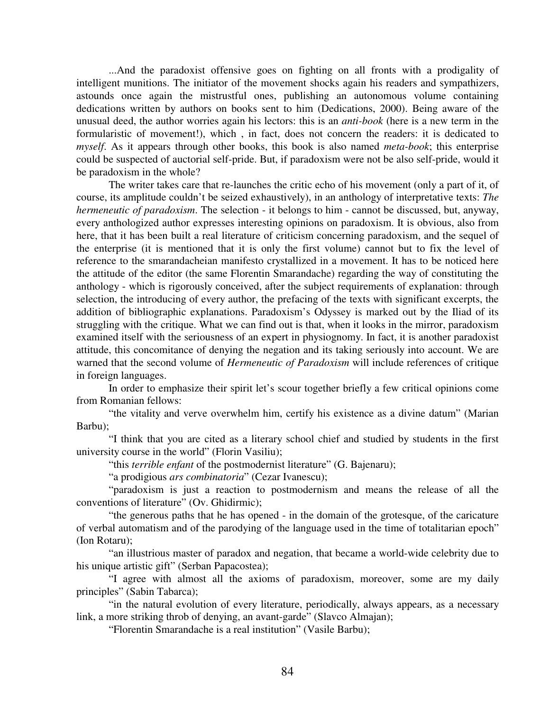...And the paradoxist offensive goes on fighting on all fronts with a prodigality of intelligent munitions. The initiator of the movement shocks again his readers and sympathizers, astounds once again the mistrustful ones, publishing an autonomous volume containing dedications written by authors on books sent to him (Dedications, 2000). Being aware of the unusual deed, the author worries again his lectors: this is an *anti-book* (here is a new term in the formularistic of movement!), which , in fact, does not concern the readers: it is dedicated to *myself*. As it appears through other books, this book is also named *meta-book*; this enterprise could be suspected of auctorial self-pride. But, if paradoxism were not be also self-pride, would it be paradoxism in the whole?

 The writer takes care that re-launches the critic echo of his movement (only a part of it, of course, its amplitude couldn't be seized exhaustively), in an anthology of interpretative texts: *The hermeneutic of paradoxism*. The selection - it belongs to him - cannot be discussed, but, anyway, every anthologized author expresses interesting opinions on paradoxism. It is obvious, also from here, that it has been built a real literature of criticism concerning paradoxism, and the sequel of the enterprise (it is mentioned that it is only the first volume) cannot but to fix the level of reference to the smarandacheian manifesto crystallized in a movement. It has to be noticed here the attitude of the editor (the same Florentin Smarandache) regarding the way of constituting the anthology - which is rigorously conceived, after the subject requirements of explanation: through selection, the introducing of every author, the prefacing of the texts with significant excerpts, the addition of bibliographic explanations. Paradoxism's Odyssey is marked out by the Iliad of its struggling with the critique. What we can find out is that, when it looks in the mirror, paradoxism examined itself with the seriousness of an expert in physiognomy. In fact, it is another paradoxist attitude, this concomitance of denying the negation and its taking seriously into account. We are warned that the second volume of *Hermeneutic of Paradoxism* will include references of critique in foreign languages.

 In order to emphasize their spirit let's scour together briefly a few critical opinions come from Romanian fellows:

 "the vitality and verve overwhelm him, certify his existence as a divine datum" (Marian Barbu);

 "I think that you are cited as a literary school chief and studied by students in the first university course in the world" (Florin Vasiliu);

"this *terrible enfant* of the postmodernist literature" (G. Bajenaru);

"a prodigious *ars combinatoria*" (Cezar Ivanescu);

 "paradoxism is just a reaction to postmodernism and means the release of all the conventions of literature" (Ov. Ghidirmic);

 "the generous paths that he has opened - in the domain of the grotesque, of the caricature of verbal automatism and of the parodying of the language used in the time of totalitarian epoch" (Ion Rotaru);

 "an illustrious master of paradox and negation, that became a world-wide celebrity due to his unique artistic gift" (Serban Papacostea);

 "I agree with almost all the axioms of paradoxism, moreover, some are my daily principles" (Sabin Tabarca);

 "in the natural evolution of every literature, periodically, always appears, as a necessary link, a more striking throb of denying, an avant-garde" (Slavco Almajan);

"Florentin Smarandache is a real institution" (Vasile Barbu);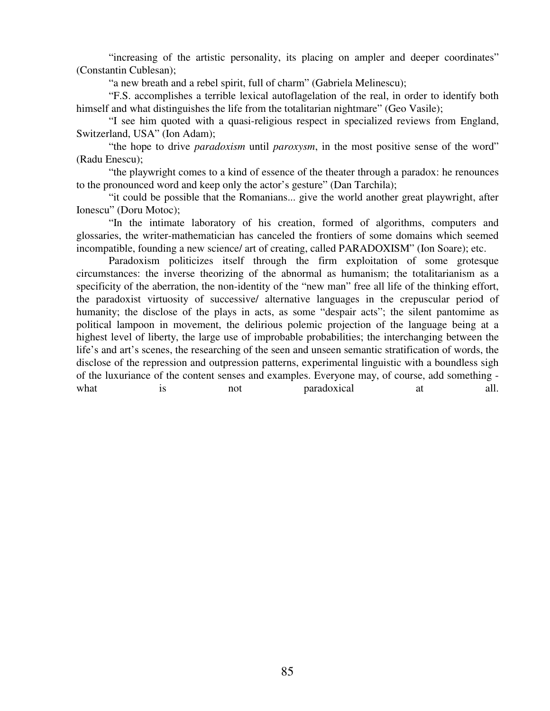"increasing of the artistic personality, its placing on ampler and deeper coordinates" (Constantin Cublesan);

"a new breath and a rebel spirit, full of charm" (Gabriela Melinescu);

 "F.S. accomplishes a terrible lexical autoflagelation of the real, in order to identify both himself and what distinguishes the life from the totalitarian nightmare" (Geo Vasile);

 "I see him quoted with a quasi-religious respect in specialized reviews from England, Switzerland, USA" (Ion Adam);

 "the hope to drive *paradoxism* until *paroxysm*, in the most positive sense of the word" (Radu Enescu);

 "the playwright comes to a kind of essence of the theater through a paradox: he renounces to the pronounced word and keep only the actor's gesture" (Dan Tarchila);

 "it could be possible that the Romanians... give the world another great playwright, after Ionescu" (Doru Motoc);

 "In the intimate laboratory of his creation, formed of algorithms, computers and glossaries, the writer-mathematician has canceled the frontiers of some domains which seemed incompatible, founding a new science/ art of creating, called PARADOXISM" (Ion Soare); etc.

 Paradoxism politicizes itself through the firm exploitation of some grotesque circumstances: the inverse theorizing of the abnormal as humanism; the totalitarianism as a specificity of the aberration, the non-identity of the "new man" free all life of the thinking effort, the paradoxist virtuosity of successive/ alternative languages in the crepuscular period of humanity; the disclose of the plays in acts, as some "despair acts"; the silent pantomime as political lampoon in movement, the delirious polemic projection of the language being at a highest level of liberty, the large use of improbable probabilities; the interchanging between the life's and art's scenes, the researching of the seen and unseen semantic stratification of words, the disclose of the repression and outpression patterns, experimental linguistic with a boundless sigh of the luxuriance of the content senses and examples. Everyone may, of course, add something what is not paradoxical at all.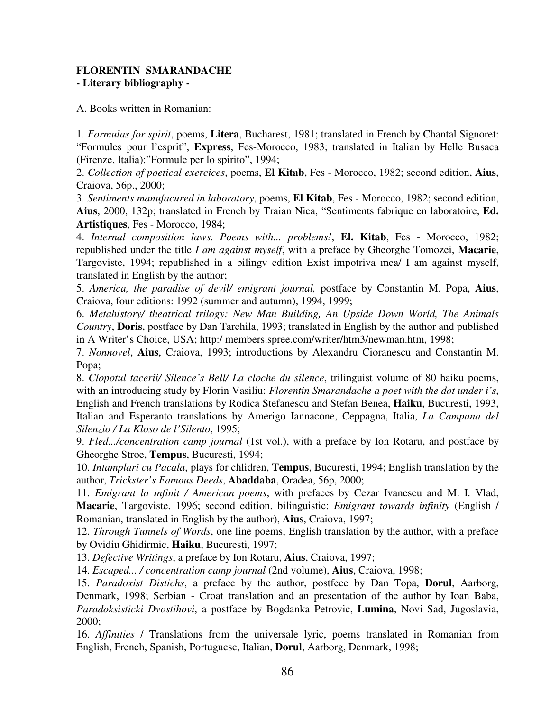# **FLORENTIN SMARANDACHE - Literary bibliography -**

A. Books written in Romanian:

1. *Formulas for spirit*, poems, **Litera**, Bucharest, 1981; translated in French by Chantal Signoret: "Formules pour l'esprit", **Express**, Fes-Morocco, 1983; translated in Italian by Helle Busaca (Firenze, Italia):"Formule per lo spirito", 1994;

2. *Collection of poetical exercices*, poems, **El Kitab**, Fes - Morocco, 1982; second edition, **Aius**, Craiova, 56p., 2000;

3. *Sentiments manufacured in laboratory*, poems, **El Kitab**, Fes - Morocco, 1982; second edition, **Aius**, 2000, 132p; translated in French by Traian Nica, "Sentiments fabrique en laboratoire, **Ed. Artistiques**, Fes - Morocco, 1984;

4. *Internal composition laws. Poems with... problems!*, **El. Kitab**, Fes - Morocco, 1982; republished under the title *I am against myself*, with a preface by Gheorghe Tomozei, **Macarie**, Targoviste, 1994; republished in a bilingv edition Exist impotriva mea/ I am against myself, translated in English by the author;

5. *America, the paradise of devil/ emigrant journal,* postface by Constantin M. Popa, **Aius**, Craiova, four editions: 1992 (summer and autumn), 1994, 1999;

6. *Metahistory/ theatrical trilogy: New Man Building, An Upside Down World, The Animals Country*, **Doris**, postface by Dan Tarchila, 1993; translated in English by the author and published in A Writer's Choice, USA; http:/ members.spree.com/writer/htm3/newman.htm, 1998;

7. *Nonnovel*, **Aius**, Craiova, 1993; introductions by Alexandru Cioranescu and Constantin M. Popa;

8. *Clopotul tacerii/ Silence's Bell/ La cloche du silence*, trilinguist volume of 80 haiku poems, with an introducing study by Florin Vasiliu: *Florentin Smarandache a poet with the dot under i's*, English and French translations by Rodica Stefanescu and Stefan Benea, **Haiku**, Bucuresti, 1993, Italian and Esperanto translations by Amerigo Iannacone, Ceppagna, Italia, *La Campana del Silenzio / La Kloso de l'Silento*, 1995;

9. *Fled.../concentration camp journal* (1st vol.), with a preface by Ion Rotaru, and postface by Gheorghe Stroe, **Tempus**, Bucuresti, 1994;

10. *Intamplari cu Pacala*, plays for chlidren, **Tempus**, Bucuresti, 1994; English translation by the author, *Trickster's Famous Deeds*, **Abaddaba**, Oradea, 56p, 2000;

11. *Emigrant la infinit / American poems*, with prefaces by Cezar Ivanescu and M. I. Vlad, **Macarie**, Targoviste, 1996; second edition, bilinguistic: *Emigrant towards infinity* (English / Romanian, translated in English by the author), **Aius**, Craiova, 1997;

12. *Through Tunnels of Words*, one line poems, English translation by the author, with a preface by Ovidiu Ghidirmic, **Haiku**, Bucuresti, 1997;

13. *Defective Writings*, a preface by Ion Rotaru, **Aius**, Craiova, 1997;

14. *Escaped... / concentration camp journal* (2nd volume), **Aius**, Craiova, 1998;

15. *Paradoxist Distichs*, a preface by the author, postfece by Dan Topa, **Dorul**, Aarborg, Denmark, 1998; Serbian - Croat translation and an presentation of the author by Ioan Baba, *Paradoksisticki Dvostihovi*, a postface by Bogdanka Petrovic, **Lumina**, Novi Sad, Jugoslavia, 2000;

16. *Affinities* / Translations from the universale lyric, poems translated in Romanian from English, French, Spanish, Portuguese, Italian, **Dorul**, Aarborg, Denmark, 1998;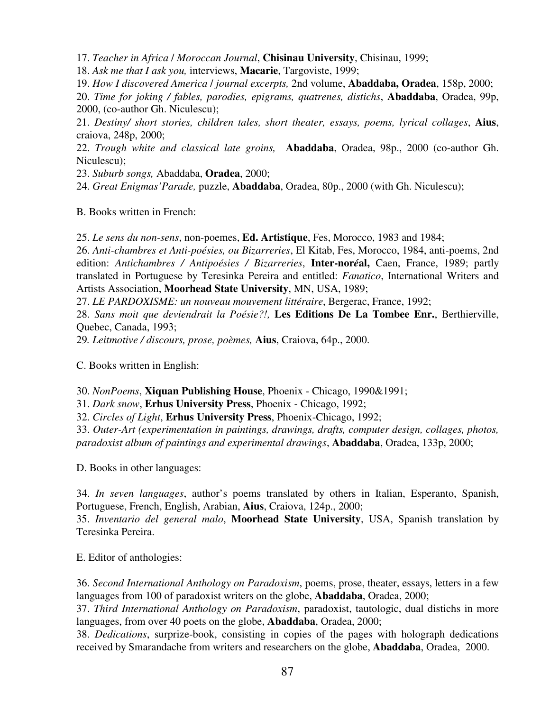17. *Teacher in Africa* / *Moroccan Journal*, **Chisinau University**, Chisinau, 1999;

18. *Ask me that I ask you,* interviews, **Macarie**, Targoviste, 1999;

19. *How I discovered America* / *journal excerpts,* 2nd volume, **Abaddaba, Oradea**, 158p, 2000;

20. *Time for joking / fables, parodies, epigrams, quatrenes, distichs*, **Abaddaba**, Oradea, 99p, 2000, (co-author Gh. Niculescu);

21. *Destiny/ short stories, children tales, short theater, essays, poems, lyrical collages*, **Aius**, craiova, 248p, 2000;

22. *Trough white and classical late groins,* **Abaddaba**, Oradea, 98p., 2000 (co-author Gh. Niculescu);

23. *Suburb songs,* Abaddaba, **Oradea**, 2000;

24. *Great Enigmas'Parade,* puzzle, **Abaddaba**, Oradea, 80p., 2000 (with Gh. Niculescu);

B. Books written in French:

25. *Le sens du non-sens*, non-poemes, **Ed. Artistique**, Fes, Morocco, 1983 and 1984;

26. *Anti-chambres et Anti-poésies, ou Bizarreries*, El Kitab, Fes, Morocco, 1984, anti-poems, 2nd edition: *Antichambres / Antipoésies / Bizarreries*, **Inter-nor***é***al,** Caen, France, 1989; partly translated in Portuguese by Teresinka Pereira and entitled: *Fanatico*, International Writers and Artists Association, **Moorhead State University**, MN, USA, 1989;

27. *LE PARDOXISME: un nouveau mouvement littéraire*, Bergerac, France, 1992;

28. *Sans moit que deviendrait la Poésie?!,* **Les Editions De La Tombee Enr.**, Berthierville, Quebec, Canada, 1993;

29*. Leitmotive / discours, prose, poèmes,* **Aius**, Craiova, 64p., 2000.

C. Books written in English:

30. *NonPoems*, **Xiquan Publishing House**, Phoenix - Chicago, 1990&1991;

31. *Dark snow*, **Erhus University Press**, Phoenix - Chicago, 1992;

32. *Circles of Light*, **Erhus University Press**, Phoenix-Chicago, 1992;

33. *Outer-Art (experimentation in paintings, drawings, drafts, computer design, collages, photos, paradoxist album of paintings and experimental drawings*, **Abaddaba**, Oradea, 133p, 2000;

D. Books in other languages:

34. *In seven languages*, author's poems translated by others in Italian, Esperanto, Spanish, Portuguese, French, English, Arabian, **Aius**, Craiova, 124p., 2000;

35. *Inventario del general malo*, **Moorhead State University**, USA, Spanish translation by Teresinka Pereira.

E. Editor of anthologies:

36. *Second International Anthology on Paradoxism*, poems, prose, theater, essays, letters in a few languages from 100 of paradoxist writers on the globe, **Abaddaba**, Oradea, 2000;

37. *Third International Anthology on Paradoxism*, paradoxist, tautologic, dual distichs in more languages, from over 40 poets on the globe, **Abaddaba**, Oradea, 2000;

38. *Dedications*, surprize-book, consisting in copies of the pages with holograph dedications received by Smarandache from writers and researchers on the globe, **Abaddaba**, Oradea, 2000.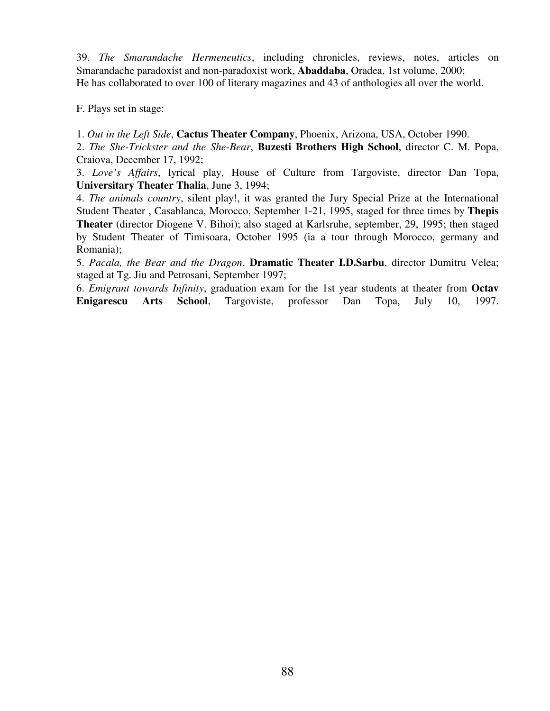39. *The Smarandache Hermeneutics*, including chronicles, reviews, notes, articles on Smarandache paradoxist and non-paradoxist work, **Abaddaba**, Oradea, 1st volume, 2000; He has collaborated to over 100 of literary magazines and 43 of anthologies all over the world.

F. Plays set in stage:

1. *Out in the Left Side*, **Cactus Theater Company**, Phoenix, Arizona, USA, October 1990.

2. *The She-Trickster and the She-Bear*, **Buzesti Brothers High School**, director C. M. Popa, Craiova, December 17, 1992;

3. *Love's Affairs*, lyrical play, House of Culture from Targoviste, director Dan Topa, **Universitary Theater Thalia**, June 3, 1994;

4. *The animals country*, silent play!, it was granted the Jury Special Prize at the International Student Theater , Casablanca, Morocco, September 1-21, 1995, staged for three times by **Thepis Theater** (director Diogene V. Bihoi); also staged at Karlsruhe, september, 29, 1995; then staged by Student Theater of Timisoara, October 1995 (ia a tour through Morocco, germany and Romania);

5. *Pacala, the Bear and the Dragon*, **Dramatic Theater I.D.Sarbu**, director Dumitru Velea; staged at Tg. Jiu and Petrosani, September 1997;

6. *Emigrant towards Infinity*, graduation exam for the 1st year students at theater from **Octav Enigarescu Arts School**, Targoviste, professor Dan Topa, July 10, 1997.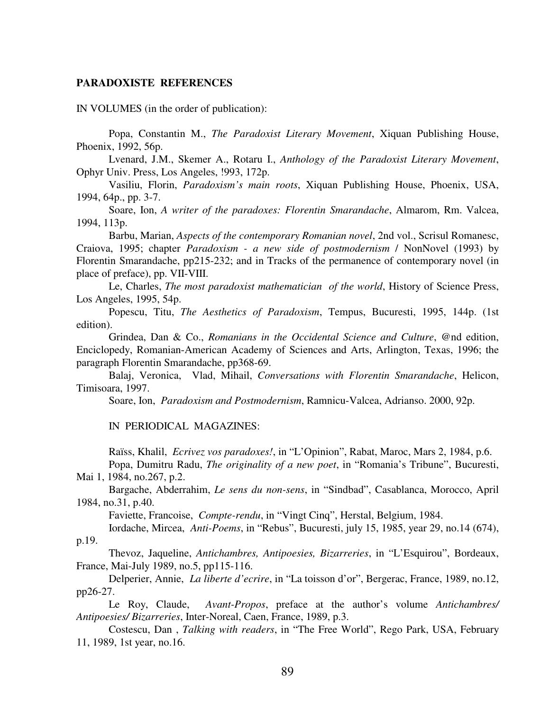### **PARADOXISTE REFERENCES**

IN VOLUMES (in the order of publication):

 Popa, Constantin M., *The Paradoxist Literary Movement*, Xiquan Publishing House, Phoenix, 1992, 56p.

 Lvenard, J.M., Skemer A., Rotaru I., *Anthology of the Paradoxist Literary Movement*, Ophyr Univ. Press, Los Angeles, !993, 172p.

 Vasiliu, Florin, *Paradoxism's main roots*, Xiquan Publishing House, Phoenix, USA, 1994, 64p., pp. 3-7.

 Soare, Ion, *A writer of the paradoxes: Florentin Smarandache*, Almarom, Rm. Valcea, 1994, 113p.

 Barbu, Marian, *Aspects of the contemporary Romanian novel*, 2nd vol., Scrisul Romanesc, Craiova, 1995; chapter *Paradoxism - a new side of postmodernism* / NonNovel (1993) by Florentin Smarandache, pp215-232; and in Tracks of the permanence of contemporary novel (in place of preface), pp. VII-VIII.

 Le, Charles, *The most paradoxist mathematician of the world*, History of Science Press, Los Angeles, 1995, 54p.

 Popescu, Titu, *The Aesthetics of Paradoxism*, Tempus, Bucuresti, 1995, 144p. (1st edition).

 Grindea, Dan & Co., *Romanians in the Occidental Science and Culture*, @nd edition, Enciclopedy, Romanian-American Academy of Sciences and Arts, Arlington, Texas, 1996; the paragraph Florentin Smarandache, pp368-69.

 Balaj, Veronica, Vlad, Mihail, *Conversations with Florentin Smarandache*, Helicon, Timisoara, 1997.

Soare, Ion, *Paradoxism and Postmodernism*, Ramnicu-Valcea, Adrianso. 2000, 92p.

IN PERIODICAL MAGAZINES:

Raïss, Khalil, *Ecrivez vos paradoxes!*, in "L'Opinion", Rabat, Maroc, Mars 2, 1984, p.6.

 Popa, Dumitru Radu, *The originality of a new poet*, in "Romania's Tribune", Bucuresti, Mai 1, 1984, no.267, p.2.

 Bargache, Abderrahim, *Le sens du non-sens*, in "Sindbad", Casablanca, Morocco, April 1984, no.31, p.40.

Faviette, Francoise, *Compte-rendu*, in "Vingt Cinq", Herstal, Belgium, 1984.

 Iordache, Mircea, *Anti-Poems*, in "Rebus", Bucuresti, july 15, 1985, year 29, no.14 (674), p.19.

 Thevoz, Jaqueline, *Antichambres, Antipoesies, Bizarreries*, in "L'Esquirou", Bordeaux, France, Mai-July 1989, no.5, pp115-116.

 Delperier, Annie, *La liberte d'ecrire*, in "La toisson d'or", Bergerac, France, 1989, no.12, pp26-27.

 Le Roy, Claude, *Avant-Propos*, preface at the author's volume *Antichambres/ Antipoesies/ Bizarreries*, Inter-Noreal, Caen, France, 1989, p.3.

 Costescu, Dan , *Talking with readers*, in "The Free World", Rego Park, USA, February 11, 1989, 1st year, no.16.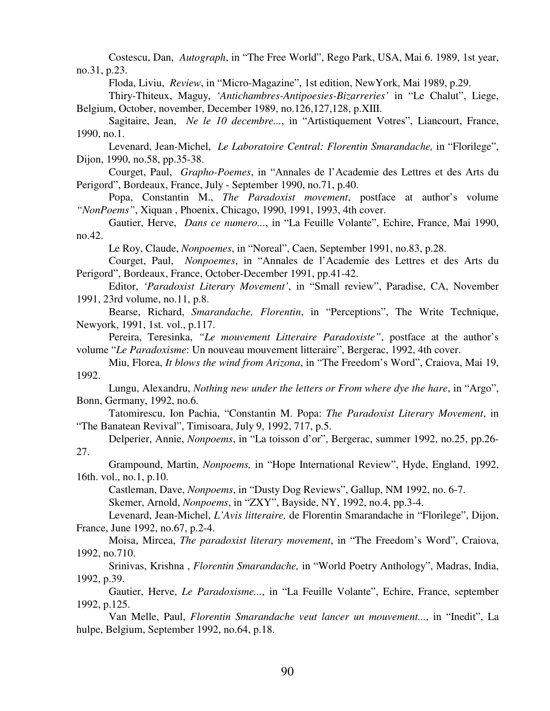Costescu, Dan, *Autograph*, in "The Free World", Rego Park, USA, Mai 6. 1989, 1st year, no.31, p.23.

Floda, Liviu, *Review*, in "Micro-Magazine", 1st edition, NewYork, Mai 1989, p.29.

 Thiry-Thiteux, Maguy, *'Antichambres-Antipoesies-Bizarreries'* in "Le Chalut", Liege, Belgium, October, november, December 1989, no.126,127,128, p.XIII.

 Sagitaire, Jean, *Ne le 10 decembre...*, in "Artistiquement Votres", Liancourt, France, 1990, no.1.

 Levenard, Jean-Michel, *Le Laboratoire Central: Florentin Smarandache,* in "Florilege", Dijon, 1990, no.58, pp.35-38.

 Courget, Paul, *Grapho-Poemes*, in "Annales de l'Academie des Lettres et des Arts du Perigord", Bordeaux, France, July - September 1990, no.71, p.40.

 Popa, Constantin M., *The Paradoxist movement*, postface at author's volume *"NonPoems"*, Xiquan , Phoenix, Chicago, 1990, 1991, 1993, 4th cover.

 Gautier, Herve, *Dans ce numero...*, in "La Feuille Volante", Echire, France, Mai 1990, no.42.

Le Roy, Claude, *Nonpoemes*, in "Noreal", Caen, September 1991, no.83, p.28.

 Courget, Paul, *Nonpoemes*, in "Annales de l'Academie des Lettres et des Arts du Perigord", Bordeaux, France, October-December 1991, pp.41-42.

 Editor, *'Paradoxist Literary Movement'*, in "Small review", Paradise, CA, November 1991, 23rd volume, no.11, p.8.

 Bearse, Richard, *Smarandache, Florentin*, in "Perceptions", The Write Technique, Newyork, 1991, 1st. vol., p.117.

 Pereira, Teresinka, *"Le mouvement Litteraire Paradoxiste"*, postface at the author's volume "*Le Paradoxisme*: Un nouveau mouvement litteraire", Bergerac, 1992, 4th cover.

 Miu, Florea, *It blows the wind from Arizona*, in "The Freedom's Word", Craiova, Mai 19, 1992.

 Lungu, Alexandru, *Nothing new under the letters or From where dye the hare*, in "Argo", Bonn, Germany, 1992, no.6.

 Tatomirescu, Ion Pachia, "Constantin M. Popa: *The Paradoxist Literary Movement*, in "The Banatean Revival", Timisoara, July 9, 1992, 717, p.5.

Delperier, Annie, *Nonpoems*, in "La toisson d'or", Bergerac, summer 1992, no.25, pp.26-

## 27.

 Grampound, Martin, *Nonpoems,* in "Hope International Review", Hyde, England, 1992, 16th. vol., no.1, p.10.

Castleman, Dave, *Nonpoems*, in "Dusty Dog Reviews", Gallup, NM 1992, no. 6-7.

Skemer, Arnold, *Nonpoems*, in "ZXY", Bayside, NY, 1992, no.4, pp.3-4.

 Levenard, Jean-Michel, *L'Avis litteraire,* de Florentin Smarandache in "Florilege", Dijon, France, June 1992, no.67, p.2-4.

 Moisa, Mircea, *The paradoxist literary movement*, in "The Freedom's Word", Craiova, 1992, no.710.

 Srinivas, Krishna , *Florentin Smarandache,* in "World Poetry Anthology", Madras, India, 1992, p.39.

 Gautier, Herve, *Le Paradoxisme...*, in "La Feuille Volante", Echire, France, september 1992, p.125.

 Van Melle, Paul, *Florentin Smarandache veut lancer un mouvement...*, in "Inedit", La hulpe, Belgium, September 1992, no.64, p.18.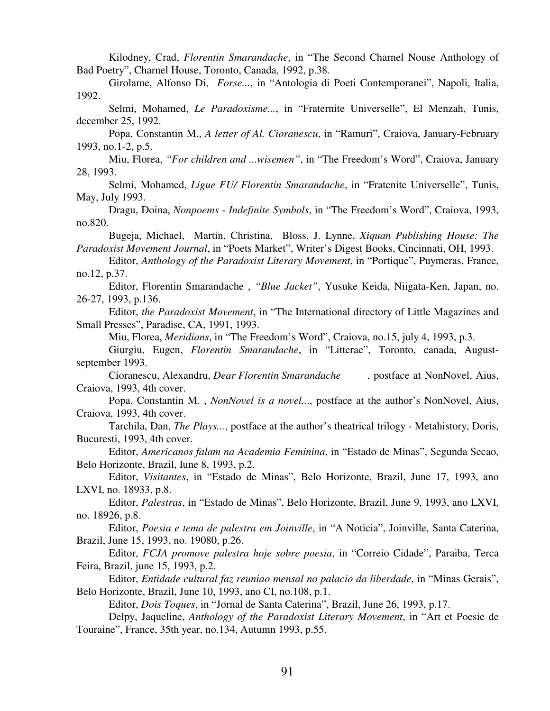Kilodney, Crad, *Florentin Smarandache*, in "The Second Charnel Nouse Anthology of Bad Poetry", Charnel House, Toronto, Canada, 1992, p.38.

 Girolame, Alfonso Di, *Forse...*, in "Antologia di Poeti Contemporanei", Napoli, Italia, 1992.

 Selmi, Mohamed, *Le Paradoxisme...*, in "Fraternite Universelle", El Menzah, Tunis, december 25, 1992.

 Popa, Constantin M., *A letter of Al. Cioranescu*, in "Ramuri", Craiova, January-February 1993, no.1-2, p.5.

 Miu, Florea, *"For children and ...wisemen"*, in "The Freedom's Word", Craiova, January 28, 1993.

 Selmi, Mohamed, *Ligue FU/ Florentin Smarandache*, in "Fratenite Universelle", Tunis, May, July 1993.

 Dragu, Doina, *Nonpoems - Indefinite Symbols*, in "The Freedom's Word", Craiova, 1993, no.820.

 Bugeja, Michael, Martin, Christina, Bloss, J. Lynne, *Xiquan Publishing House: The Paradoxist Movement Journal*, in "Poets Market", Writer's Digest Books, Cincinnati, OH, 1993.

 Editor, *Anthology of the Paradoxist Literary Movement*, in "Portique", Puymeras, France, no.12, p.37.

 Editor, Florentin Smarandache , *"Blue Jacket"*, Yusuke Keida, Niigata-Ken, Japan, no. 26-27, 1993, p.136.

 Editor, *the Paradoxist Movement*, in "The International directory of Little Magazines and Small Presses", Paradise, CA, 1991, 1993.

Miu, Florea, *Meridians*, in "The Freedom's Word", Craiova, no.15, july 4, 1993, p.3.

 Giurgiu, Eugen, *Florentin Smarandache*, in "Litterae", Toronto, canada, Augustseptember 1993.

 Cioranescu, Alexandru, *Dear Florentin Smarandache* , postface at NonNovel, Aius, Craiova, 1993, 4th cover.

 Popa, Constantin M. , *NonNovel is a novel..*., postface at the author's NonNovel, Aius, Craiova, 1993, 4th cover.

 Tarchila, Dan, *The Plays...*, postface at the author's theatrical trilogy - Metahistory, Doris, Bucuresti, 1993, 4th cover.

 Editor, *Americanos falam na Academia Feminina*, in "Estado de Minas", Segunda Secao, Belo Horizonte, Brazil, Iune 8, 1993, p.2.

 Editor, *Visitantes*, in "Estado de Minas", Belo Horizonte, Brazil, June 17, 1993, ano LXVI, no. 18933, p.8.

 Editor, *Palestras*, in "Estado de Minas", Belo Horizonte, Brazil, June 9, 1993, ano LXVI, no. 18926, p.8.

 Editor, *Poesia e tema de palestra em Joinville*, in "A Noticia", Joinville, Santa Caterina, Brazil, June 15, 1993, no. 19080, p.26.

 Editor, *FCJA promove palestra hoje sobre poesia*, in "Correio Cidade", Paraiba, Terca Feira, Brazil, june 15, 1993, p.2.

 Editor, *Entidade cultural faz reuniao mensal no palacio da liberdade*, in "Minas Gerais", Belo Horizonte, Brazil, June 10, 1993, ano CI, no.108, p.1.

Editor, *Dois Toques*, in "Jornal de Santa Caterina", Brazil, June 26, 1993, p.17.

 Delpy, Jaqueline, *Anthology of the Paradoxist Literary Movement*, in "Art et Poesie de Touraine", France, 35th year, no.134, Autumn 1993, p.55.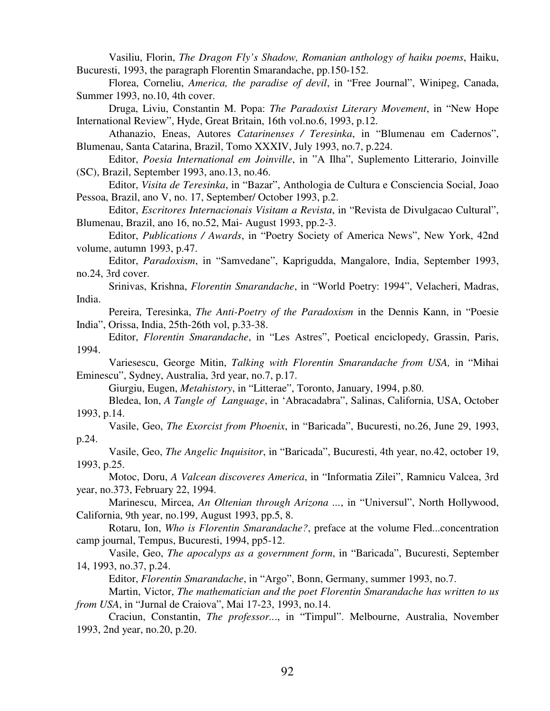Vasiliu, Florin, *The Dragon Fly's Shadow, Romanian anthology of haiku poems*, Haiku, Bucuresti, 1993, the paragraph Florentin Smarandache, pp.150-152.

 Florea, Corneliu, *America, the paradise of devil*, in "Free Journal", Winipeg, Canada, Summer 1993, no.10, 4th cover.

 Druga, Liviu, Constantin M. Popa: *The Paradoxist Literary Movement*, in "New Hope International Review", Hyde, Great Britain, 16th vol.no.6, 1993, p.12.

 Athanazio, Eneas, Autores *Catarinenses / Teresinka*, in "Blumenau em Cadernos", Blumenau, Santa Catarina, Brazil, Tomo XXXIV, July 1993, no.7, p.224.

 Editor, *Poesia International em Joinville*, in "A Ilha", Suplemento Litterario, Joinville (SC), Brazil, September 1993, ano.13, no.46.

 Editor, *Visita de Teresinka*, in "Bazar", Anthologia de Cultura e Consciencia Social, Joao Pessoa, Brazil, ano V, no. 17, September/ October 1993, p.2.

 Editor, *Escritores Internacionais Visitam a Revista*, in "Revista de Divulgacao Cultural", Blumenau, Brazil, ano 16, no.52, Mai- August 1993, pp.2-3.

 Editor, *Publications / Awards*, in "Poetry Society of America News", New York, 42nd volume, autumn 1993, p.47.

 Editor, *Paradoxism*, in "Samvedane", Kaprigudda, Mangalore, India, September 1993, no.24, 3rd cover.

 Srinivas, Krishna, *Florentin Smarandache*, in "World Poetry: 1994", Velacheri, Madras, India.

 Pereira, Teresinka, *The Anti-Poetry of the Paradoxism* in the Dennis Kann, in "Poesie India", Orissa, India, 25th-26th vol, p.33-38.

 Editor, *Florentin Smarandache*, in "Les Astres", Poetical enciclopedy, Grassin, Paris, 1994.

 Variesescu, George Mitin, *Talking with Florentin Smarandache from USA,* in "Mihai Eminescu", Sydney, Australia, 3rd year, no.7, p.17.

Giurgiu, Eugen, *Metahistory*, in "Litterae", Toronto, January, 1994, p.80.

 Bledea, Ion, *A Tangle of Language*, in 'Abracadabra", Salinas, California, USA, October 1993, p.14.

 Vasile, Geo, *The Exorcist from Phoenix*, in "Baricada", Bucuresti, no.26, June 29, 1993, p.24.

 Vasile, Geo, *The Angelic Inquisitor*, in "Baricada", Bucuresti, 4th year, no.42, october 19, 1993, p.25.

 Motoc, Doru, *A Valcean discoveres America*, in "Informatia Zilei", Ramnicu Valcea, 3rd year, no.373, February 22, 1994.

 Marinescu, Mircea, *An Oltenian through Arizona ...*, in "Universul", North Hollywood, California, 9th year, no.199, August 1993, pp.5, 8.

 Rotaru, Ion, *Who is Florentin Smarandache?*, preface at the volume Fled...concentration camp journal, Tempus, Bucuresti, 1994, pp5-12.

 Vasile, Geo, *The apocalyps as a government form*, in "Baricada", Bucuresti, September 14, 1993, no.37, p.24.

Editor, *Florentin Smarandache*, in "Argo", Bonn, Germany, summer 1993, no.7.

 Martin, Victor, *The mathematician and the poet Florentin Smarandache has written to us from USA*, in "Jurnal de Craiova", Mai 17-23, 1993, no.14.

 Craciun, Constantin, *The professor..*., in "Timpul". Melbourne, Australia, November 1993, 2nd year, no.20, p.20.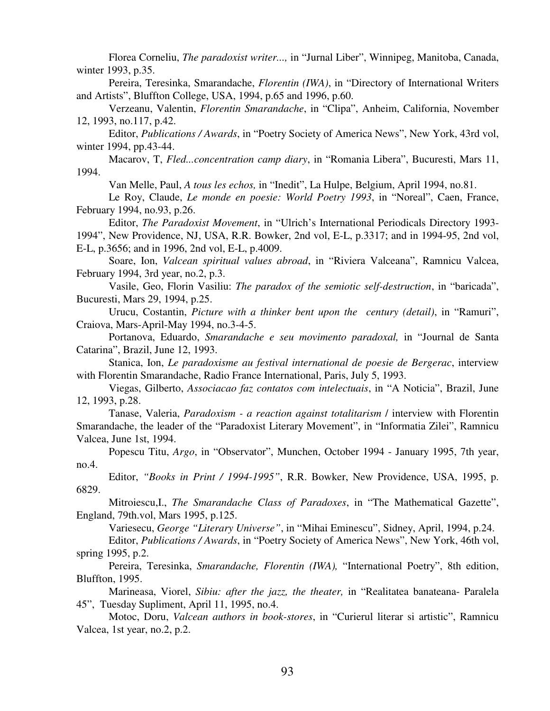Florea Corneliu, *The paradoxist writer...,* in "Jurnal Liber", Winnipeg, Manitoba, Canada, winter 1993, p.35.

 Pereira, Teresinka, Smarandache, *Florentin (IWA)*, in "Directory of International Writers and Artists", Bluffton College, USA, 1994, p.65 and 1996, p.60.

 Verzeanu, Valentin, *Florentin Smarandache*, in "Clipa", Anheim, California, November 12, 1993, no.117, p.42.

 Editor, *Publications / Awards*, in "Poetry Society of America News", New York, 43rd vol, winter 1994, pp.43-44.

 Macarov, T, *Fled...concentration camp diary*, in "Romania Libera", Bucuresti, Mars 11, 1994.

Van Melle, Paul, *A tous les echos,* in "Inedit", La Hulpe, Belgium, April 1994, no.81.

 Le Roy, Claude, *Le monde en poesie: World Poetry 1993*, in "Noreal", Caen, France, February 1994, no.93, p.26.

 Editor, *The Paradoxist Movement*, in "Ulrich's International Periodicals Directory 1993- 1994", New Providence, NJ, USA, R.R. Bowker, 2nd vol, E-L, p.3317; and in 1994-95, 2nd vol, E-L, p.3656; and in 1996, 2nd vol, E-L, p.4009.

 Soare, Ion, *Valcean spiritual values abroad*, in "Riviera Valceana", Ramnicu Valcea, February 1994, 3rd year, no.2, p.3.

 Vasile, Geo, Florin Vasiliu: *The paradox of the semiotic self-destruction*, in "baricada", Bucuresti, Mars 29, 1994, p.25.

 Urucu, Costantin, *Picture with a thinker bent upon the century (detail)*, in "Ramuri", Craiova, Mars-April-May 1994, no.3-4-5.

 Portanova, Eduardo, *Smarandache e seu movimento paradoxal,* in "Journal de Santa Catarina", Brazil, June 12, 1993.

 Stanica, Ion, *Le paradoxisme au festival international de poesie de Bergerac*, interview with Florentin Smarandache, Radio France International, Paris, July 5, 1993.

 Viegas, Gilberto, *Associacao faz contatos com intelectuais*, in "A Noticia", Brazil, June 12, 1993, p.28.

 Tanase, Valeria, *Paradoxism - a reaction against totalitarism* / interview with Florentin Smarandache, the leader of the "Paradoxist Literary Movement", in "Informatia Zilei", Ramnicu Valcea, June 1st, 1994.

 Popescu Titu, *Argo*, in "Observator", Munchen, October 1994 - January 1995, 7th year, no.4.

 Editor, *"Books in Print / 1994-1995"*, R.R. Bowker, New Providence, USA, 1995, p. 6829.

 Mitroiescu,I., *The Smarandache Class of Paradoxes*, in "The Mathematical Gazette", England, 79th.vol, Mars 1995, p.125.

Variesecu, *George "Literary Universe"*, in "Mihai Eminescu", Sidney, April, 1994, p.24.

 Editor, *Publications / Awards*, in "Poetry Society of America News", New York, 46th vol, spring 1995, p.2.

 Pereira, Teresinka, *Smarandache, Florentin (IWA),* "International Poetry", 8th edition, Bluffton, 1995.

 Marineasa, Viorel, *Sibiu: after the jazz, the theater,* in "Realitatea banateana- Paralela 45", Tuesday Supliment, April 11, 1995, no.4.

 Motoc, Doru, *Valcean authors in book-stores*, in "Curierul literar si artistic", Ramnicu Valcea, 1st year, no.2, p.2.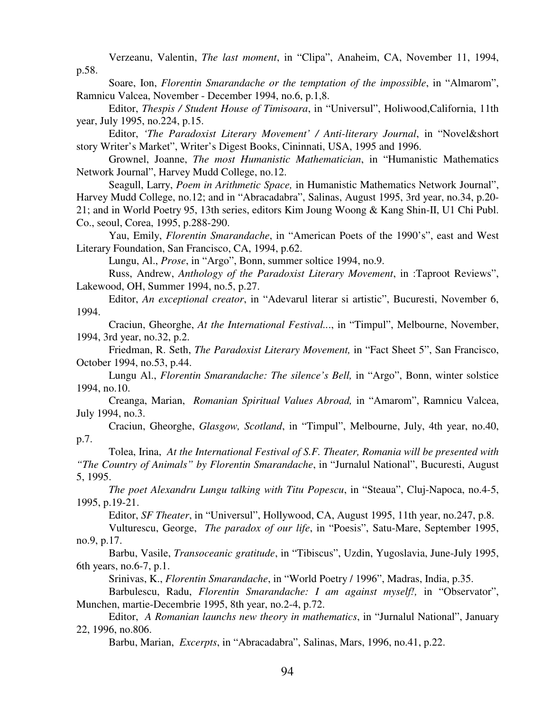Verzeanu, Valentin, *The last moment*, in "Clipa", Anaheim, CA, November 11, 1994, p.58.

 Soare, Ion, *Florentin Smarandache or the temptation of the impossible*, in "Almarom", Ramnicu Valcea, November - December 1994, no.6, p.1,8.

 Editor, *Thespis / Student House of Timisoara*, in "Universul", Holiwood,California, 11th year, July 1995, no.224, p.15.

 Editor, *'The Paradoxist Literary Movement' / Anti-literary Journal*, in "Novel&short story Writer's Market", Writer's Digest Books, Cininnati, USA, 1995 and 1996.

 Grownel, Joanne, *The most Humanistic Mathematician*, in "Humanistic Mathematics Network Journal", Harvey Mudd College, no.12.

 Seagull, Larry, *Poem in Arithmetic Space,* in Humanistic Mathematics Network Journal", Harvey Mudd College, no.12; and in "Abracadabra", Salinas, August 1995, 3rd year, no.34, p.20- 21; and in World Poetry 95, 13th series, editors Kim Joung Woong & Kang Shin-II, U1 Chi Publ. Co., seoul, Corea, 1995, p.288-290.

 Yau, Emily, *Florentin Smarandache*, in "American Poets of the 1990's", east and West Literary Foundation, San Francisco, CA, 1994, p.62.

Lungu, Al., *Prose*, in "Argo", Bonn, summer soltice 1994, no.9.

 Russ, Andrew, *Anthology of the Paradoxist Literary Movement*, in :Taproot Reviews", Lakewood, OH, Summer 1994, no.5, p.27.

 Editor, *An exceptional creator*, in "Adevarul literar si artistic", Bucuresti, November 6, 1994.

 Craciun, Gheorghe, *At the International Festival..*., in "Timpul", Melbourne, November, 1994, 3rd year, no.32, p.2.

 Friedman, R. Seth, *The Paradoxist Literary Movement,* in "Fact Sheet 5", San Francisco, October 1994, no.53, p.44.

 Lungu Al., *Florentin Smarandache: The silence's Bell,* in "Argo", Bonn, winter solstice 1994, no.10.

 Creanga, Marian, *Romanian Spiritual Values Abroad,* in "Amarom", Ramnicu Valcea, July 1994, no.3.

 Craciun, Gheorghe, *Glasgow, Scotland*, in "Timpul", Melbourne, July, 4th year, no.40, p.7.

 Tolea, Irina, *At the International Festival of S.F. Theater, Romania will be presented with "The Country of Animals" by Florentin Smarandache*, in "Jurnalul National", Bucuresti, August 5, 1995.

*The poet Alexandru Lungu talking with Titu Popescu*, in "Steaua", Cluj-Napoca, no.4-5, 1995, p.19-21.

Editor, *SF Theater*, in "Universul", Hollywood, CA, August 1995, 11th year, no.247, p.8.

 Vulturescu, George, *The paradox of our life*, in "Poesis", Satu-Mare, September 1995, no.9, p.17.

 Barbu, Vasile, *Transoceanic gratitude*, in "Tibiscus", Uzdin, Yugoslavia, June-July 1995, 6th years, no.6-7, p.1.

Srinivas, K., *Florentin Smarandache*, in "World Poetry / 1996", Madras, India, p.35.

 Barbulescu, Radu, *Florentin Smarandache: I am against myself!,* in "Observator", Munchen, martie-Decembrie 1995, 8th year, no.2-4, p.72.

 Editor, *A Romanian launchs new theory in mathematics*, in "Jurnalul National", January 22, 1996, no.806.

Barbu, Marian, *Excerpts*, in "Abracadabra", Salinas, Mars, 1996, no.41, p.22.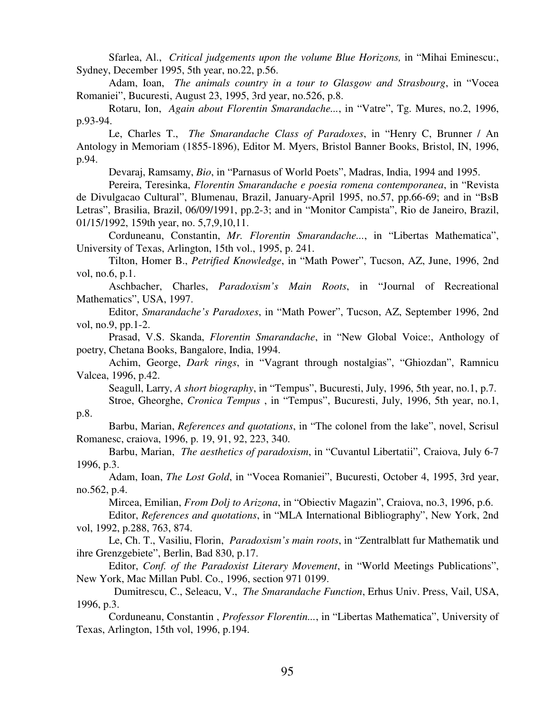Sfarlea, Al., *Critical judgements upon the volume Blue Horizons,* in "Mihai Eminescu:, Sydney, December 1995, 5th year, no.22, p.56.

 Adam, Ioan, *The animals country in a tour to Glasgow and Strasbourg*, in "Vocea Romaniei", Bucuresti, August 23, 1995, 3rd year, no.526, p.8.

 Rotaru, Ion, *Again about Florentin Smarandache...*, in "Vatre", Tg. Mures, no.2, 1996, p.93-94.

 Le, Charles T., *The Smarandache Class of Paradoxes*, in "Henry C, Brunner / An Antology in Memoriam (1855-1896), Editor M. Myers, Bristol Banner Books, Bristol, IN, 1996, p.94.

Devaraj, Ramsamy, *Bio*, in "Parnasus of World Poets", Madras, India, 1994 and 1995.

 Pereira, Teresinka, *Florentin Smarandache e poesia romena contemporanea*, in "Revista de Divulgacao Cultural", Blumenau, Brazil, January-April 1995, no.57, pp.66-69; and in "BsB Letras", Brasilia, Brazil, 06/09/1991, pp.2-3; and in "Monitor Campista", Rio de Janeiro, Brazil, 01/15/1992, 159th year, no. 5,7,9,10,11.

 Corduneanu, Constantin, *Mr. Florentin Smarandache...*, in "Libertas Mathematica", University of Texas, Arlington, 15th vol., 1995, p. 241.

 Tilton, Homer B., *Petrified Knowledge*, in "Math Power", Tucson, AZ, June, 1996, 2nd vol, no.6, p.1.

 Aschbacher, Charles, *Paradoxism's Main Roots*, in "Journal of Recreational Mathematics", USA, 1997.

 Editor, *Smarandache's Paradoxes*, in "Math Power", Tucson, AZ, September 1996, 2nd vol, no.9, pp.1-2.

 Prasad, V.S. Skanda, *Florentin Smarandache*, in "New Global Voice:, Anthology of poetry, Chetana Books, Bangalore, India, 1994.

 Achim, George, *Dark rings*, in "Vagrant through nostalgias", "Ghiozdan", Ramnicu Valcea, 1996, p.42.

Seagull, Larry, *A short biography*, in "Tempus", Bucuresti, July, 1996, 5th year, no.1, p.7.

 Stroe, Gheorghe, *Cronica Tempus* , in "Tempus", Bucuresti, July, 1996, 5th year, no.1, p.8.

 Barbu, Marian, *References and quotations*, in "The colonel from the lake", novel, Scrisul Romanesc, craiova, 1996, p. 19, 91, 92, 223, 340.

 Barbu, Marian, *The aesthetics of paradoxism*, in "Cuvantul Libertatii", Craiova, July 6-7 1996, p.3.

 Adam, Ioan, *The Lost Gold*, in "Vocea Romaniei", Bucuresti, October 4, 1995, 3rd year, no.562, p.4.

Mircea, Emilian, *From Dolj to Arizona*, in "Obiectiv Magazin", Craiova, no.3, 1996, p.6.

 Editor, *References and quotations*, in "MLA International Bibliography", New York, 2nd vol, 1992, p.288, 763, 874.

 Le, Ch. T., Vasiliu, Florin, *Paradoxism's main roots*, in "Zentralblatt fur Mathematik und ihre Grenzgebiete", Berlin, Bad 830, p.17.

 Editor, *Conf. of the Paradoxist Literary Movement*, in "World Meetings Publications", New York, Mac Millan Publ. Co., 1996, section 971 0199.

 Dumitrescu, C., Seleacu, V., *The Smarandache Function*, Erhus Univ. Press, Vail, USA, 1996, p.3.

 Corduneanu, Constantin , *Professor Florentin...*, in "Libertas Mathematica", University of Texas, Arlington, 15th vol, 1996, p.194.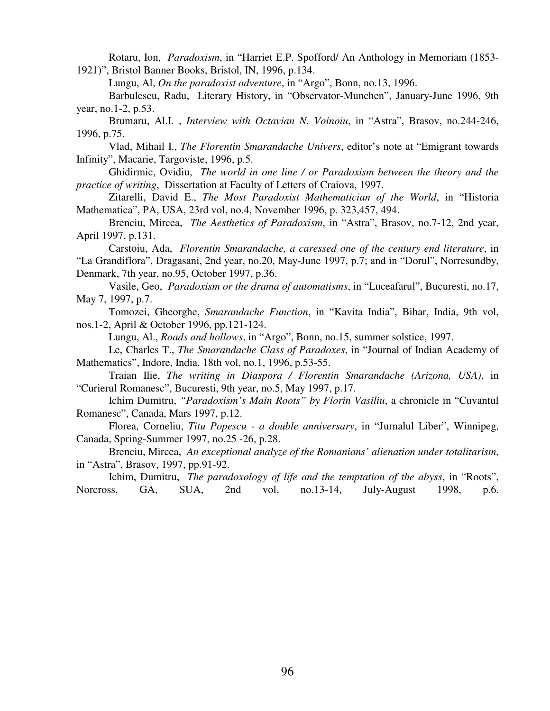Rotaru, Ion, *Paradoxism*, in "Harriet E.P. Spofford/ An Anthology in Memoriam (1853- 1921)", Bristol Banner Books, Bristol, IN, 1996, p.134.

Lungu, Al, *On the paradoxist adventure*, in "Argo", Bonn, no.13, 1996.

 Barbulescu, Radu, Literary History, in "Observator-Munchen", January-June 1996, 9th year, no.1-2, p.53.

 Brumaru, Al.I. , *Interview with Octavian N. Voinoiu*, in "Astra", Brasov, no.244-246, 1996, p.75.

 Vlad, Mihail I., *The Florentin Smarandache Univers*, editor's note at "Emigrant towards Infinity", Macarie, Targoviste, 1996, p.5.

 Ghidirmic, Ovidiu, *The world in one line / or Paradoxism between the theory and the practice of writing*, Dissertation at Faculty of Letters of Craiova, 1997.

 Zitarelli, David E., *The Most Paradoxist Mathematician of the World*, in "Historia Mathematica", PA, USA, 23rd vol, no.4, November 1996, p. 323,457, 494.

 Brenciu, Mircea, *The Aesthetics of Paradoxism*, in "Astra", Brasov, no.7-12, 2nd year, April 1997, p.131.

 Carstoiu, Ada, *Florentin Smarandache, a caressed one of the century end literature*, in "La Grandiflora", Dragasani, 2nd year, no.20, May-June 1997, p.7; and in "Dorul", Norresundby, Denmark, 7th year, no.95, October 1997, p.36.

 Vasile, Geo, *Paradoxism or the drama of automatisms*, in "Luceafarul", Bucuresti, no.17, May 7, 1997, p.7.

 Tomozei, Gheorghe, *Smarandache Function*, in "Kavita India", Bihar, India, 9th vol, nos.1-2, April & October 1996, pp.121-124.

Lungu, Al., *Roads and hollows*, in "Argo", Bonn, no.15, summer solstice, 1997.

 Le, Charles T., *The Smarandache Class of Paradoxes*, in "Journal of Indian Academy of Mathematics", Indore, India, 18th vol, no.1, 1996, p.53-55.

 Traian Ilie, *The writing in Diaspora / Florentin Smarandache (Arizona, USA)*, in "Curierul Romanesc", Bucuresti, 9th year, no.5, May 1997, p.17.

 Ichim Dumitru, *"Paradoxism's Main Roots" by Florin Vasiliu*, a chronicle in "Cuvantul Romanesc", Canada, Mars 1997, p.12.

 Florea, Corneliu, *Titu Popescu - a double anniversary*, in "Jurnalul Liber", Winnipeg, Canada, Spring-Summer 1997, no.25 -26, p.28.

 Brenciu, Mircea, *An exceptional analyze of the Romanians' alienation under totalitarism*, in "Astra", Brasov, 1997, pp.91-92.

 Ichim, Dumitru, *The paradoxology of life and the temptation of the abyss*, in "Roots", Norcross, GA, SUA, 2nd vol, no.13-14, July-August 1998, p.6.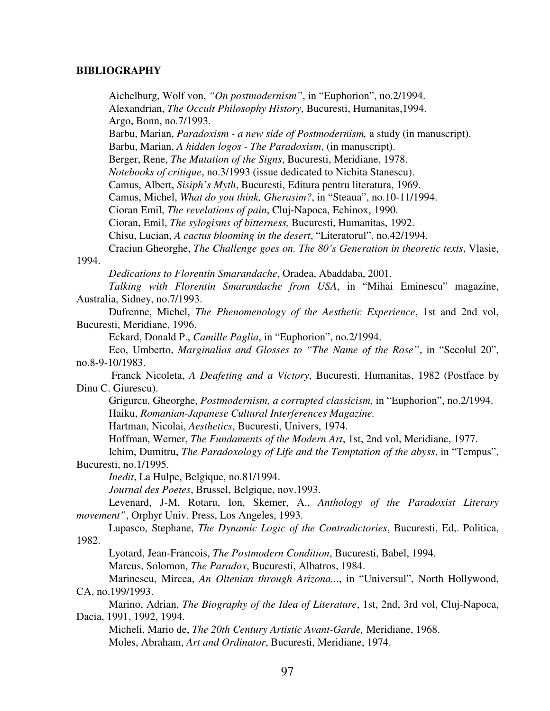#### **BIBLIOGRAPHY**

 Aichelburg, Wolf von, *"On postmodernism"*, in "Euphorion", no.2/1994. Alexandrian, *The Occult Philosophy History*, Bucuresti, Humanitas,1994. Argo, Bonn, no.7/1993. Barbu, Marian, *Paradoxism - a new side of Postmodernism,* a study (in manuscript). Barbu, Marian, *A hidden logos - The Paradoxism*, (in manuscript). Berger, Rene, *The Mutation of the Signs*, Bucuresti, Meridiane, 1978. *Notebooks of critique*, no.3/1993 (issue dedicated to Nichita Stanescu). Camus, Albert, *Sisiph's Myth*, Bucuresti, Editura pentru literatura, 1969. Camus, Michel, *What do you think, Gherasim?*, in "Steaua", no.10-11/1994. Cioran Emil, *The revelations of pain*, Cluj-Napoca, Echinox, 1990. Cioran, Emil, *The sylogisms of bitterness,* Bucuresti, Humanitas, 1992. Chisu, Lucian, *A cactus blooming in the desert*, "Literatorul", no.42/1994. Craciun Gheorghe, *The Challenge goes on. The 80's Generation in theoretic texts*, Vlasie,

#### 1994.

*Dedications to Florentin Smarandache*, Oradea, Abaddaba, 2001.

*Talking with Florentin Smarandache from USA*, in "Mihai Eminescu" magazine, Australia, Sidney, no.7/1993.

 Dufrenne, Michel, *The Phenomenology of the Aesthetic Experience*, 1st and 2nd vol, Bucuresti, Meridiane, 1996.

Eckard, Donald P., *Camille Paglia*, in "Euphorion", no.2/1994.

 Eco, Umberto, *Marginalias and Glosses to "The Name of the Rose"*, in "Secolul 20", no.8-9-10/1983.

 Franck Nicoleta, *A Deafeting and a Victory*, Bucuresti, Humanitas, 1982 (Postface by Dinu C. Giurescu).

 Grigurcu, Gheorghe, *Postmodernism, a corrupted classicism,* in "Euphorion", no.2/1994. Haiku, *Romanian-Japanese Cultural Interferences Magazine.* 

Hartman, Nicolai, *Aesthetics*, Bucuresti, Univers, 1974.

Hoffman, Werner, *The Fundaments of the Modern Art*, 1st, 2nd vol, Meridiane, 1977.

 Ichim, Dumitru, *The Paradoxology of Life and the Temptation of the abyss*, in "Tempus", Bucuresti, no.1/1995.

*Inedit*, La Hulpe, Belgique, no.81/1994.

*Journal des Poetes*, Brussel, Belgique, nov.1993.

 Levenard, J-M, Rotaru, Ion, Skemer, A., *Anthology of the Paradoxist Literary movement"*, Orphyr Univ. Press, Los Angeles, 1993.

 Lupasco, Stephane, *The Dynamic Logic of the Contradictories*, Bucuresti, Ed,. Politica, 1982.

Lyotard, Jean-Francois, *The Postmodern Condition*, Bucuresti, Babel, 1994.

Marcus, Solomon, *The Paradox*, Bucuresti, Albatros, 1984.

 Marinescu, Mircea, *An Oltenian through Arizona..*., in "Universul", North Hollywood, CA, no.199/1993.

 Marino, Adrian, *The Biography of the Idea of Literature*, 1st, 2nd, 3rd vol, Cluj-Napoca, Dacia, 1991, 1992, 1994.

 Micheli, Mario de, *The 20th Century Artistic Avant-Garde,* Meridiane, 1968. Moles, Abraham, *Art and Ordinator*, Bucuresti, Meridiane, 1974.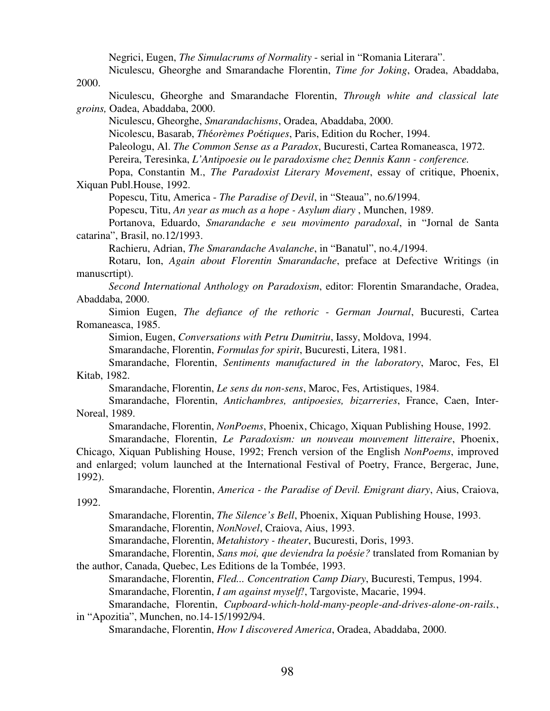Negrici, Eugen, *The Simulacrums of Normality* - serial in "Romania Literara".

 Niculescu, Gheorghe and Smarandache Florentin, *Time for Joking*, Oradea, Abaddaba, 2000.

 Niculescu, Gheorghe and Smarandache Florentin, *Through white and classical late groins,* Oadea, Abaddaba, 2000.

Niculescu, Gheorghe, *Smarandachisms*, Oradea, Abaddaba, 2000.

Nicolescu, Basarab, *Th*é*orèmes Po*é*tiques*, Paris, Edition du Rocher, 1994.

Paleologu, Al. *The Common Sense as a Paradox*, Bucuresti, Cartea Romaneasca, 1972.

Pereira, Teresinka, *L'Antipoesie ou le paradoxisme chez Dennis Kann - conference.* 

 Popa, Constantin M., *The Paradoxist Literary Movement*, essay of critique, Phoenix, Xiquan Publ.House, 1992.

Popescu, Titu, America - *The Paradise of Devil*, in "Steaua", no.6/1994.

Popescu, Titu, *An year as much as a hope - Asylum diary* , Munchen, 1989.

 Portanova, Eduardo, *Smarandache e seu movimento paradoxal*, in "Jornal de Santa catarina", Brasil, no.12/1993.

Rachieru, Adrian, *The Smarandache Avalanche*, in "Banatul", no.4,/1994.

 Rotaru, Ion, *Again about Florentin Smarandache*, preface at Defective Writings (in manuscrtipt).

*Second International Anthology on Paradoxism*, editor: Florentin Smarandache, Oradea, Abaddaba, 2000.

 Simion Eugen, *The defiance of the rethoric - German Journal*, Bucuresti, Cartea Romaneasca, 1985.

Simion, Eugen, *Conversations with Petru Dumitriu*, Iassy, Moldova, 1994.

Smarandache, Florentin, *Formulas for spirit*, Bucuresti, Litera, 1981.

 Smarandache, Florentin, *Sentiments manufactured in the laboratory*, Maroc, Fes, El Kitab, 1982.

Smarandache, Florentin, *Le sens du non-sens*, Maroc, Fes, Artistiques, 1984.

 Smarandache, Florentin, *Antichambres, antipoesies, bizarreries*, France, Caen, Inter-Noreal, 1989.

Smarandache, Florentin, *NonPoems*, Phoenix, Chicago, Xiquan Publishing House, 1992.

 Smarandache, Florentin, *Le Paradoxism: un nouveau mouvement litteraire*, Phoenix, Chicago, Xiquan Publishing House, 1992; French version of the English *NonPoems*, improved and enlarged; volum launched at the International Festival of Poetry, France, Bergerac, June, 1992).

 Smarandache, Florentin, *America - the Paradise of Devil. Emigrant diary*, Aius, Craiova, 1992.

 Smarandache, Florentin, *The Silence's Bell*, Phoenix, Xiquan Publishing House, 1993. Smarandache, Florentin, *NonNovel*, Craiova, Aius, 1993.

Smarandache, Florentin, *Metahistory - theater*, Bucuresti, Doris, 1993.

 Smarandache, Florentin, *Sans moi, que deviendra la po*é*sie?* translated from Romanian by the author, Canada, Quebec, Les Editions de la Tombée, 1993.

Smarandache, Florentin, *Fled... Concentration Camp Diary*, Bucuresti, Tempus, 1994.

Smarandache, Florentin, *I am against myself!*, Targoviste, Macarie, 1994.

 Smarandache, Florentin, *Cupboard-which-hold-many-people-and-drives-alone-on-rails.*, in "Apozitia", Munchen, no.14-15/1992/94.

Smarandache, Florentin, *How I discovered America*, Oradea, Abaddaba, 2000.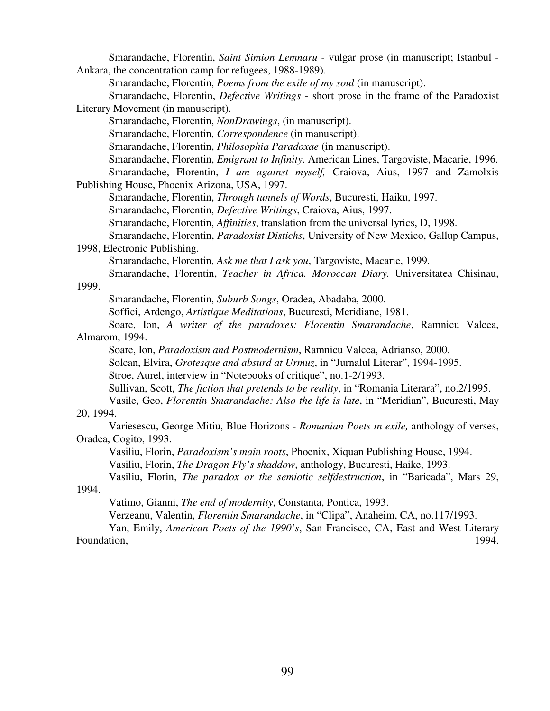Smarandache, Florentin, *Saint Simion Lemnaru* - vulgar prose (in manuscript; Istanbul - Ankara, the concentration camp for refugees, 1988-1989).

Smarandache, Florentin, *Poems from the exile of my soul* (in manuscript).

 Smarandache, Florentin, *Defective Writings* - short prose in the frame of the Paradoxist Literary Movement (in manuscript).

Smarandache, Florentin, *NonDrawings*, (in manuscript).

Smarandache, Florentin, *Correspondence* (in manuscript).

Smarandache, Florentin, *Philosophia Paradoxae* (in manuscript).

Smarandache, Florentin, *Emigrant to Infinity*. American Lines, Targoviste, Macarie, 1996.

 Smarandache, Florentin, *I am against myself,* Craiova, Aius, 1997 and Zamolxis Publishing House, Phoenix Arizona, USA, 1997.

Smarandache, Florentin, *Through tunnels of Words*, Bucuresti, Haiku, 1997.

Smarandache, Florentin, *Defective Writings*, Craiova, Aius, 1997.

Smarandache, Florentin, *Affinities*, translation from the universal lyrics, D, 1998.

Smarandache, Florentin, *Paradoxist Distichs*, University of New Mexico, Gallup Campus,

# 1998, Electronic Publishing.

Smarandache, Florentin, *Ask me that I ask you*, Targoviste, Macarie, 1999.

Smarandache, Florentin, *Teacher in Africa. Moroccan Diary.* Universitatea Chisinau,

## 1999.

Smarandache, Florentin, *Suburb Songs*, Oradea, Abadaba, 2000.

Soffici, Ardengo, *Artistique Meditations*, Bucuresti, Meridiane, 1981.

 Soare, Ion, *A writer of the paradoxes: Florentin Smarandache*, Ramnicu Valcea, Almarom, 1994.

Soare, Ion, *Paradoxism and Postmodernism*, Ramnicu Valcea, Adrianso, 2000.

Solcan, Elvira, *Grotesque and absurd at Urmuz*, in "Jurnalul Literar", 1994-1995.

Stroe, Aurel, interview in "Notebooks of critique", no.1-2/1993.

Sullivan, Scott, *The fiction that pretends to be reality*, in "Romania Literara", no.2/1995.

Vasile, Geo, *Florentin Smarandache: Also the life is late*, in "Meridian", Bucuresti, May

# 20, 1994.

 Variesescu, George Mitiu, Blue Horizons - *Romanian Poets in exile,* anthology of verses, Oradea, Cogito, 1993.

Vasiliu, Florin, *Paradoxism's main roots*, Phoenix, Xiquan Publishing House, 1994.

Vasiliu, Florin, *The Dragon Fly's shaddow*, anthology, Bucuresti, Haike, 1993.

Vasiliu, Florin, *The paradox or the semiotic selfdestruction*, in "Baricada", Mars 29,

1994.

Vatimo, Gianni, *The end of modernity*, Constanta, Pontica, 1993.

Verzeanu, Valentin, *Florentin Smarandache*, in "Clipa", Anaheim, CA, no.117/1993.

 Yan, Emily, *American Poets of the 1990's*, San Francisco, CA, East and West Literary Foundation, 1994.